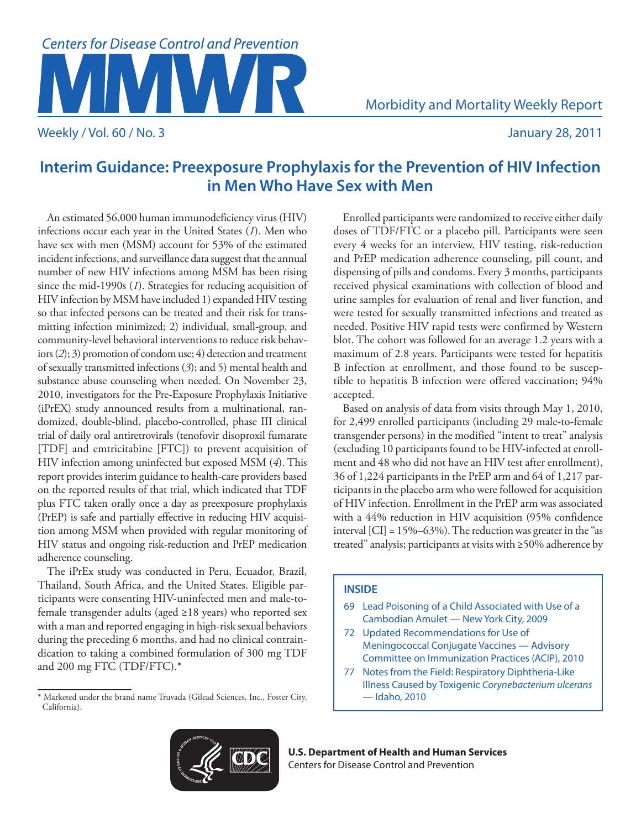# **Centers for Disease Control and Prevention**

Weekly / Vol. 60 / No. 3 January 28, 2011

Morbidity and Mortality Weekly Report

# **Interim Guidance: Preexposure Prophylaxis for the Prevention of HIV Infection in Men Who Have Sex with Men**

An estimated 56,000 human immunodeficiency virus (HIV) infections occur each year in the United States (*1*). Men who have sex with men (MSM) account for 53% of the estimated incident infections, and surveillance data suggest that the annual number of new HIV infections among MSM has been rising since the mid-1990s (*1*). Strategies for reducing acquisition of HIV infection by MSM have included 1) expanded HIV testing so that infected persons can be treated and their risk for transmitting infection minimized; 2) individual, small-group, and community-level behavioral interventions to reduce risk behaviors (*2*); 3) promotion of condom use; 4) detection and treatment of sexually transmitted infections (*3*); and 5) mental health and substance abuse counseling when needed. On November 23, 2010, investigators for the Pre-Exposure Prophylaxis Initiative (iPrEX) study announced results from a multinational, randomized, double-blind, placebo-controlled, phase III clinical trial of daily oral antiretrovirals (tenofovir disoproxil fumarate [TDF] and emtricitabine [FTC]) to prevent acquisition of HIV infection among uninfected but exposed MSM (*4*). This report provides interim guidance to health-care providers based on the reported results of that trial, which indicated that TDF plus FTC taken orally once a day as preexposure prophylaxis (PrEP) is safe and partially effective in reducing HIV acquisition among MSM when provided with regular monitoring of HIV status and ongoing risk-reduction and PrEP medication adherence counseling.

The iPrEx study was conducted in Peru, Ecuador, Brazil, Thailand, South Africa, and the United States. Eligible participants were consenting HIV-uninfected men and male-tofemale transgender adults (aged ≥18 years) who reported sex with a man and reported engaging in high-risk sexual behaviors during the preceding 6 months, and had no clinical contraindication to taking a combined formulation of 300 mg TDF and 200 mg FTC (TDF/FTC).\*

Enrolled participants were randomized to receive either daily doses of TDF/FTC or a placebo pill. Participants were seen every 4 weeks for an interview, HIV testing, risk-reduction and PrEP medication adherence counseling, pill count, and dispensing of pills and condoms. Every 3 months, participants received physical examinations with collection of blood and urine samples for evaluation of renal and liver function, and were tested for sexually transmitted infections and treated as needed. Positive HIV rapid tests were confirmed by Western blot. The cohort was followed for an average 1.2 years with a maximum of 2.8 years. Participants were tested for hepatitis B infection at enrollment, and those found to be susceptible to hepatitis B infection were offered vaccination; 94% accepted.

Based on analysis of data from visits through May 1, 2010, for 2,499 enrolled participants (including 29 male-to-female transgender persons) in the modified "intent to treat" analysis (excluding 10 participants found to be HIV-infected at enrollment and 48 who did not have an HIV test after enrollment), 36 of 1,224 participants in the PrEP arm and 64 of 1,217 participants in the placebo arm who were followed for acquisition of HIV infection. Enrollment in the PrEP arm was associated with a 44% reduction in HIV acquisition (95% confidence interval [CI] = 15%–63%). The reduction was greater in the "as treated" analysis; participants at visits with ≥50% adherence by

## **INSIDE**

- 69 [Lead Poisoning of a Child Associated with Use of a](#page-4-0)  [Cambodian Amulet — New York City, 2009](#page-4-0)
- 72 [Updated Recommendations for Use of](#page-7-0)  [Meningococcal Conjugate Vaccines — Advisory](#page-7-0)  [Committee on Immunization Practices \(ACIP\), 2010](#page-7-0)
- 77 [Notes from the Field:](#page-12-0) Respiratory Diphtheria-Like Illness Caused by Toxigenic *Corynebacterium ulcerans* — Idaho, 2010



**U.S. Department of Health and Human Services** Centers for Disease Control and Prevention

<sup>\*</sup> Marketed under the brand name Truvada (Gilead Sciences, Inc., Foster City, California).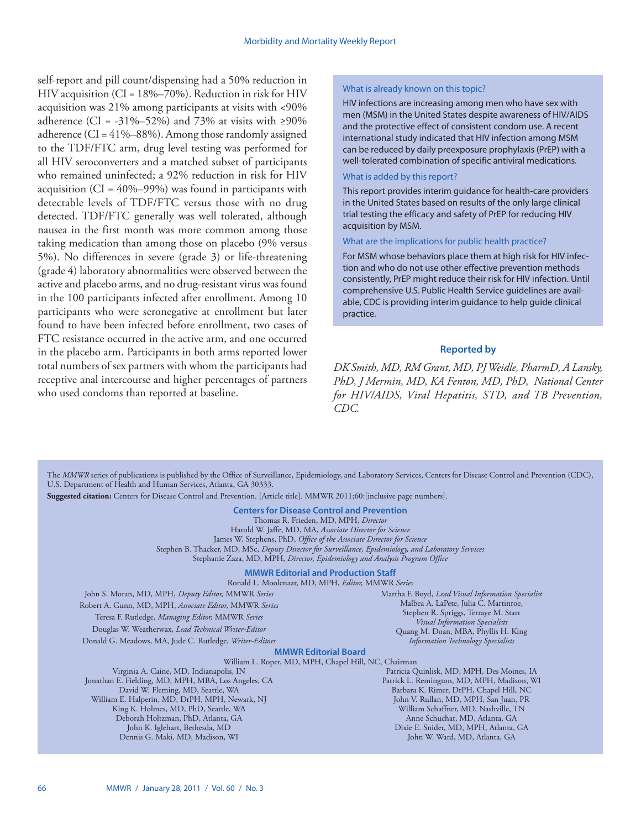self-report and pill count/dispensing had a 50% reduction in HIV acquisition (CI = 18%–70%). Reduction in risk for HIV acquisition was 21% among participants at visits with <90% adherence (CI = -31%–52%) and 73% at visits with ≥90% adherence (CI =  $41\% - 88\%$ ). Among those randomly assigned to the TDF/FTC arm, drug level testing was performed for all HIV seroconverters and a matched subset of participants who remained uninfected; a 92% reduction in risk for HIV acquisition  $(CI = 40\% - 99\%)$  was found in participants with detectable levels of TDF/FTC versus those with no drug detected. TDF/FTC generally was well tolerated, although nausea in the first month was more common among those taking medication than among those on placebo (9% versus 5%). No differences in severe (grade 3) or life-threatening (grade 4) laboratory abnormalities were observed between the active and placebo arms, and no drug-resistant virus was found in the 100 participants infected after enrollment. Among 10 participants who were seronegative at enrollment but later found to have been infected before enrollment, two cases of FTC resistance occurred in the active arm, and one occurred in the placebo arm. Participants in both arms reported lower total numbers of sex partners with whom the participants had receptive anal intercourse and higher percentages of partners who used condoms than reported at baseline.

## What is already known on this topic?

HIV infections are increasing among men who have sex with men (MSM) in the United States despite awareness of HIV/AIDS and the protective effect of consistent condom use. A recent international study indicated that HIV infection among MSM can be reduced by daily preexposure prophylaxis (PrEP) with a well-tolerated combination of specific antiviral medications.

## What is added by this report?

This report provides interim guidance for health-care providers in the United States based on results of the only large clinical trial testing the efficacy and safety of PrEP for reducing HIV acquisition by MSM.

## What are the implications for public health practice?

For MSM whose behaviors place them at high risk for HIV infection and who do not use other effective prevention methods consistently, PrEP might reduce their risk for HIV infection. Until comprehensive U.S. Public Health Service guidelines are available, CDC is providing interim guidance to help guide clinical practice.

## **Reported by**

*DK Smith, MD, RM Grant, MD, PJ Weidle, PharmD, A Lansky, PhD, J Mermin, MD, KA Fenton, MD, PhD, National Center for HIV/AIDS, Viral Hepatitis, STD, and TB Prevention, CDC.*

The *MMWR* series of publications is published by the Office of Surveillance, Epidemiology, and Laboratory Services, Centers for Disease Control and Prevention (CDC), U.S. Department of Health and Human Services, Atlanta, GA 30333.

**Suggested citation:** Centers for Disease Control and Prevention. [Article title]. MMWR 2011;60:[inclusive page numbers].

## **Centers for Disease Control and Prevention**

Thomas R. Frieden, MD, MPH, *Director* Harold W. Jaffe, MD, MA, *Associate Director for Science* James W. Stephens, PhD, *Office of the Associate Director for Science* Stephen B. Thacker, MD, MSc, *Deputy Director for Surveillance, Epidemiology, and Laboratory Services* Stephanie Zaza, MD, MPH, *Director, Epidemiology and Analysis Program Office*

#### **MMWR Editorial and Production Staff**

Ronald L. Moolenaar, MD, MPH, *Editor,* MMWR *Series*

John S. Moran, MD, MPH, *Deputy Editor,* MMWR *Series* Robert A. Gunn, MD, MPH, *Associate Editor,* MMWR *Series* Teresa F. Rutledge, *Managing Editor,* MMWR *Series* Douglas W. Weatherwax, *Lead Technical Writer-Editor* Donald G. Meadows, MA, Jude C. Rutledge, *Writer-Editors*

Martha F. Boyd, *Lead Visual Information Specialist* Malbea A. LaPete, Julia C. Martinroe, Stephen R. Spriggs, Terraye M. Starr *Visual Information Specialists* Quang M. Doan, MBA, Phyllis H. King *Information Technology Specialists*

#### **MMWR Editorial Board**

William L. Roper, MD, MPH, Chapel Hill, NC, Chairman

Virginia A. Caine, MD, Indianapolis, IN Jonathan E. Fielding, MD, MPH, MBA, Los Angeles, CA David W. Fleming, MD, Seattle, WA William E. Halperin, MD, DrPH, MPH, Newark, NJ King K. Holmes, MD, PhD, Seattle, WA Deborah Holtzman, PhD, Atlanta, GA John K. Iglehart, Bethesda, MD Dennis G. Maki, MD, Madison, WI

Patricia Quinlisk, MD, MPH, Des Moines, IA Patrick L. Remington, MD, MPH, Madison, WI Barbara K. Rimer, DrPH, Chapel Hill, NC John V. Rullan, MD, MPH, San Juan, PR William Schaffner, MD, Nashville, TN Anne Schuchat, MD, Atlanta, GA Dixie E. Snider, MD, MPH, Atlanta, GA John W. Ward, MD, Atlanta, GA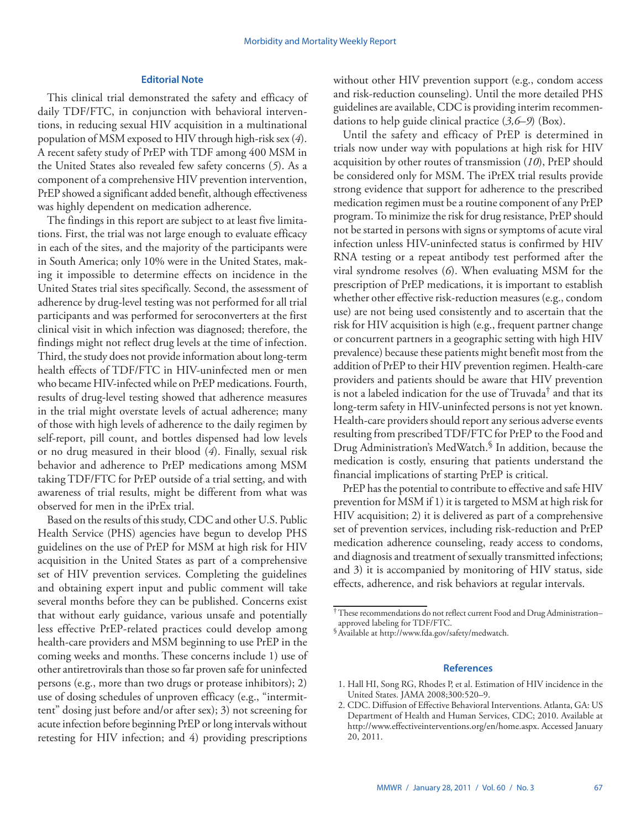## **Editorial Note**

This clinical trial demonstrated the safety and efficacy of daily TDF/FTC, in conjunction with behavioral interventions, in reducing sexual HIV acquisition in a multinational population of MSM exposed to HIV through high-risk sex (*4*). A recent safety study of PrEP with TDF among 400 MSM in the United States also revealed few safety concerns (*5*). As a component of a comprehensive HIV prevention intervention, PrEP showed a significant added benefit, although effectiveness was highly dependent on medication adherence.

The findings in this report are subject to at least five limitations. First, the trial was not large enough to evaluate efficacy in each of the sites, and the majority of the participants were in South America; only 10% were in the United States, making it impossible to determine effects on incidence in the United States trial sites specifically. Second, the assessment of adherence by drug-level testing was not performed for all trial participants and was performed for seroconverters at the first clinical visit in which infection was diagnosed; therefore, the findings might not reflect drug levels at the time of infection. Third, the study does not provide information about long-term health effects of TDF/FTC in HIV-uninfected men or men who became HIV-infected while on PrEP medications. Fourth, results of drug-level testing showed that adherence measures in the trial might overstate levels of actual adherence; many of those with high levels of adherence to the daily regimen by self-report, pill count, and bottles dispensed had low levels or no drug measured in their blood (*4*). Finally, sexual risk behavior and adherence to PrEP medications among MSM taking TDF/FTC for PrEP outside of a trial setting, and with awareness of trial results, might be different from what was observed for men in the iPrEx trial.

Based on the results of this study, CDC and other U.S. Public Health Service (PHS) agencies have begun to develop PHS guidelines on the use of PrEP for MSM at high risk for HIV acquisition in the United States as part of a comprehensive set of HIV prevention services. Completing the guidelines and obtaining expert input and public comment will take several months before they can be published. Concerns exist that without early guidance, various unsafe and potentially less effective PrEP-related practices could develop among health-care providers and MSM beginning to use PrEP in the coming weeks and months. These concerns include 1) use of other antiretrovirals than those so far proven safe for uninfected persons (e.g., more than two drugs or protease inhibitors); 2) use of dosing schedules of unproven efficacy (e.g., "intermittent" dosing just before and/or after sex); 3) not screening for acute infection before beginning PrEP or long intervals without retesting for HIV infection; and 4) providing prescriptions

without other HIV prevention support (e.g., condom access and risk-reduction counseling). Until the more detailed PHS guidelines are available, CDC is providing interim recommendations to help guide clinical practice (*3,6–9*) (Box).

Until the safety and efficacy of PrEP is determined in trials now under way with populations at high risk for HIV acquisition by other routes of transmission (*10*), PrEP should be considered only for MSM. The iPrEX trial results provide strong evidence that support for adherence to the prescribed medication regimen must be a routine component of any PrEP program. To minimize the risk for drug resistance, PrEP should not be started in persons with signs or symptoms of acute viral infection unless HIV-uninfected status is confirmed by HIV RNA testing or a repeat antibody test performed after the viral syndrome resolves (*6*). When evaluating MSM for the prescription of PrEP medications, it is important to establish whether other effective risk-reduction measures (e.g., condom use) are not being used consistently and to ascertain that the risk for HIV acquisition is high (e.g., frequent partner change or concurrent partners in a geographic setting with high HIV prevalence) because these patients might benefit most from the addition of PrEP to their HIV prevention regimen. Health-care providers and patients should be aware that HIV prevention is not a labeled indication for the use of Truvada† and that its long-term safety in HIV-uninfected persons is not yet known. Health-care providers should report any serious adverse events resulting from prescribed TDF/FTC for PrEP to the Food and Drug Administration's MedWatch.§ In addition, because the medication is costly, ensuring that patients understand the financial implications of starting PrEP is critical.

PrEP has the potential to contribute to effective and safe HIV prevention for MSM if 1) it is targeted to MSM at high risk for HIV acquisition; 2) it is delivered as part of a comprehensive set of prevention services, including risk-reduction and PrEP medication adherence counseling, ready access to condoms, and diagnosis and treatment of sexually transmitted infections; and 3) it is accompanied by monitoring of HIV status, side effects, adherence, and risk behaviors at regular intervals.

## **References**

1. Hall HI, Song RG, Rhodes P, et al. Estimation of HIV incidence in the United States. JAMA 2008;300:520–9.

<sup>†</sup>These recommendations do not reflect current Food and Drug Administration– approved labeling for TDF/FTC.

<sup>§</sup>Available at <http://www.fda.gov/safety/medwatch>.

<sup>2.</sup> CDC. Diffusion of Effective Behavioral Interventions. Atlanta, GA: US Department of Health and Human Services, CDC; 2010. Available at <http://www.effectiveinterventions.org/en/home.aspx>. Accessed January 20, 2011.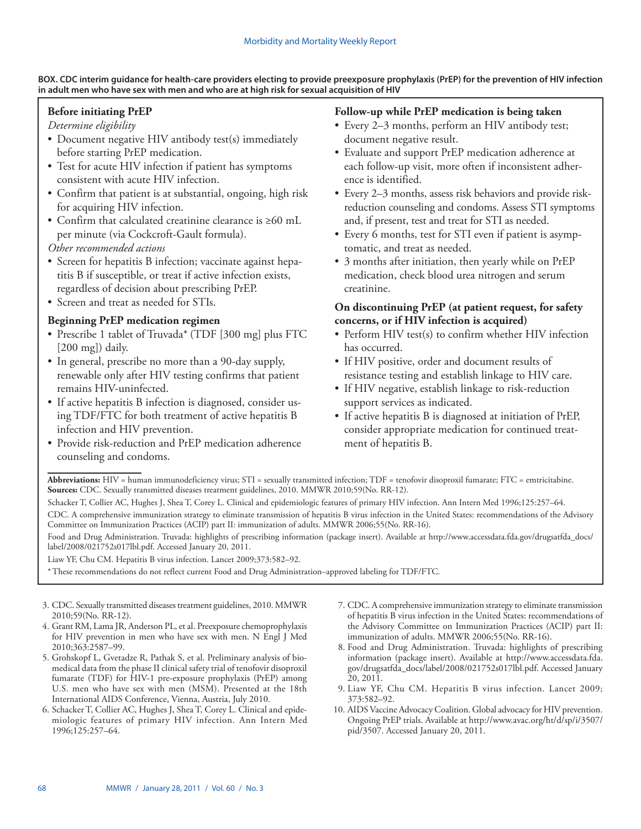## **BOX. CDC interim guidance for health-care providers electing to provide preexposure prophylaxis (PrEP) for the prevention of HIV infection in adult men who have sex with men and who are at high risk for sexual acquisition of HIV**

## **Before initiating PrEP**

*Determine eligibility*

- Document negative HIV antibody test(s) immediately before starting PrEP medication.
- Test for acute HIV infection if patient has symptoms consistent with acute HIV infection.
- Confirm that patient is at substantial, ongoing, high risk for acquiring HIV infection.
- • Confirm that calculated creatinine clearance is ≥60 mL per minute (via Cockcroft-Gault formula).

*Other recommended actions* 

- Screen for hepatitis B infection; vaccinate against hepatitis B if susceptible, or treat if active infection exists, regardless of decision about prescribing PrEP.
- Screen and treat as needed for STIs.

## **Beginning PrEP medication regimen**

- Prescribe 1 tablet of Truvada\* (TDF [300 mg] plus FTC [200 mg]) daily.
- In general, prescribe no more than a 90-day supply, renewable only after HIV testing confirms that patient remains HIV-uninfected.
- If active hepatitis B infection is diagnosed, consider using TDF/FTC for both treatment of active hepatitis B infection and HIV prevention.
- Provide risk-reduction and PrEP medication adherence counseling and condoms.

## **Follow-up while PrEP medication is being taken**

- Every 2–3 months, perform an HIV antibody test; document negative result.
- • Evaluate and support PrEP medication adherence at each follow-up visit, more often if inconsistent adherence is identified.
- Every 2–3 months, assess risk behaviors and provide riskreduction counseling and condoms. Assess STI symptoms and, if present, test and treat for STI as needed.
- • Every 6 months, test for STI even if patient is asymptomatic, and treat as needed.
- 3 months after initiation, then yearly while on PrEP medication, check blood urea nitrogen and serum creatinine.

## **On discontinuing PrEP (at patient request, for safety concerns, or if HIV infection is acquired)**

- Perform HIV test(s) to confirm whether HIV infection has occurred.
- If HIV positive, order and document results of resistance testing and establish linkage to HIV care.
- If HIV negative, establish linkage to risk-reduction support services as indicated.
- If active hepatitis B is diagnosed at initiation of PrEP, consider appropriate medication for continued treatment of hepatitis B.

Abbreviations: HIV = human immunodeficiency virus; STI = sexually transmitted infection; TDF = tenofovir disoproxil fumarate; FTC = emtricitabine. **Sources:** CDC. Sexually transmitted diseases treatment guidelines, 2010. MMWR 2010;59(No. RR-12).

Schacker T, Collier AC, Hughes J, Shea T, Corey L. Clinical and epidemiologic features of primary HIV infection. Ann Intern Med 1996;125:257–64.

CDC. A comprehensive immunization strategy to eliminate transmission of hepatitis B virus infection in the United States: recommendations of the Advisory Committee on Immunization Practices (ACIP) part II: immunization of adults. MMWR 2006;55(No. RR-16).

Food and Drug Administration. Truvada: highlights of prescribing information (package insert). Available at [http://www.accessdata.fda.gov/drugsatfda\\_docs/](http://www.accessdata.fda.gov/drugsatfda_docs/label/2008/021752s017lbl.pdf) [label/2008/021752s017lbl.pdf.](http://www.accessdata.fda.gov/drugsatfda_docs/label/2008/021752s017lbl.pdf) Accessed January 20, 2011.

Liaw YF, Chu CM. Hepatitis B virus infection. Lancet 2009;373:582–92.

\*These recommendations do not reflect current Food and Drug Administration–approved labeling for TDF/FTC.

- 3. CDC. Sexually transmitted diseases treatment guidelines, 2010. MMWR 2010;59(No. RR-12).
- 4. Grant RM, Lama JR, Anderson PL, et al. Preexposure chemoprophylaxis for HIV prevention in men who have sex with men. N Engl J Med 2010;363:2587–99.
- 5. Grohskopf L, Gvetadze R, Pathak S, et al. Preliminary analysis of biomedical data from the phase II clinical safety trial of tenofovir disoproxil fumarate (TDF) for HIV-1 pre-exposure prophylaxis (PrEP) among U.S. men who have sex with men (MSM). Presented at the 18th International AIDS Conference, Vienna, Austria, July 2010.
- 6. Schacker T, Collier AC, Hughes J, Shea T, Corey L. Clinical and epidemiologic features of primary HIV infection. Ann Intern Med 1996;125:257–64.
- 7. CDC. A comprehensive immunization strategy to eliminate transmission of hepatitis B virus infection in the United States: recommendations of the Advisory Committee on Immunization Practices (ACIP) part II: immunization of adults. MMWR 2006;55(No. RR-16).
- 8. Food and Drug Administration. Truvada: highlights of prescribing information (package insert). Available at [http://www.accessdata.fda.](http://www.accessdata.fda.gov/drugsatfda_docs/label/2008/021752s017lbl.pdf) [gov/drugsatfda\\_docs/label/2008/021752s017lbl.pdf.](http://www.accessdata.fda.gov/drugsatfda_docs/label/2008/021752s017lbl.pdf) Accessed January 20, 2011.
- 9. Liaw YF, Chu CM. Hepatitis B virus infection. Lancet 2009; 373:582–92.
- 10. AIDS Vaccine Advocacy Coalition. Global advocacy for HIV prevention. Ongoing PrEP trials. Available at [http://www.avac.org/ht/d/sp/i/3507/](http://www.avac.org/ht/d/sp/i/3507/pid/3507) [pid/3507](http://www.avac.org/ht/d/sp/i/3507/pid/3507). Accessed January 20, 2011.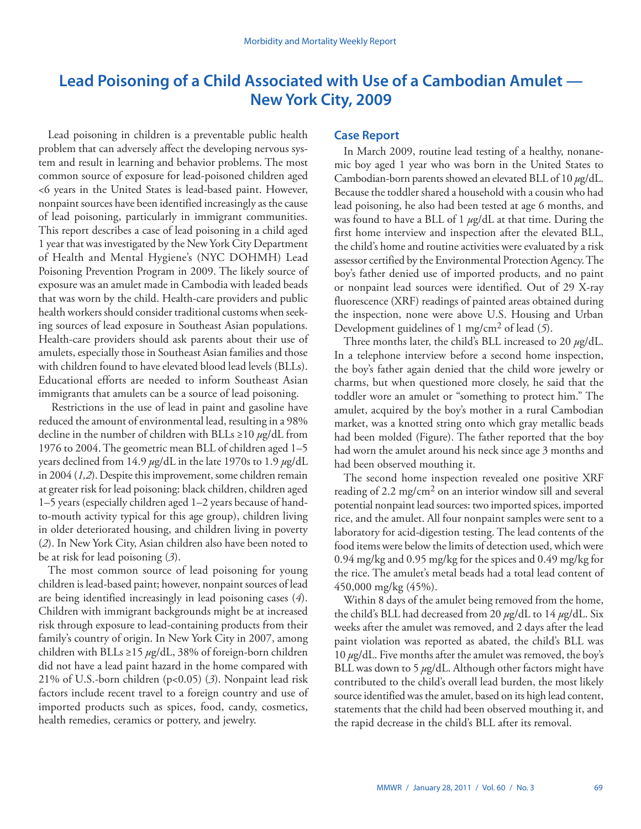## <span id="page-4-0"></span>**Lead Poisoning of a Child Associated with Use of a Cambodian Amulet — New York City, 2009**

Lead poisoning in children is a preventable public health problem that can adversely affect the developing nervous system and result in learning and behavior problems. The most common source of exposure for lead-poisoned children aged <6 years in the United States is lead-based paint. However, nonpaint sources have been identified increasingly as the cause of lead poisoning, particularly in immigrant communities. This report describes a case of lead poisoning in a child aged 1 year that was investigated by the New York City Department of Health and Mental Hygiene's (NYC DOHMH) Lead Poisoning Prevention Program in 2009. The likely source of exposure was an amulet made in Cambodia with leaded beads that was worn by the child. Health-care providers and public health workers should consider traditional customs when seeking sources of lead exposure in Southeast Asian populations. Health-care providers should ask parents about their use of amulets, especially those in Southeast Asian families and those with children found to have elevated blood lead levels (BLLs). Educational efforts are needed to inform Southeast Asian immigrants that amulets can be a source of lead poisoning.

 Restrictions in the use of lead in paint and gasoline have reduced the amount of environmental lead, resulting in a 98% decline in the number of children with BLLs ≥10 *µ*g/dL from 1976 to 2004. The geometric mean BLL of children aged 1–5 years declined from 14.9 *µ*g/dL in the late 1970s to 1.9 *µ*g/dL in 2004 (*1,2*).Despite this improvement, some children remain at greater risk for lead poisoning: black children, children aged 1–5 years (especially children aged 1–2 years because of handto-mouth activity typical for this age group), children living in older deteriorated housing, and children living in poverty (*2*). In New York City, Asian children also have been noted to be at risk for lead poisoning (*3*).

The most common source of lead poisoning for young children is lead-based paint; however, nonpaint sources of lead are being identified increasingly in lead poisoning cases (*4*). Children with immigrant backgrounds might be at increased risk through exposure to lead-containing products from their family's country of origin. In New York City in 2007, among children with BLLs ≥15 *µ*g/dL, 38% of foreign-born children did not have a lead paint hazard in the home compared with 21% of U.S.-born children (p<0.05) (*3*). Nonpaint lead risk factors include recent travel to a foreign country and use of imported products such as spices, food, candy, cosmetics, health remedies, ceramics or pottery, and jewelry.

## **Case Report**

In March 2009, routine lead testing of a healthy, nonanemic boy aged 1 year who was born in the United States to Cambodian-born parents showed an elevated BLL of 10 *µ*g/dL. Because the toddler shared a household with a cousin who had lead poisoning, he also had been tested at age 6 months, and was found to have a BLL of 1 *µ*g/dL at that time. During the first home interview and inspection after the elevated BLL, the child's home and routine activities were evaluated by a risk assessor certified by the Environmental Protection Agency. The boy's father denied use of imported products, and no paint or nonpaint lead sources were identified. Out of 29 X-ray fluorescence (XRF) readings of painted areas obtained during the inspection, none were above U.S. Housing and Urban Development guidelines of 1 mg/cm2 of lead (*5*).

Three months later, the child's BLL increased to 20 *µ*g/dL. In a telephone interview before a second home inspection, the boy's father again denied that the child wore jewelry or charms, but when questioned more closely, he said that the toddler wore an amulet or "something to protect him." The amulet, acquired by the boy's mother in a rural Cambodian market, was a knotted string onto which gray metallic beads had been molded (Figure). The father reported that the boy had worn the amulet around his neck since age 3 months and had been observed mouthing it.

The second home inspection revealed one positive XRF reading of 2.2 mg/cm<sup>2</sup> on an interior window sill and several potential nonpaint lead sources: two imported spices, imported rice, and the amulet. All four nonpaint samples were sent to a laboratory for acid-digestion testing. The lead contents of the food items were below the limits of detection used, which were 0.94 mg/kg and 0.95 mg/kg for the spices and 0.49 mg/kg for the rice. The amulet's metal beads had a total lead content of 450,000 mg/kg (45%).

Within 8 days of the amulet being removed from the home, the child's BLL had decreased from 20 *µ*g/dL to 14 *µ*g/dL. Six weeks after the amulet was removed, and 2 days after the lead paint violation was reported as abated, the child's BLL was 10 *µ*g/dL. Five months after the amulet was removed, the boy's BLL was down to 5 *µ*g/dL. Although other factors might have contributed to the child's overall lead burden, the most likely source identified was the amulet, based on its high lead content, statements that the child had been observed mouthing it, and the rapid decrease in the child's BLL after its removal.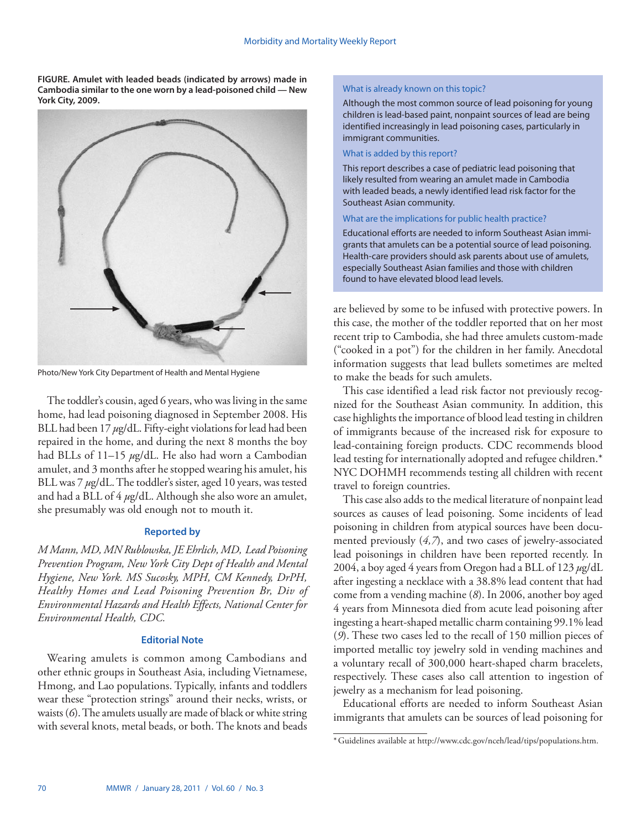**FIGURE. Amulet with leaded beads (indicated by arrows) made in Cambodia similar to the one worn by a lead-poisoned child — New York City, 2009.**



Photo/New York City Department of Health and Mental Hygiene

The toddler's cousin, aged 6 years, who was living in the same home, had lead poisoning diagnosed in September 2008. His BLL had been 17 *µ*g/dL. Fifty-eight violations for lead had been repaired in the home, and during the next 8 months the boy had BLLs of 11–15 *µ*g/dL. He also had worn a Cambodian amulet, and 3 months after he stopped wearing his amulet, his BLL was 7 *µ*g/dL. The toddler's sister, aged 10 years, was tested and had a BLL of 4 *µ*g/dL. Although she also wore an amulet, she presumably was old enough not to mouth it.

## **Reported by**

*M Mann, MD, MN Rublowska, JE Ehrlich, MD, Lead Poisoning Prevention Program, New York City Dept of Health and Mental Hygiene, New York. MS Sucosky, MPH, CM Kennedy, DrPH, Healthy Homes and Lead Poisoning Prevention Br, Div of Environmental Hazards and Health Effects, National Center for Environmental Health, CDC.*

## **Editorial Note**

Wearing amulets is common among Cambodians and other ethnic groups in Southeast Asia, including Vietnamese, Hmong, and Lao populations. Typically, infants and toddlers wear these "protection strings" around their necks, wrists, or waists (*6*). The amulets usually are made of black or white string with several knots, metal beads, or both. The knots and beads

## What is already known on this topic?

Although the most common source of lead poisoning for young children is lead-based paint, nonpaint sources of lead are being identified increasingly in lead poisoning cases, particularly in immigrant communities.

## What is added by this report?

This report describes a case of pediatric lead poisoning that likely resulted from wearing an amulet made in Cambodia with leaded beads, a newly identified lead risk factor for the Southeast Asian community.

## What are the implications for public health practice?

Educational efforts are needed to inform Southeast Asian immigrants that amulets can be a potential source of lead poisoning. Health-care providers should ask parents about use of amulets, especially Southeast Asian families and those with children found to have elevated blood lead levels.

are believed by some to be infused with protective powers. In this case, the mother of the toddler reported that on her most recent trip to Cambodia, she had three amulets custom-made ("cooked in a pot") for the children in her family. Anecdotal information suggests that lead bullets sometimes are melted to make the beads for such amulets.

This case identified a lead risk factor not previously recognized for the Southeast Asian community. In addition, this case highlights the importance of blood lead testing in children of immigrants because of the increased risk for exposure to lead-containing foreign products. CDC recommends blood lead testing for internationally adopted and refugee children.\* NYC DOHMH recommends testing all children with recent travel to foreign countries.

This case also adds to the medical literature of nonpaint lead sources as causes of lead poisoning. Some incidents of lead poisoning in children from atypical sources have been documented previously (*4,7*), and two cases of jewelry-associated lead poisonings in children have been reported recently. In 2004, a boy aged 4 years from Oregon had a BLL of 123 *µ*g/dL after ingesting a necklace with a 38.8% lead content that had come from a vending machine (*8*). In 2006, another boy aged 4 years from Minnesota died from acute lead poisoning after ingesting a heart-shaped metallic charm containing 99.1% lead (*9*). These two cases led to the recall of 150 million pieces of imported metallic toy jewelry sold in vending machines and a voluntary recall of 300,000 heart-shaped charm bracelets, respectively. These cases also call attention to ingestion of jewelry as a mechanism for lead poisoning.

Educational efforts are needed to inform Southeast Asian immigrants that amulets can be sources of lead poisoning for

<sup>\*</sup>Guidelines available at [http://www.cdc.gov/nceh/lead/tips/populations.htm.](http://www.cdc.gov/nceh/lead/tips/populations.htm)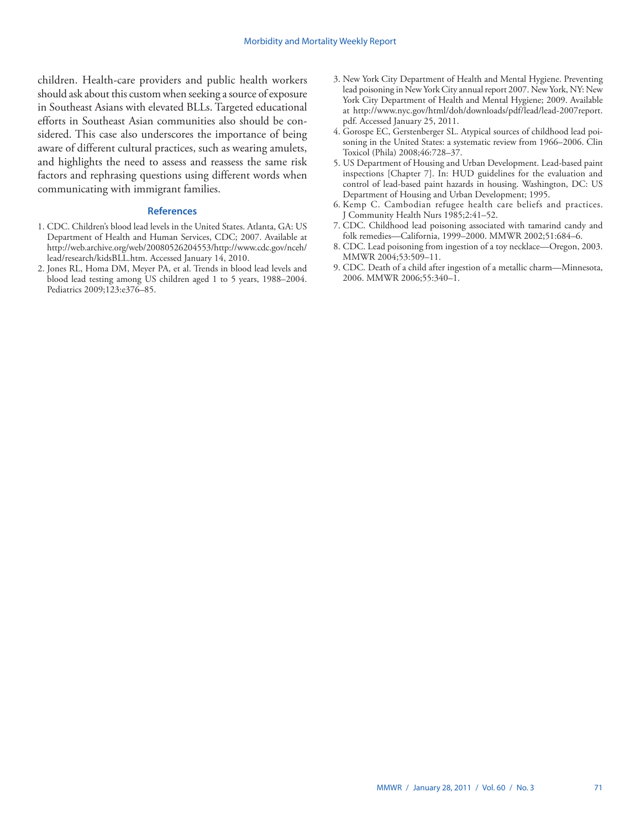children. Health-care providers and public health workers should ask about this custom when seeking a source of exposure in Southeast Asians with elevated BLLs. Targeted educational efforts in Southeast Asian communities also should be considered. This case also underscores the importance of being aware of different cultural practices, such as wearing amulets, and highlights the need to assess and reassess the same risk factors and rephrasing questions using different words when communicating with immigrant families.

## **References**

- 1. CDC. Children's blood lead levels in the United States. Atlanta, GA: US Department of Health and Human Services, CDC; 2007. Available at [http://web.archive.org/web/20080526204553/http://www.cdc.gov/nceh/](http://web.archive.org/web/20080526204553/http://www.cdc.gov/nceh/lead/research/kidsBLL.htm) [lead/research/kidsBLL.htm.](http://web.archive.org/web/20080526204553/http://www.cdc.gov/nceh/lead/research/kidsBLL.htm) Accessed January 14, 2010.
- 2. Jones RL, Homa DM, Meyer PA, et al. Trends in blood lead levels and blood lead testing among US children aged 1 to 5 years, 1988–2004. Pediatrics 2009;123:e376–85.
- 3. New York City Department of Health and Mental Hygiene. Preventing lead poisoning in New York City annual report 2007. New York, NY: New York City Department of Health and Mental Hygiene; 2009. Available at [http://www.nyc.gov/html/doh/downloads/pdf/lead/lead-2007report.](http://www.nyc.gov/html/doh/downloads/pdf/lead/lead-2007report.pdf) [pdf](http://www.nyc.gov/html/doh/downloads/pdf/lead/lead-2007report.pdf). Accessed January 25, 2011.
- 4. Gorospe EC, Gerstenberger SL. Atypical sources of childhood lead poisoning in the United States: a systematic review from 1966–2006. Clin Toxicol (Phila) 2008;46:728–37.
- 5. US Department of Housing and Urban Development. Lead-based paint inspections [Chapter 7]. In: HUD guidelines for the evaluation and control of lead-based paint hazards in housing. Washington, DC: US Department of Housing and Urban Development; 1995.
- 6. Kemp C. Cambodian refugee health care beliefs and practices. J Community Health Nurs 1985;2:41–52.
- 7. CDC. Childhood lead poisoning associated with tamarind candy and folk remedies—California, 1999–2000. MMWR 2002;51:684–6.
- 8. CDC. Lead poisoning from ingestion of a toy necklace—Oregon, 2003. MMWR 2004;53:509–11.
- 9. CDC. Death of a child after ingestion of a metallic charm—Minnesota, 2006. MMWR 2006;55:340–1.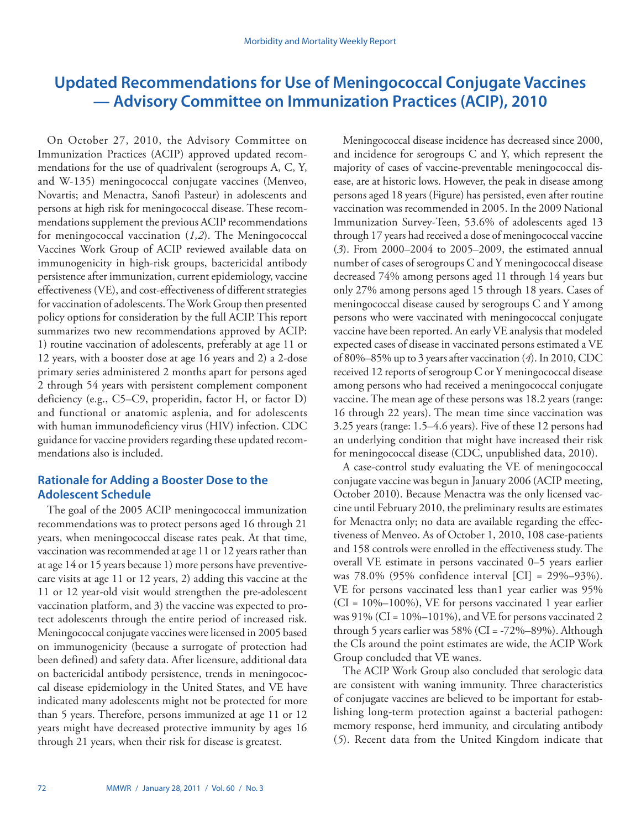# <span id="page-7-0"></span>**Updated Recommendations for Use of Meningococcal Conjugate Vaccines — Advisory Committee on Immunization Practices (ACIP), 2010**

On October 27, 2010, the Advisory Committee on Immunization Practices (ACIP) approved updated recommendations for the use of quadrivalent (serogroups A, C, Y, and W-135) meningococcal conjugate vaccines (Menveo, Novartis; and Menactra, Sanofi Pasteur) in adolescents and persons at high risk for meningococcal disease. These recommendations supplement the previous ACIP recommendations for meningococcal vaccination (*1,2*). The Meningococcal Vaccines Work Group of ACIP reviewed available data on immunogenicity in high-risk groups, bactericidal antibody persistence after immunization, current epidemiology, vaccine effectiveness (VE), and cost-effectiveness of different strategies for vaccination of adolescents. The Work Group then presented policy options for consideration by the full ACIP. This report summarizes two new recommendations approved by ACIP: 1) routine vaccination of adolescents, preferably at age 11 or 12 years, with a booster dose at age 16 years and 2) a 2-dose primary series administered 2 months apart for persons aged 2 through 54 years with persistent complement component deficiency (e.g., C5–C9, properidin, factor H, or factor D) and functional or anatomic asplenia, and for adolescents with human immunodeficiency virus (HIV) infection. CDC guidance for vaccine providers regarding these updated recommendations also is included.

## **Rationale for Adding a Booster Dose to the Adolescent Schedule**

The goal of the 2005 ACIP meningococcal immunization recommendations was to protect persons aged 16 through 21 years, when meningococcal disease rates peak. At that time, vaccination was recommended at age 11 or 12 years rather than at age 14 or 15 years because 1) more persons have preventivecare visits at age 11 or 12 years, 2) adding this vaccine at the 11 or 12 year-old visit would strengthen the pre-adolescent vaccination platform, and 3) the vaccine was expected to protect adolescents through the entire period of increased risk. Meningococcal conjugate vaccines were licensed in 2005 based on immunogenicity (because a surrogate of protection had been defined) and safety data. After licensure, additional data on bactericidal antibody persistence, trends in meningococcal disease epidemiology in the United States, and VE have indicated many adolescents might not be protected for more than 5 years. Therefore, persons immunized at age 11 or 12 years might have decreased protective immunity by ages 16 through 21 years, when their risk for disease is greatest.

Meningococcal disease incidence has decreased since 2000, and incidence for serogroups C and Y, which represent the majority of cases of vaccine-preventable meningococcal disease, are at historic lows. However, the peak in disease among persons aged 18 years (Figure) has persisted, even after routine vaccination was recommended in 2005. In the 2009 National Immunization Survey-Teen, 53.6% of adolescents aged 13 through 17 years had received a dose of meningococcal vaccine (*3*). From 2000–2004 to 2005–2009, the estimated annual number of cases of serogroups C and Y meningococcal disease decreased 74% among persons aged 11 through 14 years but only 27% among persons aged 15 through 18 years. Cases of meningococcal disease caused by serogroups C and Y among persons who were vaccinated with meningococcal conjugate vaccine have been reported. An early VE analysis that modeled expected cases of disease in vaccinated persons estimated a VE of 80%–85% up to 3 years after vaccination (*4*). In 2010, CDC received 12 reports of serogroup C or Y meningococcal disease among persons who had received a meningococcal conjugate vaccine. The mean age of these persons was 18.2 years (range: 16 through 22 years). The mean time since vaccination was 3.25 years (range: 1.5–4.6 years). Five of these 12 persons had an underlying condition that might have increased their risk for meningococcal disease (CDC, unpublished data, 2010).

A case-control study evaluating the VE of meningococcal conjugate vaccine was begun in January 2006 (ACIP meeting, October 2010). Because Menactra was the only licensed vaccine until February 2010, the preliminary results are estimates for Menactra only; no data are available regarding the effectiveness of Menveo. As of October 1, 2010, 108 case-patients and 158 controls were enrolled in the effectiveness study. The overall VE estimate in persons vaccinated 0–5 years earlier was 78.0% (95% confidence interval [CI] = 29%–93%). VE for persons vaccinated less than1 year earlier was 95%  $(CI = 10\% - 100\%)$ , VE for persons vaccinated 1 year earlier was  $91\%$  (CI =  $10\%$ – $101\%$ ), and VE for persons vaccinated 2 through 5 years earlier was 58% (CI = -72%–89%). Although the CIs around the point estimates are wide, the ACIP Work Group concluded that VE wanes.

The ACIP Work Group also concluded that serologic data are consistent with waning immunity. Three characteristics of conjugate vaccines are believed to be important for establishing long-term protection against a bacterial pathogen: memory response, herd immunity, and circulating antibody (*5*). Recent data from the United Kingdom indicate that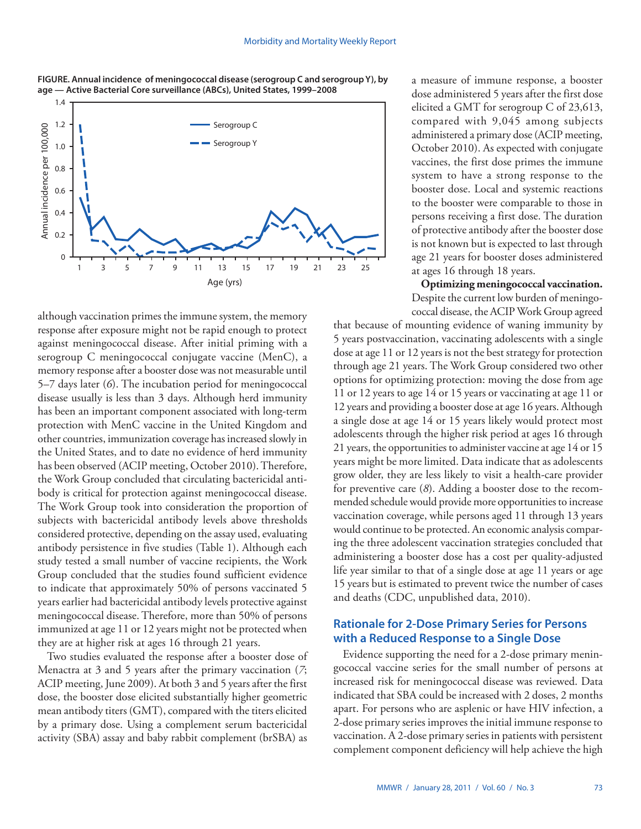



although vaccination primes the immune system, the memory response after exposure might not be rapid enough to protect against meningococcal disease. After initial priming with a serogroup C meningococcal conjugate vaccine (MenC), a memory response after a booster dose was not measurable until 5–7 days later (*6*). The incubation period for meningococcal disease usually is less than 3 days. Although herd immunity has been an important component associated with long-term protection with MenC vaccine in the United Kingdom and other countries, immunization coverage has increased slowly in the United States, and to date no evidence of herd immunity has been observed (ACIP meeting, October 2010). Therefore, the Work Group concluded that circulating bactericidal antibody is critical for protection against meningococcal disease. The Work Group took into consideration the proportion of subjects with bactericidal antibody levels above thresholds considered protective, depending on the assay used, evaluating antibody persistence in five studies (Table 1). Although each study tested a small number of vaccine recipients, the Work Group concluded that the studies found sufficient evidence to indicate that approximately 50% of persons vaccinated 5 years earlier had bactericidal antibody levels protective against meningococcal disease. Therefore, more than 50% of persons immunized at age 11 or 12 years might not be protected when they are at higher risk at ages 16 through 21 years.

Two studies evaluated the response after a booster dose of Menactra at 3 and 5 years after the primary vaccination (*7*; ACIP meeting, June 2009). At both 3 and 5 years after the first dose, the booster dose elicited substantially higher geometric mean antibody titers (GMT), compared with the titers elicited by a primary dose. Using a complement serum bactericidal activity (SBA) assay and baby rabbit complement (brSBA) as

a measure of immune response, a booster dose administered 5 years after the first dose elicited a GMT for serogroup C of 23,613, compared with 9,045 among subjects administered a primary dose (ACIP meeting, October 2010). As expected with conjugate vaccines, the first dose primes the immune system to have a strong response to the booster dose. Local and systemic reactions to the booster were comparable to those in persons receiving a first dose. The duration of protective antibody after the booster dose is not known but is expected to last through age 21 years for booster doses administered at ages 16 through 18 years.

**Optimizing meningococcal vaccination.**  Despite the current low burden of meningococcal disease, the ACIP Work Group agreed

that because of mounting evidence of waning immunity by 5 years postvaccination, vaccinating adolescents with a single dose at age 11 or 12 years is not the best strategy for protection through age 21 years. The Work Group considered two other options for optimizing protection: moving the dose from age 11 or 12 years to age 14 or 15 years or vaccinating at age 11 or 12 years and providing a booster dose at age 16 years. Although a single dose at age 14 or 15 years likely would protect most adolescents through the higher risk period at ages 16 through 21 years, the opportunities to administer vaccine at age 14 or 15 years might be more limited. Data indicate that as adolescents grow older, they are less likely to visit a health-care provider for preventive care (*8*). Adding a booster dose to the recommended schedule would provide more opportunities to increase vaccination coverage, while persons aged 11 through 13 years would continue to be protected. An economic analysis comparing the three adolescent vaccination strategies concluded that administering a booster dose has a cost per quality-adjusted life year similar to that of a single dose at age 11 years or age 15 years but is estimated to prevent twice the number of cases and deaths (CDC, unpublished data, 2010).

## **Rationale for 2-Dose Primary Series for Persons with a Reduced Response to a Single Dose**

Evidence supporting the need for a 2-dose primary meningococcal vaccine series for the small number of persons at increased risk for meningococcal disease was reviewed. Data indicated that SBA could be increased with 2 doses, 2 months apart. For persons who are asplenic or have HIV infection, a 2-dose primary series improves the initial immune response to vaccination. A 2-dose primary series in patients with persistent complement component deficiency will help achieve the high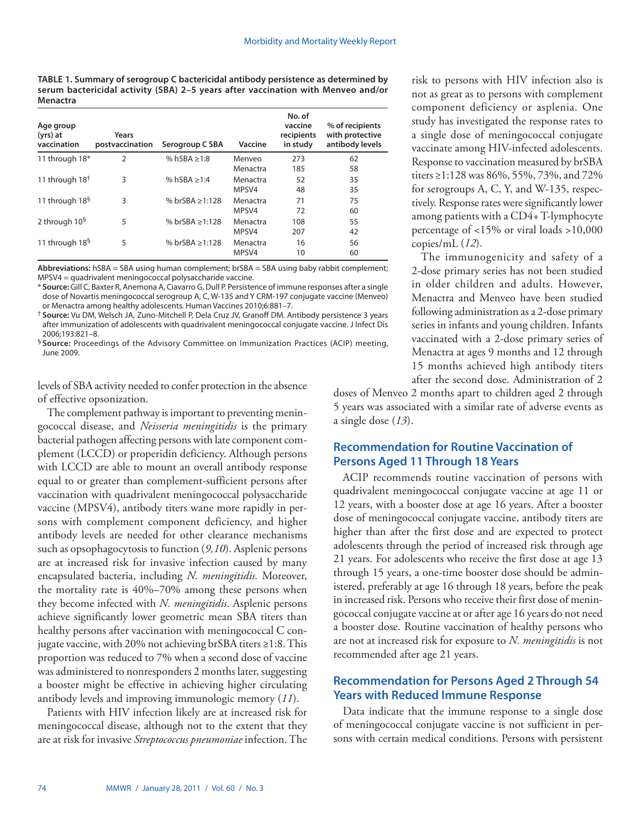**TABLE 1. Summary of serogroup C bactericidal antibody persistence as determined by serum bactericidal activity (SBA) 2–5 years after vaccination with Menveo and/or Menactra**

| Age group<br>(yrs) at<br>vaccination | Years<br>postvaccination | Serogroup C SBA      | Vaccine            | No. of<br>vaccine<br>recipients<br>in study | % of recipients<br>with protective<br>antibody levels |
|--------------------------------------|--------------------------|----------------------|--------------------|---------------------------------------------|-------------------------------------------------------|
| 11 through 18*                       | $\overline{2}$           | % hSBA $\geq$ 1:8    | Menyeo<br>Menactra | 273<br>185                                  | 62<br>58                                              |
| 11 through $18†$                     | 3                        | % hSBA $\geq 1:4$    | Menactra<br>MPSV4  | 52<br>48                                    | 35<br>35                                              |
| 11 through 18 <sup>§</sup>           | 3                        | % brSBA $\geq 1:128$ | Menactra<br>MPSV4  | 71<br>72                                    | 75<br>60                                              |
| 2 through 10 <sup>§</sup>            | 5                        | % brSBA $\geq 1:128$ | Menactra<br>MPSV4  | 108<br>207                                  | 55<br>42                                              |
| 11 through $185$                     | 5                        | % brSBA $\geq 1:128$ | Menactra<br>MPSV4  | 16<br>10                                    | 56<br>60                                              |

**Abbreviations:** hSBA = SBA using human complement; brSBA = SBA using baby rabbit complement; MPSV4 = quadrivalent meningococcal polysaccharide vaccine.

\* **Source:** Gill C, Baxter R, Anemona A, Ciavarro G, Dull P. Persistence of immune responses after a single dose of Novartis meningococcal serogroup A, C, W-135 and Y CRM-197 conjugate vaccine (Menveo) or Menactra among healthy adolescents. Human Vaccines 2010;6:881–7.

† **Source:** Vu DM, Welsch JA, Zuno-Mitchell P, Dela Cruz JV, Granoff DM. Antibody persistence 3 years after immunization of adolescents with quadrivalent meningococcal conjugate vaccine. J Infect Dis 2006;193:821–8.

§ **Source:** Proceedings of the Advisory Committee on Immunization Practices (ACIP) meeting, June 2009.

levels of SBA activity needed to confer protection in the absence of effective opsonization.

The complement pathway is important to preventing meningococcal disease, and *Neisseria meningitidis* is the primary bacterial pathogen affecting persons with late component complement (LCCD) or properidin deficiency. Although persons with LCCD are able to mount an overall antibody response equal to or greater than complement-sufficient persons after vaccination with quadrivalent meningococcal polysaccharide vaccine (MPSV4), antibody titers wane more rapidly in persons with complement component deficiency, and higher antibody levels are needed for other clearance mechanisms such as opsophagocytosis to function (*9,10*). Asplenic persons are at increased risk for invasive infection caused by many encapsulated bacteria, including *N. meningitidis.* Moreover, the mortality rate is 40%–70% among these persons when they become infected with *N. meningitidis*. Asplenic persons achieve significantly lower geometric mean SBA titers than healthy persons after vaccination with meningococcal C conjugate vaccine, with 20% not achieving brSBA titers ≥1:8. This proportion was reduced to 7% when a second dose of vaccine was administered to nonresponders 2 months later, suggesting a booster might be effective in achieving higher circulating antibody levels and improving immunologic memory (*11*).

Patients with HIV infection likely are at increased risk for meningococcal disease, although not to the extent that they are at risk for invasive *Streptococcus pneumoniae* infection. The risk to persons with HIV infection also is not as great as to persons with complement component deficiency or asplenia. One study has investigated the response rates to a single dose of meningococcal conjugate vaccinate among HIV-infected adolescents. Response to vaccination measured by brSBA titers ≥1:128 was 86%, 55%, 73%, and 72% for serogroups A, C, Y, and W-135, respectively. Response rates were significantly lower among patients with a CD4+ T-lymphocyte percentage of <15% or viral loads >10,000 copies/mL (*12*).

The immunogenicity and safety of a 2-dose primary series has not been studied in older children and adults. However, Menactra and Menveo have been studied following administration as a 2-dose primary series in infants and young children. Infants vaccinated with a 2-dose primary series of Menactra at ages 9 months and 12 through 15 months achieved high antibody titers after the second dose. Administration of 2

doses of Menveo 2 months apart to children aged 2 through 5 years was associated with a similar rate of adverse events as a single dose (*13*).

## **Recommendation for Routine Vaccination of Persons Aged 11 Through 18 Years**

ACIP recommends routine vaccination of persons with quadrivalent meningococcal conjugate vaccine at age 11 or 12 years, with a booster dose at age 16 years. After a booster dose of meningococcal conjugate vaccine, antibody titers are higher than after the first dose and are expected to protect adolescents through the period of increased risk through age 21 years. For adolescents who receive the first dose at age 13 through 15 years, a one-time booster dose should be administered, preferably at age 16 through 18 years, before the peak in increased risk. Persons who receive their first dose of meningococcal conjugate vaccine at or after age 16 years do not need a booster dose. Routine vaccination of healthy persons who are not at increased risk for exposure to *N. meningitidis* is not recommended after age 21 years.

## **Recommendation for Persons Aged 2 Through 54 Years with Reduced Immune Response**

Data indicate that the immune response to a single dose of meningococcal conjugate vaccine is not sufficient in persons with certain medical conditions. Persons with persistent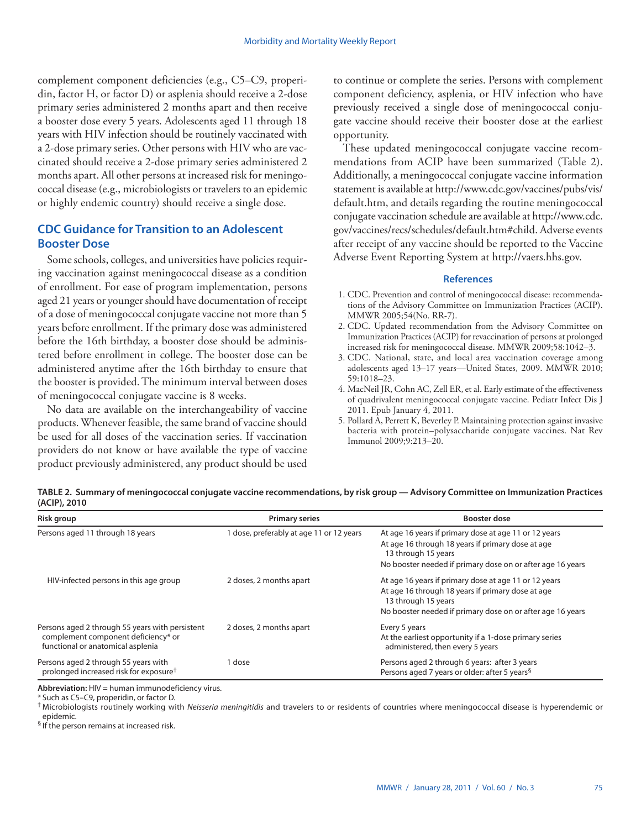complement component deficiencies (e.g., C5–C9, properidin, factor H, or factor D) or asplenia should receive a 2-dose primary series administered 2 months apart and then receive a booster dose every 5 years. Adolescents aged 11 through 18 years with HIV infection should be routinely vaccinated with a 2-dose primary series. Other persons with HIV who are vaccinated should receive a 2-dose primary series administered 2 months apart. All other persons at increased risk for meningococcal disease (e.g., microbiologists or travelers to an epidemic or highly endemic country) should receive a single dose.

## **CDC Guidance for Transition to an Adolescent Booster Dose**

Some schools, colleges, and universities have policies requiring vaccination against meningococcal disease as a condition of enrollment. For ease of program implementation, persons aged 21 years or younger should have documentation of receipt of a dose of meningococcal conjugate vaccine not more than 5 years before enrollment. If the primary dose was administered before the 16th birthday, a booster dose should be administered before enrollment in college. The booster dose can be administered anytime after the 16th birthday to ensure that the booster is provided. The minimum interval between doses of meningococcal conjugate vaccine is 8 weeks.

No data are available on the interchangeability of vaccine products. Whenever feasible, the same brand of vaccine should be used for all doses of the vaccination series. If vaccination providers do not know or have available the type of vaccine product previously administered, any product should be used to continue or complete the series. Persons with complement component deficiency, asplenia, or HIV infection who have previously received a single dose of meningococcal conjugate vaccine should receive their booster dose at the earliest opportunity.

These updated meningococcal conjugate vaccine recommendations from ACIP have been summarized (Table 2). Additionally, a meningococcal conjugate vaccine information statement is available at [http://www.cdc.gov/vaccines/pubs/vis/](http://www.cdc.gov/vaccines/pubs/vis/default.htm) [default.htm](http://www.cdc.gov/vaccines/pubs/vis/default.htm), and details regarding the routine meningococcal conjugate vaccination schedule are available at [http://www.cdc.](http://www.cdc.gov/vaccines/recs/schedules/default.htm#child) [gov/vaccines/recs/schedules/default.htm#child](http://www.cdc.gov/vaccines/recs/schedules/default.htm#child). Adverse events after receipt of any vaccine should be reported to the Vaccine Adverse Event Reporting System at<http://vaers.hhs.gov>.

## **References**

- 1. CDC. Prevention and control of meningococcal disease: recommendations of the Advisory Committee on Immunization Practices (ACIP). MMWR 2005;54(No. RR-7).
- 2. CDC. Updated recommendation from the Advisory Committee on Immunization Practices (ACIP) for revaccination of persons at prolonged increased risk for meningococcal disease. MMWR 2009;58:1042–3.
- 3. CDC. National, state, and local area vaccination coverage among adolescents aged 13–17 years—United States, 2009. MMWR 2010; 59:1018–23.
- 4. MacNeil JR, Cohn AC, Zell ER, et al. Early estimate of the effectiveness of quadrivalent meningococcal conjugate vaccine. Pediatr Infect Dis J 2011. Epub January 4, 2011.
- 5. Pollard A, Perrett K, Beverley P. Maintaining protection against invasive bacteria with protein–polysaccharide conjugate vaccines. Nat Rev Immunol 2009;9:213–20.

**TABLE 2. Summary of meningococcal conjugate vaccine recommendations, by risk group — Advisory Committee on Immunization Practices (ACIP), 2010**

| Risk group                                                                                                                  | <b>Primary series</b>                  | <b>Booster dose</b>                                                                                                                                                                             |
|-----------------------------------------------------------------------------------------------------------------------------|----------------------------------------|-------------------------------------------------------------------------------------------------------------------------------------------------------------------------------------------------|
| Persons aged 11 through 18 years                                                                                            | dose, preferably at age 11 or 12 years | At age 16 years if primary dose at age 11 or 12 years<br>At age 16 through 18 years if primary dose at age<br>13 through 15 years                                                               |
|                                                                                                                             |                                        | No booster needed if primary dose on or after age 16 years                                                                                                                                      |
| HIV-infected persons in this age group                                                                                      | 2 doses, 2 months apart                | At age 16 years if primary dose at age 11 or 12 years<br>At age 16 through 18 years if primary dose at age<br>13 through 15 years<br>No booster needed if primary dose on or after age 16 years |
| Persons aged 2 through 55 years with persistent<br>complement component deficiency* or<br>functional or anatomical asplenia | 2 doses, 2 months apart                | Every 5 years<br>At the earliest opportunity if a 1-dose primary series<br>administered, then every 5 years                                                                                     |
| Persons aged 2 through 55 years with<br>prolonged increased risk for exposure <sup>†</sup>                                  | dose                                   | Persons aged 2 through 6 years: after 3 years<br>Persons aged 7 years or older: after 5 years <sup>§</sup>                                                                                      |

**Abbreviation:** HIV = human immunodeficiency virus.

\* Such as C5–C9, properidin, or factor D.

† Microbiologists routinely working with *Neisseria meningitidis* and travelers to or residents of countries where meningococcal disease is hyperendemic or epidemic.

§ If the person remains at increased risk.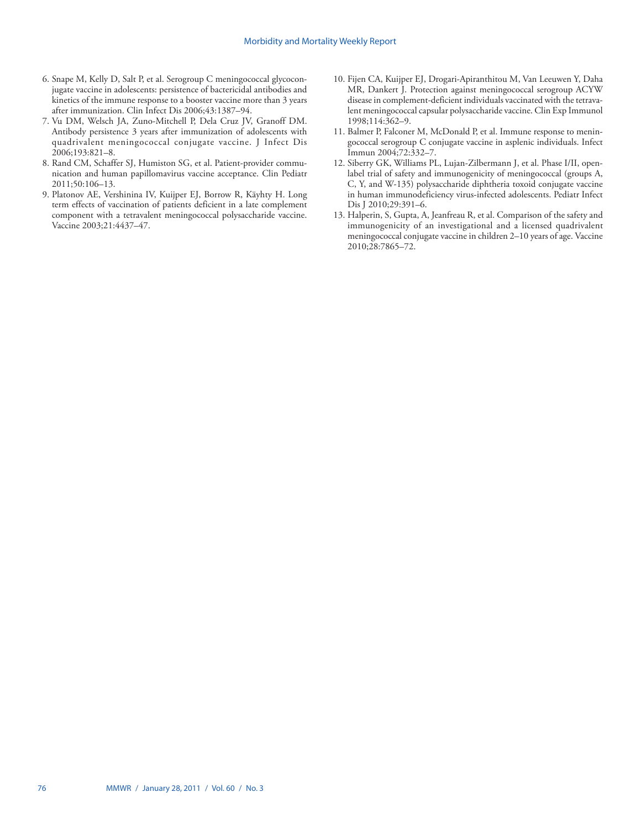- 6. Snape M, Kelly D, Salt P, et al. Serogroup C meningococcal glycoconjugate vaccine in adolescents: persistence of bactericidal antibodies and kinetics of the immune response to a booster vaccine more than 3 years after immunization. Clin Infect Dis 2006;43:1387–94.
- 7. Vu DM, Welsch JA, Zuno-Mitchell P, Dela Cruz JV, Granoff DM. Antibody persistence 3 years after immunization of adolescents with quadrivalent meningococcal conjugate vaccine. J Infect Dis 2006;193:821–8.
- 8. Rand CM, Schaffer SJ, Humiston SG, et al. Patient-provider communication and human papillomavirus vaccine acceptance. Clin Pediatr 2011;50:106–13.
- 9. Platonov AE, Vershinina IV, Kuijper EJ, Borrow R, Käyhty H. Long term effects of vaccination of patients deficient in a late complement component with a tetravalent meningococcal polysaccharide vaccine. Vaccine 2003;21:4437–47.
- 10. Fijen CA, Kuijper EJ, Drogari-Apiranthitou M, Van Leeuwen Y, Daha MR, Dankert J. Protection against meningococcal serogroup ACYW disease in complement-deficient individuals vaccinated with the tetravalent meningococcal capsular polysaccharide vaccine. Clin Exp Immunol 1998;114:362–9.
- 11. Balmer P, Falconer M, McDonald P, et al. Immune response to meningococcal serogroup C conjugate vaccine in asplenic individuals. Infect Immun 2004;72:332–7.
- 12. Siberry GK, Williams PL, Lujan-Zilbermann J, et al. Phase I/II, openlabel trial of safety and immunogenicity of meningococcal (groups A, C, Y, and W-135) polysaccharide diphtheria toxoid conjugate vaccine in human immunodeficiency virus-infected adolescents. Pediatr Infect Dis J 2010;29:391–6.
- 13. Halperin, S, Gupta, A, Jeanfreau R, et al. Comparison of the safety and immunogenicity of an investigational and a licensed quadrivalent meningococcal conjugate vaccine in children 2–10 years of age. Vaccine 2010;28:7865–72.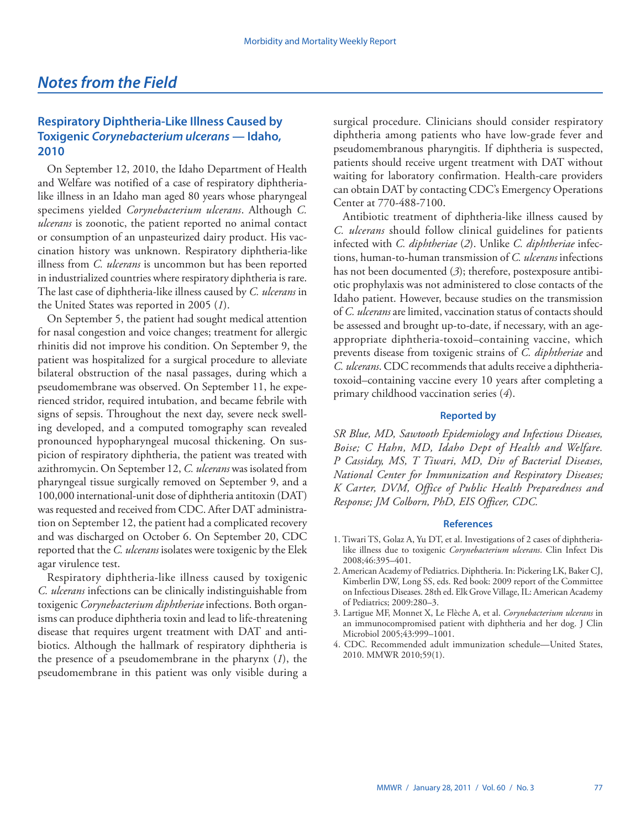## <span id="page-12-0"></span>**Respiratory Diphtheria-Like Illness Caused by Toxigenic** *Corynebacterium ulcerans* **— Idaho, 2010**

On September 12, 2010, the Idaho Department of Health and Welfare was notified of a case of respiratory diphtherialike illness in an Idaho man aged 80 years whose pharyngeal specimens yielded *Corynebacterium ulcerans*. Although *C. ulcerans* is zoonotic, the patient reported no animal contact or consumption of an unpasteurized dairy product. His vaccination history was unknown. Respiratory diphtheria-like illness from *C. ulcerans* is uncommon but has been reported in industrialized countries where respiratory diphtheria is rare. The last case of diphtheria-like illness caused by *C. ulcerans* in the United States was reported in 2005 (*1*).

On September 5, the patient had sought medical attention for nasal congestion and voice changes; treatment for allergic rhinitis did not improve his condition. On September 9, the patient was hospitalized for a surgical procedure to alleviate bilateral obstruction of the nasal passages, during which a pseudomembrane was observed. On September 11, he experienced stridor, required intubation, and became febrile with signs of sepsis. Throughout the next day, severe neck swelling developed, and a computed tomography scan revealed pronounced hypopharyngeal mucosal thickening. On suspicion of respiratory diphtheria, the patient was treated with azithromycin. On September 12, *C. ulcerans* was isolated from pharyngeal tissue surgically removed on September 9, and a 100,000 international-unit dose of diphtheria antitoxin (DAT) was requested and received from CDC. After DAT administration on September 12, the patient had a complicated recovery and was discharged on October 6. On September 20, CDC reported that the *C. ulcerans* isolates were toxigenic by the Elek agar virulence test.

Respiratory diphtheria-like illness caused by toxigenic *C. ulcerans* infections can be clinically indistinguishable from toxigenic *Corynebacterium diphtheriae* infections. Both organisms can produce diphtheria toxin and lead to life-threatening disease that requires urgent treatment with DAT and antibiotics. Although the hallmark of respiratory diphtheria is the presence of a pseudomembrane in the pharynx (*1*), the pseudomembrane in this patient was only visible during a

surgical procedure. Clinicians should consider respiratory diphtheria among patients who have low-grade fever and pseudomembranous pharyngitis. If diphtheria is suspected, patients should receive urgent treatment with DAT without waiting for laboratory confirmation. Health-care providers can obtain DAT by contacting CDC's Emergency Operations Center at 770-488-7100.

Antibiotic treatment of diphtheria-like illness caused by *C. ulcerans* should follow clinical guidelines for patients infected with *C. diphtheriae* (*2*). Unlike *C. diphtheriae* infections, human-to-human transmission of *C. ulcerans* infections has not been documented (*3*); therefore, postexposure antibiotic prophylaxis was not administered to close contacts of the Idaho patient. However, because studies on the transmission of *C. ulcerans* are limited, vaccination status of contacts should be assessed and brought up-to-date, if necessary, with an ageappropriate diphtheria-toxoid–containing vaccine, which prevents disease from toxigenic strains of *C. diphtheriae* and *C. ulcerans*. CDC recommends that adults receive a diphtheriatoxoid–containing vaccine every 10 years after completing a primary childhood vaccination series (*4*).

## **Reported by**

*SR Blue, MD, Sawtooth Epidemiology and Infectious Diseases, Boise; C Hahn, MD, Idaho Dept of Health and Welfare. P Cassiday, MS, T Tiwari, MD, Div of Bacterial Diseases, National Center for Immunization and Respiratory Diseases; K Carter, DVM, Office of Public Health Preparedness and Response; JM Colborn, PhD, EIS Officer, CDC.*

## **References**

- 1. Tiwari TS, Golaz A, Yu DT, et al. Investigations of 2 cases of diphtherialike illness due to toxigenic *Corynebacterium ulcerans*. Clin Infect Dis 2008;46:395–401.
- 2. American Academy of Pediatrics. Diphtheria. In: Pickering LK, Baker CJ, Kimberlin DW, Long SS, eds. Red book: 2009 report of the Committee on Infectious Diseases. 28th ed. Elk Grove Village, IL: American Academy of Pediatrics; 2009:280–3.
- 3. Lartigue MF, Monnet X, Le Flèche A, et al. *Corynebacterium ulcerans* in an immunocompromised patient with diphtheria and her dog. J Clin Microbiol 2005;43:999-1001.
- 4. CDC. Recommended adult immunization schedule—United States, 2010. MMWR 2010;59(1).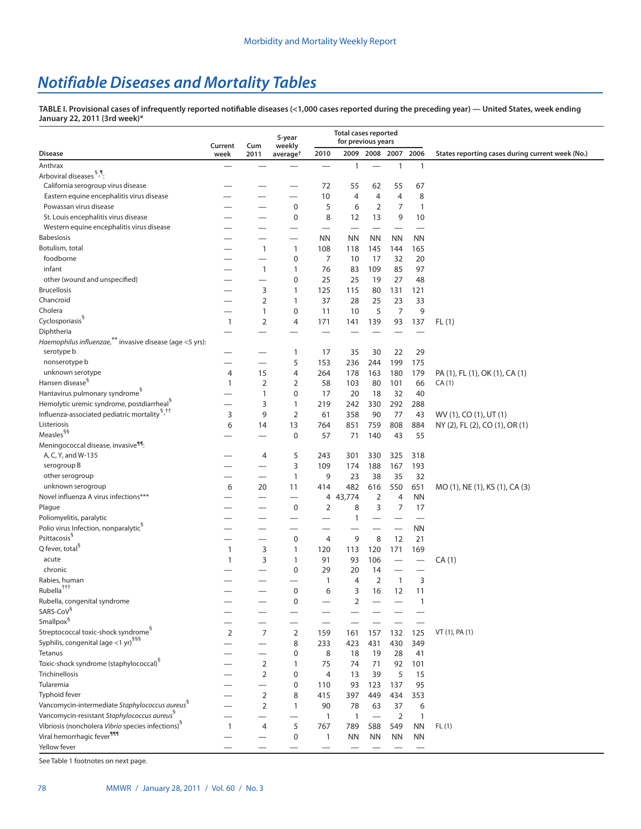# *Notifiable Diseases and Mortality Tables*

**TABLE I. Provisional cases of infrequently reported notifiable diseases (<1,000 cases reported during the preceding year) — United States, week ending January 22, 2011 (3rd week)\***

|                                                                                                    | Current        | Cum                      | 5-year<br>weekly     |                          | <b>Total cases reported</b><br>for previous years |                   |                          |                                |                                                  |
|----------------------------------------------------------------------------------------------------|----------------|--------------------------|----------------------|--------------------------|---------------------------------------------------|-------------------|--------------------------|--------------------------------|--------------------------------------------------|
| <b>Disease</b>                                                                                     | week           | 2011                     | average <sup>+</sup> | 2010                     | 2009                                              | 2008              | 2007                     | 2006                           | States reporting cases during current week (No.) |
| Anthrax                                                                                            |                |                          |                      |                          | $\mathbf{1}$                                      |                   | $\mathbf{1}$             | $\mathbf{1}$                   |                                                  |
| Arboviral diseases 5, 1:                                                                           |                |                          |                      |                          |                                                   |                   |                          |                                |                                                  |
| California serogroup virus disease                                                                 |                |                          |                      | 72                       | 55                                                | 62                | 55                       | 67                             |                                                  |
| Eastern equine encephalitis virus disease                                                          |                |                          |                      | 10                       | $\overline{4}$                                    | 4                 | $\overline{4}$           | 8                              |                                                  |
| Powassan virus disease                                                                             |                |                          | $\mathbf 0$          | 5                        | 6                                                 | $\overline{2}$    | 7                        | $\mathbf{1}$                   |                                                  |
| St. Louis encephalitis virus disease                                                               |                |                          | $\mathbf 0$          | 8                        | 12                                                | 13                | 9                        | 10                             |                                                  |
| Western equine encephalitis virus disease                                                          |                |                          |                      | $\overline{\phantom{0}}$ |                                                   |                   |                          |                                |                                                  |
| <b>Babesiosis</b>                                                                                  |                |                          |                      | <b>NN</b>                | <b>NN</b>                                         | <b>NN</b>         | <b>NN</b>                | <b>NN</b>                      |                                                  |
| Botulism, total                                                                                    |                | 1                        | $\mathbf{1}$         | 108                      | 118                                               | 145               | 144                      | 165                            |                                                  |
| foodborne                                                                                          |                |                          | 0                    | $\overline{7}$           | 10                                                | 17                | 32                       | 20                             |                                                  |
| infant                                                                                             |                | 1                        | 1                    | 76                       | 83                                                | 109               | 85                       | 97                             |                                                  |
| other (wound and unspecified)                                                                      |                | $\overline{\phantom{0}}$ | 0                    | 25                       | 25                                                | 19                | 27                       | 48                             |                                                  |
| <b>Brucellosis</b>                                                                                 |                | 3                        | 1                    | 125                      | 115                                               | 80                | 131                      | 121                            |                                                  |
| Chancroid                                                                                          |                | $\overline{2}$           | 1                    | 37                       | 28                                                | 25                | 23                       | 33                             |                                                  |
| Cholera                                                                                            |                | 1                        | 0                    | 11                       | 10                                                | 5                 | 7                        | 9                              |                                                  |
| Cyclosporiasis <sup>§</sup>                                                                        | 1              | 2                        | 4                    | 171                      | 141                                               | 139               | 93                       | 137                            | FL(1)                                            |
| Diphtheria                                                                                         |                |                          |                      |                          |                                                   |                   |                          |                                |                                                  |
| Haemophilus influenzae, ** invasive disease (age <5 yrs):                                          |                |                          |                      |                          |                                                   |                   |                          |                                |                                                  |
| serotype b                                                                                         |                |                          | 1                    | 17                       | 35                                                | 30                | 22                       | 29                             |                                                  |
| nonserotype b                                                                                      |                | $\overline{\phantom{0}}$ | 5                    | 153                      | 236                                               | 244               | 199                      | 175                            |                                                  |
| unknown serotype                                                                                   | 4              | 15                       | 4                    | 264                      | 178                                               | 163               | 180                      | 179                            | PA (1), FL (1), OK (1), CA (1)                   |
| Hansen disease <sup>§</sup>                                                                        | 1              | $\overline{2}$           | 2                    | 58                       | 103                                               | 80                | 101                      | 66                             | CA(1)                                            |
| Hantavirus pulmonary syndrome <sup>3</sup>                                                         |                | 1                        | $\mathbf 0$          | 17                       | 20                                                | 18                | 32                       | 40                             |                                                  |
| Hemolytic uremic syndrome, postdiarrheal <sup>9</sup>                                              |                | 3                        | 1                    | 219                      | 242                                               | 330               | 292                      | 288                            |                                                  |
| Influenza-associated pediatric mortality <sup>5,††</sup>                                           | 3              | 9                        | $\overline{2}$       | 61                       | 358                                               | 90                | 77                       | 43                             | WV (1), CO (1), UT (1)                           |
| Listeriosis                                                                                        | 6              | 14                       | 13                   | 764                      | 851                                               | 759               | 808                      | 884                            | NY (2), FL (2), CO (1), OR (1)                   |
| Measles <sup>§§</sup>                                                                              |                |                          | $\mathbf 0$          | 57                       | 71                                                | 140               | 43                       | 55                             |                                                  |
| Meningococcal disease, invasive <sup>99</sup> :                                                    |                |                          |                      |                          |                                                   |                   |                          |                                |                                                  |
| A, C, Y, and W-135                                                                                 |                | 4                        | 5                    | 243                      | 301                                               | 330               | 325                      | 318                            |                                                  |
| serogroup B                                                                                        |                |                          | 3                    | 109                      | 174                                               | 188               | 167                      | 193                            |                                                  |
| other serogroup                                                                                    |                |                          | 1                    | 9                        | 23                                                | 38                | 35                       | 32                             |                                                  |
| unknown serogroup                                                                                  | 6              | 20                       | 11                   | 414                      | 482                                               | 616               | 550                      | 651                            | MO (1), NE (1), KS (1), CA (3)                   |
| Novel influenza A virus infections***                                                              |                |                          |                      | 4                        | 43,774                                            | 2                 | 4                        | ΝN                             |                                                  |
| Plague                                                                                             |                |                          | $\mathbf 0$          | 2                        | 8                                                 | 3                 | $\overline{7}$           | 17                             |                                                  |
| Poliomyelitis, paralytic                                                                           |                |                          |                      |                          | $\mathbf{1}$                                      |                   | $\overline{\phantom{0}}$ |                                |                                                  |
| Polio virus Infection, nonparalytic <sup>9</sup>                                                   |                |                          |                      |                          |                                                   |                   |                          | <b>NN</b>                      |                                                  |
| Psittacosis <sup>§</sup>                                                                           |                |                          | 0                    | 4                        | 9                                                 | 8                 | 12                       | 21                             |                                                  |
| Q fever, total <sup>§</sup>                                                                        | $\mathbf{1}$   | 3                        | 1                    | 120                      | 113                                               | 120               | 171                      | 169                            |                                                  |
| acute                                                                                              | $\mathbf{1}$   | 3                        | 1                    | 91                       | 93                                                | 106               |                          | $\qquad \qquad \longleftarrow$ | CA(1)                                            |
| chronic                                                                                            |                |                          | $\mathbf 0$          | 29                       | 20                                                | 14                |                          |                                |                                                  |
| Rabies, human                                                                                      |                |                          |                      | 1                        | 4                                                 | 2                 | $\mathbf{1}$             | 3                              |                                                  |
| Rubella <sup>†††</sup>                                                                             |                |                          | $\mathbf 0$          | 6                        | 3                                                 | 16                | 12                       | 11                             |                                                  |
| Rubella, congenital syndrome<br>SARS-CoV <sup>§</sup>                                              |                |                          | 0                    |                          | 2                                                 |                   |                          | 1                              |                                                  |
|                                                                                                    |                |                          |                      |                          |                                                   |                   |                          |                                |                                                  |
| Smallpox <sup>§</sup>                                                                              |                |                          |                      |                          |                                                   |                   |                          |                                |                                                  |
| Streptococcal toxic-shock syndrome <sup>9</sup><br>Syphilis, congenital (age <1 yr) <sup>§§§</sup> | $\overline{2}$ | $\overline{7}$           | $\overline{2}$       | 159                      | 161                                               | 157               | 132                      | 125                            | VT (1), PA (1)                                   |
| Tetanus                                                                                            |                |                          | 8                    | 233                      | 423                                               | 431               | 430                      | 349                            |                                                  |
| Toxic-shock syndrome (staphylococcal) <sup>9</sup>                                                 |                |                          | 0                    | 8                        | 18                                                | 19                | 28                       | 41                             |                                                  |
| Trichinellosis                                                                                     |                | 2                        | 1                    | 75                       | 74                                                | 71                | 92                       | 101                            |                                                  |
| Tularemia                                                                                          |                | 2                        | $\mathbf 0$          | $\overline{4}$           | 13                                                | 39                | 5                        | 15                             |                                                  |
|                                                                                                    |                |                          | 0                    | 110                      | 93                                                | 123               | 137                      | 95                             |                                                  |
| Typhoid fever<br>Vancomycin-intermediate Staphylococcus aureus <sup>8</sup>                        |                | 2                        | 8                    | 415                      | 397                                               | 449               | 434                      | 353                            |                                                  |
| Vancomycin-resistant Staphylococcus aureus <sup>9</sup>                                            |                | 2                        | 1                    | 90                       | 78                                                | 63                | 37                       | 6                              |                                                  |
| Vibriosis (noncholera Vibrio species infections) <sup>9</sup>                                      |                |                          |                      | $\mathbf{1}$             | $\mathbf{1}$                                      | $\qquad \qquad -$ | $\overline{2}$           | $\mathbf{1}$                   |                                                  |
| Viral hemorrhagic fever <sup>111</sup>                                                             | 1              | 4                        | 5<br>$\mathbf 0$     | 767                      | 789                                               | 588               | 549                      | <b>NN</b>                      | FL(1)                                            |
| Yellow fever                                                                                       |                |                          |                      | $\mathbf{1}$             | <b>NN</b>                                         | <b>NN</b>         | <b>NN</b>                | ΝN                             |                                                  |
|                                                                                                    |                |                          |                      |                          |                                                   |                   |                          |                                |                                                  |

See Table 1 footnotes on next page.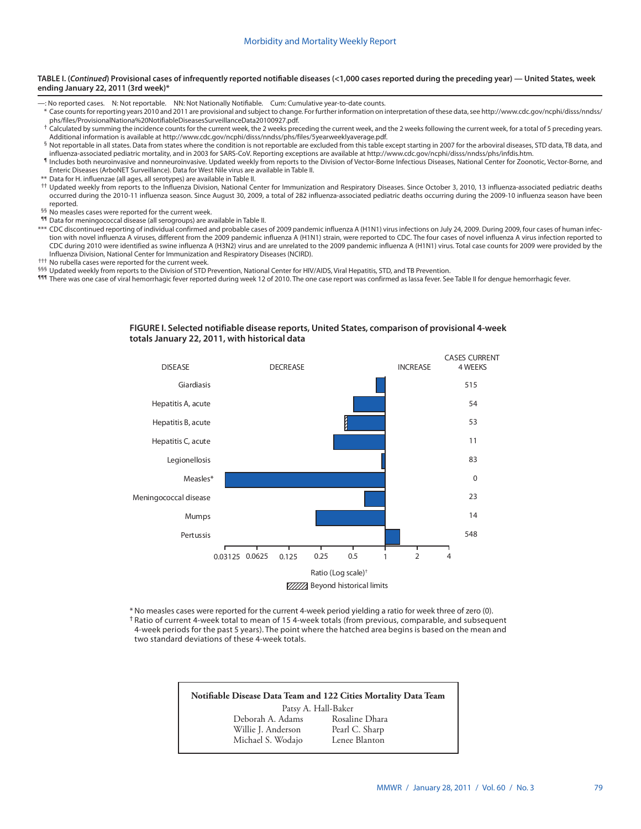#### **TABLE I. (***Continued***) Provisional cases of infrequently reported notifiable diseases (<1,000 cases reported during the preceding year) — United States, week ending January 22, 2011 (3rd week)\***

- —: No reported cases. N: Not reportable. NN: Not Nationally Notifiable. Cum: Cumulative year-to-date counts.
- \* Case counts for reporting years 2010 and 2011 are provisional and subject to change. For further information on interpretation of these data, see [http://www.cdc.gov/ncphi/disss/nndss/](http://www.cdc.gov/ncphi/disss/nndss/phs/files/ProvisionalNationa%20NotifiableDiseasesSurveillanceData20100927.pdf)
- <sup>†</sup> Calculated by summing the incidence counts for the current week, the 2 weeks preceding the current week, and the 2 weeks following the current week, for a total of 5 preceding years. Additional information is available at [http://www.cdc.gov/ncphi/disss/nndss/phs/files/5yearweeklyaverage.pdf.](http://www.cdc.gov/ncphi/disss/nndss/phs/files/5yearweeklyaverage.pdf)
- § Not reportable in all states. Data from states where the condition is not reportable are excluded from this table except starting in 2007 for the arboviral diseases, STD data, TB data, and influenza-associated pediatric mortality, and in 2003 for SARS-CoV. Reporting exceptions are available at [http://www.cdc.gov/ncphi/disss/nndss/phs/infdis.htm](http://www.cdc.gov/ncphi/disss/nndss/phs/files/ProvisionalNationa%20NotifiableDiseasesSurveillanceData20100927.pdf).
- ¶ Includes both neuroinvasive and nonneuroinvasive. Updated weekly from reports to the Division of Vector-Borne Infectious Diseases, National Center for Zoonotic, Vector-Borne, and Enteric Diseases (ArboNET Surveillance). Data for West Nile virus are available in Table II.
- \*\* Data for H. influenzae (all ages, all serotypes) are available in Table II.
- †† Updated weekly from reports to the Influenza Division, National Center for Immunization and Respiratory Diseases. Since October 3, 2010, 13 influenza-associated pediatric deaths occurred during the 2010-11 influenza season. Since August 30, 2009, a total of 282 influenza-associated pediatric deaths occurring during the 2009-10 influenza season have been reported.
- §§ No measles cases were reported for the current week.
- ¶¶ Data for meningococcal disease (all serogroups) are available in Table II.
- \*\*\* CDC discontinued reporting of individual confirmed and probable cases of 2009 pandemic influenza A (H1N1) virus infections on July 24, 2009. During 2009, four cases of human infection with novel influenza A viruses, different from the 2009 pandemic influenza A (H1N1) strain, were reported to CDC. The four cases of novel influenza A virus infection reported to CDC during 2010 were identified as swine influenza A (H3N2) virus and are unrelated to the 2009 pandemic influenza A (H1N1) virus. Total case counts for 2009 were provided by the Influenza Division, National Center for Immunization and Respiratory Diseases (NCIRD).
- ††† No rubella cases were reported for the current week.
- <sup>§§§</sup> Updated weekly from reports to the Division of STD Prevention, National Center for HIV/AIDS, Viral Hepatitis, STD, and TB Prevention.
- 111 There was one case of viral hemorrhagic fever reported during week 12 of 2010. The one case report was confirmed as lassa fever. See Table II for dengue hemorrhagic fever.



**FIGURE I. Selected notifiable disease reports, United States, comparison of provisional 4-week totals January 22, 2011, with historical data**

\*No measles cases were reported for the current 4-week period yielding a ratio for week three of zero (0). † Ratio of current 4-week total to mean of 15 4-week totals (from previous, comparable, and subsequent 4-week periods for the past 5 years). The point where the hatched area begins is based on the mean and two standard deviations of these 4-week totals.

> **Notifiable Disease Data Team and 122 Cities Mortality Data Team** Patsy A. Hall-Baker Rosaline Dhara<br>Pearl C. Sharp Willie J. Anderson Michael S. Wodajo Lenee Blanton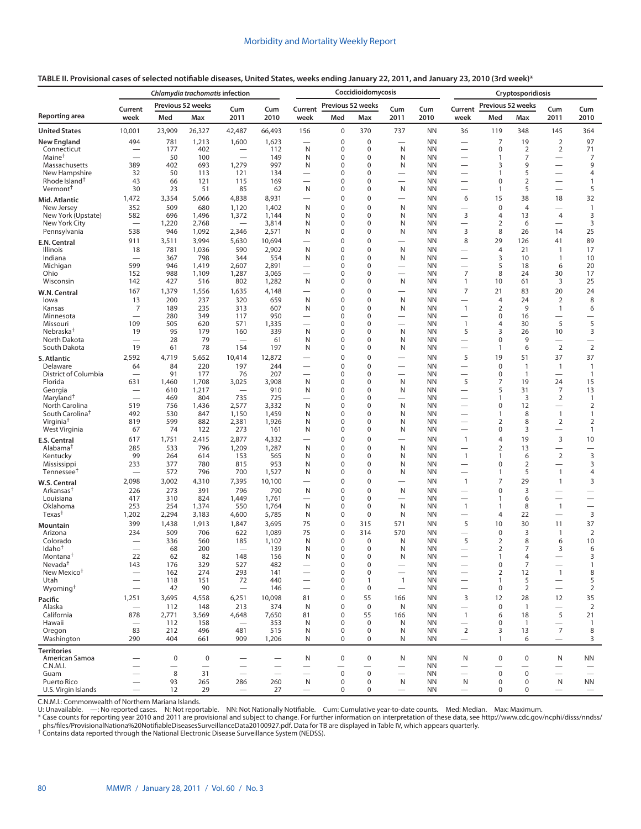| TABLE II. Provisional cases of selected notifiable diseases, United States, weeks ending January 22, 2011, and January 23, 2010 (3rd week)* |  |
|---------------------------------------------------------------------------------------------------------------------------------------------|--|
|---------------------------------------------------------------------------------------------------------------------------------------------|--|

|                                            |                                                      | Chlamydia trachomatis infection |                   |                                |                                                      | Coccidioidomycosis                          |                            |                                         |                                            |                        |                                                      | Cryptosporidiosis |                                         |                                                 |                                          |  |
|--------------------------------------------|------------------------------------------------------|---------------------------------|-------------------|--------------------------------|------------------------------------------------------|---------------------------------------------|----------------------------|-----------------------------------------|--------------------------------------------|------------------------|------------------------------------------------------|-------------------|-----------------------------------------|-------------------------------------------------|------------------------------------------|--|
|                                            | Current                                              |                                 | Previous 52 weeks | Cum                            | Cum                                                  | Current                                     | Previous 52 weeks          |                                         | Cum                                        | Cum                    | Current                                              | Previous 52 weeks |                                         | Cum                                             | Cum                                      |  |
| <b>Reporting area</b>                      | week                                                 | Med                             | Max               | 2011                           | 2010                                                 | week                                        | Med                        | Max                                     | 2011                                       | 2010                   | week                                                 | Med               | Max                                     | 2011                                            | 2010                                     |  |
| <b>United States</b>                       | 10,001                                               | 23,909                          | 26,327            | 42,487                         | 66,493                                               | 156                                         | $\mathbf 0$                | 370                                     | 737                                        | <b>NN</b>              | 36                                                   | 119               | 348                                     | 145                                             | 364                                      |  |
| <b>New England</b>                         | 494                                                  | 781                             | 1,213             | 1,600                          | 1,623                                                |                                             | 0                          | $\mathbf 0$<br>$\mathbf 0$              |                                            | <b>NN</b>              | $\overline{\phantom{0}}$                             | 7                 | 19                                      | $\overline{2}$                                  | 97                                       |  |
| Connecticut<br>Maine <sup>†</sup>          |                                                      | 177<br>50                       | 402<br>100        | $\overline{\phantom{0}}$       | 112<br>149                                           | N<br>N                                      | 0<br>0                     | 0                                       | N<br>N                                     | <b>NN</b><br><b>NN</b> | -<br>—                                               | 0<br>1            | $\overline{2}$<br>7                     | 2                                               | 71<br>7                                  |  |
| Massachusetts                              | 389                                                  | 402                             | 693               | 1,279                          | 997                                                  | N                                           | 0                          | $\mathbf 0$                             | N                                          | <b>NN</b>              |                                                      | 3                 | 9                                       |                                                 | 9                                        |  |
| New Hampshire<br>Rhode Island <sup>†</sup> | 32<br>43                                             | 50<br>66                        | 113<br>121        | 121<br>115                     | 134<br>169                                           | $\overline{\phantom{0}}$                    | 0<br>0                     | $\mathbf 0$<br>$\mathbf 0$              |                                            | <b>NN</b><br><b>NN</b> | $\overline{\phantom{0}}$<br>—                        | 1<br>0            | 5<br>$\overline{2}$                     | $\overline{\phantom{0}}$                        | 4<br>$\mathbf{1}$                        |  |
| Vermont <sup>†</sup>                       | 30                                                   | 23                              | 51                | 85                             | 62                                                   | N                                           | 0                          | $\mathbf 0$                             | N                                          | <b>NN</b>              |                                                      | 1                 | 5                                       | $\overline{\phantom{0}}$                        | 5                                        |  |
| Mid. Atlantic                              | 1,472                                                | 3,354                           | 5,066             | 4,838                          | 8,931                                                | $\overline{\phantom{0}}$                    | $\mathbf 0$                | 0                                       |                                            | <b>NN</b>              | 6                                                    | 15                | 38                                      | 18                                              | 32                                       |  |
| New Jersey                                 | 352                                                  | 509                             | 680               | 1,120                          | 1,402                                                | N                                           | 0                          | 0                                       | N                                          | <b>NN</b>              |                                                      | $\pmb{0}$         | $\overline{4}$                          | $\overline{\phantom{0}}$                        | $\mathbf{1}$                             |  |
| New York (Upstate)<br>New York City        | 582                                                  | 696<br>1,220                    | 1,496<br>2,768    | 1,372                          | 1,144<br>3,814                                       | N<br>N                                      | 0<br>0                     | $\mathbf 0$<br>0                        | N<br>N                                     | <b>NN</b><br><b>NN</b> | 3<br>$\overline{\phantom{0}}$                        | 4<br>2            | 13<br>6                                 | $\overline{4}$<br>$\overline{\phantom{0}}$      | 3<br>3                                   |  |
| Pennsylvania                               | 538                                                  | 946                             | 1,092             | 2,346                          | 2,571                                                | N                                           | 0                          | $\mathbf 0$                             | N                                          | <b>NN</b>              | 3                                                    | 8                 | 26                                      | 14                                              | 25                                       |  |
| E.N. Central                               | 911                                                  | 3,511                           | 3,994             | 5,630                          | 10,694                                               | $\overline{\phantom{0}}$                    | $\mathbf 0$                | $\mathbf 0$                             | $\overline{\phantom{0}}$                   | <b>NN</b>              | 8                                                    | 29                | 126                                     | 41                                              | 89                                       |  |
| Illinois                                   | 18                                                   | 781                             | 1,036             | 590                            | 2,902                                                | N                                           | 0                          | $\mathbf 0$                             | N                                          | <b>NN</b>              |                                                      | 4                 | 21                                      | $\overline{1}$                                  | 17                                       |  |
| Indiana<br>Michigan                        | $\overline{\phantom{0}}$<br>599                      | 367<br>946                      | 798<br>1,419      | 344<br>2,607                   | 554<br>2,891                                         | N<br>$\overline{\phantom{0}}$               | 0<br>0                     | 0<br>$\mathbf 0$                        | N<br>$\overline{\phantom{0}}$              | <b>NN</b><br><b>NN</b> | $\overline{\phantom{0}}$                             | 3<br>5            | 10<br>18                                | $\mathbf{1}$<br>6                               | 10<br>20                                 |  |
| Ohio                                       | 152                                                  | 988                             | 1,109             | 1,287                          | 3,065                                                | $\overline{\phantom{0}}$                    | $\mathbf 0$                | $\mathbf 0$                             |                                            | <b>NN</b>              | 7                                                    | 8                 | 24                                      | 30                                              | 17                                       |  |
| Wisconsin                                  | 142                                                  | 427                             | 516               | 802                            | 1,282                                                | N                                           | 0                          | $\mathbf 0$                             | N                                          | <b>NN</b>              | $\mathbf{1}$                                         | 10                | 61                                      | 3                                               | 25                                       |  |
| W.N. Central                               | 167                                                  | 1,379<br>200                    | 1,556<br>237      | 1,635<br>320                   | 4,148<br>659                                         | N                                           | 0<br>0                     | $\mathbf 0$<br>$\mathbf 0$              | $\overline{\phantom{0}}$<br>N              | <b>NN</b><br><b>NN</b> | $\overline{7}$                                       | 21<br>4           | 83<br>24                                | 20<br>$\overline{2}$                            | 24<br>8                                  |  |
| lowa<br>Kansas                             | 13<br>7                                              | 189                             | 235               | 313                            | 607                                                  | N                                           | 0                          | 0                                       | N                                          | <b>NN</b>              | -<br>$\mathbf{1}$                                    | 2                 | 9                                       | $\mathbf{1}$                                    | 6                                        |  |
| Minnesota                                  | $\overline{\phantom{0}}$                             | 280                             | 349               | 117                            | 950                                                  | $\overline{\phantom{0}}$                    | $\mathbf 0$                | $\mathbf 0$                             | $\overline{\phantom{0}}$                   | <b>NN</b>              | $\overline{\phantom{0}}$                             | 0                 | 16                                      | $\overline{\phantom{0}}$                        |                                          |  |
| Missouri<br>Nebraska <sup>†</sup>          | 109<br>19                                            | 505<br>95                       | 620<br>179        | 571<br>160                     | 1,335<br>339                                         | N                                           | $\mathbf 0$<br>0           | $\mathbf 0$<br>$\mathbf 0$              | N                                          | <b>NN</b><br><b>NN</b> | $\overline{1}$<br>5                                  | 4<br>3            | 30<br>26                                | 5<br>10                                         | 5<br>3                                   |  |
| North Dakota                               |                                                      | 28                              | 79                | $\overline{\phantom{0}}$       | 61                                                   | N                                           | 0                          | $\mathbf 0$                             | N                                          | <b>NN</b>              |                                                      | 0                 | 9                                       | $\overline{\phantom{0}}$                        | $\overline{\phantom{0}}$                 |  |
| South Dakota                               | 19                                                   | 61                              | 78                | 154                            | 197                                                  | N                                           | 0                          | $\mathbf 0$                             | N                                          | <b>NN</b>              |                                                      | $\mathbf{1}$      | 6                                       | $\overline{2}$                                  | $\overline{2}$                           |  |
| S. Atlantic                                | 2,592                                                | 4,719                           | 5,652             | 10,414                         | 12,872                                               | $\overline{\phantom{0}}$                    | $\mathbf 0$                | $\mathbf 0$                             | $\overline{\phantom{0}}$                   | <b>NN</b>              | 5                                                    | 19                | 51                                      | 37                                              | 37                                       |  |
| Delaware<br>District of Columbia           | 64                                                   | 84<br>91                        | 220<br>177        | 197<br>76                      | 244<br>207                                           |                                             | $\mathbf 0$<br>0           | $\mathbf 0$<br>$\mathbf 0$              |                                            | <b>NN</b><br><b>NN</b> |                                                      | 0<br>0            | $\overline{1}$<br>$\overline{1}$        | $\mathbf{1}$                                    | $\overline{1}$<br>$\mathbf{1}$           |  |
| Florida                                    | 631                                                  | 1,460                           | 1,708             | 3,025                          | 3,908                                                | N                                           | 0                          | $\mathbf 0$                             | N                                          | <b>NN</b>              | 5                                                    | 7                 | 19                                      | 24                                              | 15                                       |  |
| Georgia                                    |                                                      | 610                             | 1,217             |                                | 910                                                  | N                                           | 0                          | $\mathbf 0$                             | N                                          | <b>NN</b>              | —                                                    | 5                 | 31                                      | 7                                               | 13                                       |  |
| Maryland <sup>†</sup><br>North Carolina    | 519                                                  | 469<br>756                      | 804<br>1,436      | 735<br>2,577                   | 725<br>3,332                                         | $\overline{\phantom{0}}$<br>N               | $\mathbf 0$<br>0           | 0<br>$\mathbf 0$                        | N                                          | <b>NN</b><br><b>NN</b> | $\overline{\phantom{0}}$                             | 1<br>0            | 3<br>12                                 | $\overline{2}$<br>$\overline{\phantom{0}}$      | $\mathbf{1}$<br>$\overline{2}$           |  |
| South Carolina <sup>†</sup>                | 492                                                  | 530                             | 847               | 1,150                          | 1,459                                                | N                                           | 0                          | $\mathbf 0$                             | N                                          | <b>NN</b>              |                                                      | 1                 | 8                                       | $\mathbf{1}$                                    | $\mathbf{1}$                             |  |
| Virginia <sup>†</sup>                      | 819                                                  | 599                             | 882               | 2,381                          | 1,926                                                | N                                           | $\mathbf 0$                | $\mathbf 0$                             | N                                          | <b>NN</b>              |                                                      | 2                 | 8                                       | $\overline{2}$                                  | $\overline{2}$                           |  |
| West Virginia                              | 67                                                   | 74                              | 122               | 273                            | 161                                                  | N<br>$\overline{\phantom{0}}$               | $\mathbf 0$<br>$\mathbf 0$ | $\mathbf 0$<br>$\mathbf 0$              | N<br>$\overline{\phantom{0}}$              | <b>NN</b><br><b>NN</b> | $\mathbf{1}$                                         | 0<br>4            | 3<br>19                                 | $\overline{\phantom{0}}$<br>3                   | $\mathbf{1}$<br>10                       |  |
| E.S. Central<br>Alabama <sup>†</sup>       | 617<br>285                                           | 1,751<br>533                    | 2,415<br>796      | 2,877<br>1,209                 | 4,332<br>1,287                                       | N                                           | $\mathbf 0$                | $\mathbf 0$                             | N                                          | <b>NN</b>              | $\overline{\phantom{0}}$                             | 2                 | 13                                      | $\overline{\phantom{0}}$                        |                                          |  |
| Kentucky                                   | 99                                                   | 264                             | 614               | 153                            | 565                                                  | N                                           | 0                          | $\mathbf 0$                             | N                                          | <b>NN</b>              | $\mathbf{1}$                                         | 1                 | 6                                       | $\overline{2}$                                  | 3                                        |  |
| Mississippi                                | 233                                                  | 377                             | 780               | 815                            | 953                                                  | N                                           | $\mathbf 0$                | $\mathbf 0$                             | N                                          | <b>NN</b>              | $\qquad \qquad$                                      | 0                 | $\overline{2}$                          | $\overline{\phantom{0}}$                        | 3                                        |  |
| Tennessee <sup>t</sup>                     | 2,098                                                | 572<br>3,002                    | 796<br>4,310      | 700<br>7,395                   | 1,527<br>10,100                                      | N                                           | $\mathbf 0$<br>$\mathbf 0$ | $\mathbf 0$<br>$\mathbf 0$              | N<br>$\overline{\phantom{0}}$              | <b>NN</b><br><b>NN</b> | $\overline{\phantom{0}}$<br>$\mathbf{1}$             | 1<br>7            | 5<br>29                                 | $\mathbf{1}$<br>$\mathbf{1}$                    | 4<br>3                                   |  |
| W.S. Central<br>Arkansas <sup>†</sup>      | 226                                                  | 273                             | 391               | 796                            | 790                                                  | N                                           | 0                          | $\mathbf 0$                             | N                                          | <b>NN</b>              |                                                      | 0                 | 3                                       | $\overline{\phantom{0}}$                        | $\overline{\phantom{0}}$                 |  |
| Louisiana                                  | 417                                                  | 310                             | 824               | 1,449                          | 1,761                                                | $\overline{\phantom{0}}$                    | $\mathbf 0$                | $\mathbf 0$                             | $\overline{\phantom{0}}$                   | <b>NN</b>              |                                                      | 1                 | 6                                       |                                                 | $\overline{\phantom{0}}$                 |  |
| Oklahoma<br>Texas <sup>t</sup>             | 253                                                  | 254                             | 1,374             | 550                            | 1,764                                                | N                                           | $\mathbf 0$<br>0           | $\mathbf 0$<br>$\mathbf 0$              | N<br>N                                     | <b>NN</b><br><b>NN</b> | $\mathbf{1}$                                         | 1<br>4            | 8<br>22                                 | $\mathbf{1}$                                    | $\overline{\phantom{0}}$<br>$\mathbf{3}$ |  |
|                                            | 1,202<br>399                                         | 2,294<br>1,438                  | 3,183<br>1,913    | 4,600<br>1,847                 | 5,785<br>3,695                                       | N<br>75                                     | $\mathbf 0$                | 315                                     | 571                                        | <b>NN</b>              | 5                                                    | 10                | 30                                      | $\qquad \qquad$<br>11                           | 37                                       |  |
| Mountain<br>Arizona                        | 234                                                  | 509                             | 706               | 622                            | 1,089                                                | 75                                          | $\mathbf 0$                | 314                                     | 570                                        | <b>NN</b>              |                                                      | 0                 | 3                                       | $\mathbf{1}$                                    | 2                                        |  |
| Colorado                                   |                                                      | 336                             | 560               | 185                            | 1,102                                                | N                                           | $\mathbf 0$                | $\mathbf 0$                             | N                                          | <b>NN</b>              | 5                                                    | 2                 | 8                                       | 6                                               | 10                                       |  |
| Idaho <sup>†</sup><br>Montana <sup>†</sup> | 22                                                   | 68<br>62                        | 200<br>82         | 148                            | 139<br>156                                           | N<br>N                                      | $\mathbf 0$<br>0           | $\mathbf 0$<br>0                        | N<br>N                                     | <b>NN</b><br><b>NN</b> | $\overline{\phantom{0}}$                             | 2                 | 7<br>4                                  | 3                                               | 6<br>3                                   |  |
| Nevada <sup>†</sup>                        | 143                                                  | 176                             | 329               | 527                            | 482                                                  | $\qquad \qquad$                             | $\mathbf 0$                | $\mathbf 0$                             | $\qquad \qquad$                            | <b>NN</b>              |                                                      | 0                 | $\overline{7}$                          | $\qquad \qquad$                                 | $\mathbf{1}$                             |  |
| New Mexico <sup>†</sup>                    | $\qquad \qquad -$                                    | 162                             | 274               | 293                            | 141                                                  | $\qquad \qquad$                             | $\mathbf 0$                | $\mathbf 0$                             | $\overline{\phantom{0}}$                   | ΝN                     | $\qquad \qquad$                                      | $\overline{2}$    | 12                                      | $\mathbf{1}$                                    | 8                                        |  |
| Utah<br>Wyoming <sup>+</sup>               | $\overline{\phantom{m}}$<br>$\overline{\phantom{0}}$ | 118<br>42                       | 151<br>90         | 72<br>$\overline{\phantom{m}}$ | 440<br>146                                           | $\qquad \qquad$                             | $\mathbf 0$<br>0           | $\mathbf{1}$<br>$\mathbf 0$             | $\overline{1}$<br>$\overline{\phantom{m}}$ | <b>NN</b><br>ΝN        | $\overbrace{\phantom{13333}}$<br>$\qquad \qquad$     | 1<br>$\pmb{0}$    | 5<br>$\overline{2}$                     | $\overline{\phantom{0}}$<br>$\qquad \qquad$     | 5<br>$\overline{2}$                      |  |
| Pacific                                    | 1,251                                                | 3,695                           | 4,558             | 6,251                          | 10,098                                               | 81                                          | $\mathbf 0$                | 55                                      | 166                                        | <b>NN</b>              | 3                                                    | 12                | 28                                      | 12                                              | 35                                       |  |
| Alaska                                     |                                                      | 112                             | 148               | 213                            | 374                                                  | N                                           | $\mathbf 0$                | $\mathbf 0$                             | N                                          | <b>NN</b>              | $\overline{\phantom{0}}$                             | $\mathbf 0$       | $\overline{1}$                          | $\qquad \qquad$                                 | $\overline{2}$                           |  |
| California                                 | 878                                                  | 2,771                           | 3,569             | 4,648                          | 7,650                                                | 81                                          | 0                          | 55                                      | 166                                        | <b>NN</b>              | $\mathbf{1}$                                         | 6                 | 18                                      | 5                                               | 21                                       |  |
| Hawaii<br>Oregon                           | $\qquad \qquad -$<br>83                              | 112<br>212                      | 158<br>496        | 481                            | 353<br>515                                           | N<br>N                                      | $\mathbf 0$<br>$\pmb{0}$   | $\mathbf 0$<br>$\mathbf 0$              | N<br>N                                     | <b>NN</b><br><b>NN</b> | $\overbrace{\phantom{13333}}$<br>$\overline{2}$      | 0<br>3            | $\overline{1}$<br>13                    | $\overbrace{\phantom{13333}}$<br>$\overline{7}$ | $\mathbf{1}$<br>8                        |  |
| Washington                                 | 290                                                  | 404                             | 661               | 909                            | 1,206                                                | N                                           | $\mathbf 0$                | $\mathbf 0$                             | N                                          | ΝN                     | $\qquad \qquad -$                                    | 1                 | 6                                       |                                                 | 3                                        |  |
| <b>Territories</b>                         |                                                      |                                 |                   |                                |                                                      |                                             |                            |                                         |                                            |                        |                                                      |                   |                                         |                                                 |                                          |  |
| American Samoa                             |                                                      | 0                               | $\boldsymbol{0}$  |                                |                                                      | N                                           | $\mathbf 0$                | $\pmb{0}$                               | N                                          | <b>NN</b>              | N                                                    | $\mathbf 0$       | 0                                       | N                                               | <b>NN</b>                                |  |
| C.N.M.I.<br>Guam                           |                                                      | 8                               | 31                | $\overline{\phantom{0}}$       | $\overline{\phantom{0}}$<br>$\overline{\phantom{0}}$ | $\qquad \qquad$<br>$\overline{\phantom{0}}$ | $\pmb{0}$                  | $\overline{\phantom{0}}$<br>$\mathbf 0$ | $\overline{\phantom{0}}$                   | ΝN<br><b>NN</b>        | $\overline{\phantom{0}}$<br>$\overline{\phantom{0}}$ | $\pmb{0}$         | $\overline{\phantom{0}}$<br>$\mathsf 0$ |                                                 |                                          |  |
| Puerto Rico                                |                                                      | 93                              | 265               | 286                            | 260                                                  | N                                           | 0                          | 0                                       | N                                          | <b>NN</b>              | N                                                    | $\pmb{0}$         | 0                                       | N                                               | ΝN                                       |  |
| U.S. Virgin Islands                        | $\overbrace{\phantom{1232211}}$                      | 12                              | 29                | $\overline{\phantom{m}}$       | 27                                                   |                                             | 0                          | 0                                       | $\overline{\phantom{m}}$                   | <b>NN</b>              | $\overline{\phantom{m}}$                             | $\mathbf 0$       | $\mathbf 0$                             | $\overline{\phantom{0}}$                        | $\overline{\phantom{0}}$                 |  |

C.N.M.I.: Commonwealth of Northern Mariana Islands.

U: Unavailable. —: No reported cases. N: Not reportable. NN: Not Nationally Notifiable. Cum: Cumulative year-to-date counts. Med: Median. Max: Maximum.<br>\* Case counts for reporting year 2010 and 2011 are provisional and sub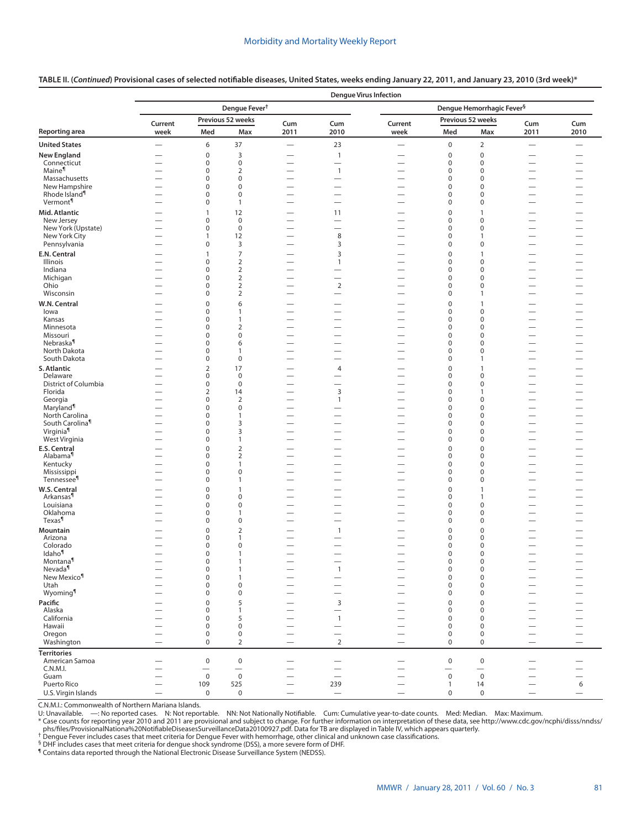|                                             | <b>Dengue Virus Infection</b> |                            |                                   |                                                      |                                |                                   |                                 |                                       |                          |                          |  |
|---------------------------------------------|-------------------------------|----------------------------|-----------------------------------|------------------------------------------------------|--------------------------------|-----------------------------------|---------------------------------|---------------------------------------|--------------------------|--------------------------|--|
|                                             |                               |                            | Dengue Fever <sup>†</sup>         |                                                      |                                |                                   |                                 | Dengue Hemorrhagic Fever <sup>§</sup> |                          |                          |  |
|                                             | Current                       |                            | Previous 52 weeks                 | Cum                                                  | Cum                            | Current                           |                                 | Previous 52 weeks                     | Cum                      | Cum                      |  |
| Reporting area                              | week                          | Med                        | Max                               | 2011                                                 | 2010                           | week                              | Med                             | Max                                   | 2011                     | 2010                     |  |
| <b>United States</b>                        |                               | 6                          | 37                                |                                                      | 23                             | $\overline{\phantom{0}}$          | $\pmb{0}$                       | $\mathbf 2$                           | $\overline{\phantom{0}}$ | $\overline{\phantom{0}}$ |  |
| <b>New England</b>                          | —                             | $\pmb{0}$                  | 3                                 |                                                      | $\mathbf{1}$                   | $\overline{\phantom{0}}$          | $\mathbf 0$                     | $\mathbf 0$                           |                          |                          |  |
| Connecticut                                 |                               | $\pmb{0}$                  | $\pmb{0}$                         | $\overline{\phantom{0}}$                             | $\overline{\phantom{0}}$       | $\overline{\phantom{0}}$          | $\pmb{0}$                       | $\mathbf 0$                           |                          | $\overline{\phantom{0}}$ |  |
| Maine <sup>¶</sup>                          | $\overline{\phantom{0}}$      | 0                          | $\overline{2}$                    |                                                      | $\mathbf{1}$                   |                                   | $\pmb{0}$                       | 0                                     |                          |                          |  |
| Massachusetts                               |                               | $\pmb{0}$                  | $\mathbf 0$                       |                                                      | $\overline{\phantom{0}}$       | $\overbrace{\phantom{123221111}}$ | $\mathbf 0$                     | $\mathbf 0$                           | $\overline{\phantom{0}}$ |                          |  |
| New Hampshire<br>Rhode Island <sup>1</sup>  | $\overline{\phantom{0}}$      | $\mathbf 0$<br>$\mathbf 0$ | $\mathbf 0$<br>$\mathbf 0$        | $\overline{\phantom{0}}$                             |                                | $\overline{\phantom{0}}$          | $\mathbf 0$<br>$\mathbf 0$      | $\mathbf 0$<br>$\mathbf 0$            | $\overline{\phantom{0}}$ | $\overline{\phantom{0}}$ |  |
| Vermont <sup>¶</sup>                        |                               | 0                          | $\mathbf{1}$                      | $\overline{\phantom{0}}$<br>$\overline{\phantom{0}}$ |                                |                                   | $\mathbf 0$                     | $\mathbf 0$                           |                          |                          |  |
| Mid. Atlantic                               | $\overline{\phantom{0}}$      | $\mathbf{1}$               | 12                                | $\overline{\phantom{0}}$                             |                                |                                   | $\mathbf 0$                     | $\mathbf{1}$                          |                          |                          |  |
| New Jersey                                  |                               | 0                          | $\mathbf 0$                       | $\overline{\phantom{0}}$                             | 11<br>$\overline{\phantom{0}}$ |                                   | 0                               | 0                                     |                          | $\overline{\phantom{0}}$ |  |
| New York (Upstate)                          |                               | 0                          | $\mathbf 0$                       | $\overline{\phantom{0}}$                             | $\overline{\phantom{0}}$       |                                   | $\pmb{0}$                       | 0                                     | $\overline{\phantom{0}}$ |                          |  |
| New York City                               |                               | $\mathbf{1}$               | 12                                | $\overline{\phantom{0}}$                             | 8                              |                                   | 0                               | $\mathbf{1}$                          |                          | $\overline{\phantom{0}}$ |  |
| Pennsylvania                                |                               | 0                          | 3                                 | $\overline{\phantom{0}}$                             | 3                              |                                   | $\mathbf 0$                     | 0                                     |                          |                          |  |
| E.N. Central                                | —                             | 1                          | $\overline{7}$                    |                                                      | 3                              | $\overline{\phantom{0}}$          | $\pmb{0}$                       | 1                                     |                          | —                        |  |
| Illinois                                    | —                             | $\mathbf 0$                | $\overline{2}$                    | $\overline{\phantom{0}}$                             | 1                              |                                   | $\mathbf 0$                     | $\mathbf 0$                           |                          |                          |  |
| Indiana                                     | $\overline{\phantom{0}}$      | $\pmb{0}$                  | $\overline{2}$                    |                                                      | $\overline{\phantom{0}}$       | $\overline{\phantom{0}}$          | $\mathbf 0$                     | $\mathbf 0$                           |                          | —<br>—                   |  |
| Michigan<br>Ohio                            |                               | $\mathbf 0$<br>$\pmb{0}$   | $\overline{2}$<br>$\overline{2}$  | $\overline{\phantom{0}}$                             | $\mathbf 2$                    | $\overline{\phantom{0}}$          | $\mathbf 0$<br>$\mathbf 0$      | $\mathbf 0$<br>$\mathbf 0$            | $\overline{\phantom{0}}$ | $\overline{\phantom{0}}$ |  |
| Wisconsin                                   | $\overline{\phantom{0}}$      | $\mathbf 0$                | $\overline{2}$                    | $\overline{\phantom{0}}$<br>$\overline{\phantom{0}}$ |                                |                                   | $\mathbf 0$                     | 1                                     | $\overline{\phantom{0}}$ | -                        |  |
| W.N. Central                                | $\overline{\phantom{0}}$      | $\pmb{0}$                  | 6                                 |                                                      |                                | $\overline{\phantom{0}}$          | $\pmb{0}$                       | $\mathbf{1}$                          |                          | $\overline{\phantom{0}}$ |  |
| lowa                                        | $\overline{\phantom{0}}$      | 0                          | 1                                 | $\overline{\phantom{0}}$                             | $\overline{\phantom{0}}$       | $\overline{\phantom{0}}$          | 0                               | 0                                     | $\overline{\phantom{0}}$ |                          |  |
| Kansas                                      | $\overline{\phantom{0}}$      | 0                          | 1                                 | $\overline{\phantom{0}}$                             | $\overline{\phantom{0}}$       |                                   | $\mathbf 0$                     | 0                                     | $\overline{\phantom{0}}$ |                          |  |
| Minnesota                                   |                               | 0                          | $\overline{2}$                    | $\overline{\phantom{0}}$                             |                                |                                   | $\pmb{0}$                       | 0                                     |                          | $\overline{\phantom{0}}$ |  |
| Missouri                                    |                               | 0                          | $\mathbf 0$                       | $\overline{\phantom{0}}$                             |                                |                                   | $\pmb{0}$                       | 0                                     |                          | $\equiv$                 |  |
| Nebraska <sup>1</sup>                       | $\overline{\phantom{0}}$      | 0                          | 6                                 |                                                      | $\overline{\phantom{0}}$       |                                   | 0                               | 0                                     | $\overline{\phantom{0}}$ |                          |  |
| North Dakota                                |                               | $\pmb{0}$                  | $\mathbf{1}$                      |                                                      |                                |                                   | $\mathbf 0$                     | $\mathbf 0$                           |                          | $\overline{\phantom{0}}$ |  |
| South Dakota                                |                               | 0                          | $\mathbf 0$                       |                                                      |                                |                                   | $\pmb{0}$                       | $\mathbf{1}$                          |                          | $\overline{\phantom{0}}$ |  |
| S. Atlantic                                 |                               | $\overline{2}$             | 17                                | $\overline{\phantom{0}}$                             | $\overline{4}$                 |                                   | $\mathbf 0$                     | $\mathbf{1}$                          |                          |                          |  |
| Delaware<br>District of Columbia            |                               | 0<br>$\pmb{0}$             | $\mathbf 0$<br>$\bf 0$            | $\overline{\phantom{0}}$<br>$\overline{\phantom{0}}$ | $\overline{\phantom{0}}$       |                                   | 0<br>$\pmb{0}$                  | 0<br>0                                | $\overline{\phantom{0}}$ | $\overline{\phantom{0}}$ |  |
| Florida                                     | $\overline{\phantom{0}}$      | $\overline{2}$             | 14                                | $\overline{\phantom{0}}$                             | 3                              |                                   | $\mathbf 0$                     | $\mathbf{1}$                          |                          | $\overline{\phantom{0}}$ |  |
| Georgia                                     |                               | 0                          | $\overline{2}$                    | $\overline{\phantom{0}}$                             | 1                              | $\overline{\phantom{0}}$          | $\mathbf 0$                     | 0                                     | $\overline{\phantom{0}}$ | $\overline{\phantom{0}}$ |  |
| Maryland <sup>1</sup>                       |                               | 0                          | $\mathbf 0$                       |                                                      |                                |                                   | $\mathbf 0$                     | $\mathbf 0$                           |                          | -                        |  |
| North Carolina                              |                               | 0                          | $\mathbf{1}$                      |                                                      |                                |                                   | $\pmb{0}$                       | 0                                     |                          | -                        |  |
| South Carolina <sup>1</sup>                 | $\overline{\phantom{0}}$      | 0                          | 3                                 |                                                      |                                |                                   | $\mathbf 0$                     | $\mathbf 0$                           |                          | $\overline{\phantom{0}}$ |  |
| Virginia                                    | $\overline{\phantom{0}}$      | 0                          | 3                                 |                                                      | $\overline{\phantom{0}}$       | $\overline{\phantom{0}}$          | $\mathbf 0$                     | 0                                     | $\overline{\phantom{0}}$ |                          |  |
| West Virginia                               |                               | $\pmb{0}$                  | $\mathbf{1}$                      |                                                      |                                | $\overline{\phantom{0}}$          | $\mathbf 0$                     | $\mathbf 0$                           |                          |                          |  |
| <b>E.S. Central</b><br>Alabama <sup>1</sup> | $\overline{\phantom{0}}$      | $\pmb{0}$<br>0             | $\overline{2}$<br>$\overline{2}$  | $\overline{\phantom{0}}$                             |                                | -                                 | $\mathbf 0$<br>0                | $\mathbf 0$<br>0                      |                          |                          |  |
| Kentucky                                    |                               | 0                          | $\mathbf{1}$                      |                                                      |                                |                                   | $\mathbf 0$                     | 0                                     |                          |                          |  |
| Mississippi                                 |                               | 0                          | $\bf 0$                           | $\overline{\phantom{0}}$                             |                                |                                   | $\pmb{0}$                       | $\mathbf 0$                           |                          |                          |  |
| Tennessee <sup>1</sup>                      | $\overline{\phantom{0}}$      | 0                          | $\mathbf{1}$                      | $\overline{\phantom{0}}$                             |                                | $\overline{\phantom{0}}$          | $\pmb{0}$                       | $\mathbf 0$                           |                          |                          |  |
| W.S. Central                                |                               | $\pmb{0}$                  | $\mathbf{1}$                      |                                                      |                                |                                   | $\mathbf 0$                     | $\mathbf{1}$                          |                          |                          |  |
| Arkansas <sup>¶</sup>                       |                               | 0                          | $\mathbf 0$                       |                                                      |                                |                                   | 0                               | 1                                     |                          | $\overline{\phantom{0}}$ |  |
| Louisiana                                   | $\overline{\phantom{0}}$      | 0                          | $\pmb{0}$                         | $\overline{\phantom{0}}$                             | $\overline{\phantom{0}}$       | $\overline{\phantom{0}}$          | $\mathbf 0$                     | $\mathbf 0$                           | $\overline{\phantom{0}}$ |                          |  |
| Oklahoma<br>Texas                           |                               | 0                          | $\mathbf{1}$                      | $\overline{\phantom{0}}$                             |                                |                                   | $\mathbf 0$<br>$\mathbf 0$      | 0                                     |                          |                          |  |
| <b>Mountain</b>                             |                               | 0                          | $\pmb{0}$                         |                                                      |                                |                                   |                                 | 0                                     |                          |                          |  |
| Arizona                                     |                               | $\pmb{0}$<br>0             | $\overline{2}$<br>1               | $\overline{\phantom{0}}$                             | 1                              |                                   | $\pmb{0}$<br>$\mathbf 0$        | $\mathbf 0$<br>0                      |                          |                          |  |
| Colorado                                    |                               | 0                          | $\mathbf 0$                       |                                                      |                                | $\overline{\phantom{0}}$          | $\mathbf 0$                     | $\mathbf 0$                           |                          |                          |  |
| Idaho <sup>¶</sup>                          |                               | 0                          | $\mathbf{1}$                      |                                                      |                                |                                   | $\mathbf 0$                     | $\mathbf 0$                           |                          |                          |  |
| Montana <sup>1</sup>                        |                               | 0                          |                                   |                                                      |                                |                                   | 0                               | 0                                     |                          |                          |  |
| Nevada <sup>¶</sup>                         | —                             | 0                          | $\mathbf{1}$                      | —                                                    | $\mathbf{1}$                   | $\overbrace{\phantom{123221111}}$ | $\boldsymbol{0}$                | 0                                     | $\qquad \qquad -$        | $\overline{\phantom{0}}$ |  |
| New Mexico <sup>¶</sup>                     |                               | $\pmb{0}$                  | $\mathbf{1}$                      |                                                      | $\qquad \qquad -$              |                                   | $\boldsymbol{0}$                | $\mathbf 0$                           |                          | —                        |  |
| Utah                                        |                               | 0                          | $\pmb{0}$<br>$\pmb{0}$            | $\overline{\phantom{0}}$                             |                                |                                   | $\boldsymbol{0}$                | $\mathbf 0$<br>$\mathbf 0$            |                          |                          |  |
| Wyoming                                     |                               | 0                          |                                   |                                                      | $\overline{\phantom{0}}$       |                                   | $\pmb{0}$                       |                                       |                          | $\overline{\phantom{0}}$ |  |
| Pacific<br>Alaska                           | $\overline{\phantom{0}}$      | $\mathbf 0$<br>0           | 5<br>$\mathbf{1}$                 | $\overline{\phantom{0}}$                             | 3                              |                                   | $\mathbf 0$<br>$\boldsymbol{0}$ | $\mathbf 0$<br>0                      |                          | —                        |  |
| California                                  |                               | 0                          | 5                                 |                                                      | $\mathbf{1}$                   |                                   | $\mathbf 0$                     | $\mathbf 0$                           |                          |                          |  |
| Hawaii                                      |                               | 0                          | 0                                 |                                                      |                                |                                   | $\pmb{0}$                       | 0                                     |                          |                          |  |
| Oregon                                      |                               | 0                          | $\mathsf 0$                       | $\overline{\phantom{0}}$                             | $\overline{\phantom{0}}$       | $\overline{\phantom{0}}$          | $\mathbf 0$                     | $\pmb{0}$                             |                          | $\overline{\phantom{0}}$ |  |
| Washington                                  | $\qquad \qquad -$             | $\mathbf 0$                | $\overline{2}$                    | $\qquad \qquad -$                                    | $\overline{2}$                 | $\qquad \qquad -$                 | $\mathbf 0$                     | 0                                     |                          |                          |  |
| <b>Territories</b>                          |                               |                            |                                   |                                                      |                                |                                   |                                 |                                       |                          |                          |  |
| American Samoa                              | —                             | $\pmb{0}$                  | $\mathsf{O}\xspace$               | $\overline{\phantom{0}}$                             |                                |                                   | $\mathsf{O}\xspace$             | $\mathbf 0$                           | $\overline{\phantom{0}}$ | $\overline{\phantom{0}}$ |  |
| C.N.M.I.                                    |                               |                            | $\overbrace{\phantom{123221111}}$ |                                                      |                                | $\overbrace{\phantom{123221111}}$ | $\overline{\phantom{0}}$        |                                       |                          | $\overline{\phantom{0}}$ |  |
| Guam                                        |                               | $\mathbf 0$                | $\mathbf 0$                       |                                                      |                                |                                   | $\mathbf 0$                     | $\mathbf 0$                           |                          | $\overline{\phantom{0}}$ |  |
| Puerto Rico                                 | $\overline{\phantom{0}}$      | 109<br>$\mathbf 0$         | 525<br>$\mathsf 0$                | $\overline{\phantom{0}}$<br>$\overline{\phantom{0}}$ | 239<br>$\equiv$                |                                   | $\mathbf{1}$                    | 14<br>$\mathsf{O}$                    |                          | $\boldsymbol{6}$         |  |
| U.S. Virgin Islands                         |                               |                            |                                   |                                                      |                                |                                   | 0                               |                                       | $\overline{\phantom{0}}$ |                          |  |

**TABLE II. (***Continued***) Provisional cases of selected notifiable diseases, United States, weeks ending January 22, 2011, and January 23, 2010 (3rd week)\***

C.N.M.I.: Commonwealth of Northern Mariana Islands.<br>U: Unavailable. —: No reported cases. N: Not reportable. NN: Not Nationally Notifiable. Cum: Cumulative year-to-date counts. Med: Median. Max: Maximum.

[phs/files/ProvisionalNationa%20NotifiableDiseasesSurveillanceData20100927.pdf](http://www.cdc.gov/ncphi/disss/nndss/phs/files/ProvisionalNationa%20NotifiableDiseasesSurveillanceData20100927.pdf). Data for TB are displayed in Table IV, which appears quarterly.<br>
<sup>†</sup> Dengue Fever includes cases that meet criteria for Dengue Fever with hemor

§ DHF includes cases that meet criteria for dengue shock syndrome (DSS), a more severe form of DHF. ¶ Contains data reported through the National Electronic Disease Surveillance System (NEDSS).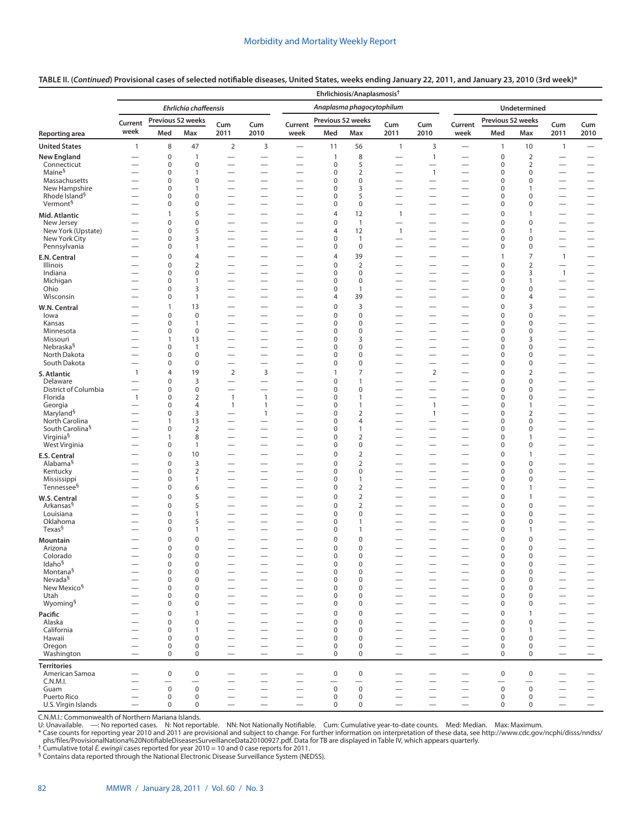## **TABLE II. (***Continued***) Provisional cases of selected notifiable diseases, United States, weeks ending January 22, 2011, and January 23, 2010 (3rd week)\***

|                                            |                          |                            |                                       |                                                      |                                                      |                                                      | Ehrlichiosis/Anaplasmosis <sup>+</sup> |                                  |                                  |                                                      |                                                      |                                              |                                              |                                                      |                                                      |
|--------------------------------------------|--------------------------|----------------------------|---------------------------------------|------------------------------------------------------|------------------------------------------------------|------------------------------------------------------|----------------------------------------|----------------------------------|----------------------------------|------------------------------------------------------|------------------------------------------------------|----------------------------------------------|----------------------------------------------|------------------------------------------------------|------------------------------------------------------|
|                                            |                          |                            | Ehrlichia chaffeensis                 |                                                      |                                                      |                                                      |                                        | Anaplasma phagocytophilum        |                                  |                                                      |                                                      |                                              | <b>Undetermined</b>                          |                                                      |                                                      |
|                                            | Current                  | Previous 52 weeks          |                                       | Cum                                                  | Cum                                                  | Current                                              | Previous 52 weeks                      |                                  | Cum                              | Cum                                                  | Current                                              | Previous 52 weeks                            |                                              | Cum                                                  | Cum                                                  |
| Reporting area                             | week                     | Med                        | Max                                   | 2011                                                 | 2010                                                 | week                                                 | Med                                    | Max                              | 2011                             | 2010                                                 | week                                                 | Med                                          | Max                                          | 2011                                                 | 2010                                                 |
| <b>United States</b>                       | $\mathbf{1}$             | 8                          | 47                                    | $\overline{2}$                                       | 3                                                    | $\overline{\phantom{0}}$                             | 11                                     | 56                               | $\mathbf{1}$                     | 3                                                    | $\overline{\phantom{0}}$                             | $\mathbf{1}$                                 | 10                                           | $\mathbf{1}$                                         | $\qquad \qquad -$                                    |
| <b>New England</b>                         |                          | $\pmb{0}$                  | $\mathbf{1}$                          |                                                      |                                                      |                                                      | $\mathbf{1}$                           | 8                                |                                  | $\mathbf{1}$                                         |                                                      | $\mathbf 0$                                  | $\overline{2}$                               |                                                      |                                                      |
| Connecticut                                |                          | 0                          | $\mathbf 0$                           | -                                                    | $\overline{\phantom{0}}$                             | $\overline{\phantom{0}}$                             | 0                                      | 5                                | $\overline{\phantom{0}}$         | $\overline{\phantom{0}}$                             |                                                      | 0                                            | 2                                            | $\overline{\phantom{0}}$                             |                                                      |
| Maine <sup>§</sup><br>Massachusetts        |                          | 0<br>0                     | 1<br>$\mathbf 0$                      | $\overline{\phantom{0}}$<br>$\overline{\phantom{0}}$ | $\overline{\phantom{0}}$                             | $\overline{\phantom{0}}$                             | 0<br>0                                 | $\overline{2}$<br>$\mathbf 0$    |                                  | $\mathbf{1}$<br>$\overline{\phantom{0}}$             | $\overline{\phantom{0}}$<br>$\overline{\phantom{0}}$ | 0<br>$\mathbf 0$                             | 0<br>0                                       | —<br>$\overline{\phantom{0}}$                        | $\overline{\phantom{0}}$                             |
| New Hampshire                              |                          | 0                          | 1                                     | —                                                    | $\overline{\phantom{0}}$                             |                                                      | 0                                      | 3                                | $\overline{\phantom{0}}$         | $\overline{\phantom{0}}$                             | $\overline{\phantom{0}}$                             | 0                                            | $\mathbf{1}$                                 | —                                                    | $\overline{\phantom{0}}$                             |
| Rhode Island <sup>§</sup>                  |                          | 0                          | $\mathbf 0$                           | $\overline{\phantom{0}}$                             | $\overline{\phantom{0}}$                             |                                                      | 0                                      | 5                                |                                  |                                                      | $\overline{\phantom{0}}$                             | $\mathbf 0$                                  | 0                                            | $\overline{\phantom{0}}$                             |                                                      |
| Vermont <sup>§</sup>                       |                          | 0                          | $\mathbf 0$                           | $\overline{\phantom{0}}$                             |                                                      | $\overline{\phantom{0}}$                             | 0                                      | $\mathbf 0$                      |                                  | $\overline{\phantom{0}}$                             |                                                      | 0                                            | 0                                            | $\overline{\phantom{0}}$                             |                                                      |
| Mid. Atlantic                              |                          | 1                          | 5                                     |                                                      |                                                      |                                                      | 4                                      | 12                               | $\mathbf{1}$                     |                                                      |                                                      | $\mathbf 0$                                  | 1                                            |                                                      |                                                      |
| New Jersey<br>New York (Upstate)           | $\overline{\phantom{0}}$ | $\pmb{0}$<br>$\pmb{0}$     | $\mathbf 0$<br>5                      | $\overline{\phantom{0}}$<br>$\overline{\phantom{0}}$ | $\overline{\phantom{0}}$                             | $\overline{\phantom{0}}$                             | 0<br>4                                 | $\mathbf{1}$<br>12               | $\mathbf{1}$                     | $\overline{\phantom{0}}$                             | $\overline{\phantom{0}}$<br>$\overline{\phantom{0}}$ | $\pmb{0}$<br>0                               | 0<br>1                                       | $\overline{\phantom{0}}$                             |                                                      |
| New York City                              |                          | $\pmb{0}$                  | 3                                     | $\overline{\phantom{0}}$                             |                                                      |                                                      | 0                                      | $\mathbf{1}$                     |                                  |                                                      | $\overline{\phantom{0}}$                             | 0                                            | 0                                            | $\overline{\phantom{0}}$                             |                                                      |
| Pennsylvania                               |                          | 0                          | 1                                     |                                                      | $\overline{\phantom{0}}$                             |                                                      | 0                                      | $\pmb{0}$                        |                                  |                                                      | $\overline{\phantom{0}}$                             | 0                                            | 0                                            | $\overline{\phantom{0}}$                             | $\overline{\phantom{0}}$                             |
| E.N. Central                               |                          | 0                          | 4                                     | -                                                    | —                                                    | $\overline{\phantom{0}}$                             | 4                                      | 39                               | $\overline{\phantom{0}}$         | $\overline{\phantom{0}}$                             | $\overline{\phantom{0}}$                             | $\overline{1}$                               | 7                                            | $\overline{1}$                                       | $\overline{\phantom{0}}$                             |
| Illinois                                   |                          | 0                          | $\overline{2}$                        |                                                      | $\overline{\phantom{0}}$                             |                                                      | 0                                      | $\overline{2}$                   |                                  |                                                      | $\overline{\phantom{0}}$                             | $\mathbf 0$                                  | $\overline{2}$                               |                                                      |                                                      |
| Indiana<br>Michigan                        | $\overline{\phantom{0}}$ | 0<br>0                     | $\mathbf 0$<br>$\mathbf{1}$           | $\overline{\phantom{0}}$                             | $\overline{\phantom{0}}$                             | $\overline{\phantom{0}}$<br>$\overline{\phantom{0}}$ | 0<br>0                                 | $\pmb{0}$<br>$\mathbf 0$         | $\overline{\phantom{0}}$         | $\overline{\phantom{0}}$<br>$\overline{\phantom{0}}$ | $\qquad \qquad -$<br>$\overline{\phantom{0}}$        | 0<br>$\mathbf 0$                             | 3<br>1                                       | $\mathbf{1}$                                         | $\overbrace{\phantom{1232211}}$                      |
| Ohio                                       |                          | 0                          | 3                                     | $\overline{\phantom{0}}$                             |                                                      | $\overline{\phantom{0}}$                             | 0                                      | 1                                |                                  |                                                      | $\overline{\phantom{0}}$                             | 0                                            | 0                                            | $\overline{\phantom{0}}$                             |                                                      |
| Wisconsin                                  | -                        | $\pmb{0}$                  | $\mathbf{1}$                          |                                                      | —                                                    | $\overline{\phantom{0}}$                             | 4                                      | 39                               | -                                |                                                      |                                                      | $\mathbf 0$                                  | 4                                            | -                                                    |                                                      |
| W.N. Central                               |                          | $\mathbf{1}$               | 13                                    |                                                      | -                                                    | $\overline{\phantom{0}}$                             | 0                                      | 3                                | $\overline{\phantom{0}}$         | —                                                    | —                                                    | $\mathbf 0$                                  | 3                                            | —                                                    | $\overline{\phantom{0}}$                             |
| lowa                                       |                          | 0                          | $\mathbf 0$                           |                                                      | —                                                    |                                                      | 0                                      | $\mathbf 0$                      |                                  | $\overline{\phantom{0}}$                             | $\overline{\phantom{0}}$                             | $\mathbf 0$                                  | 0                                            | —                                                    |                                                      |
| Kansas<br>Minnesota                        |                          | $\pmb{0}$<br>0             | 1<br>$\mathbf 0$                      | $\overline{\phantom{0}}$<br>$\overline{\phantom{0}}$ |                                                      | $\overline{\phantom{0}}$                             | 0<br>0                                 | $\mathbf 0$<br>$\mathbf 0$       |                                  | $\overline{\phantom{0}}$                             | $\overline{\phantom{0}}$                             | 0<br>0                                       | 0<br>0                                       | $\overline{\phantom{m}}$<br>$\overline{\phantom{0}}$ | $\overline{\phantom{m}}$                             |
| Missouri                                   |                          | $\mathbf{1}$               | 13                                    |                                                      |                                                      |                                                      | 0                                      | 3                                | $\overline{\phantom{0}}$         | -                                                    | $\overline{\phantom{0}}$                             | $\mathbf 0$                                  | 3                                            | $\overline{\phantom{0}}$                             |                                                      |
| Nebraska <sup>§</sup>                      |                          | 0                          | 1                                     |                                                      |                                                      | $\overline{\phantom{0}}$                             | 0                                      | $\mathbf 0$                      | -                                | —                                                    |                                                      | $\mathbf 0$                                  | 0                                            | -                                                    | $\qquad \qquad$                                      |
| North Dakota                               |                          | $\pmb{0}$                  | $\mathbf 0$                           | $\overline{\phantom{0}}$                             | $\overline{\phantom{0}}$                             |                                                      | 0                                      | $\mathbf 0$                      | $\overline{\phantom{0}}$         |                                                      | $\overline{\phantom{0}}$                             | $\mathbf 0$                                  | 0                                            | $\overline{\phantom{0}}$                             | $\overline{\phantom{0}}$                             |
| South Dakota                               |                          | $\mathbf 0$                | $\mathbf 0$                           |                                                      |                                                      | $\overline{\phantom{0}}$                             | 0                                      | $\mathbf 0$                      | $\overline{\phantom{0}}$         |                                                      | $\overline{\phantom{0}}$                             | $\mathbf 0$                                  | 0                                            | $\overline{\phantom{0}}$                             |                                                      |
| S. Atlantic                                | $\mathbf{1}$             | 4                          | 19                                    | 2                                                    | 3                                                    | $\overline{\phantom{0}}$                             | $\mathbf{1}$                           | 7                                | $\overline{\phantom{0}}$         | $\overline{2}$                                       | $\overline{\phantom{0}}$                             | $\mathbf 0$                                  | $\overline{2}$                               | —                                                    |                                                      |
| Delaware<br>District of Columbia           | $\overline{\phantom{0}}$ | $\mathbf 0$<br>$\pmb{0}$   | 3<br>$\mathbf 0$                      |                                                      | $\overline{\phantom{0}}$                             | $\overline{\phantom{0}}$                             | 0<br>0                                 | $\mathbf{1}$<br>$\mathbf 0$      |                                  | $\overline{\phantom{0}}$                             | $\overline{\phantom{0}}$                             | $\mathbf 0$<br>$\mathbf 0$                   | 0<br>0                                       |                                                      | $\overline{\phantom{0}}$                             |
| Florida                                    | $\mathbf{1}$             | 0                          | $\overline{2}$                        | $\mathbf{1}$                                         | $\mathbf{1}$                                         | $\overline{\phantom{0}}$                             | 0                                      | $\mathbf{1}$                     | $\overline{\phantom{0}}$         | $\overline{\phantom{0}}$                             | $\overline{\phantom{0}}$                             | $\mathbf 0$                                  | 0                                            | $\overline{\phantom{0}}$                             | $\overbrace{\phantom{123221111}}$                    |
| Georgia                                    | $\overline{\phantom{0}}$ | 0                          | $\overline{4}$                        | $\mathbf{1}$                                         | $\mathbf{1}$                                         |                                                      | 0                                      | $\mathbf{1}$                     |                                  | $\mathbf{1}$                                         |                                                      | $\mathbf 0$                                  | 1                                            | $\overline{\phantom{0}}$                             | $\overline{\phantom{0}}$                             |
| Maryland <sup>§</sup><br>North Carolina    |                          | $\mathbf 0$<br>1           | 3<br>13                               |                                                      | $\mathbf{1}$                                         |                                                      | 0<br>0                                 | $\overline{2}$<br>$\overline{4}$ | $\overline{\phantom{0}}$         | $\mathbf{1}$<br>$\overline{\phantom{0}}$             |                                                      | $\mathbf 0$<br>$\mathbf 0$                   | 2<br>0                                       |                                                      | $\overline{\phantom{0}}$                             |
| South Carolina <sup>§</sup>                |                          | $\mathbf 0$                | $\overline{2}$                        | $\overline{\phantom{0}}$                             | $\overline{\phantom{0}}$                             | $\overline{\phantom{0}}$                             | 0                                      | $\mathbf{1}$                     | $\overline{\phantom{0}}$         | $\overline{\phantom{0}}$                             | $\overline{\phantom{0}}$                             | $\mathbf 0$                                  | 0                                            |                                                      | $\qquad \qquad$                                      |
| Virginia <sup>§</sup>                      |                          | 1                          | 8                                     |                                                      |                                                      |                                                      | 0                                      | $\overline{2}$                   |                                  |                                                      |                                                      | $\mathbf 0$                                  | 1                                            |                                                      | $\qquad \qquad$                                      |
| West Virginia                              |                          | $\mathbf 0$                | $\mathbf{1}$                          |                                                      |                                                      |                                                      | 0                                      | $\mathbf 0$                      |                                  |                                                      |                                                      | $\mathbf 0$                                  | 0                                            |                                                      | $\overline{\phantom{0}}$                             |
| <b>E.S. Central</b>                        | $\overline{\phantom{0}}$ | $\mathbf 0$                | 10                                    |                                                      | $\overline{\phantom{0}}$                             | $\overline{\phantom{0}}$                             | 0                                      | $\overline{2}$                   | $\overline{\phantom{0}}$         | $\overline{\phantom{0}}$                             | $\overline{\phantom{0}}$                             | $\mathbf 0$                                  | $\mathbf{1}$                                 | —                                                    | $\overline{\phantom{0}}$                             |
| Alabama <sup>§</sup><br>Kentucky           |                          | 0<br>$\pmb{0}$             | 3<br>$\overline{2}$                   | $\overline{\phantom{0}}$                             | -<br>$\overline{\phantom{0}}$                        | $\overline{\phantom{0}}$                             | 0<br>0                                 | $\overline{2}$<br>$\mathbf 0$    | $\overline{\phantom{0}}$         | $\overline{\phantom{0}}$                             |                                                      | $\mathbf 0$<br>$\pmb{0}$                     | 0<br>0                                       | —<br>$\overline{\phantom{0}}$                        | $\qquad \qquad$<br>$\overline{\phantom{0}}$          |
| Mississippi                                |                          | 0                          | $\mathbf{1}$                          | -                                                    |                                                      |                                                      | 0                                      | $\mathbf{1}$                     |                                  |                                                      |                                                      | $\mathbf 0$                                  | 0                                            |                                                      | $\qquad \qquad$                                      |
| Tennessee <sup>§</sup>                     |                          | 0                          | 6                                     |                                                      | —                                                    | $\overline{\phantom{0}}$                             | 0                                      | $\overline{2}$                   | $\overline{\phantom{0}}$         | —                                                    |                                                      | $\mathbf 0$                                  | $\mathbf{1}$                                 | $\qquad \qquad$                                      | $\qquad \qquad -$                                    |
| W.S. Central                               |                          | 0                          | 5                                     |                                                      | —                                                    |                                                      | $\mathbf 0$                            | $\overline{2}$                   | -                                | $\overline{\phantom{0}}$                             |                                                      | $\mathbf 0$                                  | 1                                            | -                                                    | $\overline{\phantom{0}}$                             |
| Arkansas <sup>§</sup>                      |                          | 0                          | 5                                     | -                                                    |                                                      |                                                      | 0                                      | $\overline{2}$                   |                                  |                                                      | —                                                    | $\mathbf 0$                                  | 0                                            | —                                                    |                                                      |
| Louisiana<br>Oklahoma                      |                          | 0<br>0                     | $\mathbf{1}$<br>5                     |                                                      | $\overline{\phantom{0}}$<br>$\overline{\phantom{0}}$ | $\overline{\phantom{0}}$                             | 0<br>0                                 | $\mathbf 0$<br>1                 | $\overline{\phantom{0}}$         | —                                                    | $\overline{\phantom{0}}$<br>$\overline{\phantom{0}}$ | $\mathbf 0$<br>$\mathbf 0$                   | 0<br>0                                       | $\overline{\phantom{0}}$                             | $\overline{\phantom{0}}$<br>$\overline{\phantom{0}}$ |
| Texas <sup>§</sup>                         |                          | 0                          | $\mathbf{1}$                          |                                                      | -                                                    | $\overline{\phantom{0}}$                             | 0                                      | 1                                | $\overline{\phantom{0}}$         | —                                                    | $\overline{\phantom{0}}$                             | $\mathbf 0$                                  | $\mathbf{1}$                                 | -<br>—                                               |                                                      |
| Mountain                                   |                          | 0                          | $\mathbf 0$                           |                                                      |                                                      |                                                      | $\mathbf 0$                            | $\mathbf 0$                      |                                  |                                                      |                                                      | $\mathbf 0$                                  | 0                                            |                                                      |                                                      |
| Arizona                                    |                          | $\pmb{0}$                  | $\mathbf 0$                           |                                                      |                                                      |                                                      | 0                                      | 0                                |                                  | —                                                    |                                                      | $\mathbf 0$                                  | $\mathbf 0$                                  | -                                                    |                                                      |
| Colorado                                   |                          | 0                          | $\mathbf{0}$                          |                                                      |                                                      |                                                      | 0                                      | $\Omega$                         |                                  |                                                      |                                                      | $\Omega$                                     | $\mathbf 0$                                  |                                                      |                                                      |
| Idaho <sup>§</sup><br>Montana <sup>§</sup> |                          | $\mathbf 0$<br>0           | $\pmb{0}$<br>$\mathbf 0$              |                                                      | $\overline{\phantom{0}}$                             | $\overline{\phantom{0}}$                             | $\mathbf 0$<br>0                       | $\pmb{0}$<br>$\pmb{0}$           | $\overline{\phantom{0}}$         |                                                      |                                                      | $\mathbf 0$<br>$\mathbf 0$                   | $\mathbf 0$<br>$\mathbf 0$                   | $\qquad \qquad -$                                    | $\qquad \qquad -$                                    |
| Nevada <sup>§</sup>                        | $\overline{\phantom{0}}$ | 0                          | $\mathbf 0$                           |                                                      |                                                      |                                                      | 0                                      | $\mathbf 0$                      |                                  | $\overline{\phantom{0}}$                             |                                                      | $\mathbf 0$                                  | 0                                            |                                                      |                                                      |
| New Mexico <sup>§</sup>                    | $\overline{\phantom{0}}$ | $\mathbf 0$                | $\mathbf 0$                           |                                                      |                                                      |                                                      | 0                                      | $\mathbf 0$                      |                                  |                                                      | $\qquad \qquad -$                                    | $\mathbf 0$                                  | $\mathbf 0$                                  | $\qquad \qquad -$                                    | $\overline{\phantom{m}}$                             |
| Utah                                       | $\overline{\phantom{0}}$ | $\mathbf 0$                | $\mathbf 0$                           |                                                      |                                                      |                                                      | 0                                      | $\mathbf 0$                      |                                  |                                                      |                                                      | $\mathbf 0$                                  | $\mathbf 0$                                  |                                                      |                                                      |
| Wyoming <sup>§</sup>                       |                          | $\mathbf 0$                | $\mathbf 0$                           | $\overline{\phantom{0}}$                             |                                                      |                                                      | 0                                      | $\mathbf 0$                      |                                  | $\overline{\phantom{0}}$                             | $\qquad \qquad$                                      | $\mathbf 0$                                  | 0                                            | $\overline{\phantom{0}}$                             | $\qquad \qquad -$                                    |
| Pacific<br>Alaska                          |                          | $\mathbf 0$<br>$\mathbf 0$ | $\mathbf{1}$<br>$\mathbf 0$           | $\overline{\phantom{0}}$                             | $\overline{\phantom{0}}$                             |                                                      | $\mathbf 0$<br>$\mathbf 0$             | $\mathbf 0$<br>$\mathbf 0$       | $\overline{\phantom{0}}$         | $\overline{\phantom{0}}$                             | $\overline{\phantom{0}}$                             | $\mathbf 0$<br>$\mathbf 0$                   | $\mathbf{1}$<br>$\mathbf 0$                  |                                                      | $\overline{\phantom{m}}$                             |
| California                                 | $\overline{\phantom{0}}$ | $\mathbf 0$                | $\mathbf{1}$                          | $\overline{\phantom{0}}$                             | $\overline{\phantom{0}}$                             |                                                      | 0                                      | $\mathbf 0$                      | -                                |                                                      | $\overline{\phantom{0}}$                             | $\mathbf 0$                                  | $\mathbf{1}$                                 |                                                      | $\overline{\phantom{0}}$                             |
| Hawaii                                     |                          | $\mathbf 0$                | $\mathbf 0$                           |                                                      |                                                      |                                                      | 0                                      | $\mathbf 0$                      |                                  | —                                                    |                                                      | $\mathbf 0$                                  | $\mathbf 0$                                  |                                                      | $\qquad \qquad -$                                    |
| Oregon                                     | $\overline{\phantom{0}}$ | $\mathsf{O}\xspace$        | $\mathbf 0$                           | $\overline{\phantom{0}}$                             |                                                      |                                                      | $\mathbf 0$                            | $\mathbf 0$                      |                                  |                                                      | $\qquad \qquad -$                                    | $\mathbf 0$                                  | $\mathbf 0$                                  |                                                      | $\overline{\phantom{0}}$                             |
| Washington                                 | $\qquad \qquad -$        | $\mathbf 0$                | $\mathbf 0$                           |                                                      | $\overline{\phantom{0}}$                             | $\qquad \qquad -$                                    | $\mathbf 0$                            | 0                                | $\qquad \qquad -$                |                                                      | $\qquad \qquad -$                                    | $\mathbf 0$                                  | $\mathbf 0$                                  | $\qquad \qquad -$                                    | $\qquad \qquad -$                                    |
| <b>Territories</b>                         |                          |                            |                                       |                                                      |                                                      |                                                      |                                        |                                  |                                  |                                                      |                                                      |                                              |                                              |                                                      |                                                      |
| American Samoa<br>C.N.M.I.                 | $\overline{\phantom{0}}$ | $\boldsymbol{0}$           | $\pmb{0}$<br>$\overline{\phantom{0}}$ | $\overline{\phantom{0}}$                             | $\overline{\phantom{0}}$                             | $\overline{\phantom{0}}$                             | $\pmb{0}$<br>$\overline{\phantom{0}}$  | 0<br>$\overline{\phantom{0}}$    | $\overbrace{\phantom{12322111}}$ | $\overline{\phantom{0}}$                             | $\overline{\phantom{0}}$                             | $\boldsymbol{0}$<br>$\overline{\phantom{0}}$ | $\boldsymbol{0}$<br>$\overline{\phantom{0}}$ | $\overline{\phantom{0}}$                             | $\overline{\phantom{0}}$                             |
| Guam                                       |                          | $\mathsf 0$                | $\mathsf{O}\xspace$                   | $\overline{\phantom{0}}$                             | $\overline{\phantom{0}}$                             | $\overline{\phantom{0}}$                             | $\pmb{0}$                              | $\mathsf 0$                      | $\overline{\phantom{0}}$         | $\overline{\phantom{0}}$                             | $\overbrace{\phantom{12322111}}$                     | $\mathbf 0$                                  | $\mathsf 0$                                  | $\overline{\phantom{0}}$                             | $\qquad \qquad -$                                    |
| Puerto Rico                                |                          | $\mathbf 0$                | 0                                     |                                                      |                                                      |                                                      | $\mathbf 0$                            | 0                                | $\overline{\phantom{m}}$         |                                                      | $\qquad \qquad -$                                    | $\mathbf 0$                                  | $\mathbf 0$                                  | $\qquad \qquad -$                                    | $\overline{\phantom{m}}$                             |
| U.S. Virgin Islands                        |                          | $\mathbf 0$                | 0                                     | $\overline{\phantom{0}}$                             | $\overline{\phantom{0}}$                             | $\equiv$                                             | $\mathbf 0$                            | 0                                | $\overbrace{\phantom{12322111}}$ | $\overline{\phantom{0}}$                             | $\overline{\phantom{0}}$                             | $\mathbf 0$                                  | 0                                            | $\overline{\phantom{0}}$                             | $\overline{\phantom{0}}$                             |

C.N.M.I.: Commonwealth of Northern Mariana Islands.

U: Unavailable. —: No reported cases. N: Not reportable. NN: Not Nationally Notifiable. Cum: Cumulative year-to-date counts. Med: Median. Max: Maximum.<br>\* Case counts for reporting year 2010 and 2011 are provisional and sub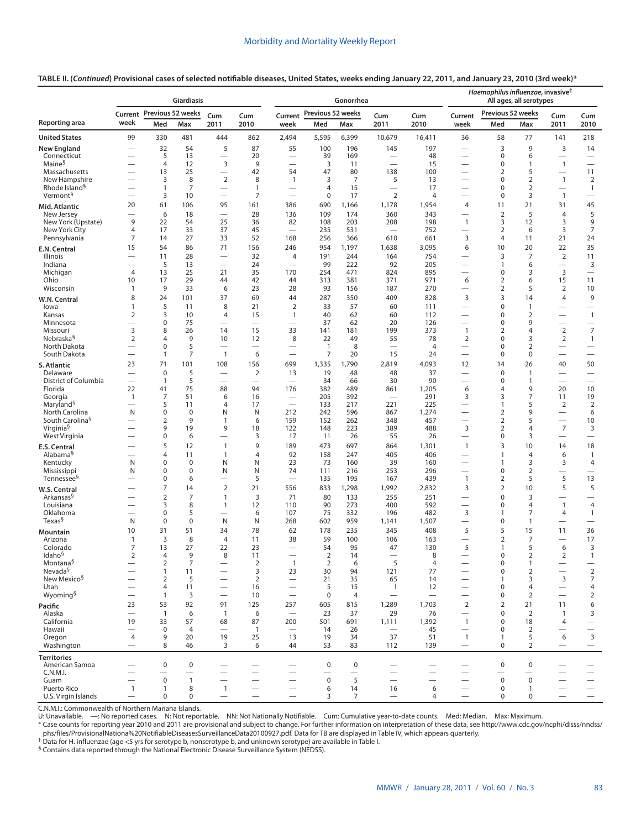## **TABLE II. (***Continued***) Provisional cases of selected notifiable diseases, United States, weeks ending January 22, 2011, and January 23, 2010 (3rd week)\***

|                                                | <b>Giardiasis</b>                        |                                  |                   |                                            |                          |                                                      |                          | Gonorrhea      |                                                             |                          | Haemophilus influenzae, invasive <sup>†</sup><br>All ages, all serotypes |                                |                                  |                                            |                                                      |
|------------------------------------------------|------------------------------------------|----------------------------------|-------------------|--------------------------------------------|--------------------------|------------------------------------------------------|--------------------------|----------------|-------------------------------------------------------------|--------------------------|--------------------------------------------------------------------------|--------------------------------|----------------------------------|--------------------------------------------|------------------------------------------------------|
|                                                | Current                                  |                                  | Previous 52 weeks | Cum                                        | Cum                      | Current                                              | Previous 52 weeks        |                | Cum                                                         | Cum                      | Current                                                                  | Previous 52 weeks              |                                  | Cum                                        | Cum                                                  |
| Reporting area                                 | week                                     | Med                              | Max               | 2011                                       | 2010                     | week                                                 | Med                      | Max            | 2011                                                        | 2010                     | week                                                                     | Med                            | Max                              | 2011                                       | 2010                                                 |
| <b>United States</b>                           | 99                                       | 330                              | 481               | 444                                        | 862                      | 2,494                                                | 5,595                    | 6,399          | 10,679                                                      | 16,411                   | 36                                                                       | 58                             | 77                               | 141                                        | 218                                                  |
| New England                                    | $\overline{\phantom{0}}$                 | 32                               | 54                | 5                                          | 87                       | 55                                                   | 100                      | 196            | 145                                                         | 197                      |                                                                          | 3                              | 9                                | 3                                          | 14                                                   |
| Connecticut<br>Maine <sup>§</sup>              |                                          | 5<br>$\overline{4}$              | 13<br>12          | $\overline{\phantom{0}}$<br>3              | 20<br>9                  | $\overline{\phantom{0}}$<br>$\overline{\phantom{0}}$ | 39<br>3                  | 169<br>11      | $\overline{\phantom{m}}$<br>$\overbrace{\phantom{1232211}}$ | 48<br>15                 |                                                                          | 0<br>0                         | 6<br>1                           | $\overline{\phantom{0}}$<br>$\overline{1}$ | $\overline{\phantom{m}}$<br>$\overline{\phantom{0}}$ |
| Massachusetts                                  |                                          | 13                               | 25                | $\overline{\phantom{0}}$                   | 42                       | 54                                                   | 47                       | 80             | 138                                                         | 100                      |                                                                          | $\overline{2}$                 | 5                                |                                            | 11                                                   |
| New Hampshire<br>Rhode Island <sup>§</sup>     | -                                        | 3<br>$\mathbf{1}$                | 8<br>7            | $\overline{2}$<br>$\overline{\phantom{0}}$ | 8<br>$\mathbf{1}$        | $\mathbf{1}$<br>$\overline{\phantom{0}}$             | 3<br>$\overline{4}$      | 7<br>15        | 5<br>$\overline{\phantom{0}}$                               | 13<br>17                 | $\overline{\phantom{0}}$                                                 | $\mathbf 0$<br>0               | $\overline{2}$<br>$\overline{2}$ | $\mathbf{1}$                               | $\overline{2}$<br>$\mathbf{1}$                       |
| Vermont <sup>§</sup>                           | -                                        | 3                                | 10                | $\overline{\phantom{0}}$                   | $\overline{7}$           | $\overline{\phantom{0}}$                             | $\mathbf 0$              | 17             | $\overline{2}$                                              | $\overline{4}$           | $\overline{\phantom{0}}$                                                 | $\mathbf 0$                    | 3                                | $\overline{1}$                             | $\qquad \qquad$                                      |
| Mid. Atlantic                                  | 20                                       | 61                               | 106               | 95                                         | 161                      | 386                                                  | 690                      | 1,166          | 1,178                                                       | 1,954                    | 4                                                                        | 11                             | 21                               | 31                                         | 45                                                   |
| New Jersey                                     |                                          | 6                                | 18                |                                            | 28                       | 136                                                  | 109                      | 174            | 360                                                         | 343                      | $\overline{\phantom{0}}$                                                 | $\overline{2}$                 | 5                                | $\overline{4}$                             | 5                                                    |
| New York (Upstate)<br>New York City            | 9<br>4                                   | 22<br>17                         | 54<br>33          | 25<br>37                                   | 36<br>45                 | 82                                                   | 108<br>235               | 203<br>531     | 208<br>$\overline{\phantom{0}}$                             | 198<br>752               | $\mathbf{1}$<br>$\overline{\phantom{0}}$                                 | 3<br>$\overline{2}$            | 12<br>6                          | 3<br>3                                     | 9<br>7                                               |
| Pennsylvania                                   | 7                                        | 14                               | 27                | 33                                         | 52                       | 168                                                  | 256                      | 366            | 610                                                         | 661                      | 3                                                                        | 4                              | 11                               | 21                                         | 24                                                   |
| E.N. Central                                   | 15                                       | 54                               | 86                | 71                                         | 156                      | 246                                                  | 954                      | 1,197          | 1,638                                                       | 3,095                    | 6                                                                        | 10                             | 20                               | 22                                         | 35                                                   |
| Illinois<br>Indiana                            | -                                        | 11<br>5                          | 28<br>13          | $\overline{\phantom{0}}$                   | 32<br>24                 | 4<br>$\overline{\phantom{0}}$                        | 191<br>99                | 244<br>222     | 164<br>92                                                   | 754<br>205               | $\overline{\phantom{0}}$                                                 | 3<br>$\mathbf{1}$              | 7<br>6                           | $\overline{2}$                             | 11<br>3                                              |
| Michigan                                       | $\overline{4}$                           | 13                               | 25                | 21                                         | 35                       | 170                                                  | 254                      | 471            | 824                                                         | 895                      | $\overline{\phantom{0}}$                                                 | $\mathbf 0$                    | 3                                | 3                                          | $\qquad \qquad$                                      |
| Ohio                                           | 10                                       | 17                               | 29                | 44                                         | 42                       | 44                                                   | 313                      | 381            | 371                                                         | 971                      | 6                                                                        | $\overline{2}$                 | 6                                | 15                                         | 11                                                   |
| Wisconsin                                      | $\overline{1}$<br>8                      | 9<br>24                          | 33<br>101         | 6<br>37                                    | 23<br>69                 | 28<br>44                                             | 93<br>287                | 156<br>350     | 187<br>409                                                  | 270<br>828               | $\overline{\phantom{0}}$<br>3                                            | 2<br>3                         | 5<br>14                          | $\overline{2}$<br>$\overline{4}$           | 10<br>9                                              |
| W.N. Central<br>lowa                           | $\mathbf{1}$                             | 5                                | 11                | 8                                          | 21                       | $\overline{2}$                                       | 33                       | 57             | 60                                                          | 111                      | $\overline{\phantom{0}}$                                                 | 0                              | $\overline{1}$                   | —                                          |                                                      |
| Kansas                                         | 2                                        | 3                                | 10                | 4                                          | 15                       | 1                                                    | 40                       | 62             | 60                                                          | 112                      | $\overline{\phantom{0}}$                                                 | 0                              | $\overline{2}$                   | $\overline{\phantom{0}}$                   | $\overline{1}$                                       |
| Minnesota                                      | $\overline{\phantom{0}}$                 | $\mathbf 0$<br>8                 | 75                | $\overline{\phantom{0}}$                   | $\overline{\phantom{0}}$ | $\overline{\phantom{0}}$                             | 37                       | 62             | 20                                                          | 126                      | $\overline{\phantom{0}}$                                                 | 0                              | 9                                | $\overline{\phantom{0}}$                   |                                                      |
| Missouri<br>Nebraska <sup>§</sup>              | $\overline{3}$<br>$\overline{2}$         | 4                                | 26<br>9           | 14<br>10                                   | 15<br>12                 | 33<br>8                                              | 141<br>22                | 181<br>49      | 199<br>55                                                   | 373<br>78                | $\mathbf{1}$<br>$\overline{2}$                                           | $\overline{2}$<br>0            | 4<br>3                           | $\overline{2}$<br>$\overline{2}$           | $\overline{7}$<br>$\overline{1}$                     |
| North Dakota                                   | $\overline{\phantom{0}}$                 | $\mathbf 0$                      | 5                 |                                            |                          |                                                      | $\overline{1}$           | 8              | $\qquad \qquad$                                             | $\overline{4}$           | $\qquad \qquad$                                                          | 0                              | $\overline{2}$                   |                                            | $\overline{\phantom{0}}$                             |
| South Dakota                                   | $\overline{\phantom{0}}$                 | $\mathbf{1}$                     | 7                 | $\mathbf{1}$                               | 6                        | $\overbrace{\phantom{12322111}}$                     | $\overline{7}$           | 20             | 15                                                          | 24                       | $\overbrace{\phantom{1232211}}$                                          | $\mathbf 0$                    | $\mathbf 0$                      | $\overline{\phantom{0}}$                   | $\overline{\phantom{0}}$                             |
| S. Atlantic<br>Delaware                        | 23<br>$\overline{\phantom{0}}$           | 71<br>$\mathbf 0$                | 101<br>5          | 108<br>$\overline{\phantom{0}}$            | 156<br>$\overline{2}$    | 699<br>13                                            | 1,335<br>19              | 1,790<br>48    | 2,819<br>48                                                 | 4,093<br>37              | 12<br>$\overline{\phantom{0}}$                                           | 14<br>$\mathbf 0$              | 26<br>$\overline{1}$             | 40<br>$\overline{\phantom{0}}$             | 50<br>$\overline{\phantom{0}}$                       |
| District of Columbia                           | $\overline{\phantom{0}}$                 | $\mathbf{1}$                     | 5                 |                                            | $\overline{\phantom{0}}$ | $\overline{\phantom{0}}$                             | 34                       | 66             | 30                                                          | 90                       | $\overline{\phantom{0}}$                                                 | $\mathbf 0$                    | $\mathbf{1}$                     |                                            | $\overline{\phantom{0}}$                             |
| Florida                                        | 22                                       | 41                               | 75                | 88                                         | 94                       | 176                                                  | 382                      | 489            | 861                                                         | 1,205                    | 6                                                                        | 4                              | 9                                | 20                                         | 10                                                   |
| Georgia<br>Maryland <sup>§</sup>               | $\mathbf{1}$<br>$\overline{\phantom{0}}$ | 7<br>5                           | 51<br>11          | 6<br>4                                     | 16<br>17                 | $\overbrace{\phantom{12322111}}$                     | 205<br>133               | 392<br>217     | $\overline{\phantom{m}}$<br>221                             | 291<br>225               | 3<br>$\overline{\phantom{0}}$                                            | 3<br>1                         | 7<br>5                           | 11<br>$\overline{2}$                       | 19<br>$\overline{2}$                                 |
| North Carolina                                 | N                                        | $\mathbf 0$                      | $\mathbf 0$       | N                                          | N                        | 212                                                  | 242                      | 596            | 867                                                         | 1,274                    | $\overline{\phantom{0}}$                                                 | $\overline{2}$                 | 9                                |                                            | 6                                                    |
| South Carolina <sup>§</sup>                    | -                                        | 2                                | 9                 | 1                                          | 6                        | 159                                                  | 152                      | 262            | 348                                                         | 457                      | $\overline{\phantom{0}}$                                                 | 2                              | 5                                | $\overline{\phantom{0}}$<br>$\overline{7}$ | 10                                                   |
| Virginia <sup>§</sup><br>West Virginia         | $\overline{\phantom{0}}$                 | 9<br>$\pmb{0}$                   | 19<br>6           | 9                                          | 18<br>3                  | 122<br>17                                            | 148<br>11                | 223<br>26      | 389<br>55                                                   | 488<br>26                | 3<br>$\overline{\phantom{0}}$                                            | $\overline{2}$<br>0            | 4<br>3                           | $\overline{\phantom{0}}$                   | 3<br>$\overline{\phantom{0}}$                        |
| E.S. Central                                   |                                          | 5                                | 12                | $\mathbf{1}$                               | 9                        | 189                                                  | 473                      | 697            | 864                                                         | 1,301                    | $\mathbf{1}$                                                             | 3                              | 10                               | 14                                         | 18                                                   |
| Alabama <sup>§</sup>                           | -                                        | 4                                | 11                | $\mathbf{1}$                               | $\overline{4}$           | 92                                                   | 158                      | 247            | 405                                                         | 406                      | $\overline{\phantom{0}}$                                                 | $\mathbf{1}$                   | 4                                | 6                                          | $\overline{1}$                                       |
| Kentucky<br>Mississippi                        | N<br>N                                   | $\mathbf 0$<br>0                 | $\mathbf 0$<br>0  | N<br>N                                     | N<br>N                   | 23<br>74                                             | 73<br>111                | 160<br>216     | 39<br>253                                                   | 160<br>296               | $\overline{\phantom{0}}$                                                 | 1<br>0                         | 3<br>$\overline{2}$              | 3                                          | 4<br>$\overline{\phantom{0}}$                        |
| Tennessee <sup>§</sup>                         | -                                        | 0                                | 6                 | $\overline{\phantom{0}}$                   | 5                        | $\overline{\phantom{0}}$                             | 135                      | 195            | 167                                                         | 439                      | $\mathbf{1}$                                                             | 2                              | 5                                | 5                                          | 13                                                   |
| W.S. Central                                   |                                          | $\overline{7}$                   | 14                | $\overline{2}$                             | 21                       | 556                                                  | 833                      | 1,298          | 1,992                                                       | 2,832                    | 3                                                                        | $\overline{2}$                 | 10                               | 5                                          | 5                                                    |
| Arkansas <sup>§</sup>                          |                                          | $\overline{2}$<br>3              | $\overline{7}$    | $\mathbf{1}$                               | 3                        | 71<br>110                                            | 80                       | 133            | 255<br>400                                                  | 251                      | $\qquad \qquad$                                                          | 0                              | 3                                |                                            |                                                      |
| Louisiana<br>Oklahoma                          | -                                        | $\mathbf 0$                      | 8<br>5            | $\mathbf{1}$                               | 12<br>6                  | 107                                                  | 90<br>75                 | 273<br>332     | 196                                                         | 592<br>482               | $\overline{\phantom{0}}$<br>3                                            | 0<br>1                         | 4<br>7                           | $\mathbf{1}$<br>$\overline{4}$             | $\overline{4}$<br>$\mathbf{1}$                       |
| Texas <sup>§</sup>                             | N                                        | $\pmb{0}$                        | 0                 | N                                          | N                        | 268                                                  | 602                      | 959            | 1,141                                                       | 1,507                    | $\overline{\phantom{0}}$                                                 | 0                              | $\mathbf{1}$                     | $\overline{\phantom{0}}$                   | $\overline{\phantom{0}}$                             |
| <b>Mountain</b>                                | 10                                       | 31                               | 51                | 34                                         | 78                       | 62                                                   | 178                      | 235            | 345                                                         | 408                      | 5                                                                        | 5                              | 15                               | 11                                         | 36                                                   |
| Arizona<br>Colorado                            | $\mathbf{1}$<br>7                        | $\overline{3}$<br>13             | 8<br>27           | 4<br>22                                    | 11<br>23                 | 38                                                   | 59<br>54                 | 100<br>95      | 106<br>47                                                   | 163<br>130               | 5                                                                        | $\overline{2}$<br>$\mathbf{1}$ | $\overline{7}$<br>5              | 6                                          | 17<br>3                                              |
| Idaho <sup>§</sup>                             | $\overline{2}$                           | 4                                | $\Omega$          | 8                                          | 11                       |                                                      | 2                        | 14             |                                                             | 8                        |                                                                          | $\Omega$                       | 2                                | 2                                          | $\mathbf{1}$                                         |
| Montana <sup>§</sup>                           | $\overline{\phantom{0}}$                 | $\overline{2}$                   | $\overline{7}$    |                                            | $\overline{2}$           | $\mathbf{1}$                                         | $\sqrt{2}$               | 6              | 5                                                           | $\overline{4}$           |                                                                          | $\mathbf 0$                    | $\mathbf{1}$                     | $\overline{\phantom{m}}$                   |                                                      |
| Nevada <sup>§</sup><br>New Mexico <sup>§</sup> | $\overline{\phantom{0}}$                 | $\mathbf{1}$<br>2                | 11<br>5           | $\overline{\phantom{0}}$                   | 3<br>$\overline{2}$      | 23<br>$\overline{\phantom{m}}$                       | 30<br>21                 | 94<br>35       | 121<br>65                                                   | 77<br>14                 | $\overline{\phantom{0}}$                                                 | $\pmb{0}$<br>1                 | $\overline{2}$<br>3              | $\overline{\phantom{0}}$<br>3              | $\mathbf 2$<br>$\boldsymbol{7}$                      |
| Utah                                           | $\overline{\phantom{0}}$                 | 4                                | 11                | $\overline{\phantom{0}}$                   | 16                       | $\equiv$                                             | 5                        | 15             | $\mathbf{1}$                                                | 12                       | $\overbrace{\phantom{1232211}}$                                          | 0                              | 4                                | $\overbrace{\phantom{1232211}}$            | $\overline{4}$                                       |
| Wyoming <sup>§</sup>                           | $\overline{\phantom{0}}$                 | $\mathbf{1}$                     | 3                 |                                            | 10                       | $\overline{\phantom{0}}$                             | $\mathbf 0$              | $\overline{4}$ | $\overline{\phantom{0}}$                                    |                          |                                                                          | 0                              | 2                                | $\overline{\phantom{0}}$                   | $\overline{2}$                                       |
| Pacific<br>Alaska                              | 23<br>$\overline{\phantom{0}}$           | 53<br>$\overline{1}$             | 92<br>6           | 91<br>$\overline{1}$                       | 125<br>6                 | 257                                                  | 605<br>23                | 815<br>37      | 1,289<br>29                                                 | 1,703<br>76              | 2<br>$\overline{\phantom{0}}$                                            | $\overline{2}$<br>$\mathbf 0$  | 21<br>$\overline{2}$             | 11<br>$\mathbf{1}$                         | 6<br>3                                               |
| California                                     | 19                                       | 33                               | 57                | 68                                         | 87                       | 200                                                  | 501                      | 691            | 1,111                                                       | 1,392                    | $\overline{1}$                                                           | 0                              | 18                               | 4                                          |                                                      |
| Hawaii                                         | $\overline{\phantom{0}}$                 | $\mathbf 0$                      | $\overline{4}$    | $\overbrace{\phantom{12322111}}$           | $\mathbf{1}$             |                                                      | 14                       | 26             | $\overline{\phantom{0}}$                                    | 45                       | $\overline{\phantom{0}}$                                                 | $\mathbf 0$                    | $\overline{2}$                   | —                                          | $\overline{\phantom{0}}$                             |
| Oregon<br>Washington                           | 4                                        | 9<br>8                           | 20<br>46          | 19<br>3                                    | 25<br>6                  | 13<br>44                                             | 19<br>53                 | 34<br>83       | 37<br>112                                                   | 51<br>139                | $\mathbf{1}$<br>$\overline{\phantom{0}}$                                 | 1<br>0                         | 5<br>$\overline{2}$              | 6                                          | $\overline{3}$<br>$\qquad \qquad -$                  |
| <b>Territories</b>                             |                                          |                                  |                   |                                            |                          |                                                      |                          |                |                                                             |                          |                                                                          |                                |                                  |                                            |                                                      |
| American Samoa                                 |                                          | $\pmb{0}$                        | 0                 |                                            |                          | $\overline{\phantom{0}}$                             | $\pmb{0}$                | $\pmb{0}$      | $\qquad \qquad$                                             |                          |                                                                          | $\mathbf 0$                    | $\mathbf 0$                      |                                            |                                                      |
| C.N.M.I.                                       |                                          |                                  |                   |                                            |                          | $\overline{\phantom{0}}$                             |                          |                | $\overbrace{\phantom{123221111}}$                           | $\overline{\phantom{0}}$ |                                                                          | $\qquad \qquad$                | $\qquad \qquad$                  | -                                          | $\overline{\phantom{0}}$                             |
| Guam<br>Puerto Rico                            | $\mathbf{1}$                             | $\boldsymbol{0}$<br>$\mathbf{1}$ | $\mathbf{1}$<br>8 | $\mathbf{1}$                               |                          | $\overline{\phantom{0}}$                             | $\mathsf{O}\xspace$<br>6 | 5<br>14        | $\overbrace{\phantom{123221111}}$<br>16                     | 6                        |                                                                          | $\mathbf 0$<br>$\pmb{0}$       | $\mathbf 0$<br>$\mathbf{1}$      |                                            |                                                      |
| U.S. Virgin Islands                            | $\overline{\phantom{0}}$                 | 0                                | 0                 | $\overline{\phantom{0}}$                   |                          | $\overline{\phantom{0}}$                             | 3                        | 7              | $\overline{\phantom{0}}$                                    | $\overline{4}$           |                                                                          | 0                              | $\mathbf 0$                      | $\overline{\phantom{0}}$                   |                                                      |

C.N.M.I.: Commonwealth of Northern Mariana Islands. U: Unavailable. —: No reported cases. N: Not reportable. NN: Not Nationally Notifiable. Cum: Cumulative year-to-date counts. Med: Median. Max: Maximum.

\* Case counts for reporting year 2010 and 2011 are provisional and subject to change. For further information on interpretation of these data, see [http://www.cdc.gov/ncphi/disss/nndss/](http://www.cdc.gov/ncphi/disss/nndss/phs/files/ProvisionalNationa%20NotifiableDiseasesSurveillanceData20100927.pdf) [phs/files/ProvisionalNationa%20NotifiableDiseasesSurveillanceData20100927.pdf](http://www.cdc.gov/ncphi/disss/nndss/phs/files/ProvisionalNationa%20NotifiableDiseasesSurveillanceData20100927.pdf). Data for TB are displayed in Table IV, which appears quarterly.<br><sup>†</sup> Data for H. influenzae (age <5 yrs for serotype b, nonserotype b, and unkno

§ Contains data reported through the National Electronic Disease Surveillance System (NEDSS).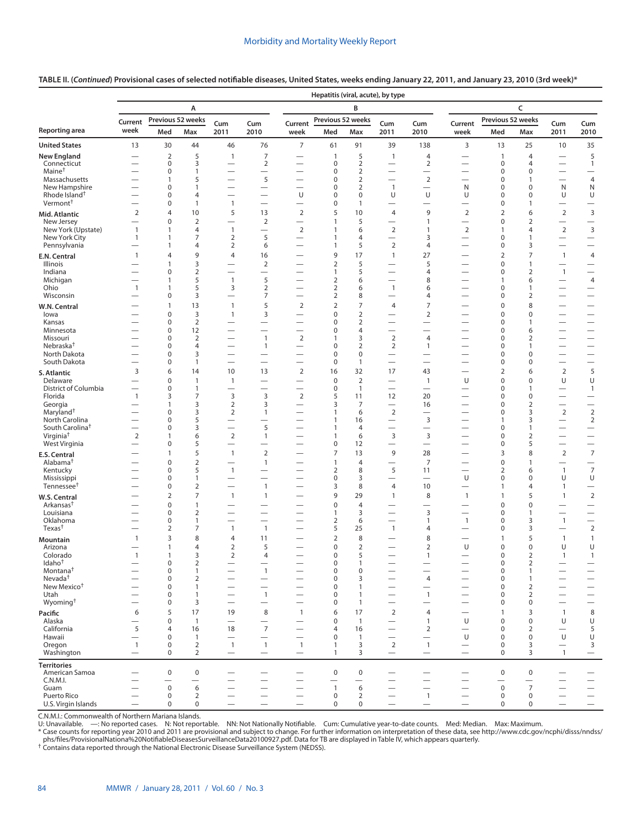|                                                |                                                      | Hepatitis (viral, acute), by type |                                  |                                                             |                                                      |                                                      |                                |                                  |                                                      |                                                      |                                                      |                            |                                |                                               |                                             |
|------------------------------------------------|------------------------------------------------------|-----------------------------------|----------------------------------|-------------------------------------------------------------|------------------------------------------------------|------------------------------------------------------|--------------------------------|----------------------------------|------------------------------------------------------|------------------------------------------------------|------------------------------------------------------|----------------------------|--------------------------------|-----------------------------------------------|---------------------------------------------|
|                                                |                                                      |                                   | Α                                |                                                             |                                                      |                                                      |                                | B                                |                                                      |                                                      |                                                      |                            | C                              |                                               |                                             |
|                                                | Current                                              |                                   | Previous 52 weeks                | Cum                                                         | Cum                                                  | Current                                              | Previous 52 weeks              |                                  | Cum                                                  | Cum                                                  | Current                                              | Previous 52 weeks          |                                | Cum                                           | Cum                                         |
| Reporting area                                 | week                                                 | Med                               | Max                              | 2011                                                        | 2010                                                 | week                                                 | Med                            | Max                              | 2011                                                 | 2010                                                 | week                                                 | Med                        | Max                            | 2011                                          | 2010                                        |
| <b>United States</b>                           | 13                                                   | 30                                | 44                               | 46                                                          | 76                                                   | $\overline{7}$                                       | 61                             | 91                               | 39                                                   | 138                                                  | 3                                                    | 13                         | 25                             | 10                                            | 35                                          |
| New England                                    |                                                      | $\overline{2}$                    | 5                                | $\overline{1}$                                              | $\overline{7}$                                       |                                                      | $\mathbf{1}$                   | 5                                | $\mathbf{1}$                                         | $\overline{4}$                                       |                                                      | $\mathbf{1}$               | 4                              |                                               | 5                                           |
| Connecticut<br>Maine <sup>†</sup>              | $\overline{\phantom{0}}$<br>$\overline{\phantom{0}}$ | 0<br>0                            | 3<br>1                           | $\overline{\phantom{0}}$                                    | $\overline{2}$<br>$\overline{\phantom{0}}$           | $\overline{\phantom{0}}$                             | $\pmb{0}$<br>0                 | $\overline{2}$<br>$\overline{2}$ | $\overline{\phantom{0}}$                             | 2<br>$\overline{\phantom{0}}$                        | $\overline{\phantom{0}}$                             | $\pmb{0}$<br>0             | 4<br>0                         | $\overline{\phantom{0}}$                      | $\mathbf{1}$<br>$\overline{\phantom{0}}$    |
| Massachusetts                                  | $\overline{\phantom{0}}$                             | $\mathbf{1}$                      | 5                                | $\overline{\phantom{0}}$                                    | 5                                                    | $\overline{\phantom{0}}$                             | 0                              | $\overline{2}$                   | $\overline{\phantom{0}}$                             | $\overline{2}$                                       |                                                      | $\mathbf 0$                | $\mathbf{1}$                   | $\overline{\phantom{0}}$                      | $\overline{4}$                              |
| New Hampshire<br>Rhode Island <sup>†</sup>     | -                                                    | 0<br>0                            | 1<br>4                           |                                                             |                                                      | U                                                    | 0<br>0                         | $\overline{2}$<br>$\mathbf 0$    | $\mathbf{1}$<br>U                                    | U                                                    | N<br>U                                               | 0<br>0                     | 0<br>0                         | N<br>U                                        | N<br>U                                      |
| Vermont <sup>+</sup>                           |                                                      | 0                                 | $\mathbf{1}$                     | $\overline{1}$                                              | $\overline{\phantom{0}}$                             | $\overline{\phantom{0}}$                             | 0                              | 1                                |                                                      | $\overline{\phantom{0}}$                             | $\overline{\phantom{0}}$                             | 0                          | $\mathbf{1}$                   |                                               | $\overline{\phantom{0}}$                    |
| Mid. Atlantic                                  | $\overline{2}$                                       | 4                                 | 10                               | 5                                                           | 13                                                   | $\overline{2}$                                       | 5                              | 10                               | $\overline{4}$                                       | 9                                                    | 2                                                    | $\overline{2}$             | 6                              | 2                                             | $\mathbf{3}$                                |
| New Jersey                                     |                                                      | 0                                 | $\overline{2}$                   |                                                             | $\overline{2}$                                       |                                                      | $\mathbf{1}$                   | 5                                | $\overline{\phantom{0}}$                             | $\mathbf{1}$                                         |                                                      | $\mathbf 0$                | $\overline{2}$                 |                                               |                                             |
| New York (Upstate)<br>New York City            | $\mathbf{1}$<br>$\mathbf{1}$                         | 1<br>1                            | 4<br>7                           | $\overline{1}$<br>$\overline{2}$                            | $\overline{\phantom{0}}$<br>5                        | $\overline{2}$<br>$\overline{\phantom{0}}$           | $\mathbf{1}$<br>$\mathbf{1}$   | 6<br>4                           | $\overline{2}$<br>$\overline{\phantom{0}}$           | $\mathbf{1}$<br>3                                    | $\overline{2}$<br>$\overline{\phantom{0}}$           | 1<br>$\mathbf 0$           | 4<br>$\mathbf{1}$              | $\overline{2}$<br>$\qquad \qquad -$           | 3                                           |
| Pennsylvania                                   | $\overline{\phantom{0}}$                             | 1                                 | 4                                | $\overline{2}$                                              | 6                                                    | $\overline{\phantom{0}}$                             | $\mathbf{1}$                   | 5                                | $\overline{2}$                                       | 4                                                    | $\overline{\phantom{0}}$                             | 0                          | 3                              |                                               |                                             |
| E.N. Central                                   | $\mathbf{1}$                                         | 4                                 | 9                                | $\overline{4}$                                              | 16                                                   | $\overline{\phantom{0}}$                             | 9                              | 17                               | $\mathbf{1}$                                         | 27                                                   | $\overline{\phantom{0}}$                             | $\overline{2}$             | 7                              | $\overline{1}$                                | 4                                           |
| Illinois<br>Indiana                            |                                                      | 1<br>0                            | 3<br>$\overline{2}$              | $\overline{\phantom{0}}$<br>$\overline{\phantom{0}}$        | $\overline{2}$<br>$\overline{\phantom{0}}$           |                                                      | 2<br>1                         | 5<br>5                           | $\overline{\phantom{0}}$                             | 5<br>4                                               |                                                      | 0<br>$\mathbf 0$           | 1<br>$\overline{2}$            | $\overline{1}$                                | $\overline{\phantom{0}}$                    |
| Michigan                                       |                                                      | 1                                 | 5                                | $\overline{1}$                                              | 5                                                    |                                                      | $\overline{2}$                 | 6                                | $\overline{\phantom{0}}$                             | 8                                                    |                                                      | 1                          | 6                              |                                               | 4                                           |
| Ohio<br>Wisconsin                              | $\mathbf{1}$                                         | $\mathbf{1}$<br>0                 | 5<br>3                           | 3<br>$\overline{\phantom{0}}$                               | $\overline{2}$<br>7                                  |                                                      | 2<br>2                         | 6<br>8                           | $\mathbf{1}$<br>$\overline{\phantom{0}}$             | 6<br>4                                               |                                                      | 0<br>0                     | $\mathbf{1}$<br>$\overline{2}$ |                                               | $\qquad \qquad$<br>$\overline{\phantom{0}}$ |
| W.N. Central                                   |                                                      | $\mathbf{1}$                      | 13                               | $\overline{1}$                                              | 5                                                    | $\overline{2}$                                       | $\overline{2}$                 | $\overline{7}$                   | $\overline{4}$                                       | $\overline{7}$                                       | $\overline{\phantom{0}}$                             | $\mathbf 0$                | 8                              |                                               | $\overline{\phantom{0}}$                    |
| lowa                                           |                                                      | 0                                 | 3                                | $\overline{1}$                                              | 3                                                    |                                                      | 0                              | $\overline{2}$                   |                                                      | $\overline{2}$                                       | $\overline{\phantom{0}}$                             | $\mathbf 0$                | 0                              |                                               |                                             |
| Kansas                                         |                                                      | 0                                 | $\overline{2}$                   | $\overline{\phantom{0}}$                                    | $\overline{\phantom{0}}$                             |                                                      | 0                              | $\overline{2}$                   | $\overline{\phantom{0}}$                             |                                                      |                                                      | 0                          | $\mathbf{1}$                   |                                               |                                             |
| Minnesota<br>Missouri                          |                                                      | 0<br>0                            | 12<br>$\overline{2}$             | $\overline{\phantom{0}}$                                    | $\overline{\phantom{0}}$<br>$\mathbf{1}$             | $\overline{\phantom{0}}$<br>$\overline{2}$           | 0<br>$\mathbf{1}$              | $\overline{4}$<br>3              | $\overline{\phantom{0}}$<br>$\overline{2}$           | $\overline{4}$                                       |                                                      | 0<br>0                     | 6<br>2                         | $\overline{\phantom{0}}$                      |                                             |
| Nebraska <sup>†</sup>                          |                                                      | 0                                 | 4                                |                                                             | $\mathbf{1}$                                         |                                                      | 0                              | $\overline{2}$                   | 2                                                    | $\mathbf{1}$                                         |                                                      | 0                          | $\mathbf{1}$                   |                                               |                                             |
| North Dakota<br>South Dakota                   |                                                      | 0<br>0                            | 3<br>$\mathbf{1}$                | $\overline{\phantom{0}}$<br>$\overbrace{\phantom{1232211}}$ | $\overline{\phantom{0}}$<br>$\overline{\phantom{0}}$ | $\overline{\phantom{0}}$<br>$\overline{\phantom{0}}$ | 0<br>$\pmb{0}$                 | $\pmb{0}$<br>$\mathbf{1}$        | $\overline{\phantom{0}}$<br>$\overline{\phantom{0}}$ | $\overline{\phantom{0}}$<br>$\overline{\phantom{0}}$ | $\overline{\phantom{0}}$                             | 0<br>0                     | 0<br>0                         | $\overline{\phantom{0}}$                      |                                             |
| S. Atlantic                                    | 3                                                    | 6                                 | 14                               | 10                                                          | 13                                                   | $\overline{2}$                                       | 16                             | 32                               | 17                                                   | 43                                                   | $\overline{\phantom{0}}$                             | $\overline{2}$             | 6                              | $\overline{2}$                                | 5                                           |
| Delaware                                       |                                                      | $\mathbf 0$                       | $\mathbf{1}$                     | $\overline{1}$                                              | $\overline{\phantom{0}}$                             | $\overline{\phantom{0}}$                             | $\pmb{0}$                      | $\overline{2}$                   | $\overline{\phantom{0}}$                             | $\mathbf{1}$                                         | U                                                    | 0                          | 0                              | U                                             | U                                           |
| District of Columbia<br>Florida                | $\overline{\phantom{0}}$<br>$\mathbf{1}$             | $\mathbf 0$<br>3                  | $\mathbf{1}$<br>7                | $\overline{3}$                                              | $\overline{\phantom{0}}$<br>3                        | $\overline{\phantom{0}}$<br>2                        | $\pmb{0}$<br>5                 | $\mathbf{1}$<br>11               | 12                                                   | 20                                                   | $\overline{\phantom{0}}$<br>$\overline{\phantom{0}}$ | 0<br>0                     | $\mathbf{1}$<br>0              | $\overbrace{\phantom{13333}}$                 | $\mathbf{1}$                                |
| Georgia                                        |                                                      | 1                                 | 3                                | 2                                                           | 3                                                    | $\overline{\phantom{0}}$                             | 3                              | 7                                |                                                      | 16                                                   |                                                      | 0                          | $\overline{2}$                 |                                               | $\overline{\phantom{0}}$                    |
| Maryland <sup>+</sup>                          | $\overline{\phantom{0}}$                             | 0                                 | 3                                | $\overline{2}$                                              | $\mathbf{1}$                                         | $\overline{\phantom{0}}$                             | 1                              | 6                                | $\overline{2}$                                       | $\overline{\phantom{0}}$                             | $\overline{\phantom{0}}$                             | $\mathbf 0$                | 3                              | $\overline{2}$                                | $\sqrt{2}$                                  |
| North Carolina<br>South Carolina <sup>t</sup>  | $\overline{\phantom{0}}$                             | 0<br>0                            | 5<br>3                           | $\overline{\phantom{0}}$                                    | 5                                                    | —                                                    | 1<br>1                         | 16<br>4                          | $\overline{\phantom{0}}$<br>$\overline{\phantom{0}}$ | 3<br>$\overline{\phantom{0}}$                        | $\qquad \qquad$                                      | 1<br>$\mathbf 0$           | 3<br>$\mathbf{1}$              | $\qquad \qquad$<br>$\qquad \qquad$            | $\overline{2}$                              |
| Virginia <sup>†</sup>                          | $\mathbf 2$                                          | 1                                 | 6                                | $\overline{2}$                                              | $\mathbf{1}$                                         | —                                                    | $\mathbf{1}$                   | 6                                | $\overline{3}$                                       | 3                                                    | $\overline{\phantom{0}}$                             | 0                          | $\overline{2}$                 | $\qquad \qquad$                               | $\qquad \qquad$                             |
| West Virginia                                  | $\overline{\phantom{0}}$                             | 0                                 | 5                                |                                                             |                                                      | $\overline{\phantom{0}}$                             | 0                              | 12                               | $\overline{\phantom{0}}$                             | $\qquad \qquad$                                      | $\overline{\phantom{0}}$                             | 0                          | 5                              |                                               | $\overline{\phantom{0}}$                    |
| E.S. Central<br>Alabama <sup>†</sup>           | $\overline{\phantom{0}}$                             | 1<br>0                            | 5<br>$\overline{2}$              | $\overline{1}$                                              | $\mathbf 2$<br>$\mathbf{1}$                          | $\overline{\phantom{0}}$                             | $\overline{7}$<br>$\mathbf{1}$ | 13<br>4                          | 9                                                    | 28<br>$\overline{7}$                                 | $\qquad \qquad$                                      | 3<br>$\mathbf 0$           | 8<br>$\mathbf{1}$              | $\overline{2}$<br>$\overline{\phantom{0}}$    | $\overline{7}$<br>$\overline{\phantom{0}}$  |
| Kentucky                                       | —                                                    | 0                                 | 5                                | $\overline{1}$                                              |                                                      |                                                      | $\overline{2}$                 | 8                                | 5                                                    | 11                                                   | $\overline{\phantom{0}}$                             | $\overline{2}$             | 6                              | $\mathbf{1}$                                  | $\overline{7}$                              |
| Mississippi<br>Tennessee <sup>†</sup>          |                                                      | 0<br>0                            | $\mathbf{1}$<br>$\overline{2}$   | $\overline{\phantom{0}}$                                    | $\overline{\phantom{0}}$<br>$\overline{1}$           | $\overline{\phantom{0}}$                             | $\pmb{0}$<br>3                 | 3<br>8                           | $\overline{\phantom{0}}$<br>$\overline{4}$           | $\overline{\phantom{0}}$<br>10                       | U                                                    | $\mathbf 0$                | 0                              | U                                             | U                                           |
| W.S. Central                                   | $\overline{\phantom{0}}$                             | $\overline{2}$                    | 7                                | $\overline{\phantom{0}}$<br>$\overline{1}$                  | $\mathbf{1}$                                         | $\overline{\phantom{0}}$                             | 9                              | 29                               | $\mathbf{1}$                                         | 8                                                    | $\qquad \qquad$<br>$\mathbf{1}$                      | 1<br>$\mathbf{1}$          | 4<br>5                         | $\mathbf{1}$<br>$\mathbf{1}$                  | $\qquad \qquad -$<br>$\overline{2}$         |
| Arkansas <sup>†</sup>                          |                                                      | 0                                 | 1                                |                                                             | -                                                    |                                                      | 0                              | $\overline{4}$                   |                                                      |                                                      |                                                      | $\mathbf 0$                | $\mathbf 0$                    | —                                             | $\overline{\phantom{0}}$                    |
| Louisiana                                      | $\overline{\phantom{0}}$                             | 0                                 | $\overline{2}$                   |                                                             |                                                      | —                                                    | 1                              | 3                                | $\overline{\phantom{0}}$                             | 3                                                    | $\qquad \qquad$                                      | 0                          | $\mathbf{1}$                   | $\qquad \qquad$                               |                                             |
| Oklahoma<br>Texas <sup>†</sup>                 | —                                                    | 0<br>$\overline{2}$               | $\mathbf{1}$<br>$\overline{7}$   | $\mathbf{1}$                                                | $\overline{\phantom{0}}$<br>$\mathbf{1}$             | —<br>$\overline{\phantom{0}}$                        | 2<br>5                         | 6<br>25                          | $\overline{\phantom{0}}$<br>$\mathbf{1}$             | $\mathbf{1}$<br>4                                    | $\mathbf{1}$<br>$\overline{\phantom{0}}$             | 0<br>$\mathbf 0$           | 3<br>3                         | $\mathbf{1}$<br>$\overline{\phantom{0}}$      | $\qquad \qquad -$<br>$\overline{2}$         |
| Mountain                                       | $\mathbf{1}$                                         | 3                                 | 8                                | 4                                                           | 11                                                   |                                                      | $\overline{2}$                 | 8                                |                                                      | 8                                                    |                                                      | 1                          | 5                              | $\mathbf{1}$                                  | $\mathbf{1}$                                |
| Arizona                                        | —                                                    | 1                                 | 4                                | $\overline{2}$                                              | 5                                                    | -                                                    | 0                              | $\overline{2}$                   |                                                      | $\overline{2}$                                       | U                                                    | $\mathbf 0$                | $\mathbf 0$                    | U                                             | U                                           |
| Colorado<br>ldaho <sup>1</sup>                 | $\mathbf{1}$                                         | $\mathbf{1}$<br>0                 | 3<br>2                           | $\overline{2}$                                              | $\overline{4}$<br>$\overline{\phantom{0}}$           |                                                      | 0<br>0                         | 5<br>-1                          | $\overline{\phantom{0}}$                             | 1<br>$\qquad \qquad$                                 | $\overline{\phantom{0}}$                             | 0<br>0                     | $\overline{2}$<br>2            | $\mathbf{1}$<br>$\qquad \qquad -$             | $\mathbf{1}$<br>$\qquad \qquad$             |
| Montana <sup>†</sup>                           |                                                      | $\mathbf 0$                       | $\mathbf{1}$                     | $\qquad \qquad -$                                           | $\mathbf{1}$                                         |                                                      | $\pmb{0}$                      | $\mathbf 0$                      | —                                                    | $\qquad \qquad -$                                    | $\qquad \qquad -$                                    | $\mathbf 0$                | $\mathbf{1}$                   | $\qquad \qquad -$                             | $\qquad \qquad -$                           |
| Nevada <sup>†</sup><br>New Mexico <sup>+</sup> |                                                      | 0<br>0                            | $\overline{2}$<br>$\mathbf{1}$   |                                                             |                                                      | $\overline{\phantom{0}}$                             | $\pmb{0}$<br>$\mathbf 0$       | 3<br>$\mathbf{1}$                |                                                      | 4                                                    | $\qquad \qquad$                                      | $\mathbf 0$<br>$\mathbf 0$ | $\mathbf{1}$<br>$\overline{2}$ |                                               | $\overline{\phantom{0}}$                    |
| Utah                                           | $\overline{\phantom{0}}$                             | 0                                 | $\mathbf{1}$                     | $\overline{\phantom{0}}$<br>$\overline{\phantom{0}}$        | $\mathbf{1}$                                         | $\overline{\phantom{0}}$                             | $\pmb{0}$                      | $\mathbf{1}$                     | $\overline{\phantom{0}}$<br>$\overline{\phantom{0}}$ | $\mathbf{1}$                                         | $\qquad \qquad$<br>$\overline{\phantom{0}}$          | 0                          | $\overline{2}$                 | $\overline{\phantom{0}}$                      | $\overline{\phantom{0}}$                    |
| Wyoming <sup>+</sup>                           |                                                      | 0                                 | 3                                | $\overline{\phantom{0}}$                                    |                                                      |                                                      | 0                              | $\mathbf{1}$                     | $\overline{\phantom{0}}$                             | $\qquad \qquad$                                      | $\overline{\phantom{0}}$                             | $\mathbf 0$                | 0                              | $\qquad \qquad$                               | $\overline{\phantom{0}}$                    |
| Pacific                                        | 6                                                    | 5                                 | 17                               | 19                                                          | 8                                                    | $\mathbf{1}$                                         | 6                              | 17                               | $\overline{2}$                                       | 4                                                    | $\overline{\phantom{0}}$                             | $\mathbf{1}$               | 3                              | $\overline{1}$                                | $\,8\,$                                     |
| Alaska<br>California                           | 5                                                    | 0<br>4                            | $\mathbf{1}$<br>16               | $\overline{\phantom{0}}$<br>18                              | $\overline{7}$                                       |                                                      | $\mathbf 0$<br>4               | $\overline{1}$<br>16             | $\overline{\phantom{0}}$<br>$\overline{\phantom{0}}$ | $\mathbf{1}$<br>$\overline{2}$                       | U<br>$\overline{\phantom{0}}$                        | $\mathbf 0$<br>$\mathbf 0$ | $\mathbf 0$<br>2               | U<br>$\overline{\phantom{0}}$                 | U<br>5                                      |
| Hawaii                                         |                                                      | $\mathbf 0$                       | $\mathbf{1}$                     | $\overbrace{\phantom{123221111}}$                           |                                                      |                                                      | 0                              | $\overline{1}$                   | $\overline{\phantom{0}}$                             | $\qquad \qquad$                                      | U                                                    | $\mathbf 0$                | $\mathbf 0$                    | U                                             | U                                           |
| Oregon<br>Washington                           | $\mathbf{1}$<br>$\overline{\phantom{m}}$             | $\boldsymbol{0}$<br>$\mathbf 0$   | $\overline{2}$<br>$\overline{2}$ | $\overline{1}$<br>$\overline{\phantom{0}}$                  | $\mathbf{1}$<br>$\overline{\phantom{m}}$             | $\mathbf{1}$<br>$\qquad \qquad -$                    | $\mathbf{1}$<br>$\mathbf{1}$   | 3<br>3                           | $\overline{2}$<br>$\overbrace{\phantom{12322111}}$   | $\overline{1}$<br>$\overline{\phantom{m}}$           | $\qquad \qquad$<br>$\overbrace{\phantom{12322111}}$  | $\pmb{0}$<br>$\mathbf 0$   | 3<br>3                         | $\overline{\phantom{0}}$<br>$\mathbf{1}$      | 3                                           |
|                                                |                                                      |                                   |                                  |                                                             |                                                      |                                                      |                                |                                  |                                                      |                                                      |                                                      |                            |                                |                                               | $\qquad \qquad -$                           |
| <b>Territories</b><br>American Samoa           |                                                      | $\mathbf 0$                       | $\mathbf 0$                      | —                                                           | -                                                    |                                                      | $\mathsf 0$                    | $\boldsymbol{0}$                 | -                                                    |                                                      |                                                      | $\mathbf 0$                | $\mathbf 0$                    | $\overline{\phantom{0}}$                      |                                             |
| C.N.M.I.                                       |                                                      |                                   | $\overline{\phantom{0}}$         | $\overline{\phantom{0}}$                                    | $\overline{\phantom{0}}$                             | $\overline{\phantom{0}}$                             | $\overline{\phantom{0}}$       | $\overline{\phantom{0}}$         | $\overline{\phantom{0}}$                             | $\overline{\phantom{0}}$                             | $\overline{\phantom{0}}$                             | $\overline{\phantom{0}}$   | $\overline{\phantom{0}}$       |                                               | $\overline{\phantom{0}}$                    |
| Guam<br>Puerto Rico                            |                                                      | $\pmb{0}$<br>$\mathbf 0$          | 6<br>$\overline{2}$              | $\overline{\phantom{0}}$<br>$\overline{\phantom{0}}$        |                                                      | $\overbrace{\phantom{123221111}}$                    | $\mathbf{1}$<br>$\mathbf 0$    | 6<br>$\overline{2}$              |                                                      | $\overline{1}$                                       | $\overline{\phantom{0}}$<br>$\qquad \qquad -$        | $\mathbf 0$<br>$\mathbf 0$ | $\overline{7}$<br>$\pmb{0}$    | $\overline{\phantom{0}}$<br>$\qquad \qquad -$ |                                             |
| U.S. Virgin Islands                            | $\overline{\phantom{0}}$                             | $\mathbf 0$                       | $\mathbf 0$                      | $\overbrace{\phantom{1232211}}$                             | $\overline{\phantom{0}}$                             | $\overline{\phantom{0}}$                             | $\mathbf 0$                    | 0                                |                                                      | $\overline{\phantom{m}}$                             | $\overbrace{\phantom{12322111}}$                     | $\pmb{0}$                  | 0                              | $\overbrace{\phantom{12322111}}$              |                                             |

## **TABLE II. (***Continued***) Provisional cases of selected notifiable diseases, United States, weeks ending January 22, 2011, and January 23, 2010 (3rd week)\***

C.N.M.I.: Commonwealth of Northern Mariana Islands.

U: Unavailable. —: No reported cases. N: Not reportable. NN: Not Nationally Notifiable. Cum: Cumulative year-to-date counts. Med: Median. Max: Maximum.

\* Case counts for reporting year 2010 and 2011 are provisional and subject to change. For further information on interpretation of these data, see [http://www.cdc.gov/ncphi/disss/nndss/](http://www.cdc.gov/ncphi/disss/nndss/phs/files/ProvisionalNationa%20NotifiableDiseasesSurveillanceData20100927.pdf)<br>phs/files/ProvisionalNationa%20Notifi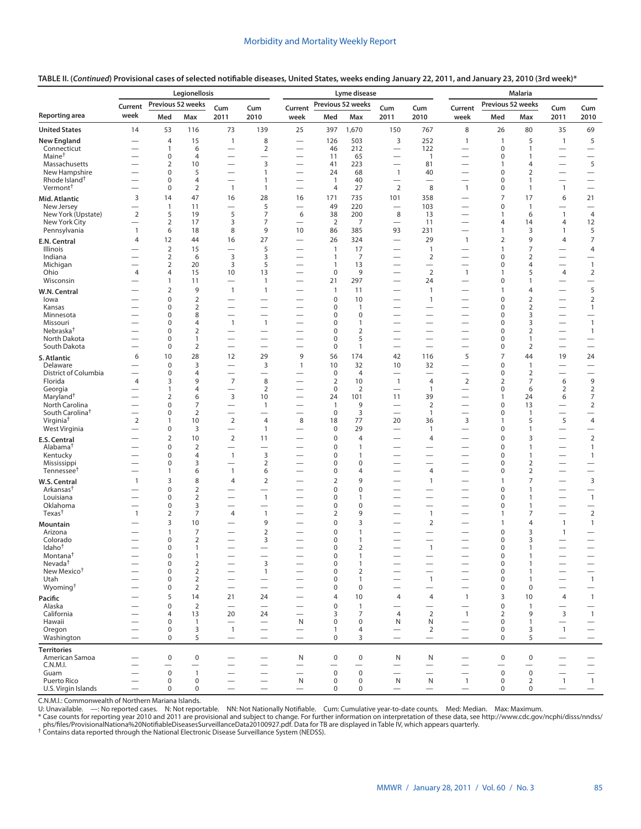|                                                      | Legionellosis                                        |                                      |                                  |                                               |                                            | Lyme disease                                         |                                  |                                |                                                              |                                | <b>Malaria</b>                                       |                                |                                  |                                          |                                               |
|------------------------------------------------------|------------------------------------------------------|--------------------------------------|----------------------------------|-----------------------------------------------|--------------------------------------------|------------------------------------------------------|----------------------------------|--------------------------------|--------------------------------------------------------------|--------------------------------|------------------------------------------------------|--------------------------------|----------------------------------|------------------------------------------|-----------------------------------------------|
|                                                      | Current                                              | Previous 52 weeks                    |                                  | Cum                                           | Cum                                        | Current                                              |                                  | Previous 52 weeks              | Cum                                                          | Cum                            | Current                                              | Previous 52 weeks              |                                  | Cum                                      | Cum                                           |
| Reporting area                                       | week                                                 | Med                                  | Max                              | 2011                                          | 2010                                       | week                                                 | Med                              | Max                            | 2011                                                         | 2010                           | week                                                 | Med                            | Max                              | 2011                                     | 2010                                          |
| <b>United States</b>                                 | 14                                                   | 53                                   | 116                              | 73                                            | 139                                        | 25                                                   | 397                              | 1,670                          | 150                                                          | 767                            | 8                                                    | 26                             | 80                               | 35                                       | 69                                            |
| <b>New England</b>                                   |                                                      | $\overline{4}$                       | 15                               | $\overline{1}$                                | 8                                          |                                                      | 126                              | 503                            | 3                                                            | 252                            | $\mathbf{1}$                                         | $\mathbf{1}$                   | 5                                | $\mathbf{1}$                             | 5                                             |
| Connecticut<br>Maine <sup>†</sup>                    | $\overline{\phantom{0}}$                             | 1<br>$\pmb{0}$                       | 6<br>$\overline{4}$              | $\overline{\phantom{0}}$                      | $\overline{2}$                             | $\overline{\phantom{0}}$                             | 46<br>11                         | 212<br>65                      | $\overline{\phantom{0}}$                                     | 122<br>$\mathbf{1}$            | $\overline{\phantom{0}}$                             | $\mathbf 0$<br>$\mathbf 0$     | $\mathbf{1}$<br>1                | $\overline{\phantom{0}}$                 | $\overline{\phantom{0}}$                      |
| Massachusetts                                        |                                                      | $\overline{2}$                       | 10                               | $\overline{\phantom{0}}$                      | 3                                          |                                                      | 41                               | 223                            | $\overline{\phantom{0}}$                                     | 81                             | $\overline{\phantom{0}}$                             | $\mathbf{1}$                   | $\overline{4}$                   | $\overline{\phantom{0}}$                 | 5                                             |
| New Hampshire<br>Rhode Island <sup>†</sup>           |                                                      | $\mathbf 0$<br>$\mathbf 0$           | 5<br>$\overline{4}$              | $\overline{\phantom{0}}$                      | 1                                          |                                                      | 24                               | 68                             | $\overline{1}$                                               | 40                             | $\overline{\phantom{0}}$                             | $\mathbf 0$<br>$\mathbf 0$     | $\overline{2}$<br>$\mathbf{1}$   | $\overline{\phantom{0}}$                 |                                               |
| Vermont <sup>+</sup>                                 |                                                      | $\mathbf 0$                          | $\overline{2}$                   | -<br>$\overline{1}$                           | 1<br>$\mathbf{1}$                          | $\overline{\phantom{0}}$                             | $\overline{1}$<br>$\overline{4}$ | 40<br>27                       | $\overline{\phantom{0}}$<br>$\overline{2}$                   | 8                              | $\overline{\phantom{0}}$<br>$\mathbf{1}$             | $\mathbf 0$                    | $\mathbf{1}$                     | $\overline{\phantom{0}}$<br>$\mathbf{1}$ | $\overline{\phantom{0}}$                      |
| Mid. Atlantic                                        | 3                                                    | 14                                   | 47                               | 16                                            | 28                                         | 16                                                   | 171                              | 735                            | 101                                                          | 358                            |                                                      | $\overline{7}$                 | 17                               | 6                                        | 21                                            |
| New Jersey                                           |                                                      | $\mathbf{1}$                         | 11                               |                                               | 5                                          |                                                      | 49                               | 220                            |                                                              | 103                            |                                                      | $\mathbf 0$                    | $\mathbf{1}$                     |                                          |                                               |
| New York (Upstate)<br>New York City                  | $\overline{2}$<br>$\overline{\phantom{0}}$           | 5<br>$\overline{2}$                  | 19<br>17                         | 5<br>3                                        | 7<br>7                                     | 6<br>$\overline{\phantom{0}}$                        | 38<br>$\overline{2}$             | 200<br>7                       | 8<br>$\overline{\phantom{0}}$                                | 13<br>11                       | $\overline{\phantom{0}}$<br>$\overline{\phantom{0}}$ | $\mathbf{1}$<br>$\overline{4}$ | 6<br>14                          | $\mathbf{1}$<br>4                        | $\overline{4}$<br>12                          |
| Pennsylvania                                         | $\mathbf{1}$                                         | 6                                    | 18                               | 8                                             | 9                                          | 10                                                   | 86                               | 385                            | 93                                                           | 231                            |                                                      | $\mathbf{1}$                   | 3                                | $\mathbf{1}$                             | 5                                             |
| E.N. Central                                         | $\overline{4}$                                       | 12                                   | 44                               | 16                                            | 27                                         | $\overline{\phantom{0}}$                             | 26                               | 324                            | $\overline{\phantom{0}}$                                     | 29                             | $\mathbf{1}$                                         | $\mathbf 2$                    | 9                                | 4                                        | $\overline{7}$                                |
| Illinois<br>Indiana                                  |                                                      | $\overline{2}$                       | 15<br>6                          | $\overline{\phantom{0}}$<br>3                 | 5<br>3                                     |                                                      | $\mathbf{1}$<br>$\mathbf{1}$     | 17<br>7                        | $\overline{\phantom{0}}$                                     | $\mathbf{1}$<br>$\overline{2}$ | $\overline{\phantom{0}}$                             | $\mathbf{1}$<br>$\mathbf 0$    | $\overline{7}$<br>$\overline{2}$ |                                          | 4                                             |
| Michigan                                             |                                                      | $\overline{2}$<br>$\overline{2}$     | 20                               | 3                                             | 5                                          | $\overline{\phantom{0}}$                             | $\mathbf{1}$                     | 13                             | $\overline{\phantom{0}}$                                     | $\overline{\phantom{0}}$       | $\overline{\phantom{0}}$                             | $\mathbf 0$                    | $\overline{4}$                   |                                          | $\mathbf{1}$                                  |
| Ohio                                                 | $\overline{4}$                                       | $\overline{4}$                       | 15                               | 10                                            | 13                                         | $\overline{\phantom{0}}$                             | $\mathbf 0$                      | 9                              | $\overline{\phantom{0}}$                                     | $\overline{2}$                 | $\mathbf{1}$                                         | $\mathbf{1}$                   | 5                                | 4                                        | $\overline{2}$                                |
| Wisconsin                                            | $\overline{\phantom{0}}$                             | $\mathbf{1}$                         | 11                               |                                               | 1                                          | $\overline{\phantom{0}}$                             | 21                               | 297                            | $\qquad \qquad$                                              | 24                             | $\overline{\phantom{0}}$                             | $\pmb{0}$                      | $\mathbf{1}$                     | $\overline{\phantom{0}}$                 |                                               |
| W.N. Central<br>lowa                                 |                                                      | $\overline{2}$<br>$\pmb{0}$          | 9<br>$\overline{2}$              | $\overline{1}$                                | 1                                          |                                                      | $\mathbf{1}$<br>$\mathbf 0$      | 11<br>10                       | $\overline{\phantom{0}}$<br>$\overline{\phantom{0}}$         | $\mathbf{1}$<br>$\mathbf{1}$   | $\overline{\phantom{0}}$                             | $\mathbf{1}$<br>$\mathbf 0$    | 4<br>$\overline{2}$              |                                          | 5<br>$\overline{2}$                           |
| Kansas                                               |                                                      | $\pmb{0}$                            | $\overline{2}$                   |                                               |                                            |                                                      | $\mathbf 0$                      | $\mathbf{1}$                   |                                                              |                                | $\overline{\phantom{0}}$                             | $\mathbf 0$                    | $\overline{2}$                   |                                          | $\mathbf{1}$                                  |
| Minnesota                                            | $\overline{\phantom{0}}$                             | $\mathbf 0$                          | 8                                | $\overline{\phantom{0}}$                      | $\overline{\phantom{0}}$                   | $\overline{\phantom{0}}$                             | $\mathbf 0$                      | $\mathbf 0$                    | $\overline{\phantom{0}}$                                     | $\overline{\phantom{0}}$       | $\overline{\phantom{0}}$                             | $\mathbf 0$                    | 3                                | $\overline{\phantom{0}}$                 | $\qquad \qquad -$                             |
| Missouri<br>Nebraska <sup>†</sup>                    | $\overline{\phantom{0}}$                             | $\mathbf 0$<br>$\mathbf 0$           | $\overline{4}$<br>$\overline{2}$ | $\overline{1}$<br>$\overline{\phantom{0}}$    | $\overline{1}$<br>$\overline{\phantom{0}}$ | $\overline{\phantom{0}}$                             | $\mathbf 0$<br>$\mathbf 0$       | $\mathbf{1}$<br>$\overline{2}$ | $\overline{\phantom{0}}$                                     | $\overline{\phantom{0}}$       | $\overline{\phantom{0}}$                             | $\mathbf 0$<br>$\mathbf 0$     | 3<br>$\overline{2}$              | $\overline{\phantom{0}}$                 | $\mathbf{1}$<br>$\mathbf{1}$                  |
| North Dakota                                         | $\overline{\phantom{0}}$                             | $\mathbf 0$                          | $\mathbf{1}$                     |                                               | $\overline{\phantom{0}}$                   | $\overline{\phantom{0}}$                             | $\mathbf 0$                      | 5                              |                                                              |                                |                                                      | $\mathbf 0$                    | 1                                |                                          |                                               |
| South Dakota                                         | $\overline{\phantom{0}}$                             | $\mathbf 0$                          | $\overline{2}$                   |                                               | $\overline{\phantom{0}}$                   | $\overline{\phantom{0}}$                             | $\mathbf 0$                      | $\mathbf{1}$                   | $\qquad \qquad$                                              | $\overline{\phantom{0}}$       | $\overline{\phantom{0}}$                             | $\mathbf 0$                    | $\overline{2}$                   |                                          | $\overline{\phantom{0}}$                      |
| S. Atlantic<br>Delaware                              | 6<br>$\overline{\phantom{0}}$                        | 10<br>$\mathbf 0$                    | 28<br>3                          | 12                                            | 29<br>3                                    | 9<br>$\mathbf{1}$                                    | 56<br>10                         | 174<br>32                      | 42<br>10                                                     | 116<br>32                      | 5                                                    | $\overline{7}$<br>$\mathbf 0$  | 44<br>$\mathbf{1}$               | 19                                       | 24                                            |
| District of Columbia                                 |                                                      | $\pmb{0}$                            | $\overline{4}$                   |                                               |                                            |                                                      | $\mathbf 0$                      | $\overline{4}$                 |                                                              |                                |                                                      | $\boldsymbol{0}$               | $\overline{2}$                   |                                          |                                               |
| Florida                                              | $\overline{4}$                                       | 3                                    | 9                                | $\overline{7}$                                | 8                                          | $\overline{\phantom{0}}$                             | $\overline{2}$                   | 10                             | $\mathbf{1}$                                                 | 4                              | $\overline{2}$                                       | $\overline{2}$                 | $\overline{7}$                   | 6                                        | 9                                             |
| Georgia<br>Maryland <sup>†</sup>                     | $\overline{\phantom{0}}$                             | 1<br>$\overline{2}$                  | $\overline{4}$<br>6              | 3                                             | $\overline{2}$<br>10                       | $\overline{\phantom{0}}$<br>$\overline{\phantom{0}}$ | $\mathbf 0$<br>24                | 2<br>101                       | $\overline{\phantom{m}}$<br>11                               | 1<br>39                        | $\overline{\phantom{0}}$                             | 0<br>$\mathbf{1}$              | 6<br>24                          | $\overline{2}$<br>6                      | $\overline{2}$<br>$\overline{7}$              |
| North Carolina                                       | $\overline{\phantom{0}}$                             | $\mathbf 0$                          | $\overline{7}$                   |                                               | 1                                          |                                                      | $\mathbf{1}$                     | 9                              | $\overline{\phantom{0}}$                                     | $\overline{2}$                 |                                                      | $\mathbf 0$                    | 13                               | $\overline{\phantom{0}}$                 | $\overline{2}$                                |
| South Carolina <sup>†</sup><br>Virginia <sup>†</sup> | $\overline{\phantom{0}}$<br>$\overline{2}$           | $\mathbf 0$<br>1                     | $\overline{2}$<br>10             | $\overline{2}$                                | $\overline{\phantom{0}}$<br>$\overline{4}$ | $\overbrace{\phantom{12322111}}$<br>8                | $\mathbf 0$<br>18                | 3<br>77                        | $\overline{\phantom{0}}$<br>20                               | 1<br>36                        | 3                                                    | $\mathbf 0$<br>1               | $\mathbf{1}$<br>5                | $\overline{\phantom{0}}$<br>5            | $\overline{4}$                                |
| West Virginia                                        | $\overline{\phantom{0}}$                             | $\mathbf 0$                          | 3                                | $\overline{\phantom{0}}$                      | $\overline{1}$                             | $\overline{\phantom{0}}$                             | $\mathbf 0$                      | 29                             | $\overline{\phantom{0}}$                                     | $\overline{1}$                 | $\overline{\phantom{0}}$                             | $\mathbf 0$                    | 1                                | $\overline{\phantom{0}}$                 |                                               |
| <b>E.S. Central</b>                                  |                                                      | $\mathbf 2$                          | 10                               | $\overline{2}$                                | 11                                         | $\overline{\phantom{0}}$                             | $\mathbf 0$                      | $\overline{4}$                 |                                                              | 4                              | $\overline{\phantom{0}}$                             | $\mathbf 0$                    | 3                                | $\overline{\phantom{0}}$                 | $\overline{2}$                                |
| Alabama <sup>†</sup>                                 |                                                      | $\mathbf 0$                          | $\mathbf 2$                      | $\overline{\phantom{0}}$                      |                                            |                                                      | $\mathbf 0$                      | $\mathbf{1}$                   | $\overline{\phantom{0}}$                                     |                                | $\overline{\phantom{0}}$                             | $\mathbf 0$                    | $\mathbf{1}$                     | $\overline{\phantom{0}}$                 | $\mathbf{1}$                                  |
| Kentucky<br>Mississippi                              |                                                      | $\mathbf 0$<br>$\mathbf 0$           | $\overline{4}$<br>3              | $\mathbf{1}$<br>$\overline{\phantom{0}}$      | 3<br>$\overline{2}$                        | $\overline{\phantom{0}}$                             | $\mathbf 0$<br>$\mathbf 0$       | $\mathbf{1}$<br>$\mathbf 0$    | $\overline{\phantom{0}}$<br>$\qquad \qquad$                  | $\overline{\phantom{0}}$       | $\overline{\phantom{0}}$                             | $\mathbf 0$<br>$\mathbf 0$     | 1<br>$\overline{2}$              | $\overline{\phantom{0}}$                 | $\mathbf{1}$                                  |
| Tennessee <sup>†</sup>                               |                                                      | 1                                    | 6                                | $\mathbf{1}$                                  | 6                                          | $\overline{\phantom{0}}$                             | $\mathbf 0$                      | $\overline{4}$                 | $\qquad \qquad$                                              | 4                              |                                                      | $\mathbf 0$                    | $\overline{2}$                   |                                          |                                               |
| W.S. Central                                         | $\mathbf{1}$                                         | 3                                    | 8                                | $\overline{4}$                                | 2                                          |                                                      | $\overline{2}$                   | 9                              |                                                              | 1                              |                                                      | 1                              | $\overline{7}$                   |                                          | $\mathsf 3$                                   |
| Arkansas <sup>†</sup><br>Louisiana                   | -                                                    | $\mathbf 0$<br>$\mathbf 0$           | $\overline{2}$<br>$\overline{2}$ | —<br>$\overline{\phantom{0}}$                 | $\overline{\phantom{0}}$<br>$\overline{1}$ | $\overline{\phantom{0}}$                             | $\mathbf 0$<br>$\mathbf 0$       | $\mathbf 0$<br>$\mathbf{1}$    | $\overline{\phantom{0}}$                                     | $\overline{\phantom{0}}$       | $\overline{\phantom{0}}$                             | $\mathbf 0$<br>$\mathbf 0$     | $\mathbf{1}$<br>1                | $\overline{\phantom{0}}$                 | $\mathbf{1}$                                  |
| Oklahoma                                             | $\overline{\phantom{0}}$                             | $\mathbf 0$                          | 3                                |                                               | $\overline{\phantom{0}}$                   | $\overline{\phantom{0}}$                             | $\mathbf 0$                      | $\mathbf 0$                    | $\overline{\phantom{0}}$                                     |                                |                                                      | $\mathbf 0$                    | 1                                |                                          | $\qquad \qquad -$                             |
| Texas <sup>†</sup>                                   | $\mathbf{1}$                                         | $\overline{2}$                       | $\overline{7}$                   | 4                                             | $\overline{1}$                             | $\overline{\phantom{0}}$                             | $\overline{2}$                   | 9                              | $\qquad \qquad$                                              | $\mathbf{1}$                   |                                                      | 1                              | 7                                |                                          | $\sqrt{2}$                                    |
| Mountain                                             |                                                      | 3                                    | 10                               |                                               | 9                                          |                                                      | $\mathbf 0$                      | 3                              |                                                              | $\overline{2}$                 |                                                      | $\mathbf{1}$                   | 4                                | $\mathbf{1}$                             | $\mathbf{1}$                                  |
| Arizona<br>Colorado                                  | $\overline{\phantom{0}}$                             | $\mathbf{1}$<br>$\mathbf 0$          | $\overline{7}$<br>$\overline{2}$ | $\overline{\phantom{0}}$                      | $\overline{2}$<br>3                        | $\overline{\phantom{0}}$<br>$\overline{\phantom{0}}$ | $\mathbf 0$<br>$\mathbf 0$       | $\mathbf{1}$<br>1              | $\hspace{0.1mm}-\hspace{0.1mm}$                              |                                |                                                      | $\mathbf 0$<br>$\mathbf 0$     | 3<br>3                           | $\mathbf{1}$                             | $\overline{\phantom{0}}$                      |
| Idaho <sup>†</sup>                                   | $\overline{\phantom{0}}$                             | $\mathbf 0$                          | $\mathbf{1}$                     | $\overline{\phantom{0}}$                      | $\overline{\phantom{0}}$                   |                                                      | $\mathbf 0$                      | $\overline{2}$                 | $\overline{\phantom{0}}$                                     | $\mathbf{1}$                   |                                                      | $\mathbf 0$                    | 1                                | $\overline{\phantom{0}}$                 | $\overline{\phantom{0}}$                      |
| Montana <sup>†</sup><br>Nevada <sup>†</sup>          |                                                      | 0<br>$\pmb{0}$                       | 1<br>$\mathbf 2$                 |                                               | 3                                          |                                                      | 0<br>$\mathbf 0$                 | 1<br>$\mathbf{1}$              |                                                              |                                |                                                      | 0<br>$\pmb{0}$                 | 1                                |                                          |                                               |
| New Mexico <sup>+</sup>                              |                                                      | $\mathbf 0$                          | $\overline{2}$                   | $\qquad \qquad -$<br>$\overline{\phantom{0}}$ | 1                                          | $\overline{\phantom{0}}$<br>$\overline{\phantom{0}}$ | $\mathbf 0$                      | $\overline{2}$                 | $\qquad \qquad -$<br>$\qquad \qquad$                         | -                              |                                                      | $\mathbf 0$                    | 1                                | $\qquad \qquad -$                        | $\qquad \qquad -$<br>$\overline{\phantom{0}}$ |
| Utah                                                 |                                                      | $\pmb{0}$                            | $\mathbf 2$                      | $\overline{\phantom{0}}$                      |                                            | $\overline{\phantom{0}}$                             | $\mathbf 0$                      | $\mathbf{1}$                   |                                                              | $\mathbf{1}$                   | $\overline{\phantom{0}}$                             | $\mathbf 0$                    | 1                                | $\overline{\phantom{0}}$                 | $\overline{1}$                                |
| Wyoming <sup>†</sup>                                 | $\overline{\phantom{0}}$                             | $\pmb{0}$                            | $\overline{2}$                   | $\overline{\phantom{0}}$                      |                                            | $\overline{\phantom{0}}$                             | $\mathbf 0$                      | $\mathbf 0$                    |                                                              |                                | $\overline{\phantom{0}}$                             | $\mathbf 0$                    | $\mathbf 0$                      | $\overline{\phantom{0}}$                 | $\qquad \qquad -$                             |
| Pacific<br>Alaska                                    | $\overline{\phantom{0}}$                             | 5<br>$\mathbf 0$                     | 14<br>$\overline{2}$             | 21<br>$\overline{\phantom{0}}$                | 24<br>$\overline{\phantom{0}}$             |                                                      | $\overline{4}$<br>$\mathbf 0$    | 10<br>$\mathbf{1}$             | $\overline{4}$                                               | 4                              | $\mathbf{1}$<br>$\overline{\phantom{0}}$             | 3<br>$\mathbf 0$               | 10<br>$\mathbf{1}$               | 4                                        | $\overline{1}$                                |
| California                                           |                                                      | 4                                    | 13                               | 20                                            | 24                                         | $\overbrace{\phantom{12322111}}$                     | 3                                | $\overline{7}$                 | $\overline{4}$                                               | $\overline{2}$                 | $\mathbf{1}$                                         | $\overline{2}$                 | 9                                | 3                                        | $\mathbf{1}$                                  |
| Hawaii                                               | $\overline{\phantom{0}}$                             | $\pmb{0}$                            | $\mathbf{1}$                     | $\overline{\phantom{0}}$                      | $\overline{\phantom{0}}$                   | $\mathsf{N}$                                         | $\mathbf 0$                      | $\mathbf 0$                    | N                                                            | N                              | $\overline{\phantom{0}}$                             | $\mathbf 0$                    | 1                                | $\overline{\phantom{0}}$                 | $\qquad \qquad -$                             |
| Oregon<br>Washington                                 | $\overline{\phantom{0}}$<br>$\overline{\phantom{0}}$ | $\pmb{0}$<br>$\mathbf 0$             | 3<br>5                           | $\overline{1}$<br>$\overline{\phantom{0}}$    | $\overline{\phantom{0}}$                   | $\overline{\phantom{0}}$<br>$\overline{\phantom{0}}$ | 1<br>0                           | 4<br>3                         | $\overbrace{\phantom{12322111}}$<br>$\overline{\phantom{0}}$ | 2<br>$\overline{\phantom{0}}$  | $\overline{\phantom{0}}$                             | $\mathbf 0$<br>$\mathbf 0$     | 3<br>5                           | $\mathbf{1}$<br>$\overline{\phantom{0}}$ | $\qquad \qquad -$<br>$\overline{\phantom{0}}$ |
| <b>Territories</b>                                   |                                                      |                                      |                                  |                                               |                                            |                                                      |                                  |                                |                                                              |                                |                                                      |                                |                                  |                                          |                                               |
| American Samoa                                       |                                                      | $\pmb{0}$                            | $\pmb{0}$                        | $\overline{\phantom{0}}$                      |                                            | N                                                    | 0                                | $\pmb{0}$                      | N                                                            | N                              | $\overline{\phantom{0}}$                             | 0                              | $\pmb{0}$                        | $\overline{\phantom{0}}$                 |                                               |
| C.N.M.I.                                             |                                                      |                                      | $\mathbf{1}$                     |                                               | —                                          |                                                      |                                  |                                |                                                              | $\qquad \qquad -$              |                                                      | $\pmb{0}$                      | $\mathbf 0$                      |                                          |                                               |
| Guam<br>Puerto Rico                                  | $\overline{\phantom{0}}$                             | $\boldsymbol{0}$<br>$\boldsymbol{0}$ | $\pmb{0}$                        | $\overline{\phantom{0}}$                      |                                            | $\mathsf{N}$                                         | $\pmb{0}$<br>$\pmb{0}$           | $\mathbf 0$<br>$\mathbf 0$     | N                                                            | ${\sf N}$                      | $\mathbf{1}$                                         | 0                              | $\overline{2}$                   | $\mathbf{1}$                             | $\overline{1}$                                |
| U.S. Virgin Islands                                  | $\equiv$                                             | $\mathbf 0$                          | $\mathbf 0$                      | $\overline{\phantom{0}}$                      | $\overline{\phantom{0}}$                   | $\overline{\phantom{0}}$                             | $\mathbf 0$                      | $\mathbf 0$                    | $\overline{\phantom{m}}$                                     | $\qquad \qquad -$              | $\qquad \qquad -$                                    | 0                              | $\mathbf 0$                      | $\qquad \qquad$                          |                                               |

## **TABLE II. (***Continued***) Provisional cases of selected notifiable diseases, United States, weeks ending January 22, 2011, and January 23, 2010 (3rd week)\***

C.N.M.I.: Commonwealth of Northern Mariana Islands.

U: Unavailable. —: No reported cases. N: Not reportable. NN: Not Nationally Notifiable. Cum: Cumulative year-to-date counts. Med: Median. Max: Maximum.<br>\* Case counts for reporting year 2010 and 2011 are provisional and sub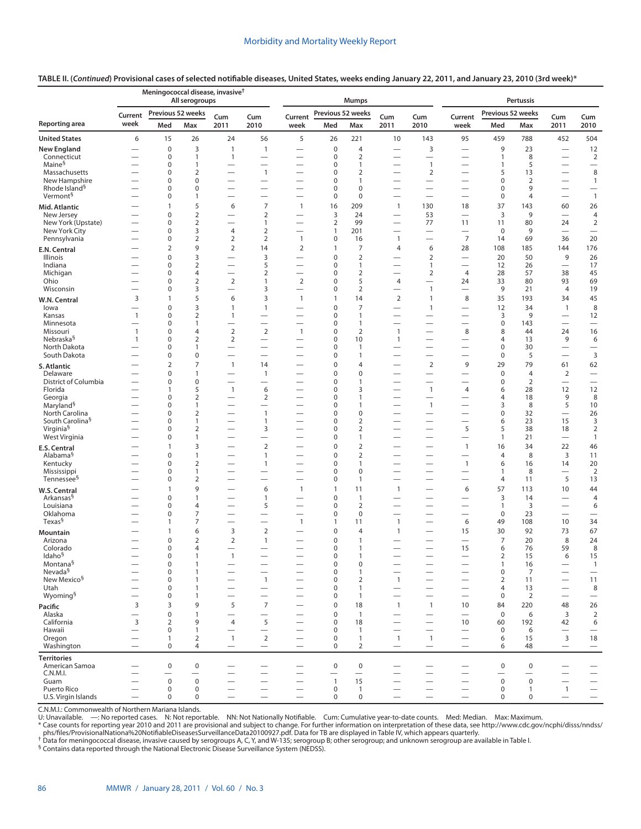## **TABLE II. (***Continued***) Provisional cases of selected notifiable diseases, United States, weeks ending January 22, 2011, and January 23, 2010 (3rd week)\***

| Previous 52 weeks<br>Previous 52 weeks<br>Previous 52 weeks<br>Current<br>Cum<br>Cum<br>Current<br>Cum<br>Cum<br>Current<br>Cum<br>Cum<br>week<br>2011<br>2010<br>2011<br>2010<br>2010<br>Med<br>Max<br>week<br>Med<br>week<br>Med<br>2011<br>Max<br>Max<br>6<br>5<br>504<br>15<br>26<br>24<br>56<br>26<br>221<br>10<br>143<br>95<br>459<br>788<br>452<br>$\mathbf 0$<br>3<br>3<br>9<br>$\mathbf{1}$<br>$\mathbf 0$<br>$\overline{4}$<br>23<br>12<br>$\overline{1}$<br>$\overline{\phantom{0}}$<br>$\overline{\phantom{0}}$<br>$\overline{\phantom{0}}$<br>$\overline{2}$<br>$\overline{2}$<br>$\mathbf 0$<br>$\mathbf 0$<br>8<br>Connecticut<br>$\mathbf{1}$<br>$\mathbf{1}$<br>$\mathbf{1}$<br>$\overline{\phantom{0}}$<br>Maine <sup>§</sup><br>$\mathbf{1}$<br>0<br>0<br>$\mathbf{1}$<br>5<br>1<br>1<br>$\overline{\phantom{0}}$<br>$\qquad \qquad -$<br>—<br>—<br>—<br>$\overline{2}$<br>8<br>Massachusetts<br>0<br>$\overline{1}$<br>0<br>$\overline{2}$<br>$\overline{2}$<br>5<br>13<br>$\overline{\phantom{0}}$<br>$\overline{\phantom{0}}$<br>$\overline{\phantom{0}}$<br>$\overline{\phantom{0}}$<br>$\overline{\phantom{0}}$<br>New Hampshire<br>$\mathbf 0$<br>$\mathbf 0$<br>$\mathbf 0$<br>$\mathbf 0$<br>2<br>$\mathbf{1}$<br>$\mathbf{1}$<br>$\overline{\phantom{0}}$<br>$\overline{\phantom{0}}$<br>$\overline{\phantom{0}}$<br>$\overline{\phantom{0}}$<br>$\overline{\phantom{0}}$<br>—<br>Rhode Island <sup>§</sup><br>$\pmb{0}$<br>$\mathbf 0$<br>0<br>$\mathbf 0$<br>$\mathbf 0$<br>9<br>$\overline{\phantom{0}}$<br>$\overline{\phantom{0}}$<br>$\overline{\phantom{0}}$<br>$\qquad \qquad$<br>$\overline{\phantom{m}}$<br>Vermont <sup>§</sup><br>$\mathbf{1}$<br>0<br>$\mathbf 0$<br>$\mathbf 0$<br>$\mathbf 0$<br>1<br>$\overline{4}$<br>$\overbrace{\phantom{12322111}}$<br>$\overline{\phantom{0}}$<br>$\overline{\phantom{0}}$<br>$\overline{\phantom{0}}$<br>$\overline{\phantom{0}}$<br>$\overline{\phantom{0}}$<br>$\overline{\phantom{0}}$<br>5<br>$\overline{7}$<br>16<br>37<br>6<br>209<br>$\mathbf{1}$<br>130<br>18<br>143<br>60<br>26<br>1<br>$\mathbf{1}$<br>Mid. Atlantic<br>$\mathbf 0$<br>$\mathbf 2$<br>$\overline{2}$<br>3<br>24<br>3<br>9<br>$\overline{4}$<br>53<br>New Jersey<br>$\overline{\phantom{0}}$<br>$\overline{\phantom{0}}$<br>$\overline{2}$<br>$\overline{2}$<br>99<br>77<br>$\sqrt{2}$<br>New York (Upstate)<br>$\mathbf 0$<br>11<br>80<br>$\mathbf{1}$<br>—<br>11<br>24<br>$\overline{\phantom{0}}$<br>$\overline{\phantom{0}}$<br>$\overline{\phantom{0}}$<br>3<br>$\overline{2}$<br>New York City<br>$\mathbf 0$<br>201<br>$\mathbf 0$<br>9<br>4<br>$\mathbf{1}$<br>$\overline{\phantom{0}}$<br>$\qquad \qquad$<br>$\qquad \qquad$<br>$\overline{2}$<br>Pennsylvania<br>$\overline{2}$<br>$\overline{7}$<br>20<br>0<br>$\overline{2}$<br>$\mathbf{1}$<br>$\pmb{0}$<br>$\mathbf{1}$<br>69<br>36<br>16<br>14<br>$\overline{\phantom{0}}$<br>$\overline{\phantom{0}}$<br>9<br>$\overline{2}$<br>$\overline{2}$<br>$\overline{2}$<br>$\overline{7}$<br>28<br>176<br>14<br>$\mathbf{1}$<br>$\overline{4}$<br>6<br>108<br>185<br>144<br>E.N. Central<br>$\mathbf 0$<br>3<br>3<br>$\overline{2}$<br>$\overline{2}$<br>50<br>9<br>26<br>Illinois<br>0<br>20<br>$\overline{\phantom{0}}$<br>$\overline{\phantom{0}}$<br>$\overline{\phantom{0}}$<br>$\overline{2}$<br>5<br>17<br>Indiana<br>0<br>0<br>$\mathbf{1}$<br>$\mathbf{1}$<br>12<br>26<br>$\overline{\phantom{0}}$<br>$\overline{\phantom{0}}$<br>$\overline{\phantom{0}}$<br>$\overline{\phantom{m}}$<br>$\overline{\phantom{0}}$<br>$\overline{2}$<br>38<br>45<br>0<br>4<br>2<br>0<br>$\overline{2}$<br>$\overline{4}$<br>28<br>57<br>Michigan<br>$\overline{\phantom{0}}$<br>$\overline{\phantom{0}}$<br>$\overline{\phantom{0}}$<br>$\overline{\phantom{0}}$<br>$\overline{2}$<br>$\overline{2}$<br>$\overline{2}$<br>5<br>69<br>Ohio<br>0<br>0<br>$\overline{4}$<br>33<br>80<br>93<br>24<br>$\overline{1}$<br>$\overline{\phantom{0}}$<br>3<br>$\mathbf 2$<br>9<br>19<br>Wisconsin<br>$\pmb{0}$<br>3<br>$\pmb{0}$<br>$\mathbf{1}$<br>21<br>4<br>$\overline{\phantom{0}}$<br>$\overline{\phantom{0}}$<br>$\overline{\phantom{0}}$<br>$\overline{\phantom{0}}$<br>$\overline{\phantom{0}}$<br>5<br>3<br>3<br>8<br>45<br>$\mathbf{1}$<br>6<br>$\mathbf{1}$<br>$\mathbf{1}$<br>14<br>$\overline{2}$<br>$\mathbf{1}$<br>35<br>193<br>34<br>W.N. Central<br>3<br>$\overline{7}$<br>12<br>8<br>0<br>$\mathbf{1}$<br>0<br>$\mathbf{1}$<br>34<br>$\mathbf{1}$<br>lowa<br>$\overline{1}$<br>$\overline{\phantom{0}}$<br>$\overline{\phantom{0}}$<br>$\overline{\phantom{0}}$<br>$\overline{2}$<br>$\mathbf{1}$<br>0<br>$\mathbf 0$<br>$\mathbf{1}$<br>3<br>9<br>12<br>Kansas<br>$\mathbf{1}$<br>$\overline{\phantom{0}}$<br>$\overline{\phantom{0}}$<br>$\overline{\phantom{m}}$<br>$\pmb{0}$<br>0<br>$\mathbf 0$<br>$\mathbf{1}$<br>143<br>Minnesota<br>$\mathbf{1}$<br>$\overline{\phantom{0}}$<br>$\overline{\phantom{0}}$<br>$\overline{\phantom{0}}$<br>$\overline{\phantom{0}}$<br>$\overbrace{\phantom{1232211}}$<br>$\overline{\phantom{0}}$<br>$\overline{\phantom{0}}$<br>$\overline{\phantom{0}}$<br>$\overline{\phantom{0}}$<br>$\mathbf 2$<br>$\sqrt{2}$<br>$\mathbf 2$<br>$\,8\,$<br>8<br>16<br>$\mathbf 0$<br>4<br>$\mathbf{1}$<br>$\mathbf 0$<br>$\mathbf{1}$<br>44<br>24<br>Missouri<br>$\mathbf{1}$<br>$\overline{\phantom{0}}$<br>Nebraska <sup>§</sup><br>$\overline{2}$<br>0<br>$\overline{2}$<br>0<br>10<br>13<br>9<br>6<br>$\mathbf{1}$<br>$\mathbf{1}$<br>4<br>$\overline{\phantom{0}}$<br>$\overbrace{\phantom{123221111}}$<br>$\overline{\phantom{0}}$<br>$\overline{\phantom{0}}$<br>North Dakota<br>0<br>0<br>$\mathbf 0$<br>30<br>1<br>$\mathbf{1}$<br>$\overline{\phantom{0}}$<br>$\overline{\phantom{0}}$<br>$\overline{\phantom{0}}$<br>$\overline{\phantom{0}}$<br>$\overline{\phantom{0}}$<br>$\overline{\phantom{0}}$<br>$\overline{\phantom{0}}$<br>$\overline{\phantom{0}}$<br>$\pmb{0}$<br>$\mathbf{3}$<br>South Dakota<br>0<br>0<br>$\mathbf 0$<br>1<br>5<br>$\overline{\phantom{0}}$<br>$\overline{\phantom{0}}$<br>$\overline{\phantom{0}}$<br>$\overline{\phantom{0}}$<br>—<br>$\overline{\phantom{0}}$<br>$\overline{7}$<br>2<br>62<br>14<br>0<br>$\overline{4}$<br>$\overline{2}$<br>9<br>29<br>79<br>$\mathbf{1}$<br>61<br>S. Atlantic<br>$\overline{\phantom{0}}$<br>$\overline{\phantom{0}}$<br>0<br>$\pmb{0}$<br>$\sqrt{2}$<br>1<br>0<br>$\mathbf 0$<br>$\overline{4}$<br>Delaware<br>$\mathbf{1}$<br>$\overline{\phantom{0}}$<br>$\overline{\phantom{0}}$<br>$\overline{\phantom{0}}$<br>$\overline{\phantom{0}}$<br>-<br>$\overline{\phantom{0}}$<br>District of Columbia<br>0<br>$\mathbf 0$<br>0<br>$\mathbf 0$<br>$\overline{2}$<br>1<br>$\overbrace{\phantom{12322111}}$<br>$\overline{\phantom{0}}$<br>—<br>$\overline{\phantom{0}}$<br>$\overline{\phantom{0}}$<br>—<br>5<br>12<br>12<br>Florida<br>$\overline{1}$<br>6<br>3<br>$\mathbf{1}$<br>4<br>0<br>6<br>28<br>1<br>$\overline{\phantom{0}}$<br>$\overline{\phantom{0}}$<br>$\overline{2}$<br>0<br>18<br>9<br>8<br>Georgia<br>2<br>0<br>$\mathbf{1}$<br>$\overline{4}$<br>$\overbrace{\phantom{12322111}}$<br>—<br>Maryland <sup>§</sup><br>5<br>0<br>0<br>$\mathbf{1}$<br>3<br>8<br>10<br>1<br>1<br>$\overline{\phantom{0}}$<br>$\overline{\phantom{0}}$<br>$\overline{\phantom{0}}$<br>$\overline{\phantom{0}}$<br>North Carolina<br>0<br>2<br>$\mathbf{1}$<br>0<br>$\mathbf 0$<br>$\mathbf 0$<br>32<br>26<br>$\overbrace{\phantom{12322111}}$<br>-<br>—<br>-<br>$\overline{\phantom{0}}$<br>—<br>South Carolina <sup>§</sup><br>15<br>$\mathsf 3$<br>2<br>23<br>0<br>1<br>$\mathbf{1}$<br>0<br>6<br>$\overline{\phantom{0}}$<br>—<br>$\overline{\phantom{0}}$<br>$\overline{2}$<br>5<br>$\sqrt{2}$<br>Virginia <sup>§</sup><br>2<br>5<br>38<br>0<br>3<br>0<br>18<br>$\overline{\phantom{0}}$<br>$\overline{\phantom{0}}$<br>$\overline{\phantom{0}}$<br>-<br>West Virginia<br>0<br>0<br>$\mathbf{1}$<br>$\mathbf{1}$<br>21<br>$\mathbf{1}$<br>1<br>$\overbrace{\phantom{12322111}}$<br>$\overline{\phantom{0}}$<br>$\overline{\phantom{0}}$<br>$\overline{\phantom{0}}$<br>$\overline{2}$<br>3<br>2<br>0<br>$\mathbf{1}$<br>16<br>34<br>22<br>46<br>1<br>$\overline{\phantom{0}}$<br>E.S. Central<br>$\overline{\phantom{0}}$<br>$\overline{\phantom{0}}$<br>$\overline{\phantom{0}}$<br>$\overline{2}$<br>$\mathbf{1}$<br>$\mathbf 0$<br>$\overline{4}$<br>8<br>3<br>Alabama <sup>§</sup><br>0<br>$\overline{1}$<br>11<br>$\overline{\phantom{0}}$<br>$\overline{\phantom{0}}$<br>$\overline{\phantom{0}}$<br>$\overline{\phantom{0}}$<br>0<br>2<br>0<br>$\mathbf{1}$<br>20<br>Kentucky<br>$\mathbf{1}$<br>$\mathbf{1}$<br>6<br>16<br>14<br>—<br>—<br>—<br>-<br>$\overline{2}$<br>0<br>0<br>$\pmb{0}$<br>Mississippi<br>1<br>$\mathbf{1}$<br>8<br>$\overline{\phantom{0}}$<br>$\overline{\phantom{0}}$<br>$\overline{\phantom{0}}$<br>$\overbrace{\phantom{12322111}}$<br>$\overbrace{\phantom{12322111}}$<br>$\overline{\phantom{0}}$<br>$\overline{\phantom{0}}$<br>5<br>Tennessee <sup>§</sup><br>0<br>2<br>$\mathbf 0$<br>$\mathbf{1}$<br>$\overline{4}$<br>13<br>11<br>$\overline{\phantom{0}}$<br>$\overline{\phantom{0}}$<br>$\overline{\phantom{0}}$<br>9<br>6<br>11<br>6<br>57<br>113<br>10<br>44<br>1<br>$\mathbf{1}$<br>$\mathbf{1}$<br>$\mathbf{1}$<br>W.S. Central<br>$\overline{\phantom{0}}$<br>$\overline{\phantom{0}}$<br>0<br>$\mathbf 0$<br>Arkansas <sup>§</sup><br>1<br>$\mathbf{1}$<br>3<br>14<br>$\overline{4}$<br>$\mathbf{1}$<br>$\overline{\phantom{0}}$<br>$\overline{\phantom{0}}$<br>$\overline{\phantom{0}}$<br>0<br>$\mathbf 0$<br>$\overline{2}$<br>3<br>6<br>Louisiana<br>4<br>5<br>$\mathbf{1}$<br>$\overbrace{\phantom{12322111}}$<br>—<br>$\overline{\phantom{0}}$<br>$\overline{\phantom{0}}$<br>$\overline{\phantom{0}}$<br>—<br>$\overline{7}$<br>Oklahoma<br>0<br>$\mathbf 0$<br>$\mathbf 0$<br>23<br>0<br>$\overbrace{\phantom{12322111}}$<br>$\overline{\phantom{0}}$<br>$\overline{\phantom{0}}$<br>$\overline{\phantom{0}}$<br>$\overline{\phantom{0}}$<br>$\overline{\phantom{0}}$<br>—<br>$\overline{\phantom{0}}$<br>Texas <sup>§</sup><br>7<br>11<br>$\mathbf{1}$<br>6<br>49<br>108<br>10<br>34<br>1<br>$\overline{1}$<br>1<br>$\overline{\phantom{0}}$<br>$\overline{\phantom{0}}$<br>6<br>3<br>$\overline{2}$<br>0<br>15<br>30<br>92<br>73<br>67<br>1<br>4<br>1<br>Mountain<br>$\overline{2}$<br>$\overline{7}$<br>8<br>24<br>$\pmb{0}$<br>$\overline{2}$<br>$\mathbf{1}$<br>$\pmb{0}$<br>$\mathbf{1}$<br>20<br>Arizona<br>$\overline{\phantom{0}}$<br>—<br>$\overline{\phantom{0}}$<br>$\mathbf 0$<br>$\mathbf 0$<br>15<br>59<br>8<br>Colorado<br>4<br>$\mathbf{1}$<br>6<br>76<br>$\overline{\phantom{0}}$<br>$\overline{\phantom{0}}$<br>$\overline{\phantom{0}}$<br>$\overline{\phantom{0}}$<br>Idaho <sup>§</sup><br>15<br>0<br>1<br>1<br>0<br>$\mathbf{1}$<br>2<br>15<br>6<br>Montana <sup>§</sup><br>$\pmb{0}$<br>$\pmb{0}$<br>$\pmb{0}$<br>$\mathbf{1}$<br>16<br>$\mathbf{1}$<br>$\mathbf{1}$<br>$\qquad \qquad -$<br>Nevada <sup>§</sup><br>$\mathbf{1}$<br>$\pmb{0}$<br>$\overline{7}$<br>0<br>1<br>0<br>$\overbrace{\phantom{123221111}}$<br>$\overline{\phantom{0}}$<br>$\overline{\phantom{0}}$<br>$\overline{\phantom{m}}$<br>$\overline{\phantom{0}}$<br>$\overline{\phantom{0}}$<br>New Mexico <sup>§</sup><br>11<br>0<br>$\overline{1}$<br>$\overline{2}$<br>$\mathbf{1}$<br>$\overline{2}$<br>11<br>1<br>0<br>$\overline{\phantom{0}}$<br>$\overline{\phantom{0}}$<br>$\overline{\phantom{0}}$<br>$\overline{\phantom{0}}$<br>$\overline{\phantom{0}}$<br>$\overline{\phantom{0}}$<br>8<br>Utah<br>$\overline{4}$<br>13<br>0<br>1<br>0<br>$\mathbf{1}$<br>$\overline{\phantom{m}}$<br>$\overline{\phantom{0}}$<br>—<br>$\overline{\phantom{0}}$<br>Wyoming <sup>§</sup><br>$\overline{1}$<br>$\mathbf 0$<br>$\overline{2}$<br>0<br>1<br>0<br>$\overline{\phantom{m}}$<br>$\overline{\phantom{m}}$<br>$\overline{\phantom{0}}$<br>—<br>—<br>—<br>$\overline{\phantom{0}}$<br>3<br>9<br>5<br>$\overline{7}$<br>220<br>48<br>26<br>3<br>$\mathbf 0$<br>18<br>$\overline{1}$<br>$\mathbf{1}$<br>10<br>84<br>Pacific<br>3<br>$\overline{2}$<br>Alaska<br>$\pmb{0}$<br>$\pmb{0}$<br>$\overline{1}$<br>$\mathbf 0$<br>6<br>$\mathbf{1}$<br>$\overline{\phantom{0}}$<br>$\qquad \qquad$<br>$\overline{\phantom{0}}$<br>$\overline{\phantom{0}}$<br>$\overline{\phantom{0}}$<br>$\mathsf 3$<br>5<br>California<br>2<br>9<br>4<br>18<br>10<br>60<br>192<br>42<br>6<br>0<br>$\overline{\phantom{0}}$<br>$\overbrace{\phantom{12322111}}$<br>$\overline{\phantom{0}}$<br>Hawaii<br>$\pmb{0}$<br>$\pmb{0}$<br>$\overline{1}$<br>$\mathbf 0$<br>$\mathbf{1}$<br>6<br>$\overline{\phantom{0}}$<br>$\overbrace{\phantom{123221111}}$<br>$\overline{\phantom{0}}$<br>$\qquad \qquad -$<br>$\overline{\phantom{0}}$<br>$\overline{\phantom{0}}$<br>$\overline{\phantom{0}}$<br>$\overline{\phantom{m}}$<br>$\overline{2}$<br>$\overline{3}$<br>18<br>Oregon<br>2<br>$\mathbf{1}$<br>$\mathbf{1}$<br>$\mathbf{1}$<br>$\mathbf{1}$<br>15<br>1<br>0<br>6<br>$\overline{\phantom{0}}$<br>$\overline{\phantom{0}}$<br>$\overline{\phantom{0}}$<br>Washington<br>$\mathbf 0$<br>4<br>$\mathbf 0$<br>2<br>48<br>6<br>$\overline{\phantom{0}}$<br>$\overline{\phantom{0}}$<br>$\qquad \qquad$<br>$\overline{\phantom{m}}$<br>$\overline{\phantom{m}}$<br>$\hspace{0.1mm}-\hspace{0.1mm}$<br><b>Territories</b><br>American Samoa<br>$\pmb{0}$<br>$\mathbf 0$<br>$\pmb{0}$<br>$\boldsymbol{0}$<br>0<br>0<br>-<br>-<br>$\overline{\phantom{0}}$<br>C.N.M.I.<br>$\overline{\phantom{0}}$<br>$\overline{\phantom{0}}$<br>$\overline{\phantom{0}}$<br>$\overline{\phantom{0}}$<br>$\overline{\phantom{0}}$<br>$\overline{\phantom{m}}$<br>$\qquad \qquad$<br>$\qquad \qquad$<br>$\overline{\phantom{0}}$<br>$\mathbf 0$<br>$\mathsf{O}\xspace$<br>15<br>$\mathsf 0$<br>0<br>Guam<br>$\mathbf{1}$<br>$\overline{\phantom{0}}$<br>$\overline{\phantom{0}}$<br>$\overline{\phantom{0}}$<br>Puerto Rico<br>$\mathbf{1}$<br>$\mathbf 0$<br>$\pmb{0}$<br>$\mathbf{1}$<br>$\mathbf 0$<br>0<br>$\mathbf{1}$<br>$\overline{\phantom{0}}$<br>$\overline{\phantom{0}}$<br>$\qquad \qquad -$<br>$\overline{\phantom{m}}$<br>$\qquad \qquad -$<br>$\overline{\phantom{0}}$<br>$\pmb{0}$<br>0<br>U.S. Virgin Islands<br>0<br>$\mathbf 0$<br>0<br>0<br>$\overline{\phantom{0}}$<br>$\overline{\phantom{0}}$<br>$\overline{\phantom{0}}$<br>$\overline{\phantom{0}}$<br>$\overline{\phantom{0}}$<br>$\overline{\phantom{0}}$<br>$\overline{\phantom{m}}$ |                      | Meningococcal disease, invasive <sup>†</sup><br>All serogroups |  |  |  |  |  | <b>Mumps</b> |  | Pertussis |  |  |  |  |
|--------------------------------------------------------------------------------------------------------------------------------------------------------------------------------------------------------------------------------------------------------------------------------------------------------------------------------------------------------------------------------------------------------------------------------------------------------------------------------------------------------------------------------------------------------------------------------------------------------------------------------------------------------------------------------------------------------------------------------------------------------------------------------------------------------------------------------------------------------------------------------------------------------------------------------------------------------------------------------------------------------------------------------------------------------------------------------------------------------------------------------------------------------------------------------------------------------------------------------------------------------------------------------------------------------------------------------------------------------------------------------------------------------------------------------------------------------------------------------------------------------------------------------------------------------------------------------------------------------------------------------------------------------------------------------------------------------------------------------------------------------------------------------------------------------------------------------------------------------------------------------------------------------------------------------------------------------------------------------------------------------------------------------------------------------------------------------------------------------------------------------------------------------------------------------------------------------------------------------------------------------------------------------------------------------------------------------------------------------------------------------------------------------------------------------------------------------------------------------------------------------------------------------------------------------------------------------------------------------------------------------------------------------------------------------------------------------------------------------------------------------------------------------------------------------------------------------------------------------------------------------------------------------------------------------------------------------------------------------------------------------------------------------------------------------------------------------------------------------------------------------------------------------------------------------------------------------------------------------------------------------------------------------------------------------------------------------------------------------------------------------------------------------------------------------------------------------------------------------------------------------------------------------------------------------------------------------------------------------------------------------------------------------------------------------------------------------------------------------------------------------------------------------------------------------------------------------------------------------------------------------------------------------------------------------------------------------------------------------------------------------------------------------------------------------------------------------------------------------------------------------------------------------------------------------------------------------------------------------------------------------------------------------------------------------------------------------------------------------------------------------------------------------------------------------------------------------------------------------------------------------------------------------------------------------------------------------------------------------------------------------------------------------------------------------------------------------------------------------------------------------------------------------------------------------------------------------------------------------------------------------------------------------------------------------------------------------------------------------------------------------------------------------------------------------------------------------------------------------------------------------------------------------------------------------------------------------------------------------------------------------------------------------------------------------------------------------------------------------------------------------------------------------------------------------------------------------------------------------------------------------------------------------------------------------------------------------------------------------------------------------------------------------------------------------------------------------------------------------------------------------------------------------------------------------------------------------------------------------------------------------------------------------------------------------------------------------------------------------------------------------------------------------------------------------------------------------------------------------------------------------------------------------------------------------------------------------------------------------------------------------------------------------------------------------------------------------------------------------------------------------------------------------------------------------------------------------------------------------------------------------------------------------------------------------------------------------------------------------------------------------------------------------------------------------------------------------------------------------------------------------------------------------------------------------------------------------------------------------------------------------------------------------------------------------------------------------------------------------------------------------------------------------------------------------------------------------------------------------------------------------------------------------------------------------------------------------------------------------------------------------------------------------------------------------------------------------------------------------------------------------------------------------------------------------------------------------------------------------------------------------------------------------------------------------------------------------------------------------------------------------------------------------------------------------------------------------------------------------------------------------------------------------------------------------------------------------------------------------------------------------------------------------------------------------------------------------------------------------------------------------------------------------------------------------------------------------------------------------------------------------------------------------------------------------------------------------------------------------------------------------------------------------------------------------------------------------------------------------------------------------------------------------------------------------------------------------------------------------------------------------------------------------------------------------------------------------------------------------------------------------------------------------------------------------------------------------------------------------------------------------------------------------------------------------------------------------------------------------------------------------------------------------------------------------------------------------------------------------------------------------------------------------------------------------------------------------------------------------------------------------------------------------------------------------------------------------------------------------------------------------------------------------------------------------------------------------------------------------------------------------------------------------------------------------------------------------------------------------------------------------------------------------------------------------------------------------------------------------------------------------------------------------------------------------------------------------------------------------------------------------------------------------------------------------------------------------------------------------------------------------------------------------------------------------------------------------------------------------------------------------------------------------------------------------------------------------------------------------------------------------------------------------------------------------------------------------------------------------------------------------------------------------------------------------------------------------------------------------------------------------------------------------------------------------------------------------------------------------------------------------------------------------------------------------------------------------------------------------------------------------------------------------------------------------------------------------------------------------------------------------------------------------------------------------------------------------------------------------------------------------------------------------------------------------------------------------------------------------------------------------------------------------------------------------------------------------------------------------------------------------------------------------------------------------------------------------------------------------------------------------------------------------------------------------------------------------------------------------------------------------------------------------------------------------------------------------------------------------------------------------------------------------------------------------------------------------------------------------------------------------------------------------------------------------------------------------------------------------------------------------------------------------------------------------------------------------------------------------------------------------------------------------------------------------------------------------------------------------------------------------------------------------------------------------------------------------------------------------------------------------------------------------------------------------------------------------------------------------------------------------------------------------------------------------------------------------------------------------------------------------------------------------------------------------------------------------------------------------------------------------------------------------------------------------------------------------------------------------------------------------------------------------------------------------------------------------------------------------------------------------------------------------------------------------------------------------------------------------------------------------------------------------------------------------------------------------------------------------------------------------------------------------------------------------------------------------------------------------------------------------------------------------------------------------------------------------------------------------------------------------------------------------------------------------------------------------------------------------------------------------------------------------------------------------------------------------------------------------------------------------------------------------------------------------------------------------------------------------------------------------------------------------------------------------------------------------------------------------------------------------------------------------------------------------------------------------------------------------------------------------------------------------------------------------------------------------------------------------------------------------------------------------------------------------------------------------------------------------------------------------------------------------------------------------------------------------------------------------------------------------------------------------------------------------------------------------------------------------------------------------------------------------------------------------------------------------------------------------------------------------|----------------------|----------------------------------------------------------------|--|--|--|--|--|--------------|--|-----------|--|--|--|--|
|                                                                                                                                                                                                                                                                                                                                                                                                                                                                                                                                                                                                                                                                                                                                                                                                                                                                                                                                                                                                                                                                                                                                                                                                                                                                                                                                                                                                                                                                                                                                                                                                                                                                                                                                                                                                                                                                                                                                                                                                                                                                                                                                                                                                                                                                                                                                                                                                                                                                                                                                                                                                                                                                                                                                                                                                                                                                                                                                                                                                                                                                                                                                                                                                                                                                                                                                                                                                                                                                                                                                                                                                                                                                                                                                                                                                                                                                                                                                                                                                                                                                                                                                                                                                                                                                                                                                                                                                                                                                                                                                                                                                                                                                                                                                                                                                                                                                                                                                                                                                                                                                                                                                                                                                                                                                                                                                                                                                                                                                                                                                                                                                                                                                                                                                                                                                                                                                                                                                                                                                                                                                                                                                                                                                                                                                                                                                                                                                                                                                                                                                                                                                                                                                                                                                                                                                                                                                                                                                                                                                                                                                                                                                                                                                                                                                                                                                                                                                                                                                                                                                                                                                                                                                                                                                                                                                                                                                                                                                                                                                                                                                                                                                                                                                                                                                                                                                                                                                                                                                                                                                                                                                                                                                                                                                                                                                                                                                                                                                                                                                                                                                                                                                                                                                                                                                                                                                                                                                                                                                                                                                                                                                                                                                                                                                                                                                                                                                                                                                                                                                                                                                                                                                                                                                                                                                                                                                                                                                                                                                                                                                                                                                                                                                                                                                                                                                                                                                                                                                                                                                                                                                                                                                                                                                                                                                                                                                                                                                                                                                                                                                                                                                                                                                                                                                                                                                                                                                                                                                                                                                                                                                                                                                                                                                                                                                                                                                                                                                                                                                                                                                                                                                                                                                                                                                                                                                                                                                                                                                                                                                                                                                                                                                                                                                                                                                                                                                                                                                                                                                                                                                                                                                                                                                                                                                                                                                                                                                                                                                                                                                                                                                                                                                                                                                                                                                                                                                                                                                                                                                                                        |                      |                                                                |  |  |  |  |  |              |  |           |  |  |  |  |
|                                                                                                                                                                                                                                                                                                                                                                                                                                                                                                                                                                                                                                                                                                                                                                                                                                                                                                                                                                                                                                                                                                                                                                                                                                                                                                                                                                                                                                                                                                                                                                                                                                                                                                                                                                                                                                                                                                                                                                                                                                                                                                                                                                                                                                                                                                                                                                                                                                                                                                                                                                                                                                                                                                                                                                                                                                                                                                                                                                                                                                                                                                                                                                                                                                                                                                                                                                                                                                                                                                                                                                                                                                                                                                                                                                                                                                                                                                                                                                                                                                                                                                                                                                                                                                                                                                                                                                                                                                                                                                                                                                                                                                                                                                                                                                                                                                                                                                                                                                                                                                                                                                                                                                                                                                                                                                                                                                                                                                                                                                                                                                                                                                                                                                                                                                                                                                                                                                                                                                                                                                                                                                                                                                                                                                                                                                                                                                                                                                                                                                                                                                                                                                                                                                                                                                                                                                                                                                                                                                                                                                                                                                                                                                                                                                                                                                                                                                                                                                                                                                                                                                                                                                                                                                                                                                                                                                                                                                                                                                                                                                                                                                                                                                                                                                                                                                                                                                                                                                                                                                                                                                                                                                                                                                                                                                                                                                                                                                                                                                                                                                                                                                                                                                                                                                                                                                                                                                                                                                                                                                                                                                                                                                                                                                                                                                                                                                                                                                                                                                                                                                                                                                                                                                                                                                                                                                                                                                                                                                                                                                                                                                                                                                                                                                                                                                                                                                                                                                                                                                                                                                                                                                                                                                                                                                                                                                                                                                                                                                                                                                                                                                                                                                                                                                                                                                                                                                                                                                                                                                                                                                                                                                                                                                                                                                                                                                                                                                                                                                                                                                                                                                                                                                                                                                                                                                                                                                                                                                                                                                                                                                                                                                                                                                                                                                                                                                                                                                                                                                                                                                                                                                                                                                                                                                                                                                                                                                                                                                                                                                                                                                                                                                                                                                                                                                                                                                                                                                                                                                                                                                        | Reporting area       |                                                                |  |  |  |  |  |              |  |           |  |  |  |  |
|                                                                                                                                                                                                                                                                                                                                                                                                                                                                                                                                                                                                                                                                                                                                                                                                                                                                                                                                                                                                                                                                                                                                                                                                                                                                                                                                                                                                                                                                                                                                                                                                                                                                                                                                                                                                                                                                                                                                                                                                                                                                                                                                                                                                                                                                                                                                                                                                                                                                                                                                                                                                                                                                                                                                                                                                                                                                                                                                                                                                                                                                                                                                                                                                                                                                                                                                                                                                                                                                                                                                                                                                                                                                                                                                                                                                                                                                                                                                                                                                                                                                                                                                                                                                                                                                                                                                                                                                                                                                                                                                                                                                                                                                                                                                                                                                                                                                                                                                                                                                                                                                                                                                                                                                                                                                                                                                                                                                                                                                                                                                                                                                                                                                                                                                                                                                                                                                                                                                                                                                                                                                                                                                                                                                                                                                                                                                                                                                                                                                                                                                                                                                                                                                                                                                                                                                                                                                                                                                                                                                                                                                                                                                                                                                                                                                                                                                                                                                                                                                                                                                                                                                                                                                                                                                                                                                                                                                                                                                                                                                                                                                                                                                                                                                                                                                                                                                                                                                                                                                                                                                                                                                                                                                                                                                                                                                                                                                                                                                                                                                                                                                                                                                                                                                                                                                                                                                                                                                                                                                                                                                                                                                                                                                                                                                                                                                                                                                                                                                                                                                                                                                                                                                                                                                                                                                                                                                                                                                                                                                                                                                                                                                                                                                                                                                                                                                                                                                                                                                                                                                                                                                                                                                                                                                                                                                                                                                                                                                                                                                                                                                                                                                                                                                                                                                                                                                                                                                                                                                                                                                                                                                                                                                                                                                                                                                                                                                                                                                                                                                                                                                                                                                                                                                                                                                                                                                                                                                                                                                                                                                                                                                                                                                                                                                                                                                                                                                                                                                                                                                                                                                                                                                                                                                                                                                                                                                                                                                                                                                                                                                                                                                                                                                                                                                                                                                                                                                                                                                                                                                                                        | <b>United States</b> |                                                                |  |  |  |  |  |              |  |           |  |  |  |  |
|                                                                                                                                                                                                                                                                                                                                                                                                                                                                                                                                                                                                                                                                                                                                                                                                                                                                                                                                                                                                                                                                                                                                                                                                                                                                                                                                                                                                                                                                                                                                                                                                                                                                                                                                                                                                                                                                                                                                                                                                                                                                                                                                                                                                                                                                                                                                                                                                                                                                                                                                                                                                                                                                                                                                                                                                                                                                                                                                                                                                                                                                                                                                                                                                                                                                                                                                                                                                                                                                                                                                                                                                                                                                                                                                                                                                                                                                                                                                                                                                                                                                                                                                                                                                                                                                                                                                                                                                                                                                                                                                                                                                                                                                                                                                                                                                                                                                                                                                                                                                                                                                                                                                                                                                                                                                                                                                                                                                                                                                                                                                                                                                                                                                                                                                                                                                                                                                                                                                                                                                                                                                                                                                                                                                                                                                                                                                                                                                                                                                                                                                                                                                                                                                                                                                                                                                                                                                                                                                                                                                                                                                                                                                                                                                                                                                                                                                                                                                                                                                                                                                                                                                                                                                                                                                                                                                                                                                                                                                                                                                                                                                                                                                                                                                                                                                                                                                                                                                                                                                                                                                                                                                                                                                                                                                                                                                                                                                                                                                                                                                                                                                                                                                                                                                                                                                                                                                                                                                                                                                                                                                                                                                                                                                                                                                                                                                                                                                                                                                                                                                                                                                                                                                                                                                                                                                                                                                                                                                                                                                                                                                                                                                                                                                                                                                                                                                                                                                                                                                                                                                                                                                                                                                                                                                                                                                                                                                                                                                                                                                                                                                                                                                                                                                                                                                                                                                                                                                                                                                                                                                                                                                                                                                                                                                                                                                                                                                                                                                                                                                                                                                                                                                                                                                                                                                                                                                                                                                                                                                                                                                                                                                                                                                                                                                                                                                                                                                                                                                                                                                                                                                                                                                                                                                                                                                                                                                                                                                                                                                                                                                                                                                                                                                                                                                                                                                                                                                                                                                                                                                                                        | <b>New England</b>   |                                                                |  |  |  |  |  |              |  |           |  |  |  |  |
|                                                                                                                                                                                                                                                                                                                                                                                                                                                                                                                                                                                                                                                                                                                                                                                                                                                                                                                                                                                                                                                                                                                                                                                                                                                                                                                                                                                                                                                                                                                                                                                                                                                                                                                                                                                                                                                                                                                                                                                                                                                                                                                                                                                                                                                                                                                                                                                                                                                                                                                                                                                                                                                                                                                                                                                                                                                                                                                                                                                                                                                                                                                                                                                                                                                                                                                                                                                                                                                                                                                                                                                                                                                                                                                                                                                                                                                                                                                                                                                                                                                                                                                                                                                                                                                                                                                                                                                                                                                                                                                                                                                                                                                                                                                                                                                                                                                                                                                                                                                                                                                                                                                                                                                                                                                                                                                                                                                                                                                                                                                                                                                                                                                                                                                                                                                                                                                                                                                                                                                                                                                                                                                                                                                                                                                                                                                                                                                                                                                                                                                                                                                                                                                                                                                                                                                                                                                                                                                                                                                                                                                                                                                                                                                                                                                                                                                                                                                                                                                                                                                                                                                                                                                                                                                                                                                                                                                                                                                                                                                                                                                                                                                                                                                                                                                                                                                                                                                                                                                                                                                                                                                                                                                                                                                                                                                                                                                                                                                                                                                                                                                                                                                                                                                                                                                                                                                                                                                                                                                                                                                                                                                                                                                                                                                                                                                                                                                                                                                                                                                                                                                                                                                                                                                                                                                                                                                                                                                                                                                                                                                                                                                                                                                                                                                                                                                                                                                                                                                                                                                                                                                                                                                                                                                                                                                                                                                                                                                                                                                                                                                                                                                                                                                                                                                                                                                                                                                                                                                                                                                                                                                                                                                                                                                                                                                                                                                                                                                                                                                                                                                                                                                                                                                                                                                                                                                                                                                                                                                                                                                                                                                                                                                                                                                                                                                                                                                                                                                                                                                                                                                                                                                                                                                                                                                                                                                                                                                                                                                                                                                                                                                                                                                                                                                                                                                                                                                                                                                                                                                                                                        |                      |                                                                |  |  |  |  |  |              |  |           |  |  |  |  |
|                                                                                                                                                                                                                                                                                                                                                                                                                                                                                                                                                                                                                                                                                                                                                                                                                                                                                                                                                                                                                                                                                                                                                                                                                                                                                                                                                                                                                                                                                                                                                                                                                                                                                                                                                                                                                                                                                                                                                                                                                                                                                                                                                                                                                                                                                                                                                                                                                                                                                                                                                                                                                                                                                                                                                                                                                                                                                                                                                                                                                                                                                                                                                                                                                                                                                                                                                                                                                                                                                                                                                                                                                                                                                                                                                                                                                                                                                                                                                                                                                                                                                                                                                                                                                                                                                                                                                                                                                                                                                                                                                                                                                                                                                                                                                                                                                                                                                                                                                                                                                                                                                                                                                                                                                                                                                                                                                                                                                                                                                                                                                                                                                                                                                                                                                                                                                                                                                                                                                                                                                                                                                                                                                                                                                                                                                                                                                                                                                                                                                                                                                                                                                                                                                                                                                                                                                                                                                                                                                                                                                                                                                                                                                                                                                                                                                                                                                                                                                                                                                                                                                                                                                                                                                                                                                                                                                                                                                                                                                                                                                                                                                                                                                                                                                                                                                                                                                                                                                                                                                                                                                                                                                                                                                                                                                                                                                                                                                                                                                                                                                                                                                                                                                                                                                                                                                                                                                                                                                                                                                                                                                                                                                                                                                                                                                                                                                                                                                                                                                                                                                                                                                                                                                                                                                                                                                                                                                                                                                                                                                                                                                                                                                                                                                                                                                                                                                                                                                                                                                                                                                                                                                                                                                                                                                                                                                                                                                                                                                                                                                                                                                                                                                                                                                                                                                                                                                                                                                                                                                                                                                                                                                                                                                                                                                                                                                                                                                                                                                                                                                                                                                                                                                                                                                                                                                                                                                                                                                                                                                                                                                                                                                                                                                                                                                                                                                                                                                                                                                                                                                                                                                                                                                                                                                                                                                                                                                                                                                                                                                                                                                                                                                                                                                                                                                                                                                                                                                                                                                                                                                                        |                      |                                                                |  |  |  |  |  |              |  |           |  |  |  |  |
|                                                                                                                                                                                                                                                                                                                                                                                                                                                                                                                                                                                                                                                                                                                                                                                                                                                                                                                                                                                                                                                                                                                                                                                                                                                                                                                                                                                                                                                                                                                                                                                                                                                                                                                                                                                                                                                                                                                                                                                                                                                                                                                                                                                                                                                                                                                                                                                                                                                                                                                                                                                                                                                                                                                                                                                                                                                                                                                                                                                                                                                                                                                                                                                                                                                                                                                                                                                                                                                                                                                                                                                                                                                                                                                                                                                                                                                                                                                                                                                                                                                                                                                                                                                                                                                                                                                                                                                                                                                                                                                                                                                                                                                                                                                                                                                                                                                                                                                                                                                                                                                                                                                                                                                                                                                                                                                                                                                                                                                                                                                                                                                                                                                                                                                                                                                                                                                                                                                                                                                                                                                                                                                                                                                                                                                                                                                                                                                                                                                                                                                                                                                                                                                                                                                                                                                                                                                                                                                                                                                                                                                                                                                                                                                                                                                                                                                                                                                                                                                                                                                                                                                                                                                                                                                                                                                                                                                                                                                                                                                                                                                                                                                                                                                                                                                                                                                                                                                                                                                                                                                                                                                                                                                                                                                                                                                                                                                                                                                                                                                                                                                                                                                                                                                                                                                                                                                                                                                                                                                                                                                                                                                                                                                                                                                                                                                                                                                                                                                                                                                                                                                                                                                                                                                                                                                                                                                                                                                                                                                                                                                                                                                                                                                                                                                                                                                                                                                                                                                                                                                                                                                                                                                                                                                                                                                                                                                                                                                                                                                                                                                                                                                                                                                                                                                                                                                                                                                                                                                                                                                                                                                                                                                                                                                                                                                                                                                                                                                                                                                                                                                                                                                                                                                                                                                                                                                                                                                                                                                                                                                                                                                                                                                                                                                                                                                                                                                                                                                                                                                                                                                                                                                                                                                                                                                                                                                                                                                                                                                                                                                                                                                                                                                                                                                                                                                                                                                                                                                                                                                                                                        |                      |                                                                |  |  |  |  |  |              |  |           |  |  |  |  |
|                                                                                                                                                                                                                                                                                                                                                                                                                                                                                                                                                                                                                                                                                                                                                                                                                                                                                                                                                                                                                                                                                                                                                                                                                                                                                                                                                                                                                                                                                                                                                                                                                                                                                                                                                                                                                                                                                                                                                                                                                                                                                                                                                                                                                                                                                                                                                                                                                                                                                                                                                                                                                                                                                                                                                                                                                                                                                                                                                                                                                                                                                                                                                                                                                                                                                                                                                                                                                                                                                                                                                                                                                                                                                                                                                                                                                                                                                                                                                                                                                                                                                                                                                                                                                                                                                                                                                                                                                                                                                                                                                                                                                                                                                                                                                                                                                                                                                                                                                                                                                                                                                                                                                                                                                                                                                                                                                                                                                                                                                                                                                                                                                                                                                                                                                                                                                                                                                                                                                                                                                                                                                                                                                                                                                                                                                                                                                                                                                                                                                                                                                                                                                                                                                                                                                                                                                                                                                                                                                                                                                                                                                                                                                                                                                                                                                                                                                                                                                                                                                                                                                                                                                                                                                                                                                                                                                                                                                                                                                                                                                                                                                                                                                                                                                                                                                                                                                                                                                                                                                                                                                                                                                                                                                                                                                                                                                                                                                                                                                                                                                                                                                                                                                                                                                                                                                                                                                                                                                                                                                                                                                                                                                                                                                                                                                                                                                                                                                                                                                                                                                                                                                                                                                                                                                                                                                                                                                                                                                                                                                                                                                                                                                                                                                                                                                                                                                                                                                                                                                                                                                                                                                                                                                                                                                                                                                                                                                                                                                                                                                                                                                                                                                                                                                                                                                                                                                                                                                                                                                                                                                                                                                                                                                                                                                                                                                                                                                                                                                                                                                                                                                                                                                                                                                                                                                                                                                                                                                                                                                                                                                                                                                                                                                                                                                                                                                                                                                                                                                                                                                                                                                                                                                                                                                                                                                                                                                                                                                                                                                                                                                                                                                                                                                                                                                                                                                                                                                                                                                                                                                                        |                      |                                                                |  |  |  |  |  |              |  |           |  |  |  |  |
|                                                                                                                                                                                                                                                                                                                                                                                                                                                                                                                                                                                                                                                                                                                                                                                                                                                                                                                                                                                                                                                                                                                                                                                                                                                                                                                                                                                                                                                                                                                                                                                                                                                                                                                                                                                                                                                                                                                                                                                                                                                                                                                                                                                                                                                                                                                                                                                                                                                                                                                                                                                                                                                                                                                                                                                                                                                                                                                                                                                                                                                                                                                                                                                                                                                                                                                                                                                                                                                                                                                                                                                                                                                                                                                                                                                                                                                                                                                                                                                                                                                                                                                                                                                                                                                                                                                                                                                                                                                                                                                                                                                                                                                                                                                                                                                                                                                                                                                                                                                                                                                                                                                                                                                                                                                                                                                                                                                                                                                                                                                                                                                                                                                                                                                                                                                                                                                                                                                                                                                                                                                                                                                                                                                                                                                                                                                                                                                                                                                                                                                                                                                                                                                                                                                                                                                                                                                                                                                                                                                                                                                                                                                                                                                                                                                                                                                                                                                                                                                                                                                                                                                                                                                                                                                                                                                                                                                                                                                                                                                                                                                                                                                                                                                                                                                                                                                                                                                                                                                                                                                                                                                                                                                                                                                                                                                                                                                                                                                                                                                                                                                                                                                                                                                                                                                                                                                                                                                                                                                                                                                                                                                                                                                                                                                                                                                                                                                                                                                                                                                                                                                                                                                                                                                                                                                                                                                                                                                                                                                                                                                                                                                                                                                                                                                                                                                                                                                                                                                                                                                                                                                                                                                                                                                                                                                                                                                                                                                                                                                                                                                                                                                                                                                                                                                                                                                                                                                                                                                                                                                                                                                                                                                                                                                                                                                                                                                                                                                                                                                                                                                                                                                                                                                                                                                                                                                                                                                                                                                                                                                                                                                                                                                                                                                                                                                                                                                                                                                                                                                                                                                                                                                                                                                                                                                                                                                                                                                                                                                                                                                                                                                                                                                                                                                                                                                                                                                                                                                                                                                                                                        |                      |                                                                |  |  |  |  |  |              |  |           |  |  |  |  |
|                                                                                                                                                                                                                                                                                                                                                                                                                                                                                                                                                                                                                                                                                                                                                                                                                                                                                                                                                                                                                                                                                                                                                                                                                                                                                                                                                                                                                                                                                                                                                                                                                                                                                                                                                                                                                                                                                                                                                                                                                                                                                                                                                                                                                                                                                                                                                                                                                                                                                                                                                                                                                                                                                                                                                                                                                                                                                                                                                                                                                                                                                                                                                                                                                                                                                                                                                                                                                                                                                                                                                                                                                                                                                                                                                                                                                                                                                                                                                                                                                                                                                                                                                                                                                                                                                                                                                                                                                                                                                                                                                                                                                                                                                                                                                                                                                                                                                                                                                                                                                                                                                                                                                                                                                                                                                                                                                                                                                                                                                                                                                                                                                                                                                                                                                                                                                                                                                                                                                                                                                                                                                                                                                                                                                                                                                                                                                                                                                                                                                                                                                                                                                                                                                                                                                                                                                                                                                                                                                                                                                                                                                                                                                                                                                                                                                                                                                                                                                                                                                                                                                                                                                                                                                                                                                                                                                                                                                                                                                                                                                                                                                                                                                                                                                                                                                                                                                                                                                                                                                                                                                                                                                                                                                                                                                                                                                                                                                                                                                                                                                                                                                                                                                                                                                                                                                                                                                                                                                                                                                                                                                                                                                                                                                                                                                                                                                                                                                                                                                                                                                                                                                                                                                                                                                                                                                                                                                                                                                                                                                                                                                                                                                                                                                                                                                                                                                                                                                                                                                                                                                                                                                                                                                                                                                                                                                                                                                                                                                                                                                                                                                                                                                                                                                                                                                                                                                                                                                                                                                                                                                                                                                                                                                                                                                                                                                                                                                                                                                                                                                                                                                                                                                                                                                                                                                                                                                                                                                                                                                                                                                                                                                                                                                                                                                                                                                                                                                                                                                                                                                                                                                                                                                                                                                                                                                                                                                                                                                                                                                                                                                                                                                                                                                                                                                                                                                                                                                                                                                                                                                                        |                      |                                                                |  |  |  |  |  |              |  |           |  |  |  |  |
|                                                                                                                                                                                                                                                                                                                                                                                                                                                                                                                                                                                                                                                                                                                                                                                                                                                                                                                                                                                                                                                                                                                                                                                                                                                                                                                                                                                                                                                                                                                                                                                                                                                                                                                                                                                                                                                                                                                                                                                                                                                                                                                                                                                                                                                                                                                                                                                                                                                                                                                                                                                                                                                                                                                                                                                                                                                                                                                                                                                                                                                                                                                                                                                                                                                                                                                                                                                                                                                                                                                                                                                                                                                                                                                                                                                                                                                                                                                                                                                                                                                                                                                                                                                                                                                                                                                                                                                                                                                                                                                                                                                                                                                                                                                                                                                                                                                                                                                                                                                                                                                                                                                                                                                                                                                                                                                                                                                                                                                                                                                                                                                                                                                                                                                                                                                                                                                                                                                                                                                                                                                                                                                                                                                                                                                                                                                                                                                                                                                                                                                                                                                                                                                                                                                                                                                                                                                                                                                                                                                                                                                                                                                                                                                                                                                                                                                                                                                                                                                                                                                                                                                                                                                                                                                                                                                                                                                                                                                                                                                                                                                                                                                                                                                                                                                                                                                                                                                                                                                                                                                                                                                                                                                                                                                                                                                                                                                                                                                                                                                                                                                                                                                                                                                                                                                                                                                                                                                                                                                                                                                                                                                                                                                                                                                                                                                                                                                                                                                                                                                                                                                                                                                                                                                                                                                                                                                                                                                                                                                                                                                                                                                                                                                                                                                                                                                                                                                                                                                                                                                                                                                                                                                                                                                                                                                                                                                                                                                                                                                                                                                                                                                                                                                                                                                                                                                                                                                                                                                                                                                                                                                                                                                                                                                                                                                                                                                                                                                                                                                                                                                                                                                                                                                                                                                                                                                                                                                                                                                                                                                                                                                                                                                                                                                                                                                                                                                                                                                                                                                                                                                                                                                                                                                                                                                                                                                                                                                                                                                                                                                                                                                                                                                                                                                                                                                                                                                                                                                                                                                                                                        |                      |                                                                |  |  |  |  |  |              |  |           |  |  |  |  |
|                                                                                                                                                                                                                                                                                                                                                                                                                                                                                                                                                                                                                                                                                                                                                                                                                                                                                                                                                                                                                                                                                                                                                                                                                                                                                                                                                                                                                                                                                                                                                                                                                                                                                                                                                                                                                                                                                                                                                                                                                                                                                                                                                                                                                                                                                                                                                                                                                                                                                                                                                                                                                                                                                                                                                                                                                                                                                                                                                                                                                                                                                                                                                                                                                                                                                                                                                                                                                                                                                                                                                                                                                                                                                                                                                                                                                                                                                                                                                                                                                                                                                                                                                                                                                                                                                                                                                                                                                                                                                                                                                                                                                                                                                                                                                                                                                                                                                                                                                                                                                                                                                                                                                                                                                                                                                                                                                                                                                                                                                                                                                                                                                                                                                                                                                                                                                                                                                                                                                                                                                                                                                                                                                                                                                                                                                                                                                                                                                                                                                                                                                                                                                                                                                                                                                                                                                                                                                                                                                                                                                                                                                                                                                                                                                                                                                                                                                                                                                                                                                                                                                                                                                                                                                                                                                                                                                                                                                                                                                                                                                                                                                                                                                                                                                                                                                                                                                                                                                                                                                                                                                                                                                                                                                                                                                                                                                                                                                                                                                                                                                                                                                                                                                                                                                                                                                                                                                                                                                                                                                                                                                                                                                                                                                                                                                                                                                                                                                                                                                                                                                                                                                                                                                                                                                                                                                                                                                                                                                                                                                                                                                                                                                                                                                                                                                                                                                                                                                                                                                                                                                                                                                                                                                                                                                                                                                                                                                                                                                                                                                                                                                                                                                                                                                                                                                                                                                                                                                                                                                                                                                                                                                                                                                                                                                                                                                                                                                                                                                                                                                                                                                                                                                                                                                                                                                                                                                                                                                                                                                                                                                                                                                                                                                                                                                                                                                                                                                                                                                                                                                                                                                                                                                                                                                                                                                                                                                                                                                                                                                                                                                                                                                                                                                                                                                                                                                                                                                                                                                                                                                                        |                      |                                                                |  |  |  |  |  |              |  |           |  |  |  |  |
|                                                                                                                                                                                                                                                                                                                                                                                                                                                                                                                                                                                                                                                                                                                                                                                                                                                                                                                                                                                                                                                                                                                                                                                                                                                                                                                                                                                                                                                                                                                                                                                                                                                                                                                                                                                                                                                                                                                                                                                                                                                                                                                                                                                                                                                                                                                                                                                                                                                                                                                                                                                                                                                                                                                                                                                                                                                                                                                                                                                                                                                                                                                                                                                                                                                                                                                                                                                                                                                                                                                                                                                                                                                                                                                                                                                                                                                                                                                                                                                                                                                                                                                                                                                                                                                                                                                                                                                                                                                                                                                                                                                                                                                                                                                                                                                                                                                                                                                                                                                                                                                                                                                                                                                                                                                                                                                                                                                                                                                                                                                                                                                                                                                                                                                                                                                                                                                                                                                                                                                                                                                                                                                                                                                                                                                                                                                                                                                                                                                                                                                                                                                                                                                                                                                                                                                                                                                                                                                                                                                                                                                                                                                                                                                                                                                                                                                                                                                                                                                                                                                                                                                                                                                                                                                                                                                                                                                                                                                                                                                                                                                                                                                                                                                                                                                                                                                                                                                                                                                                                                                                                                                                                                                                                                                                                                                                                                                                                                                                                                                                                                                                                                                                                                                                                                                                                                                                                                                                                                                                                                                                                                                                                                                                                                                                                                                                                                                                                                                                                                                                                                                                                                                                                                                                                                                                                                                                                                                                                                                                                                                                                                                                                                                                                                                                                                                                                                                                                                                                                                                                                                                                                                                                                                                                                                                                                                                                                                                                                                                                                                                                                                                                                                                                                                                                                                                                                                                                                                                                                                                                                                                                                                                                                                                                                                                                                                                                                                                                                                                                                                                                                                                                                                                                                                                                                                                                                                                                                                                                                                                                                                                                                                                                                                                                                                                                                                                                                                                                                                                                                                                                                                                                                                                                                                                                                                                                                                                                                                                                                                                                                                                                                                                                                                                                                                                                                                                                                                                                                                                                                                        |                      |                                                                |  |  |  |  |  |              |  |           |  |  |  |  |
|                                                                                                                                                                                                                                                                                                                                                                                                                                                                                                                                                                                                                                                                                                                                                                                                                                                                                                                                                                                                                                                                                                                                                                                                                                                                                                                                                                                                                                                                                                                                                                                                                                                                                                                                                                                                                                                                                                                                                                                                                                                                                                                                                                                                                                                                                                                                                                                                                                                                                                                                                                                                                                                                                                                                                                                                                                                                                                                                                                                                                                                                                                                                                                                                                                                                                                                                                                                                                                                                                                                                                                                                                                                                                                                                                                                                                                                                                                                                                                                                                                                                                                                                                                                                                                                                                                                                                                                                                                                                                                                                                                                                                                                                                                                                                                                                                                                                                                                                                                                                                                                                                                                                                                                                                                                                                                                                                                                                                                                                                                                                                                                                                                                                                                                                                                                                                                                                                                                                                                                                                                                                                                                                                                                                                                                                                                                                                                                                                                                                                                                                                                                                                                                                                                                                                                                                                                                                                                                                                                                                                                                                                                                                                                                                                                                                                                                                                                                                                                                                                                                                                                                                                                                                                                                                                                                                                                                                                                                                                                                                                                                                                                                                                                                                                                                                                                                                                                                                                                                                                                                                                                                                                                                                                                                                                                                                                                                                                                                                                                                                                                                                                                                                                                                                                                                                                                                                                                                                                                                                                                                                                                                                                                                                                                                                                                                                                                                                                                                                                                                                                                                                                                                                                                                                                                                                                                                                                                                                                                                                                                                                                                                                                                                                                                                                                                                                                                                                                                                                                                                                                                                                                                                                                                                                                                                                                                                                                                                                                                                                                                                                                                                                                                                                                                                                                                                                                                                                                                                                                                                                                                                                                                                                                                                                                                                                                                                                                                                                                                                                                                                                                                                                                                                                                                                                                                                                                                                                                                                                                                                                                                                                                                                                                                                                                                                                                                                                                                                                                                                                                                                                                                                                                                                                                                                                                                                                                                                                                                                                                                                                                                                                                                                                                                                                                                                                                                                                                                                                                                                                                                        |                      |                                                                |  |  |  |  |  |              |  |           |  |  |  |  |
|                                                                                                                                                                                                                                                                                                                                                                                                                                                                                                                                                                                                                                                                                                                                                                                                                                                                                                                                                                                                                                                                                                                                                                                                                                                                                                                                                                                                                                                                                                                                                                                                                                                                                                                                                                                                                                                                                                                                                                                                                                                                                                                                                                                                                                                                                                                                                                                                                                                                                                                                                                                                                                                                                                                                                                                                                                                                                                                                                                                                                                                                                                                                                                                                                                                                                                                                                                                                                                                                                                                                                                                                                                                                                                                                                                                                                                                                                                                                                                                                                                                                                                                                                                                                                                                                                                                                                                                                                                                                                                                                                                                                                                                                                                                                                                                                                                                                                                                                                                                                                                                                                                                                                                                                                                                                                                                                                                                                                                                                                                                                                                                                                                                                                                                                                                                                                                                                                                                                                                                                                                                                                                                                                                                                                                                                                                                                                                                                                                                                                                                                                                                                                                                                                                                                                                                                                                                                                                                                                                                                                                                                                                                                                                                                                                                                                                                                                                                                                                                                                                                                                                                                                                                                                                                                                                                                                                                                                                                                                                                                                                                                                                                                                                                                                                                                                                                                                                                                                                                                                                                                                                                                                                                                                                                                                                                                                                                                                                                                                                                                                                                                                                                                                                                                                                                                                                                                                                                                                                                                                                                                                                                                                                                                                                                                                                                                                                                                                                                                                                                                                                                                                                                                                                                                                                                                                                                                                                                                                                                                                                                                                                                                                                                                                                                                                                                                                                                                                                                                                                                                                                                                                                                                                                                                                                                                                                                                                                                                                                                                                                                                                                                                                                                                                                                                                                                                                                                                                                                                                                                                                                                                                                                                                                                                                                                                                                                                                                                                                                                                                                                                                                                                                                                                                                                                                                                                                                                                                                                                                                                                                                                                                                                                                                                                                                                                                                                                                                                                                                                                                                                                                                                                                                                                                                                                                                                                                                                                                                                                                                                                                                                                                                                                                                                                                                                                                                                                                                                                                                                                                                        |                      |                                                                |  |  |  |  |  |              |  |           |  |  |  |  |
|                                                                                                                                                                                                                                                                                                                                                                                                                                                                                                                                                                                                                                                                                                                                                                                                                                                                                                                                                                                                                                                                                                                                                                                                                                                                                                                                                                                                                                                                                                                                                                                                                                                                                                                                                                                                                                                                                                                                                                                                                                                                                                                                                                                                                                                                                                                                                                                                                                                                                                                                                                                                                                                                                                                                                                                                                                                                                                                                                                                                                                                                                                                                                                                                                                                                                                                                                                                                                                                                                                                                                                                                                                                                                                                                                                                                                                                                                                                                                                                                                                                                                                                                                                                                                                                                                                                                                                                                                                                                                                                                                                                                                                                                                                                                                                                                                                                                                                                                                                                                                                                                                                                                                                                                                                                                                                                                                                                                                                                                                                                                                                                                                                                                                                                                                                                                                                                                                                                                                                                                                                                                                                                                                                                                                                                                                                                                                                                                                                                                                                                                                                                                                                                                                                                                                                                                                                                                                                                                                                                                                                                                                                                                                                                                                                                                                                                                                                                                                                                                                                                                                                                                                                                                                                                                                                                                                                                                                                                                                                                                                                                                                                                                                                                                                                                                                                                                                                                                                                                                                                                                                                                                                                                                                                                                                                                                                                                                                                                                                                                                                                                                                                                                                                                                                                                                                                                                                                                                                                                                                                                                                                                                                                                                                                                                                                                                                                                                                                                                                                                                                                                                                                                                                                                                                                                                                                                                                                                                                                                                                                                                                                                                                                                                                                                                                                                                                                                                                                                                                                                                                                                                                                                                                                                                                                                                                                                                                                                                                                                                                                                                                                                                                                                                                                                                                                                                                                                                                                                                                                                                                                                                                                                                                                                                                                                                                                                                                                                                                                                                                                                                                                                                                                                                                                                                                                                                                                                                                                                                                                                                                                                                                                                                                                                                                                                                                                                                                                                                                                                                                                                                                                                                                                                                                                                                                                                                                                                                                                                                                                                                                                                                                                                                                                                                                                                                                                                                                                                                                                                                                                        |                      |                                                                |  |  |  |  |  |              |  |           |  |  |  |  |
|                                                                                                                                                                                                                                                                                                                                                                                                                                                                                                                                                                                                                                                                                                                                                                                                                                                                                                                                                                                                                                                                                                                                                                                                                                                                                                                                                                                                                                                                                                                                                                                                                                                                                                                                                                                                                                                                                                                                                                                                                                                                                                                                                                                                                                                                                                                                                                                                                                                                                                                                                                                                                                                                                                                                                                                                                                                                                                                                                                                                                                                                                                                                                                                                                                                                                                                                                                                                                                                                                                                                                                                                                                                                                                                                                                                                                                                                                                                                                                                                                                                                                                                                                                                                                                                                                                                                                                                                                                                                                                                                                                                                                                                                                                                                                                                                                                                                                                                                                                                                                                                                                                                                                                                                                                                                                                                                                                                                                                                                                                                                                                                                                                                                                                                                                                                                                                                                                                                                                                                                                                                                                                                                                                                                                                                                                                                                                                                                                                                                                                                                                                                                                                                                                                                                                                                                                                                                                                                                                                                                                                                                                                                                                                                                                                                                                                                                                                                                                                                                                                                                                                                                                                                                                                                                                                                                                                                                                                                                                                                                                                                                                                                                                                                                                                                                                                                                                                                                                                                                                                                                                                                                                                                                                                                                                                                                                                                                                                                                                                                                                                                                                                                                                                                                                                                                                                                                                                                                                                                                                                                                                                                                                                                                                                                                                                                                                                                                                                                                                                                                                                                                                                                                                                                                                                                                                                                                                                                                                                                                                                                                                                                                                                                                                                                                                                                                                                                                                                                                                                                                                                                                                                                                                                                                                                                                                                                                                                                                                                                                                                                                                                                                                                                                                                                                                                                                                                                                                                                                                                                                                                                                                                                                                                                                                                                                                                                                                                                                                                                                                                                                                                                                                                                                                                                                                                                                                                                                                                                                                                                                                                                                                                                                                                                                                                                                                                                                                                                                                                                                                                                                                                                                                                                                                                                                                                                                                                                                                                                                                                                                                                                                                                                                                                                                                                                                                                                                                                                                                                                                                                        |                      |                                                                |  |  |  |  |  |              |  |           |  |  |  |  |
|                                                                                                                                                                                                                                                                                                                                                                                                                                                                                                                                                                                                                                                                                                                                                                                                                                                                                                                                                                                                                                                                                                                                                                                                                                                                                                                                                                                                                                                                                                                                                                                                                                                                                                                                                                                                                                                                                                                                                                                                                                                                                                                                                                                                                                                                                                                                                                                                                                                                                                                                                                                                                                                                                                                                                                                                                                                                                                                                                                                                                                                                                                                                                                                                                                                                                                                                                                                                                                                                                                                                                                                                                                                                                                                                                                                                                                                                                                                                                                                                                                                                                                                                                                                                                                                                                                                                                                                                                                                                                                                                                                                                                                                                                                                                                                                                                                                                                                                                                                                                                                                                                                                                                                                                                                                                                                                                                                                                                                                                                                                                                                                                                                                                                                                                                                                                                                                                                                                                                                                                                                                                                                                                                                                                                                                                                                                                                                                                                                                                                                                                                                                                                                                                                                                                                                                                                                                                                                                                                                                                                                                                                                                                                                                                                                                                                                                                                                                                                                                                                                                                                                                                                                                                                                                                                                                                                                                                                                                                                                                                                                                                                                                                                                                                                                                                                                                                                                                                                                                                                                                                                                                                                                                                                                                                                                                                                                                                                                                                                                                                                                                                                                                                                                                                                                                                                                                                                                                                                                                                                                                                                                                                                                                                                                                                                                                                                                                                                                                                                                                                                                                                                                                                                                                                                                                                                                                                                                                                                                                                                                                                                                                                                                                                                                                                                                                                                                                                                                                                                                                                                                                                                                                                                                                                                                                                                                                                                                                                                                                                                                                                                                                                                                                                                                                                                                                                                                                                                                                                                                                                                                                                                                                                                                                                                                                                                                                                                                                                                                                                                                                                                                                                                                                                                                                                                                                                                                                                                                                                                                                                                                                                                                                                                                                                                                                                                                                                                                                                                                                                                                                                                                                                                                                                                                                                                                                                                                                                                                                                                                                                                                                                                                                                                                                                                                                                                                                                                                                                                                                                                                        |                      |                                                                |  |  |  |  |  |              |  |           |  |  |  |  |
|                                                                                                                                                                                                                                                                                                                                                                                                                                                                                                                                                                                                                                                                                                                                                                                                                                                                                                                                                                                                                                                                                                                                                                                                                                                                                                                                                                                                                                                                                                                                                                                                                                                                                                                                                                                                                                                                                                                                                                                                                                                                                                                                                                                                                                                                                                                                                                                                                                                                                                                                                                                                                                                                                                                                                                                                                                                                                                                                                                                                                                                                                                                                                                                                                                                                                                                                                                                                                                                                                                                                                                                                                                                                                                                                                                                                                                                                                                                                                                                                                                                                                                                                                                                                                                                                                                                                                                                                                                                                                                                                                                                                                                                                                                                                                                                                                                                                                                                                                                                                                                                                                                                                                                                                                                                                                                                                                                                                                                                                                                                                                                                                                                                                                                                                                                                                                                                                                                                                                                                                                                                                                                                                                                                                                                                                                                                                                                                                                                                                                                                                                                                                                                                                                                                                                                                                                                                                                                                                                                                                                                                                                                                                                                                                                                                                                                                                                                                                                                                                                                                                                                                                                                                                                                                                                                                                                                                                                                                                                                                                                                                                                                                                                                                                                                                                                                                                                                                                                                                                                                                                                                                                                                                                                                                                                                                                                                                                                                                                                                                                                                                                                                                                                                                                                                                                                                                                                                                                                                                                                                                                                                                                                                                                                                                                                                                                                                                                                                                                                                                                                                                                                                                                                                                                                                                                                                                                                                                                                                                                                                                                                                                                                                                                                                                                                                                                                                                                                                                                                                                                                                                                                                                                                                                                                                                                                                                                                                                                                                                                                                                                                                                                                                                                                                                                                                                                                                                                                                                                                                                                                                                                                                                                                                                                                                                                                                                                                                                                                                                                                                                                                                                                                                                                                                                                                                                                                                                                                                                                                                                                                                                                                                                                                                                                                                                                                                                                                                                                                                                                                                                                                                                                                                                                                                                                                                                                                                                                                                                                                                                                                                                                                                                                                                                                                                                                                                                                                                                                                                                                                                        |                      |                                                                |  |  |  |  |  |              |  |           |  |  |  |  |
|                                                                                                                                                                                                                                                                                                                                                                                                                                                                                                                                                                                                                                                                                                                                                                                                                                                                                                                                                                                                                                                                                                                                                                                                                                                                                                                                                                                                                                                                                                                                                                                                                                                                                                                                                                                                                                                                                                                                                                                                                                                                                                                                                                                                                                                                                                                                                                                                                                                                                                                                                                                                                                                                                                                                                                                                                                                                                                                                                                                                                                                                                                                                                                                                                                                                                                                                                                                                                                                                                                                                                                                                                                                                                                                                                                                                                                                                                                                                                                                                                                                                                                                                                                                                                                                                                                                                                                                                                                                                                                                                                                                                                                                                                                                                                                                                                                                                                                                                                                                                                                                                                                                                                                                                                                                                                                                                                                                                                                                                                                                                                                                                                                                                                                                                                                                                                                                                                                                                                                                                                                                                                                                                                                                                                                                                                                                                                                                                                                                                                                                                                                                                                                                                                                                                                                                                                                                                                                                                                                                                                                                                                                                                                                                                                                                                                                                                                                                                                                                                                                                                                                                                                                                                                                                                                                                                                                                                                                                                                                                                                                                                                                                                                                                                                                                                                                                                                                                                                                                                                                                                                                                                                                                                                                                                                                                                                                                                                                                                                                                                                                                                                                                                                                                                                                                                                                                                                                                                                                                                                                                                                                                                                                                                                                                                                                                                                                                                                                                                                                                                                                                                                                                                                                                                                                                                                                                                                                                                                                                                                                                                                                                                                                                                                                                                                                                                                                                                                                                                                                                                                                                                                                                                                                                                                                                                                                                                                                                                                                                                                                                                                                                                                                                                                                                                                                                                                                                                                                                                                                                                                                                                                                                                                                                                                                                                                                                                                                                                                                                                                                                                                                                                                                                                                                                                                                                                                                                                                                                                                                                                                                                                                                                                                                                                                                                                                                                                                                                                                                                                                                                                                                                                                                                                                                                                                                                                                                                                                                                                                                                                                                                                                                                                                                                                                                                                                                                                                                                                                                                                                                        |                      |                                                                |  |  |  |  |  |              |  |           |  |  |  |  |
|                                                                                                                                                                                                                                                                                                                                                                                                                                                                                                                                                                                                                                                                                                                                                                                                                                                                                                                                                                                                                                                                                                                                                                                                                                                                                                                                                                                                                                                                                                                                                                                                                                                                                                                                                                                                                                                                                                                                                                                                                                                                                                                                                                                                                                                                                                                                                                                                                                                                                                                                                                                                                                                                                                                                                                                                                                                                                                                                                                                                                                                                                                                                                                                                                                                                                                                                                                                                                                                                                                                                                                                                                                                                                                                                                                                                                                                                                                                                                                                                                                                                                                                                                                                                                                                                                                                                                                                                                                                                                                                                                                                                                                                                                                                                                                                                                                                                                                                                                                                                                                                                                                                                                                                                                                                                                                                                                                                                                                                                                                                                                                                                                                                                                                                                                                                                                                                                                                                                                                                                                                                                                                                                                                                                                                                                                                                                                                                                                                                                                                                                                                                                                                                                                                                                                                                                                                                                                                                                                                                                                                                                                                                                                                                                                                                                                                                                                                                                                                                                                                                                                                                                                                                                                                                                                                                                                                                                                                                                                                                                                                                                                                                                                                                                                                                                                                                                                                                                                                                                                                                                                                                                                                                                                                                                                                                                                                                                                                                                                                                                                                                                                                                                                                                                                                                                                                                                                                                                                                                                                                                                                                                                                                                                                                                                                                                                                                                                                                                                                                                                                                                                                                                                                                                                                                                                                                                                                                                                                                                                                                                                                                                                                                                                                                                                                                                                                                                                                                                                                                                                                                                                                                                                                                                                                                                                                                                                                                                                                                                                                                                                                                                                                                                                                                                                                                                                                                                                                                                                                                                                                                                                                                                                                                                                                                                                                                                                                                                                                                                                                                                                                                                                                                                                                                                                                                                                                                                                                                                                                                                                                                                                                                                                                                                                                                                                                                                                                                                                                                                                                                                                                                                                                                                                                                                                                                                                                                                                                                                                                                                                                                                                                                                                                                                                                                                                                                                                                                                                                                                                                                        |                      |                                                                |  |  |  |  |  |              |  |           |  |  |  |  |
|                                                                                                                                                                                                                                                                                                                                                                                                                                                                                                                                                                                                                                                                                                                                                                                                                                                                                                                                                                                                                                                                                                                                                                                                                                                                                                                                                                                                                                                                                                                                                                                                                                                                                                                                                                                                                                                                                                                                                                                                                                                                                                                                                                                                                                                                                                                                                                                                                                                                                                                                                                                                                                                                                                                                                                                                                                                                                                                                                                                                                                                                                                                                                                                                                                                                                                                                                                                                                                                                                                                                                                                                                                                                                                                                                                                                                                                                                                                                                                                                                                                                                                                                                                                                                                                                                                                                                                                                                                                                                                                                                                                                                                                                                                                                                                                                                                                                                                                                                                                                                                                                                                                                                                                                                                                                                                                                                                                                                                                                                                                                                                                                                                                                                                                                                                                                                                                                                                                                                                                                                                                                                                                                                                                                                                                                                                                                                                                                                                                                                                                                                                                                                                                                                                                                                                                                                                                                                                                                                                                                                                                                                                                                                                                                                                                                                                                                                                                                                                                                                                                                                                                                                                                                                                                                                                                                                                                                                                                                                                                                                                                                                                                                                                                                                                                                                                                                                                                                                                                                                                                                                                                                                                                                                                                                                                                                                                                                                                                                                                                                                                                                                                                                                                                                                                                                                                                                                                                                                                                                                                                                                                                                                                                                                                                                                                                                                                                                                                                                                                                                                                                                                                                                                                                                                                                                                                                                                                                                                                                                                                                                                                                                                                                                                                                                                                                                                                                                                                                                                                                                                                                                                                                                                                                                                                                                                                                                                                                                                                                                                                                                                                                                                                                                                                                                                                                                                                                                                                                                                                                                                                                                                                                                                                                                                                                                                                                                                                                                                                                                                                                                                                                                                                                                                                                                                                                                                                                                                                                                                                                                                                                                                                                                                                                                                                                                                                                                                                                                                                                                                                                                                                                                                                                                                                                                                                                                                                                                                                                                                                                                                                                                                                                                                                                                                                                                                                                                                                                                                                                                                                        |                      |                                                                |  |  |  |  |  |              |  |           |  |  |  |  |
|                                                                                                                                                                                                                                                                                                                                                                                                                                                                                                                                                                                                                                                                                                                                                                                                                                                                                                                                                                                                                                                                                                                                                                                                                                                                                                                                                                                                                                                                                                                                                                                                                                                                                                                                                                                                                                                                                                                                                                                                                                                                                                                                                                                                                                                                                                                                                                                                                                                                                                                                                                                                                                                                                                                                                                                                                                                                                                                                                                                                                                                                                                                                                                                                                                                                                                                                                                                                                                                                                                                                                                                                                                                                                                                                                                                                                                                                                                                                                                                                                                                                                                                                                                                                                                                                                                                                                                                                                                                                                                                                                                                                                                                                                                                                                                                                                                                                                                                                                                                                                                                                                                                                                                                                                                                                                                                                                                                                                                                                                                                                                                                                                                                                                                                                                                                                                                                                                                                                                                                                                                                                                                                                                                                                                                                                                                                                                                                                                                                                                                                                                                                                                                                                                                                                                                                                                                                                                                                                                                                                                                                                                                                                                                                                                                                                                                                                                                                                                                                                                                                                                                                                                                                                                                                                                                                                                                                                                                                                                                                                                                                                                                                                                                                                                                                                                                                                                                                                                                                                                                                                                                                                                                                                                                                                                                                                                                                                                                                                                                                                                                                                                                                                                                                                                                                                                                                                                                                                                                                                                                                                                                                                                                                                                                                                                                                                                                                                                                                                                                                                                                                                                                                                                                                                                                                                                                                                                                                                                                                                                                                                                                                                                                                                                                                                                                                                                                                                                                                                                                                                                                                                                                                                                                                                                                                                                                                                                                                                                                                                                                                                                                                                                                                                                                                                                                                                                                                                                                                                                                                                                                                                                                                                                                                                                                                                                                                                                                                                                                                                                                                                                                                                                                                                                                                                                                                                                                                                                                                                                                                                                                                                                                                                                                                                                                                                                                                                                                                                                                                                                                                                                                                                                                                                                                                                                                                                                                                                                                                                                                                                                                                                                                                                                                                                                                                                                                                                                                                                                                                                                                        |                      |                                                                |  |  |  |  |  |              |  |           |  |  |  |  |
|                                                                                                                                                                                                                                                                                                                                                                                                                                                                                                                                                                                                                                                                                                                                                                                                                                                                                                                                                                                                                                                                                                                                                                                                                                                                                                                                                                                                                                                                                                                                                                                                                                                                                                                                                                                                                                                                                                                                                                                                                                                                                                                                                                                                                                                                                                                                                                                                                                                                                                                                                                                                                                                                                                                                                                                                                                                                                                                                                                                                                                                                                                                                                                                                                                                                                                                                                                                                                                                                                                                                                                                                                                                                                                                                                                                                                                                                                                                                                                                                                                                                                                                                                                                                                                                                                                                                                                                                                                                                                                                                                                                                                                                                                                                                                                                                                                                                                                                                                                                                                                                                                                                                                                                                                                                                                                                                                                                                                                                                                                                                                                                                                                                                                                                                                                                                                                                                                                                                                                                                                                                                                                                                                                                                                                                                                                                                                                                                                                                                                                                                                                                                                                                                                                                                                                                                                                                                                                                                                                                                                                                                                                                                                                                                                                                                                                                                                                                                                                                                                                                                                                                                                                                                                                                                                                                                                                                                                                                                                                                                                                                                                                                                                                                                                                                                                                                                                                                                                                                                                                                                                                                                                                                                                                                                                                                                                                                                                                                                                                                                                                                                                                                                                                                                                                                                                                                                                                                                                                                                                                                                                                                                                                                                                                                                                                                                                                                                                                                                                                                                                                                                                                                                                                                                                                                                                                                                                                                                                                                                                                                                                                                                                                                                                                                                                                                                                                                                                                                                                                                                                                                                                                                                                                                                                                                                                                                                                                                                                                                                                                                                                                                                                                                                                                                                                                                                                                                                                                                                                                                                                                                                                                                                                                                                                                                                                                                                                                                                                                                                                                                                                                                                                                                                                                                                                                                                                                                                                                                                                                                                                                                                                                                                                                                                                                                                                                                                                                                                                                                                                                                                                                                                                                                                                                                                                                                                                                                                                                                                                                                                                                                                                                                                                                                                                                                                                                                                                                                                                                                                                                        |                      |                                                                |  |  |  |  |  |              |  |           |  |  |  |  |
|                                                                                                                                                                                                                                                                                                                                                                                                                                                                                                                                                                                                                                                                                                                                                                                                                                                                                                                                                                                                                                                                                                                                                                                                                                                                                                                                                                                                                                                                                                                                                                                                                                                                                                                                                                                                                                                                                                                                                                                                                                                                                                                                                                                                                                                                                                                                                                                                                                                                                                                                                                                                                                                                                                                                                                                                                                                                                                                                                                                                                                                                                                                                                                                                                                                                                                                                                                                                                                                                                                                                                                                                                                                                                                                                                                                                                                                                                                                                                                                                                                                                                                                                                                                                                                                                                                                                                                                                                                                                                                                                                                                                                                                                                                                                                                                                                                                                                                                                                                                                                                                                                                                                                                                                                                                                                                                                                                                                                                                                                                                                                                                                                                                                                                                                                                                                                                                                                                                                                                                                                                                                                                                                                                                                                                                                                                                                                                                                                                                                                                                                                                                                                                                                                                                                                                                                                                                                                                                                                                                                                                                                                                                                                                                                                                                                                                                                                                                                                                                                                                                                                                                                                                                                                                                                                                                                                                                                                                                                                                                                                                                                                                                                                                                                                                                                                                                                                                                                                                                                                                                                                                                                                                                                                                                                                                                                                                                                                                                                                                                                                                                                                                                                                                                                                                                                                                                                                                                                                                                                                                                                                                                                                                                                                                                                                                                                                                                                                                                                                                                                                                                                                                                                                                                                                                                                                                                                                                                                                                                                                                                                                                                                                                                                                                                                                                                                                                                                                                                                                                                                                                                                                                                                                                                                                                                                                                                                                                                                                                                                                                                                                                                                                                                                                                                                                                                                                                                                                                                                                                                                                                                                                                                                                                                                                                                                                                                                                                                                                                                                                                                                                                                                                                                                                                                                                                                                                                                                                                                                                                                                                                                                                                                                                                                                                                                                                                                                                                                                                                                                                                                                                                                                                                                                                                                                                                                                                                                                                                                                                                                                                                                                                                                                                                                                                                                                                                                                                                                                                                                                                                        |                      |                                                                |  |  |  |  |  |              |  |           |  |  |  |  |
|                                                                                                                                                                                                                                                                                                                                                                                                                                                                                                                                                                                                                                                                                                                                                                                                                                                                                                                                                                                                                                                                                                                                                                                                                                                                                                                                                                                                                                                                                                                                                                                                                                                                                                                                                                                                                                                                                                                                                                                                                                                                                                                                                                                                                                                                                                                                                                                                                                                                                                                                                                                                                                                                                                                                                                                                                                                                                                                                                                                                                                                                                                                                                                                                                                                                                                                                                                                                                                                                                                                                                                                                                                                                                                                                                                                                                                                                                                                                                                                                                                                                                                                                                                                                                                                                                                                                                                                                                                                                                                                                                                                                                                                                                                                                                                                                                                                                                                                                                                                                                                                                                                                                                                                                                                                                                                                                                                                                                                                                                                                                                                                                                                                                                                                                                                                                                                                                                                                                                                                                                                                                                                                                                                                                                                                                                                                                                                                                                                                                                                                                                                                                                                                                                                                                                                                                                                                                                                                                                                                                                                                                                                                                                                                                                                                                                                                                                                                                                                                                                                                                                                                                                                                                                                                                                                                                                                                                                                                                                                                                                                                                                                                                                                                                                                                                                                                                                                                                                                                                                                                                                                                                                                                                                                                                                                                                                                                                                                                                                                                                                                                                                                                                                                                                                                                                                                                                                                                                                                                                                                                                                                                                                                                                                                                                                                                                                                                                                                                                                                                                                                                                                                                                                                                                                                                                                                                                                                                                                                                                                                                                                                                                                                                                                                                                                                                                                                                                                                                                                                                                                                                                                                                                                                                                                                                                                                                                                                                                                                                                                                                                                                                                                                                                                                                                                                                                                                                                                                                                                                                                                                                                                                                                                                                                                                                                                                                                                                                                                                                                                                                                                                                                                                                                                                                                                                                                                                                                                                                                                                                                                                                                                                                                                                                                                                                                                                                                                                                                                                                                                                                                                                                                                                                                                                                                                                                                                                                                                                                                                                                                                                                                                                                                                                                                                                                                                                                                                                                                                                                                                                        |                      |                                                                |  |  |  |  |  |              |  |           |  |  |  |  |
|                                                                                                                                                                                                                                                                                                                                                                                                                                                                                                                                                                                                                                                                                                                                                                                                                                                                                                                                                                                                                                                                                                                                                                                                                                                                                                                                                                                                                                                                                                                                                                                                                                                                                                                                                                                                                                                                                                                                                                                                                                                                                                                                                                                                                                                                                                                                                                                                                                                                                                                                                                                                                                                                                                                                                                                                                                                                                                                                                                                                                                                                                                                                                                                                                                                                                                                                                                                                                                                                                                                                                                                                                                                                                                                                                                                                                                                                                                                                                                                                                                                                                                                                                                                                                                                                                                                                                                                                                                                                                                                                                                                                                                                                                                                                                                                                                                                                                                                                                                                                                                                                                                                                                                                                                                                                                                                                                                                                                                                                                                                                                                                                                                                                                                                                                                                                                                                                                                                                                                                                                                                                                                                                                                                                                                                                                                                                                                                                                                                                                                                                                                                                                                                                                                                                                                                                                                                                                                                                                                                                                                                                                                                                                                                                                                                                                                                                                                                                                                                                                                                                                                                                                                                                                                                                                                                                                                                                                                                                                                                                                                                                                                                                                                                                                                                                                                                                                                                                                                                                                                                                                                                                                                                                                                                                                                                                                                                                                                                                                                                                                                                                                                                                                                                                                                                                                                                                                                                                                                                                                                                                                                                                                                                                                                                                                                                                                                                                                                                                                                                                                                                                                                                                                                                                                                                                                                                                                                                                                                                                                                                                                                                                                                                                                                                                                                                                                                                                                                                                                                                                                                                                                                                                                                                                                                                                                                                                                                                                                                                                                                                                                                                                                                                                                                                                                                                                                                                                                                                                                                                                                                                                                                                                                                                                                                                                                                                                                                                                                                                                                                                                                                                                                                                                                                                                                                                                                                                                                                                                                                                                                                                                                                                                                                                                                                                                                                                                                                                                                                                                                                                                                                                                                                                                                                                                                                                                                                                                                                                                                                                                                                                                                                                                                                                                                                                                                                                                                                                                                                                                                                        |                      |                                                                |  |  |  |  |  |              |  |           |  |  |  |  |
|                                                                                                                                                                                                                                                                                                                                                                                                                                                                                                                                                                                                                                                                                                                                                                                                                                                                                                                                                                                                                                                                                                                                                                                                                                                                                                                                                                                                                                                                                                                                                                                                                                                                                                                                                                                                                                                                                                                                                                                                                                                                                                                                                                                                                                                                                                                                                                                                                                                                                                                                                                                                                                                                                                                                                                                                                                                                                                                                                                                                                                                                                                                                                                                                                                                                                                                                                                                                                                                                                                                                                                                                                                                                                                                                                                                                                                                                                                                                                                                                                                                                                                                                                                                                                                                                                                                                                                                                                                                                                                                                                                                                                                                                                                                                                                                                                                                                                                                                                                                                                                                                                                                                                                                                                                                                                                                                                                                                                                                                                                                                                                                                                                                                                                                                                                                                                                                                                                                                                                                                                                                                                                                                                                                                                                                                                                                                                                                                                                                                                                                                                                                                                                                                                                                                                                                                                                                                                                                                                                                                                                                                                                                                                                                                                                                                                                                                                                                                                                                                                                                                                                                                                                                                                                                                                                                                                                                                                                                                                                                                                                                                                                                                                                                                                                                                                                                                                                                                                                                                                                                                                                                                                                                                                                                                                                                                                                                                                                                                                                                                                                                                                                                                                                                                                                                                                                                                                                                                                                                                                                                                                                                                                                                                                                                                                                                                                                                                                                                                                                                                                                                                                                                                                                                                                                                                                                                                                                                                                                                                                                                                                                                                                                                                                                                                                                                                                                                                                                                                                                                                                                                                                                                                                                                                                                                                                                                                                                                                                                                                                                                                                                                                                                                                                                                                                                                                                                                                                                                                                                                                                                                                                                                                                                                                                                                                                                                                                                                                                                                                                                                                                                                                                                                                                                                                                                                                                                                                                                                                                                                                                                                                                                                                                                                                                                                                                                                                                                                                                                                                                                                                                                                                                                                                                                                                                                                                                                                                                                                                                                                                                                                                                                                                                                                                                                                                                                                                                                                                                                                                                                        |                      |                                                                |  |  |  |  |  |              |  |           |  |  |  |  |
|                                                                                                                                                                                                                                                                                                                                                                                                                                                                                                                                                                                                                                                                                                                                                                                                                                                                                                                                                                                                                                                                                                                                                                                                                                                                                                                                                                                                                                                                                                                                                                                                                                                                                                                                                                                                                                                                                                                                                                                                                                                                                                                                                                                                                                                                                                                                                                                                                                                                                                                                                                                                                                                                                                                                                                                                                                                                                                                                                                                                                                                                                                                                                                                                                                                                                                                                                                                                                                                                                                                                                                                                                                                                                                                                                                                                                                                                                                                                                                                                                                                                                                                                                                                                                                                                                                                                                                                                                                                                                                                                                                                                                                                                                                                                                                                                                                                                                                                                                                                                                                                                                                                                                                                                                                                                                                                                                                                                                                                                                                                                                                                                                                                                                                                                                                                                                                                                                                                                                                                                                                                                                                                                                                                                                                                                                                                                                                                                                                                                                                                                                                                                                                                                                                                                                                                                                                                                                                                                                                                                                                                                                                                                                                                                                                                                                                                                                                                                                                                                                                                                                                                                                                                                                                                                                                                                                                                                                                                                                                                                                                                                                                                                                                                                                                                                                                                                                                                                                                                                                                                                                                                                                                                                                                                                                                                                                                                                                                                                                                                                                                                                                                                                                                                                                                                                                                                                                                                                                                                                                                                                                                                                                                                                                                                                                                                                                                                                                                                                                                                                                                                                                                                                                                                                                                                                                                                                                                                                                                                                                                                                                                                                                                                                                                                                                                                                                                                                                                                                                                                                                                                                                                                                                                                                                                                                                                                                                                                                                                                                                                                                                                                                                                                                                                                                                                                                                                                                                                                                                                                                                                                                                                                                                                                                                                                                                                                                                                                                                                                                                                                                                                                                                                                                                                                                                                                                                                                                                                                                                                                                                                                                                                                                                                                                                                                                                                                                                                                                                                                                                                                                                                                                                                                                                                                                                                                                                                                                                                                                                                                                                                                                                                                                                                                                                                                                                                                                                                                                                                                                                                        |                      |                                                                |  |  |  |  |  |              |  |           |  |  |  |  |
|                                                                                                                                                                                                                                                                                                                                                                                                                                                                                                                                                                                                                                                                                                                                                                                                                                                                                                                                                                                                                                                                                                                                                                                                                                                                                                                                                                                                                                                                                                                                                                                                                                                                                                                                                                                                                                                                                                                                                                                                                                                                                                                                                                                                                                                                                                                                                                                                                                                                                                                                                                                                                                                                                                                                                                                                                                                                                                                                                                                                                                                                                                                                                                                                                                                                                                                                                                                                                                                                                                                                                                                                                                                                                                                                                                                                                                                                                                                                                                                                                                                                                                                                                                                                                                                                                                                                                                                                                                                                                                                                                                                                                                                                                                                                                                                                                                                                                                                                                                                                                                                                                                                                                                                                                                                                                                                                                                                                                                                                                                                                                                                                                                                                                                                                                                                                                                                                                                                                                                                                                                                                                                                                                                                                                                                                                                                                                                                                                                                                                                                                                                                                                                                                                                                                                                                                                                                                                                                                                                                                                                                                                                                                                                                                                                                                                                                                                                                                                                                                                                                                                                                                                                                                                                                                                                                                                                                                                                                                                                                                                                                                                                                                                                                                                                                                                                                                                                                                                                                                                                                                                                                                                                                                                                                                                                                                                                                                                                                                                                                                                                                                                                                                                                                                                                                                                                                                                                                                                                                                                                                                                                                                                                                                                                                                                                                                                                                                                                                                                                                                                                                                                                                                                                                                                                                                                                                                                                                                                                                                                                                                                                                                                                                                                                                                                                                                                                                                                                                                                                                                                                                                                                                                                                                                                                                                                                                                                                                                                                                                                                                                                                                                                                                                                                                                                                                                                                                                                                                                                                                                                                                                                                                                                                                                                                                                                                                                                                                                                                                                                                                                                                                                                                                                                                                                                                                                                                                                                                                                                                                                                                                                                                                                                                                                                                                                                                                                                                                                                                                                                                                                                                                                                                                                                                                                                                                                                                                                                                                                                                                                                                                                                                                                                                                                                                                                                                                                                                                                                                                                                                        |                      |                                                                |  |  |  |  |  |              |  |           |  |  |  |  |
|                                                                                                                                                                                                                                                                                                                                                                                                                                                                                                                                                                                                                                                                                                                                                                                                                                                                                                                                                                                                                                                                                                                                                                                                                                                                                                                                                                                                                                                                                                                                                                                                                                                                                                                                                                                                                                                                                                                                                                                                                                                                                                                                                                                                                                                                                                                                                                                                                                                                                                                                                                                                                                                                                                                                                                                                                                                                                                                                                                                                                                                                                                                                                                                                                                                                                                                                                                                                                                                                                                                                                                                                                                                                                                                                                                                                                                                                                                                                                                                                                                                                                                                                                                                                                                                                                                                                                                                                                                                                                                                                                                                                                                                                                                                                                                                                                                                                                                                                                                                                                                                                                                                                                                                                                                                                                                                                                                                                                                                                                                                                                                                                                                                                                                                                                                                                                                                                                                                                                                                                                                                                                                                                                                                                                                                                                                                                                                                                                                                                                                                                                                                                                                                                                                                                                                                                                                                                                                                                                                                                                                                                                                                                                                                                                                                                                                                                                                                                                                                                                                                                                                                                                                                                                                                                                                                                                                                                                                                                                                                                                                                                                                                                                                                                                                                                                                                                                                                                                                                                                                                                                                                                                                                                                                                                                                                                                                                                                                                                                                                                                                                                                                                                                                                                                                                                                                                                                                                                                                                                                                                                                                                                                                                                                                                                                                                                                                                                                                                                                                                                                                                                                                                                                                                                                                                                                                                                                                                                                                                                                                                                                                                                                                                                                                                                                                                                                                                                                                                                                                                                                                                                                                                                                                                                                                                                                                                                                                                                                                                                                                                                                                                                                                                                                                                                                                                                                                                                                                                                                                                                                                                                                                                                                                                                                                                                                                                                                                                                                                                                                                                                                                                                                                                                                                                                                                                                                                                                                                                                                                                                                                                                                                                                                                                                                                                                                                                                                                                                                                                                                                                                                                                                                                                                                                                                                                                                                                                                                                                                                                                                                                                                                                                                                                                                                                                                                                                                                                                                                                                                                                        |                      |                                                                |  |  |  |  |  |              |  |           |  |  |  |  |
|                                                                                                                                                                                                                                                                                                                                                                                                                                                                                                                                                                                                                                                                                                                                                                                                                                                                                                                                                                                                                                                                                                                                                                                                                                                                                                                                                                                                                                                                                                                                                                                                                                                                                                                                                                                                                                                                                                                                                                                                                                                                                                                                                                                                                                                                                                                                                                                                                                                                                                                                                                                                                                                                                                                                                                                                                                                                                                                                                                                                                                                                                                                                                                                                                                                                                                                                                                                                                                                                                                                                                                                                                                                                                                                                                                                                                                                                                                                                                                                                                                                                                                                                                                                                                                                                                                                                                                                                                                                                                                                                                                                                                                                                                                                                                                                                                                                                                                                                                                                                                                                                                                                                                                                                                                                                                                                                                                                                                                                                                                                                                                                                                                                                                                                                                                                                                                                                                                                                                                                                                                                                                                                                                                                                                                                                                                                                                                                                                                                                                                                                                                                                                                                                                                                                                                                                                                                                                                                                                                                                                                                                                                                                                                                                                                                                                                                                                                                                                                                                                                                                                                                                                                                                                                                                                                                                                                                                                                                                                                                                                                                                                                                                                                                                                                                                                                                                                                                                                                                                                                                                                                                                                                                                                                                                                                                                                                                                                                                                                                                                                                                                                                                                                                                                                                                                                                                                                                                                                                                                                                                                                                                                                                                                                                                                                                                                                                                                                                                                                                                                                                                                                                                                                                                                                                                                                                                                                                                                                                                                                                                                                                                                                                                                                                                                                                                                                                                                                                                                                                                                                                                                                                                                                                                                                                                                                                                                                                                                                                                                                                                                                                                                                                                                                                                                                                                                                                                                                                                                                                                                                                                                                                                                                                                                                                                                                                                                                                                                                                                                                                                                                                                                                                                                                                                                                                                                                                                                                                                                                                                                                                                                                                                                                                                                                                                                                                                                                                                                                                                                                                                                                                                                                                                                                                                                                                                                                                                                                                                                                                                                                                                                                                                                                                                                                                                                                                                                                                                                                                                                                                        |                      |                                                                |  |  |  |  |  |              |  |           |  |  |  |  |
|                                                                                                                                                                                                                                                                                                                                                                                                                                                                                                                                                                                                                                                                                                                                                                                                                                                                                                                                                                                                                                                                                                                                                                                                                                                                                                                                                                                                                                                                                                                                                                                                                                                                                                                                                                                                                                                                                                                                                                                                                                                                                                                                                                                                                                                                                                                                                                                                                                                                                                                                                                                                                                                                                                                                                                                                                                                                                                                                                                                                                                                                                                                                                                                                                                                                                                                                                                                                                                                                                                                                                                                                                                                                                                                                                                                                                                                                                                                                                                                                                                                                                                                                                                                                                                                                                                                                                                                                                                                                                                                                                                                                                                                                                                                                                                                                                                                                                                                                                                                                                                                                                                                                                                                                                                                                                                                                                                                                                                                                                                                                                                                                                                                                                                                                                                                                                                                                                                                                                                                                                                                                                                                                                                                                                                                                                                                                                                                                                                                                                                                                                                                                                                                                                                                                                                                                                                                                                                                                                                                                                                                                                                                                                                                                                                                                                                                                                                                                                                                                                                                                                                                                                                                                                                                                                                                                                                                                                                                                                                                                                                                                                                                                                                                                                                                                                                                                                                                                                                                                                                                                                                                                                                                                                                                                                                                                                                                                                                                                                                                                                                                                                                                                                                                                                                                                                                                                                                                                                                                                                                                                                                                                                                                                                                                                                                                                                                                                                                                                                                                                                                                                                                                                                                                                                                                                                                                                                                                                                                                                                                                                                                                                                                                                                                                                                                                                                                                                                                                                                                                                                                                                                                                                                                                                                                                                                                                                                                                                                                                                                                                                                                                                                                                                                                                                                                                                                                                                                                                                                                                                                                                                                                                                                                                                                                                                                                                                                                                                                                                                                                                                                                                                                                                                                                                                                                                                                                                                                                                                                                                                                                                                                                                                                                                                                                                                                                                                                                                                                                                                                                                                                                                                                                                                                                                                                                                                                                                                                                                                                                                                                                                                                                                                                                                                                                                                                                                                                                                                                                                                                                        |                      |                                                                |  |  |  |  |  |              |  |           |  |  |  |  |
|                                                                                                                                                                                                                                                                                                                                                                                                                                                                                                                                                                                                                                                                                                                                                                                                                                                                                                                                                                                                                                                                                                                                                                                                                                                                                                                                                                                                                                                                                                                                                                                                                                                                                                                                                                                                                                                                                                                                                                                                                                                                                                                                                                                                                                                                                                                                                                                                                                                                                                                                                                                                                                                                                                                                                                                                                                                                                                                                                                                                                                                                                                                                                                                                                                                                                                                                                                                                                                                                                                                                                                                                                                                                                                                                                                                                                                                                                                                                                                                                                                                                                                                                                                                                                                                                                                                                                                                                                                                                                                                                                                                                                                                                                                                                                                                                                                                                                                                                                                                                                                                                                                                                                                                                                                                                                                                                                                                                                                                                                                                                                                                                                                                                                                                                                                                                                                                                                                                                                                                                                                                                                                                                                                                                                                                                                                                                                                                                                                                                                                                                                                                                                                                                                                                                                                                                                                                                                                                                                                                                                                                                                                                                                                                                                                                                                                                                                                                                                                                                                                                                                                                                                                                                                                                                                                                                                                                                                                                                                                                                                                                                                                                                                                                                                                                                                                                                                                                                                                                                                                                                                                                                                                                                                                                                                                                                                                                                                                                                                                                                                                                                                                                                                                                                                                                                                                                                                                                                                                                                                                                                                                                                                                                                                                                                                                                                                                                                                                                                                                                                                                                                                                                                                                                                                                                                                                                                                                                                                                                                                                                                                                                                                                                                                                                                                                                                                                                                                                                                                                                                                                                                                                                                                                                                                                                                                                                                                                                                                                                                                                                                                                                                                                                                                                                                                                                                                                                                                                                                                                                                                                                                                                                                                                                                                                                                                                                                                                                                                                                                                                                                                                                                                                                                                                                                                                                                                                                                                                                                                                                                                                                                                                                                                                                                                                                                                                                                                                                                                                                                                                                                                                                                                                                                                                                                                                                                                                                                                                                                                                                                                                                                                                                                                                                                                                                                                                                                                                                                                                                                                                        |                      |                                                                |  |  |  |  |  |              |  |           |  |  |  |  |
|                                                                                                                                                                                                                                                                                                                                                                                                                                                                                                                                                                                                                                                                                                                                                                                                                                                                                                                                                                                                                                                                                                                                                                                                                                                                                                                                                                                                                                                                                                                                                                                                                                                                                                                                                                                                                                                                                                                                                                                                                                                                                                                                                                                                                                                                                                                                                                                                                                                                                                                                                                                                                                                                                                                                                                                                                                                                                                                                                                                                                                                                                                                                                                                                                                                                                                                                                                                                                                                                                                                                                                                                                                                                                                                                                                                                                                                                                                                                                                                                                                                                                                                                                                                                                                                                                                                                                                                                                                                                                                                                                                                                                                                                                                                                                                                                                                                                                                                                                                                                                                                                                                                                                                                                                                                                                                                                                                                                                                                                                                                                                                                                                                                                                                                                                                                                                                                                                                                                                                                                                                                                                                                                                                                                                                                                                                                                                                                                                                                                                                                                                                                                                                                                                                                                                                                                                                                                                                                                                                                                                                                                                                                                                                                                                                                                                                                                                                                                                                                                                                                                                                                                                                                                                                                                                                                                                                                                                                                                                                                                                                                                                                                                                                                                                                                                                                                                                                                                                                                                                                                                                                                                                                                                                                                                                                                                                                                                                                                                                                                                                                                                                                                                                                                                                                                                                                                                                                                                                                                                                                                                                                                                                                                                                                                                                                                                                                                                                                                                                                                                                                                                                                                                                                                                                                                                                                                                                                                                                                                                                                                                                                                                                                                                                                                                                                                                                                                                                                                                                                                                                                                                                                                                                                                                                                                                                                                                                                                                                                                                                                                                                                                                                                                                                                                                                                                                                                                                                                                                                                                                                                                                                                                                                                                                                                                                                                                                                                                                                                                                                                                                                                                                                                                                                                                                                                                                                                                                                                                                                                                                                                                                                                                                                                                                                                                                                                                                                                                                                                                                                                                                                                                                                                                                                                                                                                                                                                                                                                                                                                                                                                                                                                                                                                                                                                                                                                                                                                                                                                                                                                        |                      |                                                                |  |  |  |  |  |              |  |           |  |  |  |  |
|                                                                                                                                                                                                                                                                                                                                                                                                                                                                                                                                                                                                                                                                                                                                                                                                                                                                                                                                                                                                                                                                                                                                                                                                                                                                                                                                                                                                                                                                                                                                                                                                                                                                                                                                                                                                                                                                                                                                                                                                                                                                                                                                                                                                                                                                                                                                                                                                                                                                                                                                                                                                                                                                                                                                                                                                                                                                                                                                                                                                                                                                                                                                                                                                                                                                                                                                                                                                                                                                                                                                                                                                                                                                                                                                                                                                                                                                                                                                                                                                                                                                                                                                                                                                                                                                                                                                                                                                                                                                                                                                                                                                                                                                                                                                                                                                                                                                                                                                                                                                                                                                                                                                                                                                                                                                                                                                                                                                                                                                                                                                                                                                                                                                                                                                                                                                                                                                                                                                                                                                                                                                                                                                                                                                                                                                                                                                                                                                                                                                                                                                                                                                                                                                                                                                                                                                                                                                                                                                                                                                                                                                                                                                                                                                                                                                                                                                                                                                                                                                                                                                                                                                                                                                                                                                                                                                                                                                                                                                                                                                                                                                                                                                                                                                                                                                                                                                                                                                                                                                                                                                                                                                                                                                                                                                                                                                                                                                                                                                                                                                                                                                                                                                                                                                                                                                                                                                                                                                                                                                                                                                                                                                                                                                                                                                                                                                                                                                                                                                                                                                                                                                                                                                                                                                                                                                                                                                                                                                                                                                                                                                                                                                                                                                                                                                                                                                                                                                                                                                                                                                                                                                                                                                                                                                                                                                                                                                                                                                                                                                                                                                                                                                                                                                                                                                                                                                                                                                                                                                                                                                                                                                                                                                                                                                                                                                                                                                                                                                                                                                                                                                                                                                                                                                                                                                                                                                                                                                                                                                                                                                                                                                                                                                                                                                                                                                                                                                                                                                                                                                                                                                                                                                                                                                                                                                                                                                                                                                                                                                                                                                                                                                                                                                                                                                                                                                                                                                                                                                                                                                                                        |                      |                                                                |  |  |  |  |  |              |  |           |  |  |  |  |
|                                                                                                                                                                                                                                                                                                                                                                                                                                                                                                                                                                                                                                                                                                                                                                                                                                                                                                                                                                                                                                                                                                                                                                                                                                                                                                                                                                                                                                                                                                                                                                                                                                                                                                                                                                                                                                                                                                                                                                                                                                                                                                                                                                                                                                                                                                                                                                                                                                                                                                                                                                                                                                                                                                                                                                                                                                                                                                                                                                                                                                                                                                                                                                                                                                                                                                                                                                                                                                                                                                                                                                                                                                                                                                                                                                                                                                                                                                                                                                                                                                                                                                                                                                                                                                                                                                                                                                                                                                                                                                                                                                                                                                                                                                                                                                                                                                                                                                                                                                                                                                                                                                                                                                                                                                                                                                                                                                                                                                                                                                                                                                                                                                                                                                                                                                                                                                                                                                                                                                                                                                                                                                                                                                                                                                                                                                                                                                                                                                                                                                                                                                                                                                                                                                                                                                                                                                                                                                                                                                                                                                                                                                                                                                                                                                                                                                                                                                                                                                                                                                                                                                                                                                                                                                                                                                                                                                                                                                                                                                                                                                                                                                                                                                                                                                                                                                                                                                                                                                                                                                                                                                                                                                                                                                                                                                                                                                                                                                                                                                                                                                                                                                                                                                                                                                                                                                                                                                                                                                                                                                                                                                                                                                                                                                                                                                                                                                                                                                                                                                                                                                                                                                                                                                                                                                                                                                                                                                                                                                                                                                                                                                                                                                                                                                                                                                                                                                                                                                                                                                                                                                                                                                                                                                                                                                                                                                                                                                                                                                                                                                                                                                                                                                                                                                                                                                                                                                                                                                                                                                                                                                                                                                                                                                                                                                                                                                                                                                                                                                                                                                                                                                                                                                                                                                                                                                                                                                                                                                                                                                                                                                                                                                                                                                                                                                                                                                                                                                                                                                                                                                                                                                                                                                                                                                                                                                                                                                                                                                                                                                                                                                                                                                                                                                                                                                                                                                                                                                                                                                                                                                        |                      |                                                                |  |  |  |  |  |              |  |           |  |  |  |  |
|                                                                                                                                                                                                                                                                                                                                                                                                                                                                                                                                                                                                                                                                                                                                                                                                                                                                                                                                                                                                                                                                                                                                                                                                                                                                                                                                                                                                                                                                                                                                                                                                                                                                                                                                                                                                                                                                                                                                                                                                                                                                                                                                                                                                                                                                                                                                                                                                                                                                                                                                                                                                                                                                                                                                                                                                                                                                                                                                                                                                                                                                                                                                                                                                                                                                                                                                                                                                                                                                                                                                                                                                                                                                                                                                                                                                                                                                                                                                                                                                                                                                                                                                                                                                                                                                                                                                                                                                                                                                                                                                                                                                                                                                                                                                                                                                                                                                                                                                                                                                                                                                                                                                                                                                                                                                                                                                                                                                                                                                                                                                                                                                                                                                                                                                                                                                                                                                                                                                                                                                                                                                                                                                                                                                                                                                                                                                                                                                                                                                                                                                                                                                                                                                                                                                                                                                                                                                                                                                                                                                                                                                                                                                                                                                                                                                                                                                                                                                                                                                                                                                                                                                                                                                                                                                                                                                                                                                                                                                                                                                                                                                                                                                                                                                                                                                                                                                                                                                                                                                                                                                                                                                                                                                                                                                                                                                                                                                                                                                                                                                                                                                                                                                                                                                                                                                                                                                                                                                                                                                                                                                                                                                                                                                                                                                                                                                                                                                                                                                                                                                                                                                                                                                                                                                                                                                                                                                                                                                                                                                                                                                                                                                                                                                                                                                                                                                                                                                                                                                                                                                                                                                                                                                                                                                                                                                                                                                                                                                                                                                                                                                                                                                                                                                                                                                                                                                                                                                                                                                                                                                                                                                                                                                                                                                                                                                                                                                                                                                                                                                                                                                                                                                                                                                                                                                                                                                                                                                                                                                                                                                                                                                                                                                                                                                                                                                                                                                                                                                                                                                                                                                                                                                                                                                                                                                                                                                                                                                                                                                                                                                                                                                                                                                                                                                                                                                                                                                                                                                                                                                                                        |                      |                                                                |  |  |  |  |  |              |  |           |  |  |  |  |
|                                                                                                                                                                                                                                                                                                                                                                                                                                                                                                                                                                                                                                                                                                                                                                                                                                                                                                                                                                                                                                                                                                                                                                                                                                                                                                                                                                                                                                                                                                                                                                                                                                                                                                                                                                                                                                                                                                                                                                                                                                                                                                                                                                                                                                                                                                                                                                                                                                                                                                                                                                                                                                                                                                                                                                                                                                                                                                                                                                                                                                                                                                                                                                                                                                                                                                                                                                                                                                                                                                                                                                                                                                                                                                                                                                                                                                                                                                                                                                                                                                                                                                                                                                                                                                                                                                                                                                                                                                                                                                                                                                                                                                                                                                                                                                                                                                                                                                                                                                                                                                                                                                                                                                                                                                                                                                                                                                                                                                                                                                                                                                                                                                                                                                                                                                                                                                                                                                                                                                                                                                                                                                                                                                                                                                                                                                                                                                                                                                                                                                                                                                                                                                                                                                                                                                                                                                                                                                                                                                                                                                                                                                                                                                                                                                                                                                                                                                                                                                                                                                                                                                                                                                                                                                                                                                                                                                                                                                                                                                                                                                                                                                                                                                                                                                                                                                                                                                                                                                                                                                                                                                                                                                                                                                                                                                                                                                                                                                                                                                                                                                                                                                                                                                                                                                                                                                                                                                                                                                                                                                                                                                                                                                                                                                                                                                                                                                                                                                                                                                                                                                                                                                                                                                                                                                                                                                                                                                                                                                                                                                                                                                                                                                                                                                                                                                                                                                                                                                                                                                                                                                                                                                                                                                                                                                                                                                                                                                                                                                                                                                                                                                                                                                                                                                                                                                                                                                                                                                                                                                                                                                                                                                                                                                                                                                                                                                                                                                                                                                                                                                                                                                                                                                                                                                                                                                                                                                                                                                                                                                                                                                                                                                                                                                                                                                                                                                                                                                                                                                                                                                                                                                                                                                                                                                                                                                                                                                                                                                                                                                                                                                                                                                                                                                                                                                                                                                                                                                                                                                                                                                        |                      |                                                                |  |  |  |  |  |              |  |           |  |  |  |  |
|                                                                                                                                                                                                                                                                                                                                                                                                                                                                                                                                                                                                                                                                                                                                                                                                                                                                                                                                                                                                                                                                                                                                                                                                                                                                                                                                                                                                                                                                                                                                                                                                                                                                                                                                                                                                                                                                                                                                                                                                                                                                                                                                                                                                                                                                                                                                                                                                                                                                                                                                                                                                                                                                                                                                                                                                                                                                                                                                                                                                                                                                                                                                                                                                                                                                                                                                                                                                                                                                                                                                                                                                                                                                                                                                                                                                                                                                                                                                                                                                                                                                                                                                                                                                                                                                                                                                                                                                                                                                                                                                                                                                                                                                                                                                                                                                                                                                                                                                                                                                                                                                                                                                                                                                                                                                                                                                                                                                                                                                                                                                                                                                                                                                                                                                                                                                                                                                                                                                                                                                                                                                                                                                                                                                                                                                                                                                                                                                                                                                                                                                                                                                                                                                                                                                                                                                                                                                                                                                                                                                                                                                                                                                                                                                                                                                                                                                                                                                                                                                                                                                                                                                                                                                                                                                                                                                                                                                                                                                                                                                                                                                                                                                                                                                                                                                                                                                                                                                                                                                                                                                                                                                                                                                                                                                                                                                                                                                                                                                                                                                                                                                                                                                                                                                                                                                                                                                                                                                                                                                                                                                                                                                                                                                                                                                                                                                                                                                                                                                                                                                                                                                                                                                                                                                                                                                                                                                                                                                                                                                                                                                                                                                                                                                                                                                                                                                                                                                                                                                                                                                                                                                                                                                                                                                                                                                                                                                                                                                                                                                                                                                                                                                                                                                                                                                                                                                                                                                                                                                                                                                                                                                                                                                                                                                                                                                                                                                                                                                                                                                                                                                                                                                                                                                                                                                                                                                                                                                                                                                                                                                                                                                                                                                                                                                                                                                                                                                                                                                                                                                                                                                                                                                                                                                                                                                                                                                                                                                                                                                                                                                                                                                                                                                                                                                                                                                                                                                                                                                                                                                                                        |                      |                                                                |  |  |  |  |  |              |  |           |  |  |  |  |
|                                                                                                                                                                                                                                                                                                                                                                                                                                                                                                                                                                                                                                                                                                                                                                                                                                                                                                                                                                                                                                                                                                                                                                                                                                                                                                                                                                                                                                                                                                                                                                                                                                                                                                                                                                                                                                                                                                                                                                                                                                                                                                                                                                                                                                                                                                                                                                                                                                                                                                                                                                                                                                                                                                                                                                                                                                                                                                                                                                                                                                                                                                                                                                                                                                                                                                                                                                                                                                                                                                                                                                                                                                                                                                                                                                                                                                                                                                                                                                                                                                                                                                                                                                                                                                                                                                                                                                                                                                                                                                                                                                                                                                                                                                                                                                                                                                                                                                                                                                                                                                                                                                                                                                                                                                                                                                                                                                                                                                                                                                                                                                                                                                                                                                                                                                                                                                                                                                                                                                                                                                                                                                                                                                                                                                                                                                                                                                                                                                                                                                                                                                                                                                                                                                                                                                                                                                                                                                                                                                                                                                                                                                                                                                                                                                                                                                                                                                                                                                                                                                                                                                                                                                                                                                                                                                                                                                                                                                                                                                                                                                                                                                                                                                                                                                                                                                                                                                                                                                                                                                                                                                                                                                                                                                                                                                                                                                                                                                                                                                                                                                                                                                                                                                                                                                                                                                                                                                                                                                                                                                                                                                                                                                                                                                                                                                                                                                                                                                                                                                                                                                                                                                                                                                                                                                                                                                                                                                                                                                                                                                                                                                                                                                                                                                                                                                                                                                                                                                                                                                                                                                                                                                                                                                                                                                                                                                                                                                                                                                                                                                                                                                                                                                                                                                                                                                                                                                                                                                                                                                                                                                                                                                                                                                                                                                                                                                                                                                                                                                                                                                                                                                                                                                                                                                                                                                                                                                                                                                                                                                                                                                                                                                                                                                                                                                                                                                                                                                                                                                                                                                                                                                                                                                                                                                                                                                                                                                                                                                                                                                                                                                                                                                                                                                                                                                                                                                                                                                                                                                                                                                        |                      |                                                                |  |  |  |  |  |              |  |           |  |  |  |  |
|                                                                                                                                                                                                                                                                                                                                                                                                                                                                                                                                                                                                                                                                                                                                                                                                                                                                                                                                                                                                                                                                                                                                                                                                                                                                                                                                                                                                                                                                                                                                                                                                                                                                                                                                                                                                                                                                                                                                                                                                                                                                                                                                                                                                                                                                                                                                                                                                                                                                                                                                                                                                                                                                                                                                                                                                                                                                                                                                                                                                                                                                                                                                                                                                                                                                                                                                                                                                                                                                                                                                                                                                                                                                                                                                                                                                                                                                                                                                                                                                                                                                                                                                                                                                                                                                                                                                                                                                                                                                                                                                                                                                                                                                                                                                                                                                                                                                                                                                                                                                                                                                                                                                                                                                                                                                                                                                                                                                                                                                                                                                                                                                                                                                                                                                                                                                                                                                                                                                                                                                                                                                                                                                                                                                                                                                                                                                                                                                                                                                                                                                                                                                                                                                                                                                                                                                                                                                                                                                                                                                                                                                                                                                                                                                                                                                                                                                                                                                                                                                                                                                                                                                                                                                                                                                                                                                                                                                                                                                                                                                                                                                                                                                                                                                                                                                                                                                                                                                                                                                                                                                                                                                                                                                                                                                                                                                                                                                                                                                                                                                                                                                                                                                                                                                                                                                                                                                                                                                                                                                                                                                                                                                                                                                                                                                                                                                                                                                                                                                                                                                                                                                                                                                                                                                                                                                                                                                                                                                                                                                                                                                                                                                                                                                                                                                                                                                                                                                                                                                                                                                                                                                                                                                                                                                                                                                                                                                                                                                                                                                                                                                                                                                                                                                                                                                                                                                                                                                                                                                                                                                                                                                                                                                                                                                                                                                                                                                                                                                                                                                                                                                                                                                                                                                                                                                                                                                                                                                                                                                                                                                                                                                                                                                                                                                                                                                                                                                                                                                                                                                                                                                                                                                                                                                                                                                                                                                                                                                                                                                                                                                                                                                                                                                                                                                                                                                                                                                                                                                                                                                                                        |                      |                                                                |  |  |  |  |  |              |  |           |  |  |  |  |
|                                                                                                                                                                                                                                                                                                                                                                                                                                                                                                                                                                                                                                                                                                                                                                                                                                                                                                                                                                                                                                                                                                                                                                                                                                                                                                                                                                                                                                                                                                                                                                                                                                                                                                                                                                                                                                                                                                                                                                                                                                                                                                                                                                                                                                                                                                                                                                                                                                                                                                                                                                                                                                                                                                                                                                                                                                                                                                                                                                                                                                                                                                                                                                                                                                                                                                                                                                                                                                                                                                                                                                                                                                                                                                                                                                                                                                                                                                                                                                                                                                                                                                                                                                                                                                                                                                                                                                                                                                                                                                                                                                                                                                                                                                                                                                                                                                                                                                                                                                                                                                                                                                                                                                                                                                                                                                                                                                                                                                                                                                                                                                                                                                                                                                                                                                                                                                                                                                                                                                                                                                                                                                                                                                                                                                                                                                                                                                                                                                                                                                                                                                                                                                                                                                                                                                                                                                                                                                                                                                                                                                                                                                                                                                                                                                                                                                                                                                                                                                                                                                                                                                                                                                                                                                                                                                                                                                                                                                                                                                                                                                                                                                                                                                                                                                                                                                                                                                                                                                                                                                                                                                                                                                                                                                                                                                                                                                                                                                                                                                                                                                                                                                                                                                                                                                                                                                                                                                                                                                                                                                                                                                                                                                                                                                                                                                                                                                                                                                                                                                                                                                                                                                                                                                                                                                                                                                                                                                                                                                                                                                                                                                                                                                                                                                                                                                                                                                                                                                                                                                                                                                                                                                                                                                                                                                                                                                                                                                                                                                                                                                                                                                                                                                                                                                                                                                                                                                                                                                                                                                                                                                                                                                                                                                                                                                                                                                                                                                                                                                                                                                                                                                                                                                                                                                                                                                                                                                                                                                                                                                                                                                                                                                                                                                                                                                                                                                                                                                                                                                                                                                                                                                                                                                                                                                                                                                                                                                                                                                                                                                                                                                                                                                                                                                                                                                                                                                                                                                                                                                                                                                        |                      |                                                                |  |  |  |  |  |              |  |           |  |  |  |  |
|                                                                                                                                                                                                                                                                                                                                                                                                                                                                                                                                                                                                                                                                                                                                                                                                                                                                                                                                                                                                                                                                                                                                                                                                                                                                                                                                                                                                                                                                                                                                                                                                                                                                                                                                                                                                                                                                                                                                                                                                                                                                                                                                                                                                                                                                                                                                                                                                                                                                                                                                                                                                                                                                                                                                                                                                                                                                                                                                                                                                                                                                                                                                                                                                                                                                                                                                                                                                                                                                                                                                                                                                                                                                                                                                                                                                                                                                                                                                                                                                                                                                                                                                                                                                                                                                                                                                                                                                                                                                                                                                                                                                                                                                                                                                                                                                                                                                                                                                                                                                                                                                                                                                                                                                                                                                                                                                                                                                                                                                                                                                                                                                                                                                                                                                                                                                                                                                                                                                                                                                                                                                                                                                                                                                                                                                                                                                                                                                                                                                                                                                                                                                                                                                                                                                                                                                                                                                                                                                                                                                                                                                                                                                                                                                                                                                                                                                                                                                                                                                                                                                                                                                                                                                                                                                                                                                                                                                                                                                                                                                                                                                                                                                                                                                                                                                                                                                                                                                                                                                                                                                                                                                                                                                                                                                                                                                                                                                                                                                                                                                                                                                                                                                                                                                                                                                                                                                                                                                                                                                                                                                                                                                                                                                                                                                                                                                                                                                                                                                                                                                                                                                                                                                                                                                                                                                                                                                                                                                                                                                                                                                                                                                                                                                                                                                                                                                                                                                                                                                                                                                                                                                                                                                                                                                                                                                                                                                                                                                                                                                                                                                                                                                                                                                                                                                                                                                                                                                                                                                                                                                                                                                                                                                                                                                                                                                                                                                                                                                                                                                                                                                                                                                                                                                                                                                                                                                                                                                                                                                                                                                                                                                                                                                                                                                                                                                                                                                                                                                                                                                                                                                                                                                                                                                                                                                                                                                                                                                                                                                                                                                                                                                                                                                                                                                                                                                                                                                                                                                                                                                                                        |                      |                                                                |  |  |  |  |  |              |  |           |  |  |  |  |
|                                                                                                                                                                                                                                                                                                                                                                                                                                                                                                                                                                                                                                                                                                                                                                                                                                                                                                                                                                                                                                                                                                                                                                                                                                                                                                                                                                                                                                                                                                                                                                                                                                                                                                                                                                                                                                                                                                                                                                                                                                                                                                                                                                                                                                                                                                                                                                                                                                                                                                                                                                                                                                                                                                                                                                                                                                                                                                                                                                                                                                                                                                                                                                                                                                                                                                                                                                                                                                                                                                                                                                                                                                                                                                                                                                                                                                                                                                                                                                                                                                                                                                                                                                                                                                                                                                                                                                                                                                                                                                                                                                                                                                                                                                                                                                                                                                                                                                                                                                                                                                                                                                                                                                                                                                                                                                                                                                                                                                                                                                                                                                                                                                                                                                                                                                                                                                                                                                                                                                                                                                                                                                                                                                                                                                                                                                                                                                                                                                                                                                                                                                                                                                                                                                                                                                                                                                                                                                                                                                                                                                                                                                                                                                                                                                                                                                                                                                                                                                                                                                                                                                                                                                                                                                                                                                                                                                                                                                                                                                                                                                                                                                                                                                                                                                                                                                                                                                                                                                                                                                                                                                                                                                                                                                                                                                                                                                                                                                                                                                                                                                                                                                                                                                                                                                                                                                                                                                                                                                                                                                                                                                                                                                                                                                                                                                                                                                                                                                                                                                                                                                                                                                                                                                                                                                                                                                                                                                                                                                                                                                                                                                                                                                                                                                                                                                                                                                                                                                                                                                                                                                                                                                                                                                                                                                                                                                                                                                                                                                                                                                                                                                                                                                                                                                                                                                                                                                                                                                                                                                                                                                                                                                                                                                                                                                                                                                                                                                                                                                                                                                                                                                                                                                                                                                                                                                                                                                                                                                                                                                                                                                                                                                                                                                                                                                                                                                                                                                                                                                                                                                                                                                                                                                                                                                                                                                                                                                                                                                                                                                                                                                                                                                                                                                                                                                                                                                                                                                                                                                                                                                        |                      |                                                                |  |  |  |  |  |              |  |           |  |  |  |  |
|                                                                                                                                                                                                                                                                                                                                                                                                                                                                                                                                                                                                                                                                                                                                                                                                                                                                                                                                                                                                                                                                                                                                                                                                                                                                                                                                                                                                                                                                                                                                                                                                                                                                                                                                                                                                                                                                                                                                                                                                                                                                                                                                                                                                                                                                                                                                                                                                                                                                                                                                                                                                                                                                                                                                                                                                                                                                                                                                                                                                                                                                                                                                                                                                                                                                                                                                                                                                                                                                                                                                                                                                                                                                                                                                                                                                                                                                                                                                                                                                                                                                                                                                                                                                                                                                                                                                                                                                                                                                                                                                                                                                                                                                                                                                                                                                                                                                                                                                                                                                                                                                                                                                                                                                                                                                                                                                                                                                                                                                                                                                                                                                                                                                                                                                                                                                                                                                                                                                                                                                                                                                                                                                                                                                                                                                                                                                                                                                                                                                                                                                                                                                                                                                                                                                                                                                                                                                                                                                                                                                                                                                                                                                                                                                                                                                                                                                                                                                                                                                                                                                                                                                                                                                                                                                                                                                                                                                                                                                                                                                                                                                                                                                                                                                                                                                                                                                                                                                                                                                                                                                                                                                                                                                                                                                                                                                                                                                                                                                                                                                                                                                                                                                                                                                                                                                                                                                                                                                                                                                                                                                                                                                                                                                                                                                                                                                                                                                                                                                                                                                                                                                                                                                                                                                                                                                                                                                                                                                                                                                                                                                                                                                                                                                                                                                                                                                                                                                                                                                                                                                                                                                                                                                                                                                                                                                                                                                                                                                                                                                                                                                                                                                                                                                                                                                                                                                                                                                                                                                                                                                                                                                                                                                                                                                                                                                                                                                                                                                                                                                                                                                                                                                                                                                                                                                                                                                                                                                                                                                                                                                                                                                                                                                                                                                                                                                                                                                                                                                                                                                                                                                                                                                                                                                                                                                                                                                                                                                                                                                                                                                                                                                                                                                                                                                                                                                                                                                                                                                                                                                                                        |                      |                                                                |  |  |  |  |  |              |  |           |  |  |  |  |
|                                                                                                                                                                                                                                                                                                                                                                                                                                                                                                                                                                                                                                                                                                                                                                                                                                                                                                                                                                                                                                                                                                                                                                                                                                                                                                                                                                                                                                                                                                                                                                                                                                                                                                                                                                                                                                                                                                                                                                                                                                                                                                                                                                                                                                                                                                                                                                                                                                                                                                                                                                                                                                                                                                                                                                                                                                                                                                                                                                                                                                                                                                                                                                                                                                                                                                                                                                                                                                                                                                                                                                                                                                                                                                                                                                                                                                                                                                                                                                                                                                                                                                                                                                                                                                                                                                                                                                                                                                                                                                                                                                                                                                                                                                                                                                                                                                                                                                                                                                                                                                                                                                                                                                                                                                                                                                                                                                                                                                                                                                                                                                                                                                                                                                                                                                                                                                                                                                                                                                                                                                                                                                                                                                                                                                                                                                                                                                                                                                                                                                                                                                                                                                                                                                                                                                                                                                                                                                                                                                                                                                                                                                                                                                                                                                                                                                                                                                                                                                                                                                                                                                                                                                                                                                                                                                                                                                                                                                                                                                                                                                                                                                                                                                                                                                                                                                                                                                                                                                                                                                                                                                                                                                                                                                                                                                                                                                                                                                                                                                                                                                                                                                                                                                                                                                                                                                                                                                                                                                                                                                                                                                                                                                                                                                                                                                                                                                                                                                                                                                                                                                                                                                                                                                                                                                                                                                                                                                                                                                                                                                                                                                                                                                                                                                                                                                                                                                                                                                                                                                                                                                                                                                                                                                                                                                                                                                                                                                                                                                                                                                                                                                                                                                                                                                                                                                                                                                                                                                                                                                                                                                                                                                                                                                                                                                                                                                                                                                                                                                                                                                                                                                                                                                                                                                                                                                                                                                                                                                                                                                                                                                                                                                                                                                                                                                                                                                                                                                                                                                                                                                                                                                                                                                                                                                                                                                                                                                                                                                                                                                                                                                                                                                                                                                                                                                                                                                                                                                                                                                                                                                        |                      |                                                                |  |  |  |  |  |              |  |           |  |  |  |  |
|                                                                                                                                                                                                                                                                                                                                                                                                                                                                                                                                                                                                                                                                                                                                                                                                                                                                                                                                                                                                                                                                                                                                                                                                                                                                                                                                                                                                                                                                                                                                                                                                                                                                                                                                                                                                                                                                                                                                                                                                                                                                                                                                                                                                                                                                                                                                                                                                                                                                                                                                                                                                                                                                                                                                                                                                                                                                                                                                                                                                                                                                                                                                                                                                                                                                                                                                                                                                                                                                                                                                                                                                                                                                                                                                                                                                                                                                                                                                                                                                                                                                                                                                                                                                                                                                                                                                                                                                                                                                                                                                                                                                                                                                                                                                                                                                                                                                                                                                                                                                                                                                                                                                                                                                                                                                                                                                                                                                                                                                                                                                                                                                                                                                                                                                                                                                                                                                                                                                                                                                                                                                                                                                                                                                                                                                                                                                                                                                                                                                                                                                                                                                                                                                                                                                                                                                                                                                                                                                                                                                                                                                                                                                                                                                                                                                                                                                                                                                                                                                                                                                                                                                                                                                                                                                                                                                                                                                                                                                                                                                                                                                                                                                                                                                                                                                                                                                                                                                                                                                                                                                                                                                                                                                                                                                                                                                                                                                                                                                                                                                                                                                                                                                                                                                                                                                                                                                                                                                                                                                                                                                                                                                                                                                                                                                                                                                                                                                                                                                                                                                                                                                                                                                                                                                                                                                                                                                                                                                                                                                                                                                                                                                                                                                                                                                                                                                                                                                                                                                                                                                                                                                                                                                                                                                                                                                                                                                                                                                                                                                                                                                                                                                                                                                                                                                                                                                                                                                                                                                                                                                                                                                                                                                                                                                                                                                                                                                                                                                                                                                                                                                                                                                                                                                                                                                                                                                                                                                                                                                                                                                                                                                                                                                                                                                                                                                                                                                                                                                                                                                                                                                                                                                                                                                                                                                                                                                                                                                                                                                                                                                                                                                                                                                                                                                                                                                                                                                                                                                                                                                                                        |                      |                                                                |  |  |  |  |  |              |  |           |  |  |  |  |
|                                                                                                                                                                                                                                                                                                                                                                                                                                                                                                                                                                                                                                                                                                                                                                                                                                                                                                                                                                                                                                                                                                                                                                                                                                                                                                                                                                                                                                                                                                                                                                                                                                                                                                                                                                                                                                                                                                                                                                                                                                                                                                                                                                                                                                                                                                                                                                                                                                                                                                                                                                                                                                                                                                                                                                                                                                                                                                                                                                                                                                                                                                                                                                                                                                                                                                                                                                                                                                                                                                                                                                                                                                                                                                                                                                                                                                                                                                                                                                                                                                                                                                                                                                                                                                                                                                                                                                                                                                                                                                                                                                                                                                                                                                                                                                                                                                                                                                                                                                                                                                                                                                                                                                                                                                                                                                                                                                                                                                                                                                                                                                                                                                                                                                                                                                                                                                                                                                                                                                                                                                                                                                                                                                                                                                                                                                                                                                                                                                                                                                                                                                                                                                                                                                                                                                                                                                                                                                                                                                                                                                                                                                                                                                                                                                                                                                                                                                                                                                                                                                                                                                                                                                                                                                                                                                                                                                                                                                                                                                                                                                                                                                                                                                                                                                                                                                                                                                                                                                                                                                                                                                                                                                                                                                                                                                                                                                                                                                                                                                                                                                                                                                                                                                                                                                                                                                                                                                                                                                                                                                                                                                                                                                                                                                                                                                                                                                                                                                                                                                                                                                                                                                                                                                                                                                                                                                                                                                                                                                                                                                                                                                                                                                                                                                                                                                                                                                                                                                                                                                                                                                                                                                                                                                                                                                                                                                                                                                                                                                                                                                                                                                                                                                                                                                                                                                                                                                                                                                                                                                                                                                                                                                                                                                                                                                                                                                                                                                                                                                                                                                                                                                                                                                                                                                                                                                                                                                                                                                                                                                                                                                                                                                                                                                                                                                                                                                                                                                                                                                                                                                                                                                                                                                                                                                                                                                                                                                                                                                                                                                                                                                                                                                                                                                                                                                                                                                                                                                                                                                                                                                        |                      |                                                                |  |  |  |  |  |              |  |           |  |  |  |  |
|                                                                                                                                                                                                                                                                                                                                                                                                                                                                                                                                                                                                                                                                                                                                                                                                                                                                                                                                                                                                                                                                                                                                                                                                                                                                                                                                                                                                                                                                                                                                                                                                                                                                                                                                                                                                                                                                                                                                                                                                                                                                                                                                                                                                                                                                                                                                                                                                                                                                                                                                                                                                                                                                                                                                                                                                                                                                                                                                                                                                                                                                                                                                                                                                                                                                                                                                                                                                                                                                                                                                                                                                                                                                                                                                                                                                                                                                                                                                                                                                                                                                                                                                                                                                                                                                                                                                                                                                                                                                                                                                                                                                                                                                                                                                                                                                                                                                                                                                                                                                                                                                                                                                                                                                                                                                                                                                                                                                                                                                                                                                                                                                                                                                                                                                                                                                                                                                                                                                                                                                                                                                                                                                                                                                                                                                                                                                                                                                                                                                                                                                                                                                                                                                                                                                                                                                                                                                                                                                                                                                                                                                                                                                                                                                                                                                                                                                                                                                                                                                                                                                                                                                                                                                                                                                                                                                                                                                                                                                                                                                                                                                                                                                                                                                                                                                                                                                                                                                                                                                                                                                                                                                                                                                                                                                                                                                                                                                                                                                                                                                                                                                                                                                                                                                                                                                                                                                                                                                                                                                                                                                                                                                                                                                                                                                                                                                                                                                                                                                                                                                                                                                                                                                                                                                                                                                                                                                                                                                                                                                                                                                                                                                                                                                                                                                                                                                                                                                                                                                                                                                                                                                                                                                                                                                                                                                                                                                                                                                                                                                                                                                                                                                                                                                                                                                                                                                                                                                                                                                                                                                                                                                                                                                                                                                                                                                                                                                                                                                                                                                                                                                                                                                                                                                                                                                                                                                                                                                                                                                                                                                                                                                                                                                                                                                                                                                                                                                                                                                                                                                                                                                                                                                                                                                                                                                                                                                                                                                                                                                                                                                                                                                                                                                                                                                                                                                                                                                                                                                                                                                                                        |                      |                                                                |  |  |  |  |  |              |  |           |  |  |  |  |
|                                                                                                                                                                                                                                                                                                                                                                                                                                                                                                                                                                                                                                                                                                                                                                                                                                                                                                                                                                                                                                                                                                                                                                                                                                                                                                                                                                                                                                                                                                                                                                                                                                                                                                                                                                                                                                                                                                                                                                                                                                                                                                                                                                                                                                                                                                                                                                                                                                                                                                                                                                                                                                                                                                                                                                                                                                                                                                                                                                                                                                                                                                                                                                                                                                                                                                                                                                                                                                                                                                                                                                                                                                                                                                                                                                                                                                                                                                                                                                                                                                                                                                                                                                                                                                                                                                                                                                                                                                                                                                                                                                                                                                                                                                                                                                                                                                                                                                                                                                                                                                                                                                                                                                                                                                                                                                                                                                                                                                                                                                                                                                                                                                                                                                                                                                                                                                                                                                                                                                                                                                                                                                                                                                                                                                                                                                                                                                                                                                                                                                                                                                                                                                                                                                                                                                                                                                                                                                                                                                                                                                                                                                                                                                                                                                                                                                                                                                                                                                                                                                                                                                                                                                                                                                                                                                                                                                                                                                                                                                                                                                                                                                                                                                                                                                                                                                                                                                                                                                                                                                                                                                                                                                                                                                                                                                                                                                                                                                                                                                                                                                                                                                                                                                                                                                                                                                                                                                                                                                                                                                                                                                                                                                                                                                                                                                                                                                                                                                                                                                                                                                                                                                                                                                                                                                                                                                                                                                                                                                                                                                                                                                                                                                                                                                                                                                                                                                                                                                                                                                                                                                                                                                                                                                                                                                                                                                                                                                                                                                                                                                                                                                                                                                                                                                                                                                                                                                                                                                                                                                                                                                                                                                                                                                                                                                                                                                                                                                                                                                                                                                                                                                                                                                                                                                                                                                                                                                                                                                                                                                                                                                                                                                                                                                                                                                                                                                                                                                                                                                                                                                                                                                                                                                                                                                                                                                                                                                                                                                                                                                                                                                                                                                                                                                                                                                                                                                                                                                                                                                                                                                        |                      |                                                                |  |  |  |  |  |              |  |           |  |  |  |  |
|                                                                                                                                                                                                                                                                                                                                                                                                                                                                                                                                                                                                                                                                                                                                                                                                                                                                                                                                                                                                                                                                                                                                                                                                                                                                                                                                                                                                                                                                                                                                                                                                                                                                                                                                                                                                                                                                                                                                                                                                                                                                                                                                                                                                                                                                                                                                                                                                                                                                                                                                                                                                                                                                                                                                                                                                                                                                                                                                                                                                                                                                                                                                                                                                                                                                                                                                                                                                                                                                                                                                                                                                                                                                                                                                                                                                                                                                                                                                                                                                                                                                                                                                                                                                                                                                                                                                                                                                                                                                                                                                                                                                                                                                                                                                                                                                                                                                                                                                                                                                                                                                                                                                                                                                                                                                                                                                                                                                                                                                                                                                                                                                                                                                                                                                                                                                                                                                                                                                                                                                                                                                                                                                                                                                                                                                                                                                                                                                                                                                                                                                                                                                                                                                                                                                                                                                                                                                                                                                                                                                                                                                                                                                                                                                                                                                                                                                                                                                                                                                                                                                                                                                                                                                                                                                                                                                                                                                                                                                                                                                                                                                                                                                                                                                                                                                                                                                                                                                                                                                                                                                                                                                                                                                                                                                                                                                                                                                                                                                                                                                                                                                                                                                                                                                                                                                                                                                                                                                                                                                                                                                                                                                                                                                                                                                                                                                                                                                                                                                                                                                                                                                                                                                                                                                                                                                                                                                                                                                                                                                                                                                                                                                                                                                                                                                                                                                                                                                                                                                                                                                                                                                                                                                                                                                                                                                                                                                                                                                                                                                                                                                                                                                                                                                                                                                                                                                                                                                                                                                                                                                                                                                                                                                                                                                                                                                                                                                                                                                                                                                                                                                                                                                                                                                                                                                                                                                                                                                                                                                                                                                                                                                                                                                                                                                                                                                                                                                                                                                                                                                                                                                                                                                                                                                                                                                                                                                                                                                                                                                                                                                                                                                                                                                                                                                                                                                                                                                                                                                                                                                                                        |                      |                                                                |  |  |  |  |  |              |  |           |  |  |  |  |
|                                                                                                                                                                                                                                                                                                                                                                                                                                                                                                                                                                                                                                                                                                                                                                                                                                                                                                                                                                                                                                                                                                                                                                                                                                                                                                                                                                                                                                                                                                                                                                                                                                                                                                                                                                                                                                                                                                                                                                                                                                                                                                                                                                                                                                                                                                                                                                                                                                                                                                                                                                                                                                                                                                                                                                                                                                                                                                                                                                                                                                                                                                                                                                                                                                                                                                                                                                                                                                                                                                                                                                                                                                                                                                                                                                                                                                                                                                                                                                                                                                                                                                                                                                                                                                                                                                                                                                                                                                                                                                                                                                                                                                                                                                                                                                                                                                                                                                                                                                                                                                                                                                                                                                                                                                                                                                                                                                                                                                                                                                                                                                                                                                                                                                                                                                                                                                                                                                                                                                                                                                                                                                                                                                                                                                                                                                                                                                                                                                                                                                                                                                                                                                                                                                                                                                                                                                                                                                                                                                                                                                                                                                                                                                                                                                                                                                                                                                                                                                                                                                                                                                                                                                                                                                                                                                                                                                                                                                                                                                                                                                                                                                                                                                                                                                                                                                                                                                                                                                                                                                                                                                                                                                                                                                                                                                                                                                                                                                                                                                                                                                                                                                                                                                                                                                                                                                                                                                                                                                                                                                                                                                                                                                                                                                                                                                                                                                                                                                                                                                                                                                                                                                                                                                                                                                                                                                                                                                                                                                                                                                                                                                                                                                                                                                                                                                                                                                                                                                                                                                                                                                                                                                                                                                                                                                                                                                                                                                                                                                                                                                                                                                                                                                                                                                                                                                                                                                                                                                                                                                                                                                                                                                                                                                                                                                                                                                                                                                                                                                                                                                                                                                                                                                                                                                                                                                                                                                                                                                                                                                                                                                                                                                                                                                                                                                                                                                                                                                                                                                                                                                                                                                                                                                                                                                                                                                                                                                                                                                                                                                                                                                                                                                                                                                                                                                                                                                                                                                                                                                                                                                        |                      |                                                                |  |  |  |  |  |              |  |           |  |  |  |  |
|                                                                                                                                                                                                                                                                                                                                                                                                                                                                                                                                                                                                                                                                                                                                                                                                                                                                                                                                                                                                                                                                                                                                                                                                                                                                                                                                                                                                                                                                                                                                                                                                                                                                                                                                                                                                                                                                                                                                                                                                                                                                                                                                                                                                                                                                                                                                                                                                                                                                                                                                                                                                                                                                                                                                                                                                                                                                                                                                                                                                                                                                                                                                                                                                                                                                                                                                                                                                                                                                                                                                                                                                                                                                                                                                                                                                                                                                                                                                                                                                                                                                                                                                                                                                                                                                                                                                                                                                                                                                                                                                                                                                                                                                                                                                                                                                                                                                                                                                                                                                                                                                                                                                                                                                                                                                                                                                                                                                                                                                                                                                                                                                                                                                                                                                                                                                                                                                                                                                                                                                                                                                                                                                                                                                                                                                                                                                                                                                                                                                                                                                                                                                                                                                                                                                                                                                                                                                                                                                                                                                                                                                                                                                                                                                                                                                                                                                                                                                                                                                                                                                                                                                                                                                                                                                                                                                                                                                                                                                                                                                                                                                                                                                                                                                                                                                                                                                                                                                                                                                                                                                                                                                                                                                                                                                                                                                                                                                                                                                                                                                                                                                                                                                                                                                                                                                                                                                                                                                                                                                                                                                                                                                                                                                                                                                                                                                                                                                                                                                                                                                                                                                                                                                                                                                                                                                                                                                                                                                                                                                                                                                                                                                                                                                                                                                                                                                                                                                                                                                                                                                                                                                                                                                                                                                                                                                                                                                                                                                                                                                                                                                                                                                                                                                                                                                                                                                                                                                                                                                                                                                                                                                                                                                                                                                                                                                                                                                                                                                                                                                                                                                                                                                                                                                                                                                                                                                                                                                                                                                                                                                                                                                                                                                                                                                                                                                                                                                                                                                                                                                                                                                                                                                                                                                                                                                                                                                                                                                                                                                                                                                                                                                                                                                                                                                                                                                                                                                                                                                                                                                                                        |                      |                                                                |  |  |  |  |  |              |  |           |  |  |  |  |
|                                                                                                                                                                                                                                                                                                                                                                                                                                                                                                                                                                                                                                                                                                                                                                                                                                                                                                                                                                                                                                                                                                                                                                                                                                                                                                                                                                                                                                                                                                                                                                                                                                                                                                                                                                                                                                                                                                                                                                                                                                                                                                                                                                                                                                                                                                                                                                                                                                                                                                                                                                                                                                                                                                                                                                                                                                                                                                                                                                                                                                                                                                                                                                                                                                                                                                                                                                                                                                                                                                                                                                                                                                                                                                                                                                                                                                                                                                                                                                                                                                                                                                                                                                                                                                                                                                                                                                                                                                                                                                                                                                                                                                                                                                                                                                                                                                                                                                                                                                                                                                                                                                                                                                                                                                                                                                                                                                                                                                                                                                                                                                                                                                                                                                                                                                                                                                                                                                                                                                                                                                                                                                                                                                                                                                                                                                                                                                                                                                                                                                                                                                                                                                                                                                                                                                                                                                                                                                                                                                                                                                                                                                                                                                                                                                                                                                                                                                                                                                                                                                                                                                                                                                                                                                                                                                                                                                                                                                                                                                                                                                                                                                                                                                                                                                                                                                                                                                                                                                                                                                                                                                                                                                                                                                                                                                                                                                                                                                                                                                                                                                                                                                                                                                                                                                                                                                                                                                                                                                                                                                                                                                                                                                                                                                                                                                                                                                                                                                                                                                                                                                                                                                                                                                                                                                                                                                                                                                                                                                                                                                                                                                                                                                                                                                                                                                                                                                                                                                                                                                                                                                                                                                                                                                                                                                                                                                                                                                                                                                                                                                                                                                                                                                                                                                                                                                                                                                                                                                                                                                                                                                                                                                                                                                                                                                                                                                                                                                                                                                                                                                                                                                                                                                                                                                                                                                                                                                                                                                                                                                                                                                                                                                                                                                                                                                                                                                                                                                                                                                                                                                                                                                                                                                                                                                                                                                                                                                                                                                                                                                                                                                                                                                                                                                                                                                                                                                                                                                                                                                                                                                        |                      |                                                                |  |  |  |  |  |              |  |           |  |  |  |  |
|                                                                                                                                                                                                                                                                                                                                                                                                                                                                                                                                                                                                                                                                                                                                                                                                                                                                                                                                                                                                                                                                                                                                                                                                                                                                                                                                                                                                                                                                                                                                                                                                                                                                                                                                                                                                                                                                                                                                                                                                                                                                                                                                                                                                                                                                                                                                                                                                                                                                                                                                                                                                                                                                                                                                                                                                                                                                                                                                                                                                                                                                                                                                                                                                                                                                                                                                                                                                                                                                                                                                                                                                                                                                                                                                                                                                                                                                                                                                                                                                                                                                                                                                                                                                                                                                                                                                                                                                                                                                                                                                                                                                                                                                                                                                                                                                                                                                                                                                                                                                                                                                                                                                                                                                                                                                                                                                                                                                                                                                                                                                                                                                                                                                                                                                                                                                                                                                                                                                                                                                                                                                                                                                                                                                                                                                                                                                                                                                                                                                                                                                                                                                                                                                                                                                                                                                                                                                                                                                                                                                                                                                                                                                                                                                                                                                                                                                                                                                                                                                                                                                                                                                                                                                                                                                                                                                                                                                                                                                                                                                                                                                                                                                                                                                                                                                                                                                                                                                                                                                                                                                                                                                                                                                                                                                                                                                                                                                                                                                                                                                                                                                                                                                                                                                                                                                                                                                                                                                                                                                                                                                                                                                                                                                                                                                                                                                                                                                                                                                                                                                                                                                                                                                                                                                                                                                                                                                                                                                                                                                                                                                                                                                                                                                                                                                                                                                                                                                                                                                                                                                                                                                                                                                                                                                                                                                                                                                                                                                                                                                                                                                                                                                                                                                                                                                                                                                                                                                                                                                                                                                                                                                                                                                                                                                                                                                                                                                                                                                                                                                                                                                                                                                                                                                                                                                                                                                                                                                                                                                                                                                                                                                                                                                                                                                                                                                                                                                                                                                                                                                                                                                                                                                                                                                                                                                                                                                                                                                                                                                                                                                                                                                                                                                                                                                                                                                                                                                                                                                                                                                                                        |                      |                                                                |  |  |  |  |  |              |  |           |  |  |  |  |

C.N.M.I.: Commonwealth of Northern Mariana Islands.

U: Unavailable. —: No reported cases. N: Not reportable. NN: Not Nationally Notifiable. Cum: Cumulative year-to-date counts. Med: Median. Max: Maximum.<br>\* Case counts for reporting year 2010 and 2011 are provisional and sub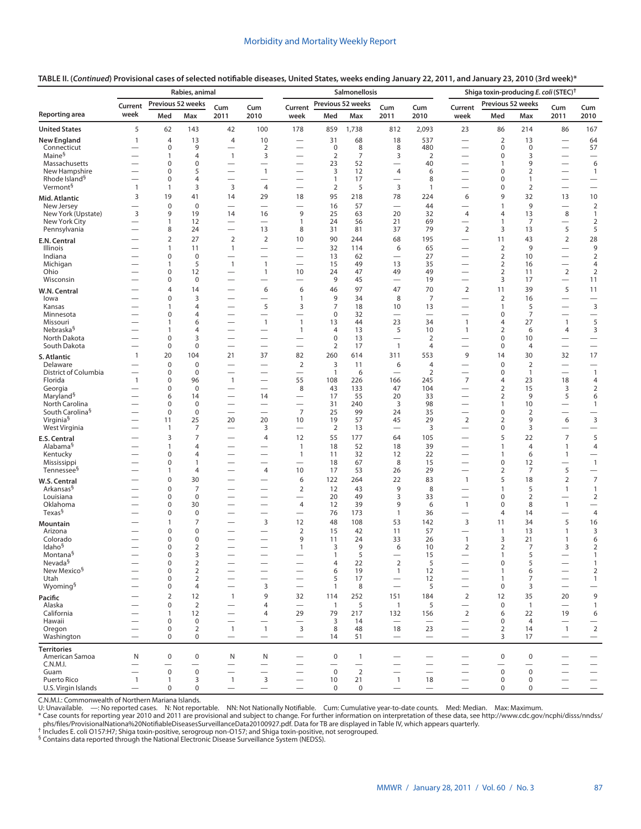|                                               | Rabies, animal                           |                             |                                  |                                                               | Salmonellosis                                        |                                          |                                         |                                          |                                         |                                                             | Shiga toxin-producing E. coli (STEC) <sup>†</sup>            |                                         |                                         |                                             |                                                      |
|-----------------------------------------------|------------------------------------------|-----------------------------|----------------------------------|---------------------------------------------------------------|------------------------------------------------------|------------------------------------------|-----------------------------------------|------------------------------------------|-----------------------------------------|-------------------------------------------------------------|--------------------------------------------------------------|-----------------------------------------|-----------------------------------------|---------------------------------------------|------------------------------------------------------|
| <b>Reporting area</b>                         | Current<br>week                          | Previous 52 weeks<br>Med    | Max                              | Cum<br>2011                                                   | Cum<br>2010                                          | Current<br>week                          | Med                                     | Previous 52 weeks<br>Max                 | Cum<br>2011                             | Cum<br>2010                                                 | Current<br>week                                              | Previous 52 weeks<br>Med                | Max                                     | Cum<br>2011                                 | Cum<br>2010                                          |
| <b>United States</b>                          | 5                                        | 62                          | 143                              | 42                                                            | 100                                                  | 178                                      | 859                                     | 1,738                                    | 812                                     | 2,093                                                       | 23                                                           | 86                                      | 214                                     | 86                                          | 167                                                  |
| <b>New England</b>                            | $\mathbf{1}$                             | 4                           | 13                               | 4                                                             | 10                                                   | $\overline{\phantom{0}}$                 | 31                                      | 68                                       | 18                                      | 537                                                         | $\overbrace{\phantom{12322111}}$                             | $\mathbf 2$                             | 13                                      | $\qquad \qquad$                             | 64                                                   |
| Connecticut                                   |                                          | $\mathbf 0$                 | 9                                | $\overline{\phantom{0}}$                                      | $\overline{2}$                                       | $\overline{\phantom{0}}$                 | $\mathbf 0$                             | 8                                        | 8                                       | 480                                                         | $\overline{\phantom{0}}$                                     | 0                                       | $\mathbf 0$                             |                                             | 57                                                   |
| Maine <sup>§</sup>                            |                                          | 1                           | 4                                | $\mathbf{1}$                                                  | 3                                                    | $\overline{\phantom{0}}$                 | $\overline{2}$                          | $\overline{7}$                           | 3                                       | $\overline{2}$                                              | $\overline{\phantom{0}}$                                     | 0                                       | 3                                       | $\overline{\phantom{0}}$                    | $\overbrace{\phantom{12322111}}$                     |
| Massachusetts<br>New Hampshire                | $\overline{\phantom{0}}$                 | 0<br>0                      | $\mathbf 0$<br>5                 | $\overline{\phantom{0}}$                                      | $\overline{\phantom{0}}$<br>$\mathbf{1}$             | $\overline{\phantom{0}}$                 | 23<br>3                                 | 52<br>12                                 | $\overline{\phantom{0}}$<br>4           | 40<br>6                                                     | $\overline{\phantom{0}}$                                     | $\mathbf{1}$<br>0                       | 9<br>$\overline{2}$                     | $\overline{\phantom{0}}$<br>$\qquad \qquad$ | 6<br>$\mathbf{1}$                                    |
| Rhode Island <sup>§</sup>                     |                                          | 0                           | $\overline{4}$                   | $\overline{\phantom{0}}$                                      | $\overline{\phantom{0}}$                             |                                          | $\mathbf{1}$                            | 17                                       | $\overline{\phantom{0}}$                | 8                                                           |                                                              | $\Omega$                                | 1                                       |                                             | $\hspace{0.1mm}-\hspace{0.1mm}$                      |
| Vermont <sup>§</sup>                          | $\mathbf{1}$                             | $\mathbf{1}$                | 3                                | 3                                                             | 4                                                    | $\overline{\phantom{0}}$                 | $\overline{2}$                          | 5                                        | 3                                       | 1                                                           | $\overline{\phantom{0}}$                                     | 0                                       | 2                                       | $\overbrace{\phantom{12322111}}$            | $\overbrace{\phantom{12322111}}$                     |
| Mid. Atlantic                                 | 3                                        | 19                          | 41                               | 14                                                            | 29                                                   | 18                                       | 95                                      | 218                                      | 78                                      | 224                                                         | 6                                                            | 9                                       | 32                                      | 13                                          | 10                                                   |
| New Jersey<br>New York (Upstate)              | $\overline{\phantom{0}}$<br>3            | $\pmb{0}$<br>9              | $\mathbf 0$<br>19                | $\overline{\phantom{0}}$<br>14                                | $\overline{\phantom{0}}$<br>16                       | $\overbrace{\phantom{1232211}}$<br>9     | 16<br>25                                | 57<br>63                                 | $\equiv$<br>20                          | 44<br>32                                                    | $\overbrace{\phantom{12322111}}$<br>$\overline{4}$           | 1<br>4                                  | 9<br>13                                 | $\overbrace{\phantom{12322111}}$<br>$\,8\,$ | $\overline{2}$<br>$\mathbf{1}$                       |
| New York City                                 | $\overline{\phantom{0}}$                 | 1                           | 12                               |                                                               | $\overline{\phantom{0}}$                             | 1                                        | 24                                      | 56                                       | 21                                      | 69                                                          | $\overline{\phantom{0}}$                                     | 1                                       | 7                                       | $\overline{\phantom{0}}$                    | $\overline{2}$                                       |
| Pennsylvania                                  |                                          | 8                           | 24                               |                                                               | 13                                                   | 8                                        | 31                                      | 81                                       | 37                                      | 79                                                          | $\mathbf 2$                                                  | 3                                       | 13                                      | 5                                           | 5                                                    |
| E.N. Central                                  |                                          | 2                           | 27                               | $\overline{2}$                                                | $\mathbf 2$                                          | 10                                       | 90                                      | 244                                      | 68                                      | 195                                                         | $\overline{\phantom{0}}$                                     | 11                                      | 43                                      | $\overline{2}$                              | 28                                                   |
| Illinois<br>Indiana                           |                                          | 1                           | 11<br>$\mathbf 0$                | $\mathbf{1}$<br>$\overline{\phantom{0}}$                      | $\overline{\phantom{0}}$                             | $\overline{\phantom{0}}$                 | 32                                      | 114                                      | 6<br>$\overline{\phantom{0}}$           | 65                                                          | $\overline{\phantom{0}}$<br>$\overbrace{\phantom{12322111}}$ | $\mathbf 2$                             | 9                                       | $\overbrace{\phantom{12322111}}$            | 9<br>$\overline{2}$                                  |
| Michigan                                      |                                          | 0<br>1                      | 5                                | $\mathbf{1}$                                                  | $\overline{1}$                                       | $\overline{\phantom{0}}$                 | 13<br>15                                | 62<br>49                                 | 13                                      | 27<br>35                                                    | $\overline{\phantom{0}}$                                     | 2<br>$\overline{2}$                     | 10<br>16                                | $\overbrace{\phantom{12322111}}$            | 4                                                    |
| Ohio                                          | $\overline{\phantom{0}}$                 | 0                           | 12                               |                                                               | $\mathbf{1}$                                         | 10                                       | 24                                      | 47                                       | 49                                      | 49                                                          | $\overline{\phantom{0}}$                                     | 2                                       | 11                                      | $\overline{2}$                              | $\overline{2}$                                       |
| Wisconsin                                     |                                          | 0                           | $\mathbf 0$                      | $\overline{\phantom{0}}$                                      | $\overline{\phantom{0}}$                             | $\overline{\phantom{0}}$                 | 9                                       | 45                                       | $\overline{\phantom{0}}$                | 19                                                          | $\overline{\phantom{0}}$                                     | 3                                       | 17                                      | $\qquad \qquad$                             | 11                                                   |
| W.N. Central                                  |                                          | 4                           | 14                               | $\overline{\phantom{0}}$                                      | 6                                                    | 6                                        | 46                                      | 97                                       | 47                                      | 70                                                          | $\overline{2}$                                               | 11                                      | 39                                      | 5                                           | 11                                                   |
| lowa<br>Kansas                                |                                          | 0<br>1                      | 3<br>4                           | $\overline{\phantom{0}}$                                      | 5                                                    | $\mathbf{1}$<br>3                        | 9<br>$\overline{7}$                     | 34<br>18                                 | 8<br>10                                 | $\overline{7}$<br>13                                        | $\overline{\phantom{0}}$<br>$\overbrace{\phantom{12322111}}$ | $\mathbf 2$<br>$\mathbf{1}$             | 16<br>5                                 | $\overbrace{\phantom{12322111}}$            | $\overline{3}$                                       |
| Minnesota                                     |                                          | 0                           | 4                                | —                                                             | $\overline{\phantom{0}}$                             |                                          | 0                                       | 32                                       | $\overline{\phantom{0}}$                | $\overbrace{\phantom{12322111}}$                            | $\overline{\phantom{0}}$                                     | 0                                       | $\overline{7}$                          | $\overline{\phantom{0}}$                    | $\overline{\phantom{0}}$                             |
| Missouri                                      | $\overline{\phantom{0}}$                 | 1                           | 6                                | $\overline{\phantom{0}}$                                      | $\mathbf{1}$                                         | $\mathbf{1}$                             | 13                                      | 44                                       | 23                                      | 34                                                          | $\mathbf{1}$                                                 | 4                                       | 27                                      | $\overline{1}$                              | 5                                                    |
| Nebraska <sup>§</sup><br>North Dakota         | $\overline{\phantom{0}}$                 | 1<br>$\mathbf 0$            | 4<br>3                           | $\overline{\phantom{0}}$                                      | $\overline{\phantom{0}}$<br>$\overline{\phantom{0}}$ | $\mathbf{1}$                             | 4<br>0                                  | 13<br>13                                 | 5<br>$\overline{\phantom{0}}$           | 10<br>$\overline{2}$                                        | $\mathbf{1}$                                                 | $\overline{2}$<br>0                     | 6<br>10                                 | 4                                           | 3                                                    |
| South Dakota                                  | $\overline{\phantom{0}}$                 | $\mathbf 0$                 | $\mathbf 0$                      |                                                               |                                                      | $\overbrace{\phantom{123221111}}$        | $\overline{2}$                          | 17                                       | $\mathbf{1}$                            | 4                                                           | $\overline{\phantom{0}}$                                     | 0                                       | $\overline{4}$                          |                                             | $\overline{\phantom{m}}$                             |
| S. Atlantic                                   | $\mathbf{1}$                             | 20                          | 104                              | 21                                                            | 37                                                   | 82                                       | 260                                     | 614                                      | 311                                     | 553                                                         | 9                                                            | 14                                      | 30                                      | 32                                          | 17                                                   |
| Delaware                                      |                                          | $\mathbf 0$                 | $\mathbf 0$                      | $\overline{\phantom{0}}$                                      | $\overline{\phantom{0}}$                             | $\overline{2}$                           | 3                                       | 11                                       | 6                                       | 4                                                           |                                                              | $\mathbf{0}$                            | $\overline{2}$                          | $\overline{\phantom{0}}$                    | $\overline{\phantom{0}}$                             |
| District of Columbia<br>Florida               | $\overline{\phantom{0}}$<br>$\mathbf{1}$ | 0<br>0                      | $\mathbf 0$<br>96                | $\overline{\phantom{0}}$<br>$\mathbf{1}$                      | $\overline{\phantom{0}}$                             | $\overbrace{\phantom{1232211}}$<br>55    | $\mathbf{1}$<br>108                     | 6<br>226                                 | $\overbrace{\phantom{12322111}}$<br>166 | $\overline{2}$<br>245                                       | $\overbrace{\phantom{12322111}}$<br>$\overline{7}$           | 0<br>4                                  | $\mathbf{1}$<br>23                      | $\overline{\phantom{0}}$<br>18              | $\mathbf{1}$<br>$\overline{4}$                       |
| Georgia                                       |                                          | 0                           | $\mathbf 0$                      |                                                               | $\overline{\phantom{0}}$                             | 8                                        | 43                                      | 133                                      | 47                                      | 104                                                         |                                                              | $\overline{2}$                          | 15                                      | 3                                           | $\overline{2}$                                       |
| Maryland <sup>§</sup>                         | $\overline{\phantom{0}}$                 | 6                           | 14                               |                                                               | 14                                                   | $\overbrace{\phantom{123221111}}$        | 17                                      | 55                                       | 20                                      | 33                                                          |                                                              | $\overline{2}$                          | 9                                       | 5                                           | 6                                                    |
| North Carolina<br>South Carolina <sup>§</sup> | $\overline{\phantom{0}}$                 | 0<br>$\mathbf 0$            | $\mathbf 0$<br>$\mathbf 0$       | $\overline{\phantom{0}}$<br>$\overline{\phantom{0}}$          | $\overline{\phantom{0}}$                             | $\overline{7}$                           | 31<br>25                                | 240<br>99                                | 3<br>24                                 | 98<br>35                                                    | $\overline{\phantom{0}}$                                     | 1<br>0                                  | 10<br>$\overline{2}$                    | $\qquad \qquad$<br>$\overline{\phantom{0}}$ | $\mathbf{1}$                                         |
| Virginia <sup>§</sup>                         |                                          | 11                          | 25                               | 20                                                            | 20                                                   | 10                                       | 19                                      | 57                                       | 45                                      | 29                                                          | 2                                                            | 2                                       | 9                                       | 6                                           | $\overline{\phantom{0}}$<br>$\mathsf 3$              |
| West Virginia                                 | $\overline{\phantom{0}}$                 | $\mathbf{1}$                | 7                                | $\overline{\phantom{0}}$                                      | 3                                                    | $\overline{\phantom{0}}$                 | 2                                       | 13                                       |                                         | 3                                                           | $\qquad \qquad -$                                            | 0                                       | 3                                       |                                             |                                                      |
| E.S. Central                                  |                                          | 3                           | 7                                | $\overline{\phantom{0}}$                                      | 4                                                    | 12                                       | 55                                      | 177                                      | 64                                      | 105                                                         | $\overline{\phantom{0}}$                                     | 5                                       | 22                                      | $\overline{7}$                              | 5                                                    |
| Alabama <sup>§</sup>                          |                                          | 1                           | $\overline{4}$                   | $\overline{\phantom{0}}$                                      | $\overline{\phantom{0}}$                             | $\overline{1}$                           | 18                                      | 52                                       | 18                                      | 39                                                          |                                                              | 1                                       | $\overline{4}$                          | $\mathbf{1}$                                | $\overline{4}$                                       |
| Kentucky<br>Mississippi                       |                                          | 0<br>$\mathbf 0$            | 4<br>1                           | $\overbrace{\phantom{123221111}}$<br>$\overline{\phantom{0}}$ | $\overline{\phantom{0}}$<br>$\overline{\phantom{0}}$ | $\mathbf{1}$<br>$\overline{\phantom{0}}$ | 11<br>18                                | 32<br>67                                 | 12<br>8                                 | 22<br>15                                                    | $\overline{\phantom{0}}$<br>$\overline{\phantom{0}}$         | 1<br>0                                  | 6<br>12                                 | $\mathbf{1}$<br>$\overline{\phantom{0}}$    | $\mathbf{1}$                                         |
| Tennessee <sup>§</sup>                        |                                          | 1                           | 4                                | $\overline{\phantom{0}}$                                      | 4                                                    | 10                                       | 17                                      | 53                                       | 26                                      | 29                                                          |                                                              | $\overline{2}$                          | 7                                       | 5                                           | $\overline{\phantom{0}}$                             |
| W.S. Central                                  |                                          | 0                           | 30                               |                                                               | $\overline{\phantom{0}}$                             | 6                                        | 122                                     | 264                                      | 22                                      | 83                                                          | $\mathbf{1}$                                                 | 5                                       | 18                                      | $\overline{2}$                              | $\overline{7}$                                       |
| Arkansas <sup>§</sup>                         |                                          | 0                           | $\overline{7}$                   | $\overline{\phantom{0}}$                                      |                                                      | $\overline{2}$                           | 12                                      | 43                                       | 9                                       | 8                                                           |                                                              | 1                                       | 5                                       | $\mathbf{1}$                                | $\mathbf{1}$                                         |
| Louisiana<br>Oklahoma                         |                                          | 0<br>0                      | $\mathbf 0$<br>30                | $\overline{\phantom{0}}$                                      | $\overline{\phantom{0}}$                             | $\overline{4}$                           | 20<br>12                                | 49<br>39                                 | 3<br>9                                  | 33<br>6                                                     | $\overline{\phantom{0}}$<br>$\mathbf{1}$                     | 0<br>0                                  | $\overline{2}$<br>8                     | $\overline{\phantom{0}}$<br>$\mathbf{1}$    | $\overline{2}$<br>$\overline{\phantom{0}}$           |
| Texas <sup>§</sup>                            |                                          | 0                           | $\mathbf 0$                      | $\overline{\phantom{0}}$                                      | $\overline{\phantom{0}}$                             | $\overline{\phantom{0}}$                 | 76                                      | 173                                      | $\mathbf{1}$                            | 36                                                          |                                                              | 4                                       | 14                                      | $\overline{\phantom{0}}$                    | $\overline{4}$                                       |
| Mountain                                      |                                          | 1                           | 7                                | $\overline{\phantom{0}}$                                      | 3                                                    | 12                                       | 48                                      | 108                                      | 53                                      | 142                                                         | 3                                                            | 11                                      | 34                                      | 5                                           | 16                                                   |
| Arizona                                       |                                          | 0                           | $\mathbf 0$                      | $\overline{\phantom{0}}$                                      |                                                      | 2                                        | 15                                      | 42                                       | 11                                      | 57                                                          |                                                              | $\mathbf{1}$                            | 13                                      | $\mathbf{1}$                                | 3                                                    |
| Colorado<br>Idaho <sup>§</sup>                | $\overline{\phantom{0}}$                 | 0<br>0                      | $\mathbf 0$<br>$\overline{2}$    | $\overline{\phantom{0}}$<br>$\overline{\phantom{0}}$          |                                                      | 9<br>$\mathbf{1}$                        | 11<br>3                                 | 24<br>9                                  | 33<br>6                                 | 26<br>10                                                    | $\mathbf{1}$<br>$\overline{2}$                               | 3<br>$\overline{2}$                     | 21<br>7                                 | $\mathbf{1}$<br>3                           | 6<br>$\overline{2}$                                  |
| Montana <sup>§</sup>                          |                                          | 0                           | 3                                |                                                               |                                                      |                                          | $\mathbf{1}$                            | 5                                        |                                         | 15                                                          |                                                              | 1                                       | 5                                       |                                             | $\mathbf{1}$                                         |
| Nevada <sup>§</sup>                           |                                          | 0                           | $\overline{2}$                   | $\overline{\phantom{0}}$                                      | $\overline{\phantom{0}}$                             |                                          | 4                                       | 22                                       | $\overline{2}$                          | 5                                                           |                                                              | $\mathbf 0$                             | 5                                       |                                             | $\mathbf{1}$                                         |
| New Mexico <sup>§</sup><br>Utah               |                                          | $\pmb{0}$<br>0              | $\overline{2}$<br>$\overline{2}$ |                                                               |                                                      | $\overbrace{\phantom{123221111}}$        | 6<br>5                                  | 19<br>17                                 | $\mathbf{1}$<br>$\qquad \qquad$         | 12<br>12                                                    | $\qquad \qquad$                                              | $\mathbf{1}$<br>1                       | 6<br>7                                  |                                             | $\overline{2}$<br>$\mathbf{1}$                       |
| Wyoming <sup>§</sup>                          |                                          | 0                           | $\overline{4}$                   |                                                               | 3                                                    | $\overline{\phantom{0}}$                 | $\mathbf{1}$                            | 8                                        |                                         | 5                                                           | $\overbrace{\phantom{12322111}}$                             | $\mathbf 0$                             | 3                                       |                                             | $\qquad \qquad -$                                    |
| Pacific                                       |                                          | $\overline{2}$              | 12                               | $\mathbf{1}$                                                  | 9                                                    | 32                                       | 114                                     | 252                                      | 151                                     | 184                                                         | $\overline{2}$                                               | 12                                      | 35                                      | 20                                          | 9                                                    |
| Alaska                                        |                                          | 0                           | $\overline{2}$                   | $\overline{\phantom{0}}$                                      | 4                                                    | $\overline{\phantom{0}}$                 | $\overline{1}$                          | 5                                        | $\mathbf{1}$                            | 5                                                           | $\overline{\phantom{0}}$                                     | $\mathbf 0$                             | $\mathbf{1}$                            | $\overline{\phantom{0}}$                    | $\mathbf{1}$                                         |
| California<br>Hawaii                          | $\overline{\phantom{0}}$                 | $\mathbf{1}$<br>$\mathbf 0$ | 12<br>$\pmb{0}$                  | $\overline{\phantom{0}}$                                      | 4                                                    | 29                                       | 79<br>3                                 | 217<br>14                                | 132                                     | 156                                                         | 2<br>$\qquad \qquad$                                         | 6<br>0                                  | 22<br>$\overline{4}$                    | 19                                          | 6                                                    |
| Oregon                                        |                                          | $\mathbf 0$                 | $\overline{2}$                   | $\overline{1}$                                                | $\mathbf{1}$                                         | 3                                        | 8                                       | 48                                       | 18                                      | 23                                                          | $\qquad \qquad$                                              | $\overline{2}$                          | 14                                      | $\mathbf{1}$                                | $\sqrt{2}$                                           |
| Washington                                    | $\overline{\phantom{0}}$                 | $\mathbf 0$                 | 0                                | $\qquad \qquad -$                                             |                                                      |                                          | 14                                      | 51                                       | $\overline{\phantom{m}}$                | $\qquad \qquad -$                                           | $\overline{\phantom{0}}$                                     | 3                                       | 17                                      | $\overline{\phantom{m}}$                    | $\qquad \qquad -$                                    |
| <b>Territories</b>                            |                                          |                             |                                  |                                                               |                                                      |                                          |                                         |                                          |                                         |                                                             |                                                              |                                         |                                         |                                             |                                                      |
| American Samoa<br>C.N.M.I.                    | N                                        | $\mathbf 0$                 | 0<br>$\overline{\phantom{0}}$    | N                                                             | N                                                    | $\hspace{0.1mm}-\hspace{0.1mm}$          | $\mathbf 0$<br>$\overline{\phantom{0}}$ | $\mathbf{1}$<br>$\overline{\phantom{0}}$ | $\overline{\phantom{0}}$                | $\hspace{0.1mm}-\hspace{0.1mm}$<br>$\overline{\phantom{0}}$ |                                                              | $\mathbf 0$<br>$\overline{\phantom{0}}$ | $\mathbf 0$<br>$\overline{\phantom{0}}$ |                                             | $\overline{\phantom{m}}$<br>$\overline{\phantom{0}}$ |
| Guam                                          | $\overline{\phantom{0}}$                 | $\boldsymbol{0}$            | $\mathbf 0$                      | $\overline{\phantom{0}}$<br>$\overline{\phantom{0}}$          | $\overline{\phantom{0}}$                             |                                          | $\mathbf 0$                             | $\overline{2}$                           | $\overline{\phantom{0}}$                | $\overline{\phantom{0}}$                                    | $\overline{\phantom{0}}$                                     | $\mathbf 0$                             | $\mathsf 0$                             |                                             | $\overbrace{\phantom{12322111}}$                     |
| Puerto Rico                                   | $\mathbf{1}$                             | $\mathbf{1}$                | 3                                | $\overline{1}$                                                | $\mathsf 3$                                          | $\overbrace{\phantom{1232211}}$          | 10                                      | 21                                       | $\mathbf{1}$                            | 18                                                          | $\overbrace{\phantom{12322111}}$                             | $\mathbf 0$                             | $\boldsymbol{0}$                        | $\overline{\phantom{0}}$                    | $\overline{\phantom{0}}$                             |
| U.S. Virgin Islands                           | $\overline{\phantom{m}}$                 | 0                           | 0                                | $\overline{\phantom{m}}$                                      | $\qquad \qquad -$                                    | $\overline{\phantom{m}}$                 | $\mathbf 0$                             | $\mathbf 0$                              | $\overline{\phantom{m}}$                | $\qquad \qquad -$                                           | $\qquad \qquad -$                                            | 0                                       | 0                                       | $\hspace{0.1mm}-\hspace{0.1mm}$             | $\qquad \qquad -$                                    |

**TABLE II. (***Continued***) Provisional cases of selected notifiable diseases, United States, weeks ending January 22, 2011, and January 23, 2010 (3rd week)\***

C.N.M.I.: Commonwealth of Northern Mariana Islands.<br>U: Unavailable. —: No reported cases. N: Not reportable. NN: Not Nationally Notifiable. Cum: Cumulative year-to-date counts. Med: Median. Max: Maximum.

[phs/files/ProvisionalNationa%20NotifiableDiseasesSurveillanceData20100927.pdf](http://www.cdc.gov/ncphi/disss/nndss/phs/files/ProvisionalNationa%20NotifiableDiseasesSurveillanceData20100927.pdf). Data for TB are displayed in Table IV, which appears quarterly.<br>
Includes E. coli 0157:H7; Shiga toxin-positive, serogroup non-0157; and Shiga

§ Contains data reported through the National Electronic Disease Surveillance System (NEDSS).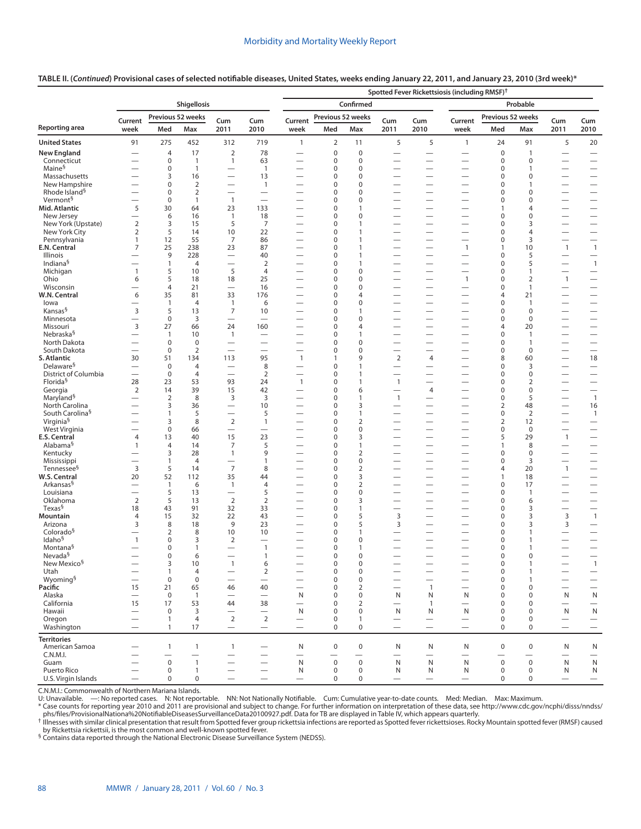#### **TABLE II. (***Continued***) Provisional cases of selected notifiable diseases, United States, weeks ending January 22, 2011, and January 23, 2010 (3rd week)\***

|                                                   | Spotted Fever Rickettsiosis (including RMSF) <sup>†</sup> |                                    |                               |                                            |                                                      |                                                      |                            |                                    |                                                      |                                             |                                                      |                             |                                |                                            |                                                      |  |
|---------------------------------------------------|-----------------------------------------------------------|------------------------------------|-------------------------------|--------------------------------------------|------------------------------------------------------|------------------------------------------------------|----------------------------|------------------------------------|------------------------------------------------------|---------------------------------------------|------------------------------------------------------|-----------------------------|--------------------------------|--------------------------------------------|------------------------------------------------------|--|
|                                                   | Shigellosis                                               |                                    |                               |                                            |                                                      |                                                      | Confirmed<br>Probable      |                                    |                                                      |                                             |                                                      |                             |                                |                                            |                                                      |  |
|                                                   | Previous 52 weeks<br>Current<br>Cum<br>Cum                |                                    |                               | Current                                    | Previous 52 weeks                                    |                                                      | Cum                        | Cum                                | Current                                              | Previous 52 weeks                           |                                                      | Cum                         | Cum                            |                                            |                                                      |  |
| Reporting area                                    | week                                                      | Med                                | Max                           | 2011                                       | 2010                                                 | week                                                 | Med                        | Max                                | 2011                                                 | 2010                                        | week                                                 | Med                         | Max                            | 2011                                       | 2010                                                 |  |
| <b>United States</b>                              | 91                                                        | 275                                | 452                           | 312                                        | 719                                                  | $\mathbf{1}$                                         | $\overline{2}$             | 11                                 | 5                                                    | 5                                           | $\mathbf{1}$                                         | 24                          | 91                             | 5                                          | 20                                                   |  |
| <b>New England</b>                                |                                                           | 4                                  | 17                            | $\overline{2}$                             | 78                                                   |                                                      | $\pmb{0}$                  | $\pmb{0}$                          | $\overline{\phantom{0}}$                             | $\overline{\phantom{0}}$                    |                                                      | $\pmb{0}$                   | $\mathbf{1}$                   |                                            | $\overline{\phantom{0}}$                             |  |
| Connecticut<br>Maine <sup>§</sup>                 | $\overline{\phantom{0}}$                                  | 0<br>0                             | $\mathbf{1}$<br>$\mathbf{1}$  | $\mathbf{1}$<br>$\overline{\phantom{0}}$   | 63<br>$\overline{1}$                                 | —                                                    | $\mathbf 0$<br>$\pmb{0}$   | $\mathbf 0$<br>$\mathbf 0$         | $\overline{\phantom{0}}$<br>$\qquad \qquad$          | $\overline{\phantom{0}}$                    | $\overline{\phantom{0}}$                             | $\mathbf 0$<br>$\pmb{0}$    | 0<br>$\mathbf{1}$              | $\overline{\phantom{0}}$                   | $\overline{\phantom{0}}$                             |  |
| Massachusetts                                     |                                                           | 3                                  | 16                            | $\overline{\phantom{0}}$                   | 13                                                   | -                                                    | 0                          | $\Omega$                           | $\overline{\phantom{0}}$                             | $\overline{\phantom{0}}$                    | $\overline{\phantom{0}}$                             | $\mathbf 0$                 | 0                              |                                            |                                                      |  |
| New Hampshire                                     | $\overline{\phantom{0}}$                                  | 0                                  | $\overline{2}$                | $\overline{\phantom{0}}$                   | $\mathbf{1}$                                         |                                                      | $\mathbf 0$                | $\mathbf 0$                        | $\overline{\phantom{0}}$                             | $\overline{\phantom{0}}$                    | $\overline{\phantom{0}}$                             | $\mathbf 0$                 | 1                              | $\overline{\phantom{0}}$                   | $\overline{\phantom{0}}$                             |  |
| Rhode Island <sup>§</sup><br>Vermont <sup>§</sup> | $\overline{\phantom{0}}$<br>$\overline{\phantom{0}}$      | 0<br>$\pmb{0}$                     | $\overline{2}$<br>1           | $\overline{\phantom{0}}$<br>$\overline{1}$ | $\overline{\phantom{0}}$<br>$\overline{\phantom{0}}$ |                                                      | $\mathbf 0$<br>0           | $\Omega$<br>$\mathbf 0$            | $\overline{\phantom{0}}$<br>$\overline{\phantom{0}}$ | $\overline{\phantom{0}}$                    | —                                                    | $\mathbf 0$<br>$\pmb{0}$    | $\Omega$<br>0                  | $\overline{\phantom{0}}$                   | $\equiv$                                             |  |
| Mid. Atlantic                                     | 5                                                         | 30                                 | 64                            | 23                                         | 133                                                  | —                                                    | 0                          | $\mathbf{1}$                       | $\overline{\phantom{0}}$                             |                                             |                                                      | $\mathbf{1}$                | 4                              |                                            |                                                      |  |
| New Jersey                                        | $\overline{\phantom{0}}$                                  | 6                                  | 16                            | $\mathbf{1}$                               | 18                                                   | $\overline{\phantom{0}}$                             | 0                          | $\pmb{0}$                          |                                                      |                                             |                                                      | $\pmb{0}$                   | $\mathbf 0$                    |                                            | $\overline{\phantom{0}}$                             |  |
| New York (Upstate)                                | $\overline{2}$                                            | 3                                  | 15                            | 5                                          | $\overline{7}$                                       | $\overline{\phantom{0}}$                             | 0                          | $\mathbf{1}$                       | $\overline{\phantom{0}}$                             |                                             | —                                                    | $\mathbf 0$                 | 3                              | $\overline{\phantom{0}}$                   | $\overline{\phantom{0}}$                             |  |
| New York City<br>Pennsylvania                     | $\overline{2}$<br>1                                       | 5<br>12                            | 14<br>55                      | 10<br>7                                    | 22<br>86                                             | —<br>$\overline{\phantom{0}}$                        | 0<br>0                     | 1<br>$\mathbf{1}$                  | $\overline{\phantom{0}}$                             |                                             | $\overline{\phantom{0}}$                             | 0<br>$\mathbf 0$            | 4<br>3                         |                                            | $\overline{\phantom{0}}$                             |  |
| E.N. Central                                      | $\overline{7}$                                            | 25                                 | 238                           | 23                                         | 87                                                   | $\overline{\phantom{0}}$                             | 0                          | $\mathbf{1}$                       | $\overline{\phantom{0}}$                             | $\overbrace{\phantom{12322111}}$            | $\overline{1}$                                       | $\mathbf{1}$                | 10                             | $\overline{1}$                             | $\overline{1}$                                       |  |
| Illinois                                          |                                                           | 9                                  | 228                           | $\overline{\phantom{0}}$                   | 40                                                   | $\overline{\phantom{0}}$                             | 0                          | $\mathbf{1}$                       | $\overline{\phantom{0}}$                             |                                             |                                                      | $\mathbf 0$                 | 5                              |                                            |                                                      |  |
| Indiana <sup>§</sup>                              | $\overline{\phantom{0}}$                                  | $\mathbf{1}$                       | $\overline{4}$                |                                            | $\overline{2}$                                       | $\overline{\phantom{0}}$                             | $\mathbf 0$                | $\mathbf{1}$                       |                                                      |                                             |                                                      | $\mathbf 0$                 | 5                              |                                            | $\overline{1}$                                       |  |
| Michigan<br>Ohio                                  | $\mathbf{1}$<br>6                                         | 5<br>5                             | 10<br>18                      | 5<br>18                                    | $\overline{4}$<br>25                                 |                                                      | $\mathbf 0$<br>$\mathbf 0$ | $\mathbf 0$<br>$\mathbf 0$         | $\overline{\phantom{0}}$                             |                                             | $\overline{\phantom{0}}$<br>$\overline{1}$           | $\mathbf 0$<br>$\mathbf 0$  | $\mathbf{1}$<br>$\overline{2}$ | $\overline{\phantom{0}}$<br>$\overline{1}$ | $\overline{\phantom{0}}$                             |  |
| Wisconsin                                         |                                                           | $\overline{4}$                     | 21                            |                                            | 16                                                   |                                                      | $\mathbf 0$                | $\mathbf 0$                        |                                                      |                                             |                                                      | $\mathbf 0$                 | $\mathbf{1}$                   |                                            | $\overline{\phantom{0}}$                             |  |
| W.N. Central                                      | 6                                                         | 35                                 | 81                            | 33                                         | 176                                                  |                                                      | $\mathbf 0$                | $\overline{4}$                     | $\overline{\phantom{0}}$                             | $\overline{\phantom{0}}$                    |                                                      | 4                           | 21                             |                                            |                                                      |  |
| lowa<br>Kansas <sup>§</sup>                       | $\overline{\phantom{0}}$<br>3                             | $\overline{1}$<br>5                | $\overline{4}$<br>13          | $\overline{1}$<br>$\overline{7}$           | 6<br>10                                              | $\overline{\phantom{0}}$                             | $\mathbf 0$<br>$\mathbf 0$ | $\mathbf 0$<br>$\mathbf{1}$        | $\overline{\phantom{0}}$                             | $\overline{\phantom{0}}$                    |                                                      | $\mathbf 0$<br>$\mathbf 0$  | $\mathbf{1}$<br>$\mathbf 0$    | $\overline{\phantom{0}}$                   |                                                      |  |
| Minnesota                                         | $\overline{\phantom{0}}$                                  | $\pmb{0}$                          | 3                             | $\overline{\phantom{0}}$                   | $\overline{\phantom{0}}$                             | $\overline{\phantom{0}}$                             | $\mathbf 0$                | $\mathbf 0$                        | $\overline{\phantom{0}}$                             | $\overline{\phantom{0}}$                    | $\overline{\phantom{0}}$                             | $\pmb{0}$                   | $\mathbf 0$                    | $\overline{\phantom{0}}$                   |                                                      |  |
| Missouri                                          | 3                                                         | 27                                 | 66                            | 24                                         | 160                                                  | —                                                    | 0                          | $\overline{4}$                     |                                                      |                                             | —                                                    | 4                           | 20                             |                                            | $\qquad \qquad -$                                    |  |
| Nebraska <sup>§</sup>                             | $\overline{\phantom{0}}$                                  | $\overline{1}$                     | 10                            | $\mathbf{1}$                               |                                                      |                                                      | 0                          | $\mathbf{1}$                       | $\overline{\phantom{0}}$                             |                                             |                                                      | 0                           | $\mathbf{1}$                   |                                            | $\overline{\phantom{0}}$                             |  |
| North Dakota<br>South Dakota                      | $\overline{\phantom{0}}$<br>$\overline{\phantom{0}}$      | $\mathbf 0$<br>$\mathbf 0$         | $\mathbf 0$<br>$\overline{2}$ | $\overline{\phantom{0}}$                   | $\overline{\phantom{0}}$                             | $\overline{\phantom{0}}$<br>$\overline{\phantom{0}}$ | $\mathbf 0$<br>$\mathbf 0$ | $\mathbf 0$<br>$\mathbf 0$         | $\overline{\phantom{0}}$                             | $\qquad \qquad$<br>$\overline{\phantom{0}}$ | -                                                    | $\mathbf 0$<br>$\mathbf 0$  | $\mathbf{1}$<br>$\mathbf 0$    |                                            | $\overline{\phantom{0}}$                             |  |
| S. Atlantic                                       | 30                                                        | 51                                 | 134                           | 113                                        | 95                                                   | $\mathbf{1}$                                         | 1                          | 9                                  | $\sqrt{2}$                                           | $\overline{4}$                              | $\overline{\phantom{0}}$                             | 8                           | 60                             |                                            | $18\,$                                               |  |
| Delaware <sup>§</sup>                             |                                                           | $\mathbf 0$                        | $\overline{4}$                |                                            | 8                                                    | $\overbrace{\phantom{123221111}}$                    | $\mathbf 0$                | $\mathbf{1}$                       |                                                      |                                             | —                                                    | $\mathbf 0$                 | 3                              |                                            |                                                      |  |
| District of Columbia                              | $\overline{\phantom{0}}$                                  | $\mathbf 0$                        | $\overline{4}$                | $\overline{\phantom{0}}$                   | $\overline{2}$                                       | $\overline{\phantom{0}}$                             | $\mathbf 0$                | $\mathbf{1}$                       | $\overline{\phantom{0}}$                             |                                             |                                                      | $\mathbf 0$                 | $\mathbf 0$                    |                                            |                                                      |  |
| Florida <sup>§</sup><br>Georgia                   | 28<br>$\overline{2}$                                      | 23<br>14                           | 53<br>39                      | 93<br>15                                   | 24<br>42                                             | $\mathbf{1}$<br>—                                    | $\mathbf 0$<br>0           | $\mathbf{1}$<br>6                  | $\mathbf{1}$<br>$\overline{\phantom{0}}$             | $\overline{\phantom{0}}$<br>$\overline{4}$  | $\overline{\phantom{0}}$<br>—                        | $\mathbf 0$<br>$\mathbf 0$  | $\overline{2}$<br>$\Omega$     | $\overline{\phantom{0}}$                   | $\overline{\phantom{0}}$                             |  |
| Maryland <sup>§</sup>                             | $\overline{\phantom{0}}$                                  | $\overline{2}$                     | 8                             | 3                                          | 3                                                    | $\overline{\phantom{0}}$                             | $\mathbf 0$                | $\mathbf{1}$                       | $\mathbf{1}$                                         | $\overline{\phantom{0}}$                    | $\overline{\phantom{0}}$                             | $\pmb{0}$                   | 5                              | $\overline{\phantom{0}}$                   | $\overline{1}$                                       |  |
| North Carolina                                    | —                                                         | 3                                  | 36                            | $\overline{\phantom{0}}$                   | 10                                                   | -                                                    | $\mathbf 0$                | 3                                  | $\overline{\phantom{0}}$                             |                                             | -                                                    | $\overline{2}$              | 48                             | $\overline{\phantom{0}}$                   | 16                                                   |  |
| South Carolina <sup>§</sup>                       | $\overline{\phantom{0}}$                                  | 1                                  | 5                             |                                            | 5                                                    | $\overline{\phantom{0}}$                             | $\mathbf 0$                | $\mathbf{1}$                       | $\overline{\phantom{0}}$                             |                                             | $\overline{\phantom{0}}$                             | $\pmb{0}$                   | $\overline{2}$                 | $\overbrace{\phantom{123221111}}$          | $\overline{1}$                                       |  |
| Virginia <sup>§</sup><br>West Virginia            | $\overline{\phantom{0}}$<br>$\overline{\phantom{0}}$      | 3<br>$\pmb{0}$                     | 8<br>66                       | $\overline{2}$<br>$\overline{\phantom{0}}$ | $\mathbf{1}$<br>$\overline{\phantom{0}}$             | —                                                    | $\mathbf 0$<br>$\mathbf 0$ | 2<br>$\mathbf 0$                   | $\overline{\phantom{0}}$                             | $\overline{\phantom{0}}$                    | —                                                    | $\overline{2}$<br>$\pmb{0}$ | 12<br>$\mathbf 0$              | $\overline{\phantom{0}}$                   | $\overline{\phantom{0}}$                             |  |
| E.S. Central                                      | $\overline{4}$                                            | 13                                 | 40                            | 15                                         | 23                                                   |                                                      | 0                          | 3                                  | $\overline{\phantom{0}}$                             | $\overline{\phantom{0}}$                    |                                                      | 5                           | 29                             | $\mathbf{1}$                               |                                                      |  |
| Alabama <sup>§</sup>                              | 1                                                         | $\overline{4}$                     | 14                            | 7                                          | 5                                                    | $\overline{\phantom{0}}$                             | 0                          | $\mathbf{1}$                       | $\overline{\phantom{0}}$                             |                                             | $\overline{\phantom{0}}$                             | $\mathbf{1}$                | 8                              | $\overline{\phantom{0}}$                   |                                                      |  |
| Kentucky                                          |                                                           | 3                                  | 28                            | $\mathbf{1}$                               | 9                                                    | $\overline{\phantom{0}}$                             | 0                          | $\overline{2}$                     |                                                      |                                             |                                                      | $\mathbf 0$                 | $\mathbf 0$                    |                                            | $\overline{\phantom{0}}$                             |  |
| Mississippi<br>Tennessee <sup>§</sup>             | $\overline{\phantom{0}}$<br>$\overline{3}$                | $\mathbf{1}$<br>5                  | $\overline{4}$<br>14          | $\overline{7}$                             | $\mathbf{1}$<br>8                                    | $\overline{\phantom{0}}$<br>$\overline{\phantom{0}}$ | 0<br>0                     | $\mathbf 0$<br>$\overline{2}$      | $\overline{\phantom{0}}$                             | $\overline{\phantom{0}}$                    | —<br>$\overline{\phantom{0}}$                        | $\pmb{0}$<br>4              | 3<br>20                        | $\overline{\phantom{0}}$<br>$\overline{1}$ | $\overline{\phantom{0}}$                             |  |
| W.S. Central                                      | 20                                                        | 52                                 | 112                           | 35                                         | 44                                                   | $\overline{\phantom{0}}$                             | 0                          | 3                                  | $\overline{\phantom{0}}$                             | $\overline{\phantom{0}}$                    | $\overline{\phantom{0}}$                             | $\mathbf{1}$                | 18                             |                                            | $\overline{\phantom{0}}$                             |  |
| Arkansas <sup>§</sup>                             | $\overline{\phantom{0}}$                                  | $\overline{1}$                     | 6                             | $\mathbf{1}$                               | $\overline{4}$                                       | $\overline{\phantom{0}}$                             | 0                          | 2                                  | $\overline{\phantom{0}}$                             | $\overline{\phantom{0}}$                    | $\overline{\phantom{0}}$                             | $\mathbf 0$                 | 17                             |                                            |                                                      |  |
| Louisiana                                         | $\overline{\phantom{0}}$                                  | 5                                  | 13                            | $\overline{\phantom{0}}$                   | 5                                                    | $\overline{\phantom{0}}$                             | 0                          | 0                                  |                                                      |                                             |                                                      | 0                           | $\mathbf{1}$                   |                                            |                                                      |  |
| Oklahoma<br>Texas <sup>§</sup>                    | 2<br>18                                                   | 5<br>43                            | 13<br>91                      | 2<br>32                                    | $\overline{2}$<br>33                                 |                                                      | $\mathbf 0$<br>$\mathbf 0$ | 3<br>$\mathbf{1}$                  | $\overline{\phantom{0}}$<br>$\overline{\phantom{0}}$ | $\overline{\phantom{0}}$                    |                                                      | $\mathbf 0$<br>$\mathbf 0$  | 6<br>3                         | $\overline{\phantom{0}}$                   | $\overline{\phantom{0}}$<br>$\overline{\phantom{0}}$ |  |
| Mountain                                          | $\overline{4}$                                            | 15                                 | 32                            | 22                                         | 43                                                   | $\overline{\phantom{0}}$                             | $\mathbf 0$                | 5                                  | 3                                                    | $\overline{\phantom{0}}$                    |                                                      | $\mathbf 0$                 | 3                              | 3                                          | $\overline{1}$                                       |  |
| Arizona                                           | 3                                                         | 8                                  | 18                            | 9                                          | 23                                                   |                                                      | $\mathbf 0$                | 5                                  | 3                                                    |                                             |                                                      | $\mathbf 0$                 | 3                              | 3                                          |                                                      |  |
| Colorado <sup>§</sup><br>Idaho <sup>§</sup>       | -<br>$\mathbf{1}$                                         | $\overline{2}$<br>0                | 8<br>3                        | 10<br>2                                    | 10                                                   | $\overline{\phantom{0}}$                             | $\pmb{0}$<br>$\pmb{0}$     | $\mathbf{1}$<br>$\mathbf 0$        | $\overline{\phantom{0}}$                             | $\overline{\phantom{0}}$                    | $\overline{\phantom{0}}$                             | $\pmb{0}$<br>$\mathbf 0$    | $\mathbf{1}$<br>$\mathbf{1}$   | $\overline{\phantom{0}}$                   | $\overline{\phantom{0}}$                             |  |
| Montana <sup>§</sup>                              | $\overline{\phantom{0}}$                                  | 0                                  | $\mathbf{1}$                  |                                            | $\overline{\phantom{0}}$<br>$\overline{1}$           | $\overline{\phantom{0}}$                             | $\mathbf 0$                | $\mathbf{1}$                       | $\overline{\phantom{0}}$<br>$\overline{\phantom{0}}$ |                                             | $\overline{\phantom{0}}$                             | $\mathbf 0$                 | $\mathbf{1}$                   | $\overline{\phantom{0}}$                   |                                                      |  |
| Nevada <sup>§</sup>                               |                                                           | 0                                  | 6                             |                                            | $\mathbf{1}$                                         |                                                      | 0                          | 0                                  |                                                      |                                             |                                                      | $\pmb{0}$                   | $\mathbf 0$                    |                                            |                                                      |  |
| New Mexico <sup>§</sup>                           |                                                           | 3                                  | 10                            | $\overline{1}$                             | 6                                                    | —                                                    | $\pmb{0}$                  | $\mathsf{O}\xspace$                | $\qquad \qquad -$                                    | $\qquad \qquad -$                           | $\qquad \qquad$                                      | $\pmb{0}$                   | $\mathbf{1}$                   | $\qquad \qquad -$                          | $\mathbf{1}$                                         |  |
| Utah<br>Wyoming <sup>§</sup>                      | $\overline{\phantom{0}}$                                  | 1<br>$\boldsymbol{0}$              | $\overline{4}$<br>$\pmb{0}$   |                                            | $\overline{2}$<br>$\overline{\phantom{0}}$           | —                                                    | $\mathbf 0$<br>$\mathbf 0$ | $\mathbf 0$<br>$\mathbf 0$         | $\overline{\phantom{0}}$                             |                                             | $\overline{\phantom{0}}$<br>$\overline{\phantom{0}}$ | $\mathbf 0$<br>$\mathbf 0$  | $\mathbf{1}$<br>$\mathbf{1}$   | $\overline{\phantom{0}}$                   | $\qquad \qquad -$                                    |  |
| Pacific                                           | 15                                                        | 21                                 | 65                            | 46                                         | 40                                                   | $\overline{\phantom{0}}$                             | $\mathbf 0$                | 2                                  | $\overline{\phantom{0}}$                             | $\mathbf{1}$                                | $\overline{\phantom{0}}$                             | $\mathbf 0$                 | 0                              |                                            |                                                      |  |
| Alaska                                            | $\overbrace{\phantom{123221111}}$                         | 0                                  | $\overline{1}$                |                                            |                                                      | N                                                    | $\mathbf 0$                | $\mathbf 0$                        | N                                                    | N                                           | ${\sf N}$                                            | $\mathbf 0$                 | $\mathbf 0$                    | ${\sf N}$                                  | ${\sf N}$                                            |  |
| California                                        | 15                                                        | 17                                 | 53                            | 44                                         | 38                                                   | $\overbrace{\phantom{123221111}}$                    | $\mathbf 0$                | $\overline{2}$                     | $\qquad \qquad$                                      | 1                                           |                                                      | $\mathbf 0$                 | 0                              | $\overline{\phantom{m}}$                   | $\qquad \qquad -$                                    |  |
| Hawaii<br>Oregon                                  | $\overline{\phantom{0}}$                                  | $\boldsymbol{0}$<br>$\overline{1}$ | $\mathsf 3$<br>$\overline{4}$ | $\overline{2}$                             | $\overline{\phantom{0}}$<br>$\overline{2}$           | N                                                    | $\pmb{0}$<br>$\pmb{0}$     | $\mathbf 0$<br>$\mathbf{1}$        | N<br>$\overline{\phantom{0}}$                        | N<br>$\overline{\phantom{0}}$               | ${\sf N}$                                            | $\pmb{0}$<br>$\pmb{0}$      | $\mathbf 0$<br>$\mathbf 0$     | ${\sf N}$<br>$\overline{\phantom{0}}$      | ${\sf N}$                                            |  |
| Washington                                        |                                                           | $\mathbf{1}$                       | 17                            | $\overbrace{\phantom{1232211}}$            | $=$                                                  | $\overbrace{\phantom{1232211}}$                      | $\mathbf 0$                | $\mathbf 0$                        | $\equiv$                                             | $\equiv$                                    | $\equiv$                                             | $\mathbf 0$                 | $\mathbf 0$                    | $\overbrace{\phantom{123221111}}$          |                                                      |  |
| <b>Territories</b>                                |                                                           |                                    |                               |                                            |                                                      |                                                      |                            |                                    |                                                      |                                             |                                                      |                             |                                |                                            |                                                      |  |
| American Samoa                                    |                                                           | $\overline{1}$                     | $\mathbf{1}$                  | $\mathbf{1}$                               | $\overline{\phantom{0}}$                             | N                                                    | $\mathbf 0$                | $\mathbf 0$                        | N                                                    | N                                           | N                                                    | $\mathbf 0$                 | $\mathbf 0$                    | N                                          | N                                                    |  |
| C.N.M.I.                                          |                                                           |                                    | $\overline{\phantom{0}}$      |                                            | $\overline{\phantom{0}}$                             | $\overbrace{\phantom{123221111}}$                    |                            | $\overline{\phantom{0}}$           |                                                      | $\qquad \qquad$                             |                                                      | $\overline{\phantom{0}}$    | $\qquad \qquad$                |                                            |                                                      |  |
| Guam<br>Puerto Rico                               | $\overline{\phantom{0}}$                                  | $\pmb{0}$<br>$\pmb{0}$             | $\mathbf{1}$<br>$\mathbf{1}$  |                                            | $\overline{\phantom{0}}$<br>$\overline{\phantom{0}}$ | ${\sf N}$<br>${\sf N}$                               | $\mathbf 0$<br>$\mathbf 0$ | $\mathsf 0$<br>$\mathsf{O}\xspace$ | $\mathsf{N}$<br>N                                    | N<br>${\sf N}$                              | $\mathsf{N}$<br>N                                    | $\mathsf 0$<br>$\pmb{0}$    | $\mathsf 0$<br>$\mathbf 0$     | N<br>${\sf N}$                             | ${\sf N}$<br>N                                       |  |
| U.S. Virgin Islands                               |                                                           | $\mathbf 0$                        | $\mathsf 0$                   |                                            | $\overline{\phantom{0}}$                             | $\overline{\phantom{0}}$                             | $\mathbf 0$                | $\mathbf 0$                        | $\qquad \qquad -$                                    | $\qquad \qquad -$                           | $\qquad \qquad -$                                    | $\mathbf 0$                 | $\mathbf 0$                    |                                            |                                                      |  |

C.N.M.I.: Commonwealth of Northern Mariana Islands.

U: Unavailable. —: No reported cases. N: Not reportable. NN: Not Nationally Notifiable. Cum: Cumulative year-to-date counts. Med: Median. Max: Maximum.<br>\* Case counts for reporting year 2010 and 2011 are provisional and sub

§ Contains data reported through the National Electronic Disease Surveillance System (NEDSS).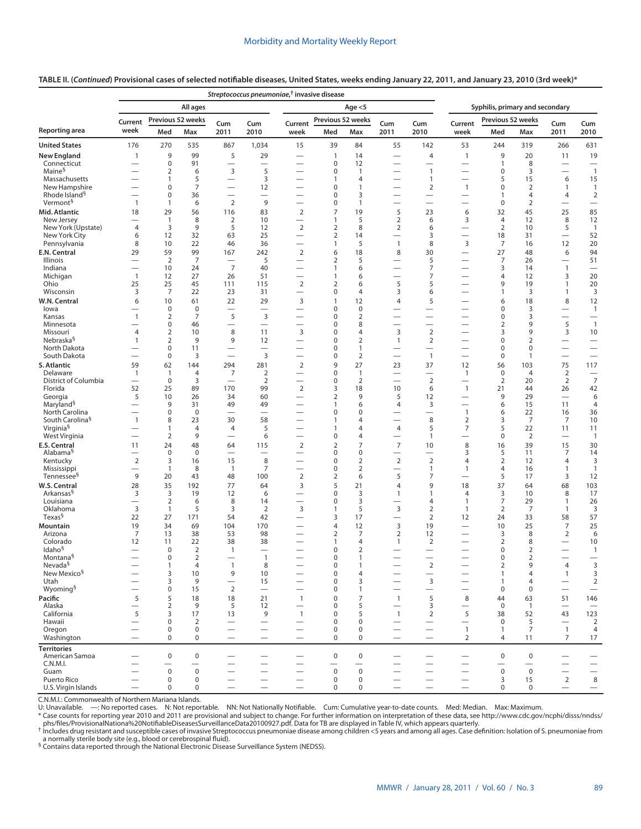## **TABLE II. (***Continued***) Provisional cases of selected notifiable diseases, United States, weeks ending January 22, 2011, and January 23, 2010 (3rd week)\***

|                                                |                               |                               |                      | Streptococcus pneumoniae, <sup>†</sup> invasive disease |                                |                                                               |                                  |                                |                                                      |                                             |                                                             |                                   |                      |                                  |                                          |  |
|------------------------------------------------|-------------------------------|-------------------------------|----------------------|---------------------------------------------------------|--------------------------------|---------------------------------------------------------------|----------------------------------|--------------------------------|------------------------------------------------------|---------------------------------------------|-------------------------------------------------------------|-----------------------------------|----------------------|----------------------------------|------------------------------------------|--|
|                                                |                               |                               | All ages             |                                                         |                                |                                                               |                                  | Age $<$ 5                      |                                                      |                                             | Syphilis, primary and secondary                             |                                   |                      |                                  |                                          |  |
|                                                | Current                       |                               | Previous 52 weeks    | Cum                                                     | Cum                            | Current                                                       | Previous 52 weeks                |                                | Cum                                                  | Cum                                         | Current                                                     | Previous 52 weeks                 |                      | Cum                              | Cum                                      |  |
| Reporting area                                 | week                          | Med                           | Max                  | 2011                                                    | 2010                           | week                                                          | Med                              | Max                            | 2011                                                 | 2010                                        | week                                                        | Med                               | Max                  | 2011                             | 2010                                     |  |
| <b>United States</b>                           | 176                           | 270                           | 535                  | 867                                                     | 1,034                          | 15                                                            | 39                               | 84                             | 55                                                   | 142                                         | 53                                                          | 244                               | 319                  | 266                              | 631                                      |  |
| <b>New England</b><br>Connecticut              | 1<br>$\overline{\phantom{0}}$ | 9<br>$\pmb{0}$                | 99<br>91             | 5                                                       | 29<br>$\overline{\phantom{0}}$ |                                                               | 1<br>0                           | 14<br>12                       | $\overline{\phantom{0}}$<br>$\overline{\phantom{0}}$ | 4<br>—                                      | $\mathbf{1}$<br>$\qquad \qquad$                             | 9<br>1                            | 20<br>8              | 11                               | 19<br>$\overline{\phantom{0}}$           |  |
| Maine <sup>§</sup>                             |                               | $\overline{2}$                | 6                    | 3                                                       | 5                              | —                                                             | 0                                | $\mathbf{1}$                   | $\overline{\phantom{0}}$                             | $\mathbf{1}$                                |                                                             | 0                                 | 3                    |                                  | $\overline{1}$                           |  |
| Massachusetts                                  |                               | 1                             | 5                    | $\overline{\phantom{0}}$                                | 3                              | $\qquad \qquad$                                               | 1                                | 4                              | $\overline{\phantom{0}}$                             | 1                                           | $\overline{\phantom{0}}$                                    | 5                                 | 15                   | 6                                | 15                                       |  |
| New Hampshire<br>Rhode Island <sup>§</sup>     | $\overline{\phantom{0}}$      | 0<br>0                        | $\overline{7}$<br>36 | $\overline{\phantom{0}}$<br>$\overline{\phantom{0}}$    | 12                             | $\overline{\phantom{0}}$                                      | $\mathbf 0$<br>0                 | $\mathbf{1}$<br>3              | $\overline{\phantom{0}}$                             | $\overline{2}$                              | $\mathbf{1}$                                                | 0                                 | $\overline{2}$<br>4  | $\mathbf{1}$                     | $\mathbf{1}$                             |  |
| Vermont <sup>§</sup>                           | $\mathbf{1}$                  | $\mathbf{1}$                  | 6                    | $\overline{2}$                                          | 9                              | $\qquad \qquad$<br>$\overline{\phantom{0}}$                   | 0                                | $\mathbf{1}$                   | $\overline{\phantom{0}}$<br>$\overline{\phantom{0}}$ | $\qquad \qquad$<br>$\overline{\phantom{0}}$ |                                                             | 1<br>$\mathbf 0$                  | $\overline{2}$       | 4                                | $\overline{2}$                           |  |
| Mid. Atlantic                                  | 18                            | 29                            | 56                   | 116                                                     | 83                             | $\overline{2}$                                                | $\overline{7}$                   | 19                             | 5                                                    | 23                                          | 6                                                           | 32                                | 45                   | 25                               | 85                                       |  |
| New Jersey                                     | $\overline{\phantom{0}}$      | $\overline{1}$                | 8                    | 2                                                       | 10                             | $\overline{\phantom{0}}$                                      | 1                                | 5                              | $\overline{2}$                                       | 6                                           | 3                                                           | 4                                 | 12                   | 8                                | 12                                       |  |
| New York (Upstate)<br>New York City            | $\overline{4}$<br>6           | 3<br>12                       | 9<br>32              | 5<br>63                                                 | 12<br>25                       | $\overline{2}$<br>$\qquad \qquad$                             | $\overline{2}$<br>$\overline{2}$ | 8<br>14                        | $\overline{2}$<br>$\overline{\phantom{0}}$           | 6<br>3                                      | $\qquad \qquad$                                             | $\overline{2}$<br>18              | 10<br>31             | 5<br>$\qquad \qquad$             | $\mathbf{1}$<br>52                       |  |
| Pennsylvania                                   | 8                             | 10                            | 22                   | 46                                                      | 36                             | $\qquad \qquad$                                               | 1                                | 5                              | $\mathbf{1}$                                         | 8                                           | 3                                                           | 7                                 | 16                   | 12                               | 20                                       |  |
| E.N. Central                                   | 29                            | 59                            | 99                   | 167                                                     | 242                            | $\overline{2}$                                                | 6                                | 18                             | 8                                                    | 30                                          |                                                             | 27                                | 48                   | 6                                | 94                                       |  |
| Illinois                                       |                               | 2                             | 7                    |                                                         | 5                              |                                                               | 2                                | 5                              |                                                      | 5                                           |                                                             | 7                                 | 26                   | $\overline{\phantom{0}}$         | 51                                       |  |
| Indiana<br>Michigan                            | $\mathbf{1}$                  | 10<br>12                      | 24<br>27             | $\overline{7}$<br>26                                    | 40<br>51                       | $\overline{\phantom{0}}$<br>$\overline{\phantom{0}}$          | 1<br>1                           | 6<br>6                         |                                                      | 7<br>7                                      | $\overline{\phantom{0}}$                                    | 3<br>4                            | 14<br>12             | $\mathbf{1}$<br>3                | 20                                       |  |
| Ohio                                           | 25                            | 25                            | 45                   | 111                                                     | 115                            | 2                                                             | $\overline{2}$                   | 6                              | 5                                                    | 5                                           |                                                             | 9                                 | 19                   | $\mathbf{1}$                     | 20                                       |  |
| Wisconsin                                      | 3                             | 7                             | 22                   | 23                                                      | 31                             |                                                               | 0                                | $\overline{4}$                 | 3                                                    | 6                                           | $\overline{\phantom{0}}$                                    | 1                                 | 3                    | $\mathbf{1}$                     | 3                                        |  |
| W.N. Central                                   | 6                             | 10                            | 61                   | 22                                                      | 29                             | 3                                                             | 1                                | 12                             | $\overline{4}$                                       | 5                                           |                                                             | 6                                 | 18                   | 8                                | 12                                       |  |
| lowa<br>Kansas                                 | 1                             | $\mathbf 0$<br>$\overline{2}$ | $\mathbf 0$<br>7     | $\overline{\phantom{0}}$<br>5                           | 3                              | $\overline{\phantom{0}}$                                      | 0<br>0                           | 0<br>$\overline{2}$            |                                                      | $\overline{\phantom{0}}$                    |                                                             | 0<br>0                            | 3<br>3               | $\overline{\phantom{0}}$         | $\mathbf{1}$<br>$\overline{\phantom{0}}$ |  |
| Minnesota                                      |                               | 0                             | 46                   |                                                         | $\overline{\phantom{0}}$       | $\overline{\phantom{0}}$                                      | 0                                | 8                              | $\overline{\phantom{0}}$                             | $\overline{\phantom{0}}$                    |                                                             | 2                                 | 9                    | 5                                | $\overline{1}$                           |  |
| Missouri                                       | $\overline{4}$                | 2                             | 10                   | 8                                                       | 11                             | 3                                                             | 0                                | $\overline{4}$                 | 3                                                    | $\mathbf 2$                                 |                                                             | 3                                 | 9                    | 3                                | 10                                       |  |
| Nebraska <sup>§</sup><br>North Dakota          | $\mathbf{1}$                  | 2<br>$\pmb{0}$                | 9<br>11              | 9<br>$\overline{\phantom{0}}$                           | 12<br>$\overline{\phantom{0}}$ |                                                               | 0<br>0                           | $\overline{2}$<br>1            | $\mathbf{1}$<br>$\overline{\phantom{0}}$             | 2                                           |                                                             | 0<br>0                            | $\overline{2}$<br>0  |                                  |                                          |  |
| South Dakota                                   |                               | $\pmb{0}$                     | 3                    | $\overline{\phantom{0}}$                                | 3                              | $\overline{\phantom{0}}$                                      | $\mathbf 0$                      | $\overline{2}$                 |                                                      | $\mathbf{1}$                                | $\overline{\phantom{0}}$                                    | $\mathbf 0$                       | $\mathbf{1}$         |                                  |                                          |  |
| S. Atlantic                                    | 59                            | 62                            | 144                  | 294                                                     | 281                            | $\overline{2}$                                                | 9                                | 27                             | 23                                                   | 37                                          | 12                                                          | 56                                | 103                  | 75                               | 117                                      |  |
| Delaware                                       | 1                             | $\mathbf{1}$                  | 4                    | 7                                                       | $\overline{2}$                 |                                                               | 0                                | $\mathbf{1}$                   | $\overline{\phantom{0}}$                             |                                             | $\mathbf{1}$                                                | $\mathbf 0$                       | $\overline{4}$       | 2                                | $\overline{\phantom{0}}$                 |  |
| District of Columbia<br>Florida                | 52                            | $\mathbf 0$<br>25             | 3<br>89              | $\overline{\phantom{0}}$<br>170                         | 2<br>99                        | $\overline{\phantom{0}}$<br>$\overline{2}$                    | $\mathbf 0$<br>3                 | $\overline{2}$<br>18           | 10                                                   | $\mathbf 2$<br>6                            | $\overline{\phantom{0}}$<br>$\mathbf{1}$                    | 2<br>21                           | 20<br>44             | $\overline{2}$<br>26             | $\overline{7}$<br>42                     |  |
| Georgia                                        | 5                             | 10                            | 26                   | 34                                                      | 60                             |                                                               | 2                                | 9                              | 5                                                    | 12                                          |                                                             | 9                                 | 29                   |                                  | 6                                        |  |
| Maryland <sup>§</sup>                          |                               | 9                             | 31                   | 49                                                      | 49                             |                                                               | 1                                | 6                              | 4                                                    | 3                                           |                                                             | 6                                 | 15                   | 11                               | 4                                        |  |
| North Carolina<br>South Carolina <sup>§</sup>  | $\mathbf{1}$                  | $\pmb{0}$<br>8                | 0<br>23              | $\overline{\phantom{0}}$<br>30                          | $\overline{\phantom{0}}$<br>58 | $\overline{\phantom{0}}$<br>$\overline{\phantom{0}}$          | 0<br>1                           | 0<br>$\overline{4}$            | $\overline{\phantom{0}}$                             | $\overline{\phantom{0}}$<br>8               | $\mathbf{1}$<br>$\overline{2}$                              | 6<br>3                            | 22<br>7              | 16<br>7                          | 36<br>10                                 |  |
| Virginia <sup>§</sup>                          |                               | 1                             | 4                    | 4                                                       | 5                              |                                                               | 1                                | 4                              | 4                                                    | 5                                           | 7                                                           | 5                                 | 22                   | 11                               | 11                                       |  |
| West Virginia                                  |                               | $\overline{2}$                | 9                    | $\overline{\phantom{0}}$                                | 6                              |                                                               | 0                                | 4                              |                                                      | 1                                           |                                                             | 0                                 | 2                    | $\overline{\phantom{0}}$         | $\mathbf{1}$                             |  |
| E.S. Central                                   | 11                            | 24                            | 48                   | 64                                                      | 115                            | $\overline{2}$                                                | $\overline{2}$                   | $\overline{7}$                 | $\overline{7}$                                       | 10                                          | 8                                                           | 16                                | 39                   | 15                               | 30                                       |  |
| Alabama <sup>§</sup><br>Kentucky               | $\overline{2}$                | $\mathbf 0$<br>3              | $\mathbf 0$<br>16    | 15                                                      | 8                              | $\overline{\phantom{0}}$                                      | 0<br>0                           | $\mathbf 0$<br>$\overline{2}$  | $\overline{\phantom{0}}$<br>$\overline{2}$           | $\overline{\phantom{0}}$<br>$\mathbf 2$     | 3<br>4                                                      | 5<br>$\overline{2}$               | 11<br>12             | 7<br>4                           | 14<br>3                                  |  |
| Mississippi                                    |                               | $\overline{1}$                | 8                    | $\overline{1}$                                          | 7                              | $\overbrace{\phantom{1232211}}$                               | 0                                | $\overline{2}$                 |                                                      | 1                                           | 1                                                           | 4                                 | 16                   | $\mathbf{1}$                     | $\mathbf{1}$                             |  |
| Tennessee <sup>§</sup>                         | 9                             | 20                            | 43                   | 48                                                      | 100                            | $\overline{2}$                                                | $\overline{2}$                   | 6                              | 5                                                    | 7                                           |                                                             | 5                                 | 17                   | 3                                | 12                                       |  |
| W.S. Central                                   | 28                            | 35                            | 192                  | 77                                                      | 64                             | 3                                                             | 5                                | 21                             | $\overline{4}$                                       | 9                                           | 18                                                          | 37                                | 64                   | 68                               | 103                                      |  |
| Arkansas <sup>§</sup><br>Louisiana             | 3                             | 3<br>$\overline{2}$           | 19<br>6              | 12<br>8                                                 | 6<br>14                        | $\overline{\phantom{0}}$<br>$\overbrace{\phantom{123221111}}$ | 0<br>$\mathbf 0$                 | 3<br>3                         | 1<br>$\overline{\phantom{0}}$                        | 1<br>4                                      | 4<br>$\mathbf{1}$                                           | 3<br>7                            | 10<br>29             | 8<br>1                           | 17<br>26                                 |  |
| Oklahoma                                       | 3                             | $\mathbf{1}$                  | 5                    | 3                                                       | $\mathbf 2$                    | 3                                                             | 1                                | 5                              | 3                                                    | $\overline{2}$                              | 1                                                           | $\overline{2}$                    | 7                    | $\mathbf{1}$                     | 3                                        |  |
| Texas <sup>§</sup>                             | 22                            | 27                            | 171                  | 54                                                      | 42                             |                                                               | 3                                | 17                             | $\overline{\phantom{0}}$                             | 2                                           | 12                                                          | 24                                | 33                   | 58                               | 57                                       |  |
| Mountain<br>Arizona                            | 19<br>7                       | 34<br>13                      | 69<br>38             | 104<br>53                                               | 170<br>98                      | $\overline{\phantom{0}}$<br>$\overline{\phantom{0}}$          | 4<br>2                           | 12<br>7                        | 3<br>$\overline{2}$                                  | 19<br>12                                    | $\overline{\phantom{0}}$                                    | 10<br>3                           | 25<br>8              | $\overline{7}$<br>$\overline{2}$ | 25<br>6                                  |  |
| Colorado                                       | 12                            | 11                            | 22                   | 38                                                      | 38                             |                                                               | 1                                | 4                              | $\mathbf{1}$                                         | $\overline{2}$                              |                                                             | $\overline{2}$                    | 8                    |                                  | 10                                       |  |
| Idaho <sup>§</sup>                             | $\overline{\phantom{0}}$      | $\mathbf 0$                   | $\overline{2}$       | $\overline{1}$                                          | $\overline{\phantom{0}}$       | $\overbrace{\phantom{123221111}}$                             | 0                                | $\overline{2}$                 | $\overline{\phantom{0}}$                             | $\qquad \qquad$                             |                                                             | 0                                 | $\overline{2}$       | $\qquad \qquad$                  | $\mathbf{1}$                             |  |
| Montana <sup>§</sup>                           |                               | $\mathbf 0$                   | 2                    |                                                         | 1                              |                                                               | $\Omega$                         |                                |                                                      |                                             |                                                             | $\Omega$                          | $\mathcal{P}$        |                                  |                                          |  |
| Nevada <sup>§</sup><br>New Mexico <sup>§</sup> |                               | $\mathbf{1}$<br>3             | $\overline{4}$<br>10 | $\mathbf{1}$<br>9                                       | $\,8\,$<br>10                  | —                                                             | $\pmb{0}$<br>$\mathbf 0$         | $\mathbf{1}$<br>$\overline{4}$ | $\overline{\phantom{0}}$                             | $\mathbf 2$<br>$\qquad \qquad$              | $\hspace{0.1mm}-\hspace{0.1mm}$<br>$\overline{\phantom{0}}$ | $\overline{2}$<br>$\mathbf{1}$    | 9<br>$\overline{4}$  | 4<br>$\mathbf{1}$                | 3<br>3                                   |  |
| Utah                                           |                               | 3                             | 9                    | $\overline{\phantom{0}}$                                | 15                             | $\overbrace{\phantom{123221111}}$                             | 0                                | 3                              |                                                      | 3                                           |                                                             | 1                                 | 4                    | $\overline{\phantom{m}}$         | $\mathbf 2$                              |  |
| Wyoming <sup>§</sup>                           |                               | 0                             | 15                   | $\overline{2}$                                          |                                | $\overbrace{\phantom{123221111}}$                             | 0                                | $\mathbf{1}$                   |                                                      | $\qquad \qquad$                             | $\qquad \qquad$                                             | $\mathbf 0$                       | $\mathbf 0$          | $\overline{\phantom{0}}$         |                                          |  |
| Pacific                                        | 5                             | 5                             | 18                   | 18                                                      | 21                             | $\mathbf{1}$                                                  | $\mathbf 0$                      | $\overline{7}$                 | $\mathbf{1}$                                         | 5                                           | 8                                                           | 44                                | 63                   | 51                               | 146                                      |  |
| Alaska<br>California                           | $\overline{\phantom{0}}$<br>5 | $\overline{2}$<br>3           | 9<br>17              | 5<br>13                                                 | 12<br>9                        | $\mathbf{1}$                                                  | 0<br>0                           | 5<br>5                         | $\overline{\phantom{0}}$<br>$\mathbf{1}$             | 3<br>$\overline{2}$                         | $\qquad \qquad$<br>5                                        | $\mathbf 0$<br>38                 | $\overline{1}$<br>52 | $\overline{\phantom{m}}$<br>43   | $\overline{\phantom{0}}$<br>123          |  |
| Hawaii                                         | $\overline{\phantom{0}}$      | $\pmb{0}$                     | $\overline{2}$       |                                                         | $\overline{\phantom{0}}$       |                                                               | 0                                | $\mathbf 0$                    | $\overline{\phantom{0}}$                             | $\overline{\phantom{0}}$                    | $\qquad \qquad$                                             | $\mathbf 0$                       | 5                    | $\overline{\phantom{m}}$         | $\overline{2}$                           |  |
| Oregon                                         |                               | 0                             | $\mathbf 0$          | $\overline{\phantom{0}}$                                |                                | $\overline{\phantom{0}}$                                      | 0                                | $\mathbf 0$                    | $\overline{\phantom{0}}$                             |                                             | $\mathbf{1}$                                                | $\mathbf{1}$                      | $\overline{7}$       | $\mathbf{1}$                     | $\overline{4}$                           |  |
| Washington                                     | $\overline{\phantom{0}}$      | $\mathbf 0$                   | $\mathsf 0$          |                                                         |                                | $\overbrace{\phantom{123221111}}$                             | 0                                | $\mathbf 0$                    | $\overline{\phantom{0}}$                             | $\qquad \qquad$                             | $\overline{2}$                                              | 4                                 | 11                   | $\overline{7}$                   | 17                                       |  |
| <b>Territories</b><br>American Samoa           |                               | $\mathbf 0$                   | $\pmb{0}$            | $\overline{\phantom{0}}$                                |                                |                                                               | $\pmb{0}$                        | $\mathbf 0$                    |                                                      |                                             |                                                             | $\mathbf 0$                       | $\mathbf 0$          |                                  |                                          |  |
| C.N.M.I.                                       |                               | —                             |                      |                                                         | $\qquad \qquad$                | $\overbrace{\phantom{123221111}}$                             | $\overline{\phantom{0}}$         |                                |                                                      | $\overbrace{\phantom{123221111}}$           | $\qquad \qquad$                                             | $\overbrace{\phantom{123221111}}$ |                      | $\qquad \qquad -$                |                                          |  |
| Guam                                           |                               | $\mathbf 0$                   | $\pmb{0}$            |                                                         | $\overline{\phantom{0}}$       |                                                               | $\pmb{0}$                        | $\mathbf 0$                    |                                                      | $\overline{\phantom{0}}$                    | $\overline{\phantom{0}}$                                    | $\mathbf 0$                       | $\mathsf 0$          |                                  |                                          |  |
| Puerto Rico                                    |                               | 0                             | $\pmb{0}$            | $\overline{\phantom{0}}$                                | $\overline{\phantom{0}}$       | $\overline{\phantom{0}}$                                      | 0                                | $\mathbf 0$                    | $\overline{\phantom{0}}$                             | $\overline{\phantom{0}}$                    |                                                             | 3                                 | 15                   | $\overline{2}$                   | 8                                        |  |
| U.S. Virgin Islands                            |                               | $\mathbf 0$                   | 0                    |                                                         |                                |                                                               | 0                                | 0                              |                                                      |                                             |                                                             | 0                                 | 0                    | $\qquad \qquad$                  | $\qquad \qquad -$                        |  |

C.N.M.I.: Commonwealth of Northern Mariana Islands.<br>U: Unavailable. —: No reported cases. N: Not reportable. NN: Not Nationally Notifiable. Cum: Cumulative year-to-date counts. Med: Median. Max: Maximum.

[phs/files/ProvisionalNationa%20NotifiableDiseasesSurveillanceData20100927.pdf](http://www.cdc.gov/ncphi/disss/nndss/phs/files/ProvisionalNationa%20NotifiableDiseasesSurveillanceData20100927.pdf). Data for TB are displayed in Table IV, which appears quarterly.<br>The local struggers and among all ages. Case definition: Isolation of S. pneumo

a normally sterile body site (e.g., blood or cerebrospinal fluid).<br><sup>§</sup> Contains data reported through the National Electronic Disease Surveillance System (NEDSS).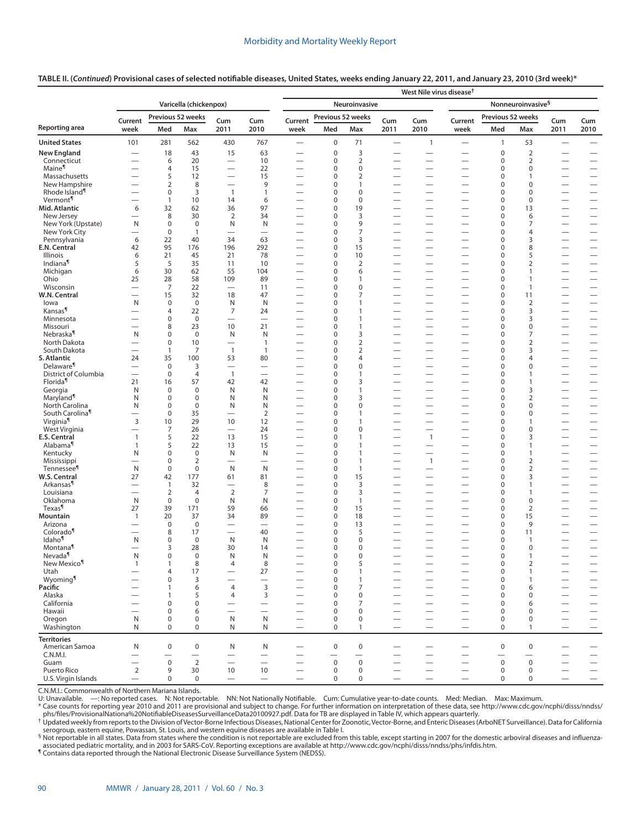#### **TABLE II. (***Continued***) Provisional cases of selected notifiable diseases, United States, weeks ending January 22, 2011, and January 23, 2010 (3rd week)\***

|                                               |                                            |                            |                          |                                            |                                            | West Nile virus disease <sup>†</sup>                 |                                                |                                  |                                                      |                                                             |                                                      |                            |                                |                                                               |                                               |
|-----------------------------------------------|--------------------------------------------|----------------------------|--------------------------|--------------------------------------------|--------------------------------------------|------------------------------------------------------|------------------------------------------------|----------------------------------|------------------------------------------------------|-------------------------------------------------------------|------------------------------------------------------|----------------------------|--------------------------------|---------------------------------------------------------------|-----------------------------------------------|
|                                               | Varicella (chickenpox)                     |                            |                          |                                            |                                            |                                                      | Nonneuroinvasive <sup>§</sup><br>Neuroinvasive |                                  |                                                      |                                                             |                                                      |                            |                                |                                                               |                                               |
|                                               | Previous 52 weeks<br>Current<br>Cum<br>Cum |                            |                          |                                            | Previous 52 weeks<br>Current<br>Cum<br>Cum |                                                      |                                                |                                  | Current                                              | Previous 52 weeks                                           |                                                      | Cum                        | Cum                            |                                                               |                                               |
| Reporting area                                | week                                       | Med                        | Max                      | 2011                                       | 2010                                       | week                                                 | Med                                            | Max                              | 2011                                                 | 2010                                                        | week                                                 | Med                        | Max                            | 2011                                                          | 2010                                          |
| <b>United States</b>                          | 101                                        | 281                        | 562                      | 430                                        | 767                                        | $\overbrace{\phantom{13333}}$                        | $\pmb{0}$                                      | 71                               | $\qquad \qquad$                                      | $\mathbf{1}$                                                |                                                      | 1                          | 53                             |                                                               |                                               |
| <b>New England</b>                            |                                            | 18                         | 43                       | 15                                         | 63                                         |                                                      | $\mathbf 0$                                    | 3                                | $\overline{\phantom{0}}$                             |                                                             |                                                      | $\mathbf 0$                | $\overline{2}$                 |                                                               |                                               |
| Connecticut<br>Maine <sup>¶</sup>             |                                            | 6<br>4                     | 20<br>15                 | $\overline{\phantom{0}}$                   | 10<br>22                                   | $\overline{\phantom{0}}$                             | $\mathbf 0$<br>0                               | 2<br>$\mathbf 0$                 | $\overline{\phantom{0}}$<br>$\overline{\phantom{0}}$ | $\overline{\phantom{0}}$                                    | $\overline{\phantom{0}}$                             | $\pmb{0}$<br>$\pmb{0}$     | 2<br>0                         | $\overline{\phantom{0}}$                                      | $\overline{\phantom{0}}$                      |
| Massachusetts                                 | $\overline{\phantom{0}}$                   | 5                          | 12                       | $\overline{\phantom{0}}$                   | 15                                         |                                                      | 0                                              | $\overline{2}$                   | $\overline{\phantom{0}}$                             |                                                             |                                                      | $\mathbf 0$                | $\mathbf{1}$                   |                                                               |                                               |
| New Hampshire                                 |                                            | 2                          | 8                        |                                            | 9                                          |                                                      | 0                                              | $\mathbf{1}$                     | $\overline{\phantom{0}}$                             |                                                             |                                                      | $\mathbf 0$                | 0                              |                                                               |                                               |
| Rhode Island <sup>1</sup>                     |                                            | $\boldsymbol{0}$           | 3                        | $\overline{1}$                             | $\mathbf{1}$                               |                                                      | 0                                              | $\mathbf 0$                      | $\overline{\phantom{0}}$                             | $\overline{\phantom{0}}$                                    |                                                      | $\mathbf 0$                | 0                              |                                                               | $\overline{\phantom{0}}$                      |
| Vermont <sup>¶</sup><br>Mid. Atlantic         | $\overline{\phantom{0}}$<br>6              | $\mathbf{1}$<br>32         | 10<br>62                 | 14<br>36                                   | 6<br>97                                    | $\overline{\phantom{0}}$<br>$\overline{\phantom{0}}$ | 0<br>$\mathbf 0$                               | $\mathbf 0$<br>19                | $\overline{\phantom{0}}$<br>$\overline{\phantom{0}}$ |                                                             |                                                      | $\mathbf 0$<br>$\mathbf 0$ | 0<br>13                        |                                                               | $\qquad \qquad -$                             |
| New Jersey                                    | $\overline{\phantom{0}}$                   | 8                          | 30                       | $\overline{2}$                             | 34                                         |                                                      | 0                                              | 3                                | $\overline{\phantom{0}}$                             |                                                             |                                                      | $\mathbf 0$                | 6                              |                                                               |                                               |
| New York (Upstate)                            | N                                          | $\mathbf 0$                | $\mathbf 0$              | N                                          | N                                          | —                                                    | 0                                              | 9                                | $\overline{\phantom{0}}$                             |                                                             | —                                                    | $\mathbf 0$                | 7                              |                                                               | $\qquad \qquad -$                             |
| New York City<br>Pennsylvania                 | $\overline{\phantom{0}}$<br>6              | $\mathbf 0$<br>22          | $\mathbf{1}$<br>40       | $\overline{\phantom{0}}$<br>34             | $\overline{\phantom{0}}$<br>63             | $\overline{\phantom{0}}$                             | 0<br>0                                         | $\overline{7}$<br>3              | $\overline{\phantom{0}}$                             | $\qquad \qquad$                                             | $\overline{\phantom{0}}$                             | $\mathbf 0$<br>$\mathbf 0$ | 4<br>3                         | $\overline{\phantom{0}}$                                      | $\overline{\phantom{0}}$                      |
| E.N. Central                                  | 42                                         | 95                         | 176                      | 196                                        | 292                                        | $\overline{\phantom{0}}$                             | 0                                              | 15                               | $\overline{\phantom{0}}$                             | $\overline{\phantom{0}}$                                    | $\overline{\phantom{0}}$                             | $\mathbf 0$                | 8                              |                                                               | $\overline{\phantom{0}}$                      |
| Illinois                                      | 6                                          | 21                         | 45                       | 21                                         | 78                                         | $\overline{\phantom{0}}$                             | 0                                              | 10                               | $\overline{\phantom{0}}$                             | $\qquad \qquad$                                             | $\overline{\phantom{0}}$                             | $\mathbf 0$                | 5                              |                                                               | $\overline{\phantom{0}}$                      |
| Indiana <sup>¶</sup>                          | 5                                          | 5                          | 35                       | 11<br>55                                   | 10<br>104                                  | $\overline{\phantom{0}}$                             | 0<br>0                                         | $\overline{2}$<br>6              | $\overline{\phantom{0}}$<br>$\equiv$                 | $\qquad \qquad$                                             |                                                      | $\mathbf 0$<br>$\mathbf 0$ | $\overline{2}$<br>$\mathbf{1}$ |                                                               |                                               |
| Michigan<br>Ohio                              | 6<br>25                                    | 30<br>28                   | 62<br>58                 | 109                                        | 89                                         | $\overline{\phantom{0}}$<br>$\overline{\phantom{0}}$ | 0                                              | $\mathbf{1}$                     | $\overline{\phantom{0}}$                             | $\overline{\phantom{0}}$<br>$\overline{\phantom{0}}$        | —<br>$\overline{\phantom{0}}$                        | $\mathbf 0$                | $\mathbf{1}$                   | $\overbrace{\phantom{123221111}}$<br>$\overline{\phantom{0}}$ | $\qquad \qquad -$                             |
| Wisconsin                                     | $\overline{\phantom{0}}$                   | 7                          | 22                       | $\overbrace{\phantom{12322111}}$           | 11                                         | -                                                    | 0                                              | $\mathbf 0$                      | $\overline{\phantom{0}}$                             | $\overline{\phantom{0}}$                                    | —                                                    | $\mathbf 0$                | $\mathbf{1}$                   | $\overline{\phantom{0}}$                                      |                                               |
| W.N. Central                                  | $\overline{\phantom{0}}$                   | 15                         | 32                       | 18                                         | 47                                         | $\overline{\phantom{0}}$                             | 0                                              | $\overline{7}$                   | $\equiv$                                             | $\overbrace{\phantom{12322111}}$                            | $\overline{\phantom{0}}$                             | $\mathbf 0$                | 11                             | $\overbrace{\phantom{123221111}}$                             | $\overline{\phantom{0}}$                      |
| lowa<br>Kansas <sup>¶</sup>                   | N<br>$\overline{\phantom{0}}$              | $\mathbf 0$<br>4           | $\mathbf 0$<br>22        | N<br>7                                     | N<br>24                                    | $\overline{\phantom{0}}$                             | 0<br>0                                         | $\mathbf{1}$<br>$\mathbf{1}$     | $\overline{\phantom{0}}$<br>$\overline{\phantom{0}}$ | $\hspace{0.1mm}-\hspace{0.1mm}$<br>$\overline{\phantom{0}}$ | $\overline{\phantom{0}}$                             | $\mathbf 0$<br>$\mathbf 0$ | $\overline{2}$<br>3            | $\overline{\phantom{0}}$                                      | $\qquad \qquad -$                             |
| Minnesota                                     | $\overline{\phantom{0}}$                   | 0                          | $\mathbf 0$              | $\overline{\phantom{0}}$                   | $\overline{\phantom{0}}$                   | -                                                    | 0                                              | $\overline{1}$                   | $\overline{\phantom{0}}$                             |                                                             | —                                                    | $\mathbf 0$                | 3                              | $\overline{\phantom{0}}$                                      |                                               |
| Missouri                                      |                                            | 8                          | 23                       | 10                                         | 21                                         | $\overline{\phantom{0}}$                             | 0                                              | $\mathbf{1}$                     | $\overline{\phantom{0}}$                             |                                                             | $\overline{\phantom{0}}$                             | $\pmb{0}$                  | 0                              |                                                               | $\overline{\phantom{0}}$                      |
| Nebraska <sup>1</sup><br>North Dakota         | N<br>$\overline{\phantom{0}}$              | 0<br>$\boldsymbol{0}$      | $\mathbf 0$<br>10        | N                                          | N                                          | $\overline{\phantom{0}}$                             | 0                                              | 3                                | $\overline{\phantom{0}}$<br>$\overline{\phantom{0}}$ |                                                             | $\overline{\phantom{0}}$                             | $\mathbf 0$<br>$\pmb{0}$   | 7<br>$\overline{2}$            |                                                               | $\overline{\phantom{0}}$                      |
| South Dakota                                  |                                            | $\mathbf{1}$               | 7                        | $\overline{\phantom{0}}$<br>$\overline{1}$ | $\mathbf{1}$<br>$\overline{1}$             | $\overline{\phantom{0}}$                             | 0<br>0                                         | $\overline{2}$<br>$\overline{2}$ | $\overline{\phantom{0}}$                             | $\overline{\phantom{0}}$                                    |                                                      | $\mathbf 0$                | 3                              | $\overline{\phantom{0}}$                                      | $\overline{\phantom{0}}$                      |
| S. Atlantic                                   | 24                                         | 35                         | 100                      | 53                                         | 80                                         | $\overline{\phantom{0}}$                             | 0                                              | $\overline{4}$                   | $\overline{\phantom{0}}$                             | $\overline{\phantom{0}}$                                    | $\overline{\phantom{0}}$                             | 0                          | 4                              | $\overline{\phantom{0}}$                                      | $\qquad \qquad -$                             |
| Delaware <sup>¶</sup>                         |                                            | $\mathbf 0$                | 3                        | $\qquad \qquad$                            | $\overline{\phantom{0}}$                   | $\overline{\phantom{0}}$                             | 0                                              | $\mathbf 0$                      | $\overline{\phantom{0}}$                             |                                                             |                                                      | $\mathbf 0$                | 0                              |                                                               | $\overline{\phantom{m}}$                      |
| District of Columbia<br>Florida <sup>1</sup>  | $\overline{\phantom{0}}$<br>21             | $\mathbf 0$<br>16          | $\overline{4}$<br>57     | $\overline{1}$<br>42                       | $\overline{\phantom{0}}$<br>42             | $\overline{\phantom{0}}$                             | 0<br>0                                         | $\mathbf{1}$<br>3                | $\overline{\phantom{0}}$<br>$\overline{\phantom{0}}$ |                                                             |                                                      | $\pmb{0}$<br>$\mathbf 0$   | $\mathbf{1}$<br>$\mathbf{1}$   |                                                               | $\qquad \qquad$                               |
| Georgia                                       | N                                          | $\boldsymbol{0}$           | $\mathbf 0$              | N                                          | N                                          |                                                      | 0                                              | $\mathbf{1}$                     | $\overline{\phantom{0}}$                             |                                                             |                                                      | $\mathbf 0$                | 3                              |                                                               |                                               |
| Maryland <sup>1</sup>                         | N                                          | 0                          | $\mathbf 0$              | N                                          | N                                          | $\overline{\phantom{0}}$                             | 0                                              | 3                                | $\overline{\phantom{0}}$                             | $\overline{\phantom{0}}$                                    |                                                      | $\mathbf 0$                | 2                              |                                                               |                                               |
| North Carolina<br>South Carolina <sup>1</sup> | N                                          | 0<br>$\boldsymbol{0}$      | $\pmb{0}$<br>35          | N<br>$\overline{\phantom{0}}$              | N<br>2                                     | $\overline{\phantom{0}}$                             | 0<br>0                                         | $\boldsymbol{0}$<br>$\mathbf{1}$ | $\overline{\phantom{0}}$<br>$\overline{\phantom{0}}$ | $\overline{\phantom{0}}$                                    | $\overline{\phantom{0}}$                             | $\mathbf 0$<br>$\mathbf 0$ | 0<br>0                         | $\overline{\phantom{0}}$                                      | $\overline{\phantom{0}}$                      |
| Virginia                                      | 3                                          | 10                         | 29                       | 10                                         | 12                                         |                                                      | 0                                              | $\mathbf{1}$                     | $\overline{\phantom{0}}$                             | $\overline{\phantom{m}}$                                    |                                                      | $\mathbf 0$                | $\mathbf{1}$                   |                                                               |                                               |
| West Virginia                                 | $\overline{\phantom{0}}$                   | 7                          | 26                       | $\overline{\phantom{0}}$                   | 24                                         |                                                      | 0                                              | $\mathbf 0$                      |                                                      |                                                             |                                                      | $\mathbf 0$                | 0                              |                                                               |                                               |
| E.S. Central                                  | $\mathbf{1}$                               | 5                          | 22                       | 13                                         | 15                                         |                                                      | 0                                              | $\mathbf{1}$                     | $\overline{\phantom{0}}$                             | $\mathbf{1}$                                                |                                                      | $\mathbf 0$                | 3                              |                                                               | $\overline{\phantom{0}}$                      |
| Alabama <sup>1</sup><br>Kentucky              | $\mathbf{1}$<br>N                          | 5<br>0                     | 22<br>$\mathbf 0$        | 13<br>N                                    | 15<br>N                                    | $\overbrace{\phantom{13333}}$                        | 0<br>0                                         | $\mathbf{1}$<br>$\mathbf{1}$     | $\overline{\phantom{0}}$                             | $\qquad \qquad$<br>$\qquad \qquad$                          |                                                      | $\mathbf 0$<br>$\mathbf 0$ | $\mathbf{1}$<br>$\mathbf{1}$   |                                                               | $\overline{\phantom{0}}$                      |
| Mississippi                                   | $\overline{\phantom{0}}$                   | $\mathbf 0$                | $\overline{2}$           | $\overline{\phantom{0}}$                   | $\overline{\phantom{0}}$                   |                                                      | 0                                              | $\overline{1}$                   | $\overline{\phantom{0}}$                             | $\overline{1}$                                              | $\overline{\phantom{0}}$                             | $\mathbf 0$                | 2                              |                                                               |                                               |
| Tennessee <sup>¶</sup>                        | N                                          | $\mathbf 0$                | $\mathbf 0$              | $\mathsf{N}$                               | ${\sf N}$                                  | —                                                    | 0                                              | $\overline{1}$                   | $\overline{\phantom{0}}$                             |                                                             | -                                                    | $\mathbf 0$                | $\overline{2}$                 |                                                               | $\qquad \qquad -$                             |
| W.S. Central<br>Arkansas <sup>¶</sup>         | 27                                         | 42<br>$\mathbf{1}$         | 177<br>32                | 61<br>$\overbrace{\phantom{123221111}}$    | 81<br>8                                    |                                                      | 0<br>0                                         | 15<br>$\overline{3}$             | $\overline{\phantom{0}}$                             | $\qquad \qquad$                                             | $\overline{\phantom{0}}$                             | $\mathbf 0$<br>$\mathbf 0$ | 3<br>$\mathbf{1}$              | $\overline{\phantom{0}}$                                      | $\overline{\phantom{0}}$                      |
| Louisiana                                     | $\overline{\phantom{0}}$                   | $\overline{2}$             | $\overline{4}$           | $\overline{2}$                             | $\overline{7}$                             | $\overline{\phantom{0}}$                             | 0                                              | 3                                | $\overline{\phantom{0}}$                             |                                                             | $\overline{\phantom{0}}$                             | $\mathbf 0$                | $\mathbf{1}$                   |                                                               | $\overline{\phantom{0}}$                      |
| Oklahoma                                      | N                                          | $\mathbf 0$                | $\mathbf 0$              | $\mathsf{N}$                               | N                                          | —                                                    | $\mathbf 0$                                    | $\overline{1}$                   | $\overline{\phantom{0}}$                             |                                                             | —                                                    | $\mathbf 0$                | $\mathbf 0$                    | $\overline{\phantom{0}}$                                      |                                               |
| Texas <sup>¶</sup>                            | 27                                         | 39                         | 171                      | 59                                         | 66                                         | $\overline{\phantom{0}}$                             | 0                                              | 15                               |                                                      | $\overline{\phantom{m}}$                                    |                                                      | $\mathbf 0$                | 2                              |                                                               |                                               |
| Mountain<br>Arizona                           | $\mathbf{1}$<br>$\overline{\phantom{0}}$   | 20<br>$\mathbf 0$          | 37<br>0                  | 34<br>$\overline{\phantom{0}}$             | 89                                         | $\overline{\phantom{0}}$<br>$\overline{\phantom{0}}$ | 0<br>0                                         | 18<br>13                         | $\overline{\phantom{0}}$<br>$\overline{\phantom{0}}$ | $\overline{\phantom{0}}$<br>$\overline{\phantom{0}}$        | $\overline{\phantom{0}}$<br>$\overline{\phantom{0}}$ | $\mathbf 0$<br>$\mathbf 0$ | 15<br>9                        | $\overbrace{\phantom{123221111}}$<br>$\overline{\phantom{0}}$ |                                               |
| Colorado <sup>1</sup>                         |                                            | 8                          | 17                       | $\overline{\phantom{0}}$                   | 40                                         | -                                                    | 0                                              | 5                                | $\overline{\phantom{0}}$                             | $\overline{\phantom{0}}$                                    | —                                                    | $\mathbf 0$                | 11                             | $\overline{\phantom{0}}$                                      | $\overline{\phantom{0}}$                      |
| Idaho <sup>¶</sup>                            | N                                          | 0                          | $\pmb{0}$                | $\mathsf{N}$                               | N                                          | $\overline{\phantom{0}}$                             | 0                                              | $\mathbf 0$                      | $\overline{\phantom{0}}$                             | $\overbrace{\phantom{12322111}}$                            | $\overline{\phantom{0}}$                             | $\pmb{0}$                  | $\mathbf{1}$                   | $\overline{\phantom{0}}$                                      |                                               |
| Montana <sup>1</sup><br>Nevada                | $\overbrace{\phantom{1232211}}$<br>N       | 3<br>0                     | 28<br>0                  | 30<br>N                                    | 14<br>N                                    | $\overline{\phantom{0}}$                             | 0<br>0                                         | $\mathbf 0$<br>0                 | $\overline{\phantom{0}}$                             |                                                             |                                                      | $\mathbf 0$<br>0           | 0<br>1                         |                                                               |                                               |
| New Mexico <sup>¶</sup>                       | $\mathbf{1}$                               | $\mathbf{1}$               | 8                        | 4                                          | $\,8\,$                                    |                                                      | $\mathbf 0$                                    | 5                                |                                                      |                                                             |                                                      | $\pmb{0}$                  | 2                              |                                                               |                                               |
| Utah                                          |                                            | 4                          | 17                       | $\overline{\phantom{0}}$                   | 27                                         | $\overline{\phantom{0}}$                             | 0                                              | $\mathbf{1}$                     | $\overline{\phantom{0}}$                             | $\overline{\phantom{0}}$                                    | $\overline{\phantom{0}}$                             | $\pmb{0}$                  | $\mathbf{1}$                   |                                                               |                                               |
| Wyoming <sup>1</sup>                          |                                            | 0                          | 3                        | $\overline{\phantom{0}}$                   | $\overbrace{\phantom{123221111}}$          |                                                      | 0                                              | $\mathbf{1}$                     | $\overline{\phantom{0}}$                             |                                                             | $\overline{\phantom{0}}$                             | $\mathbf 0$                | $\mathbf{1}$                   |                                                               |                                               |
| Pacific<br>Alaska                             |                                            | $\mathbf{1}$<br>1          | 6<br>5                   | 4<br>4                                     | $\overline{3}$<br>3                        |                                                      | 0<br>0                                         | 7<br>$\mathbf 0$                 | $\overline{\phantom{0}}$                             | $\overline{\phantom{0}}$                                    | -<br>$\overline{\phantom{0}}$                        | 0<br>$\mathbf 0$           | 6<br>0                         |                                                               | $\overline{\phantom{0}}$<br>$\qquad \qquad -$ |
| California                                    | $\overline{\phantom{0}}$                   | 0                          | 0                        | $\overline{\phantom{0}}$                   |                                            | $\overline{\phantom{0}}$                             | 0                                              | $\overline{7}$                   | $\overline{\phantom{0}}$                             |                                                             | $\overline{\phantom{0}}$                             | 0                          | 6                              | $\overline{\phantom{0}}$                                      |                                               |
| Hawaii                                        |                                            | 0                          | 6                        | —                                          | -                                          |                                                      | 0                                              | $\mathbf 0$                      |                                                      |                                                             | —                                                    | $\mathbf 0$                | 0                              |                                                               |                                               |
| Oregon<br>Washington                          | N<br>N                                     | $\mathbf 0$<br>$\mathbf 0$ | $\pmb{0}$<br>$\mathbf 0$ | N<br>N                                     | N<br>N                                     | $\overline{\phantom{0}}$<br>$\overline{\phantom{0}}$ | $\mathbf 0$<br>$\mathbf 0$                     | $\mathbf 0$<br>$\mathbf{1}$      | $\overline{\phantom{0}}$<br>-                        | $\overline{\phantom{0}}$                                    |                                                      | $\pmb{0}$<br>$\mathbf 0$   | 0<br>$\mathbf{1}$              |                                                               | —<br>$\overline{\phantom{0}}$                 |
| <b>Territories</b>                            |                                            |                            |                          |                                            |                                            |                                                      |                                                |                                  |                                                      |                                                             |                                                      |                            |                                |                                                               |                                               |
| American Samoa                                | N                                          | $\boldsymbol{0}$           | $\pmb{0}$                | N                                          | N                                          | $\overline{\phantom{0}}$                             | $\pmb{0}$                                      | $\boldsymbol{0}$                 | $\overline{\phantom{0}}$                             |                                                             | $\overline{\phantom{0}}$                             | $\pmb{0}$                  | $\pmb{0}$                      | $\overline{\phantom{0}}$                                      |                                               |
| C.N.M.I.                                      |                                            |                            | $\overline{\phantom{0}}$ | $\overline{\phantom{0}}$                   |                                            | $\overline{\phantom{0}}$                             |                                                | $\overline{\phantom{0}}$         | $\overline{\phantom{0}}$                             | $\overline{\phantom{0}}$                                    |                                                      | $\overline{\phantom{0}}$   |                                | $\overline{\phantom{0}}$                                      |                                               |
| Guam<br>Puerto Rico                           | $\overline{\phantom{0}}$<br>$\overline{2}$ | $\boldsymbol{0}$<br>9      | $\overline{2}$<br>30     | $\overline{\phantom{0}}$<br>10             | $\overline{\phantom{0}}$<br>10             |                                                      | $\pmb{0}$<br>$\mathbf 0$                       | $\mathbf 0$<br>$\mathbf 0$       |                                                      | $\overline{\phantom{0}}$                                    |                                                      | $\pmb{0}$<br>$\mathbf 0$   | $\mathbf 0$<br>$\mathbf 0$     | $\overline{\phantom{0}}$                                      | $\overline{\phantom{0}}$                      |
| U.S. Virgin Islands                           | $\overbrace{\phantom{1232211}}$            | $\mathbf 0$                | $\pmb{0}$                | $\qquad \qquad -$                          |                                            | $\qquad \qquad -$                                    | 0                                              | $\mathbf 0$                      |                                                      | $\overline{\phantom{0}}$                                    |                                                      | $\mathbf 0$                | 0                              |                                                               | —                                             |

C.N.M.I.: Commonwealth of Northern Mariana Islands.

U: Unavailable. —: No reported cases. N: Not reportable. NN: Not Nationally Notifiable. Cum: Cumulative year-to-date counts. Med: Median. Max: Maximum.

\* Case counts for reporting year 2010 and 2011 are provisional and subject to change. For further information on interpretation of these data, see [http://www.cdc.gov/ncphi/disss/nndss/](http://www.cdc.gov/ncphi/disss/nndss/phs/files/ProvisionalNationa%20NotifiableDiseasesSurveillanceData20100927.pdf)<br>phs/files/ProvisionalNationa%20Notifi

serogroup, eastern equine, Powassan, St. Louis, and western equine diseases are available in Table I.

§ Not reportable in all states. Data from states where the condition is not reportable are excluded from this table, except starting in 2007 for the domestic arboviral diseases and influenzaassociated pediatric mortality, and in 2003 for SARS-CoV. Reporting exceptions are available at <http://www.cdc.gov/ncphi/disss/nndss/phs/infdis.htm>.<br>I Contains data reported through the National Electronic Disease Surveill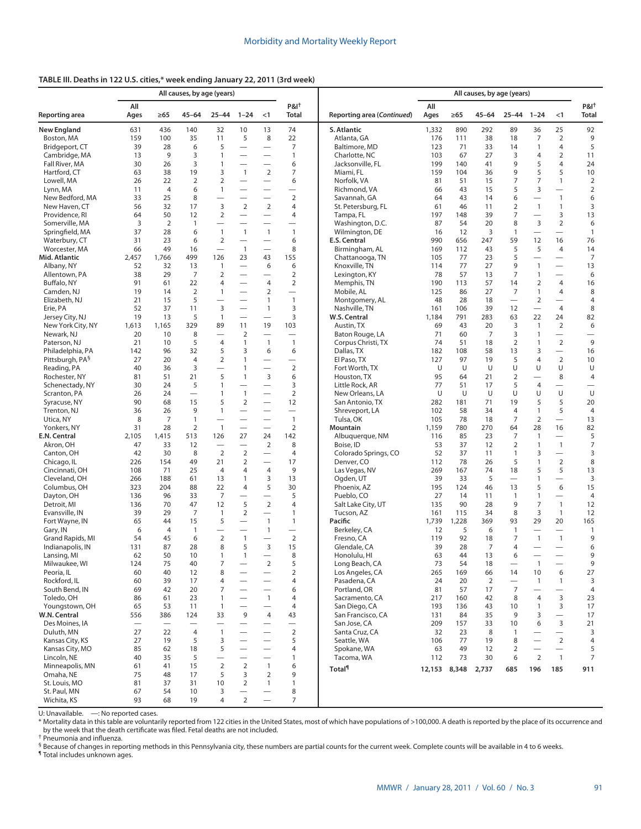## **TABLE III. Deaths in 122 U.S. cities,\* week ending January 22, 2011 (3rd week)**

| All causes, by age (years)       |                          |                |                          |                                  |                                            |                                          | All causes, by age (years)               |                                   |              |           |                |                                  |                                            |                                  |                                  |  |
|----------------------------------|--------------------------|----------------|--------------------------|----------------------------------|--------------------------------------------|------------------------------------------|------------------------------------------|-----------------------------------|--------------|-----------|----------------|----------------------------------|--------------------------------------------|----------------------------------|----------------------------------|--|
| Reporting area                   | All<br>Ages              | $\geq 65$      | $45 - 64$                | $25 - 44$                        | $1 - 24$                                   | < 1                                      | P&I <sup>t</sup><br>Total                | Reporting area (Continued)        | All<br>Ages  | $\geq 65$ | $45 - 64$      | $25 - 44$                        | $1 - 24$                                   | < 1                              | P&I <sup>t</sup><br><b>Total</b> |  |
| <b>New England</b>               | 631                      | 436            | 140                      | 32                               | 10                                         | 13                                       | 74                                       | S. Atlantic                       | 1,332        | 890       | 292            | 89                               | 36                                         | 25                               | 92                               |  |
| Boston, MA                       | 159                      | 100            | 35                       | 11                               | 5                                          | 8                                        | 22                                       | Atlanta, GA                       | 176          | 111       | 38             | 18                               | 7                                          | 2                                | 9                                |  |
| Bridgeport, CT                   | 39                       | 28             | 6                        | 5                                | $\overline{\phantom{0}}$                   | $\overline{\phantom{0}}$                 | $\overline{7}$                           | Baltimore, MD                     | 123          | 71        | 33             | 14                               | $\mathbf{1}$                               | $\overline{4}$                   | 5                                |  |
| Cambridge, MA                    | 13                       | 9              | 3                        | 1                                | $\overline{\phantom{0}}$                   | $\overline{\phantom{0}}$                 | $\mathbf{1}$                             | Charlotte, NC                     | 103          | 67        | 27             | 3                                | $\overline{4}$                             | $\overline{2}$                   | 11                               |  |
| Fall River, MA                   | 30                       | 26             | 3                        | 1                                | $\overline{\phantom{0}}$                   |                                          | 6                                        | Jacksonville, FL                  | 199          | 140       | 41             | 9                                | 5                                          | $\overline{4}$                   | 24                               |  |
| Hartford, CT                     | 63                       | 38             | 19                       | 3                                | $\mathbf{1}$                               | $\overline{2}$                           | $\overline{7}$                           | Miami, FL                         | 159          | 104       | 36             | 9                                | 5                                          | 5                                | 10                               |  |
| Lowell, MA                       | 26                       | 22             | $\overline{2}$           | $\overline{2}$                   |                                            |                                          | 6                                        | Norfolk, VA                       | 81           | 51        | 15             | 7                                | 7                                          | $\mathbf{1}$                     | 2                                |  |
| Lynn, MA                         | 11                       | $\overline{4}$ | 6                        | 1                                |                                            | $\overline{\phantom{0}}$                 | $\overline{\phantom{0}}$                 | Richmond, VA                      | 66           | 43        | 15             | 5                                | 3                                          | $\overline{\phantom{0}}$         | $\overline{2}$                   |  |
| New Bedford, MA                  | 33                       | 25             | 8                        | $\overline{\phantom{0}}$         |                                            | $\overline{\phantom{0}}$                 | $\overline{2}$                           | Savannah, GA                      | 64           | 43        | 14             | 6                                | $\overline{\phantom{0}}$                   | $\mathbf{1}$                     | 6                                |  |
| New Haven, CT                    | 56                       | 32             | 17                       | 3<br>$\overline{2}$              | $\overline{2}$<br>$\overline{\phantom{0}}$ | $\overline{2}$<br>$\equiv$               | 4<br>4                                   | St. Petersburg, FL                | 61           | 46        | 11             | $\overline{2}$                   | $\mathbf{1}$                               | $\mathbf{1}$                     | 3                                |  |
| Providence, RI<br>Somerville, MA | 64<br>3                  | 50<br>2        | 12<br>$\mathbf{1}$       |                                  |                                            | $\overline{\phantom{0}}$                 |                                          | Tampa, FL<br>Washington, D.C.     | 197<br>87    | 148<br>54 | 39<br>20       | 7<br>8                           | $\overline{\phantom{0}}$<br>$\overline{3}$ | 3<br>$\overline{2}$              | 13<br>6                          |  |
| Springfield, MA                  | 37                       | 28             | 6                        | $\mathbf{1}$                     | $\mathbf{1}$                               | $\mathbf{1}$                             | $\overline{\phantom{0}}$<br>$\mathbf{1}$ | Wilmington, DE                    | 16           | 12        | 3              | 1                                | $\equiv$                                   | $\equiv$                         | $\mathbf{1}$                     |  |
| Waterbury, CT                    | 31                       | 23             | 6                        | $\overline{2}$                   |                                            |                                          | 6                                        | E.S. Central                      | 990          | 656       | 247            | 59                               | 12                                         | 16                               | 76                               |  |
| Worcester, MA                    | 66                       | 49             | 16                       | $\overbrace{\phantom{12322111}}$ | $\mathbf{1}$                               | $\overline{\phantom{0}}$                 | 8                                        | Birmingham, AL                    | 169          | 112       | 43             | 5                                | 5                                          | $\overline{4}$                   | 14                               |  |
| Mid. Atlantic                    | 2,457                    | 1,766          | 499                      | 126                              | 23                                         | 43                                       | 155                                      | Chattanooga, TN                   | 105          | 77        | 23             | 5                                |                                            | $\overline{\phantom{0}}$         | 7                                |  |
| Albany, NY                       | 52                       | 32             | 13                       | $\mathbf{1}$                     | $\overline{\phantom{0}}$                   | 6                                        | 6                                        | Knoxville, TN                     | 114          | 77        | 27             | 9                                | $\mathbf{1}$                               | $\equiv$                         | 13                               |  |
| Allentown, PA                    | 38                       | 29             | 7                        | $\overline{2}$                   | $\overline{\phantom{0}}$                   | $\overline{\phantom{0}}$                 | $\overline{2}$                           | Lexington, KY                     | 78           | 57        | 13             | 7                                | $\mathbf{1}$                               | $\overbrace{\phantom{12322111}}$ | 6                                |  |
| Buffalo, NY                      | 91                       | 61             | 22                       | 4                                |                                            | $\overline{4}$                           | $\overline{2}$                           | Memphis, TN                       | 190          | 113       | 57             | 14                               | $\overline{2}$                             | $\overline{4}$                   | 16                               |  |
| Camden, NJ                       | 19                       | 14             | $\overline{2}$           | $\mathbf{1}$                     |                                            | $\overline{2}$                           |                                          | Mobile, AL                        | 125          | 86        | 27             | $\overline{7}$                   | $\mathbf{1}$                               | $\overline{4}$                   | 8                                |  |
| Elizabeth, NJ                    | 21                       | 15             | 5                        |                                  |                                            | $\mathbf{1}$                             | $\mathbf{1}$                             | Montgomery, AL                    | 48           | 28        | 18             | $\overline{\phantom{0}}$         | $\overline{2}$                             | $\overline{\phantom{0}}$         | 4                                |  |
| Erie, PA                         | 52                       | 37             | 11                       | 3                                | $\overline{\phantom{0}}$                   | $\overline{1}$                           | 3                                        | Nashville, TN                     | 161          | 106       | 39             | 12                               | $\overline{\phantom{0}}$                   | $\overline{4}$                   | 8                                |  |
| Jersey City, NJ                  | 19                       | 13             | 5                        | $\mathbf{1}$                     |                                            |                                          | 3                                        | W.S. Central                      | 1,184        | 791       | 283            | 63                               | 22                                         | 24                               | 82                               |  |
| New York City, NY                | 1,613                    | 1,165          | 329                      | 89                               | 11                                         | 19                                       | 103                                      | Austin, TX                        | 69           | 43        | 20             | 3                                | $\overline{1}$                             | 2                                | 6                                |  |
| Newark, NJ                       | 20                       | 10             | 8                        | $\overbrace{\phantom{12322111}}$ | $\overline{2}$                             | $\overline{\phantom{0}}$                 | $\overline{\phantom{0}}$                 | Baton Rouge, LA                   | 71           | 60        | 7              | 3                                | $\mathbf{1}$                               | $\equiv$                         | $\overline{\phantom{0}}$         |  |
| Paterson, NJ                     | 21                       | 10             | 5                        | 4                                | $\mathbf{1}$                               | $\mathbf{1}$                             | $\overline{1}$                           | Corpus Christi, TX                | 74           | 51        | 18             | $\overline{2}$                   | $\mathbf{1}$                               | 2                                | 9                                |  |
| Philadelphia, PA                 | 142                      | 96             | 32                       | 5                                | 3                                          | 6                                        | 6                                        | Dallas, TX                        | 182          | 108       | 58             | 13                               | $\mathsf 3$                                | $\equiv$                         | 16                               |  |
| Pittsburgh, PA <sup>§</sup>      | 27                       | 20             | $\overline{4}$           | $\overline{2}$                   | $\mathbf{1}$                               |                                          |                                          | El Paso, TX                       | 127          | 97        | 19             | 5                                | $\overline{4}$                             | $\overline{2}$                   | 10                               |  |
| Reading, PA                      | 40                       | 36             | 3                        | $\overline{\phantom{0}}$         | 1                                          | $\overline{\phantom{0}}$                 | $\overline{2}$                           | Fort Worth, TX                    | U            | U         | U              | U                                | U                                          | U                                | U                                |  |
| Rochester, NY                    | 81                       | 51             | 21                       | 5                                | $\mathbf{1}$                               | $\mathsf 3$                              | 6                                        | Houston, TX                       | 95           | 64        | 21             | $\overline{2}$                   | $\equiv$                                   | 8                                | 4                                |  |
| Schenectady, NY                  | 30                       | 24             | 5                        | $\mathbf{1}$                     |                                            |                                          | 3                                        | Little Rock, AR                   | 77           | 51        | 17             | 5                                | $\overline{4}$                             |                                  |                                  |  |
| Scranton, PA                     | 26                       | 24             | $\overline{\phantom{0}}$ | 1                                | $\mathbf{1}$                               | $\equiv$                                 | $\overline{2}$                           | New Orleans, LA                   | U            | U         | U              | U                                | U                                          | U                                | U                                |  |
| Syracuse, NY                     | 90                       | 68             | 15                       | 5                                | 2                                          |                                          | 12                                       | San Antonio, TX                   | 282          | 181       | 71             | 19                               | 5                                          | 5                                | 20                               |  |
| Trenton, NJ                      | 36                       | 26             | 9                        | $\mathbf{1}$                     |                                            |                                          | $\overbrace{\phantom{12322111}}$         | Shreveport, LA                    | 102          | 58        | 34             | 4                                | $\mathbf{1}$                               | 5                                | $\overline{4}$                   |  |
| Utica, NY                        | 8                        | 7              | $\mathbf{1}$             |                                  |                                            |                                          | $\mathbf{1}$                             | Tulsa, OK                         | 105          | 78        | 18             | 7                                | $\overline{2}$                             |                                  | 13                               |  |
| Yonkers, NY                      | 31                       | 28             | $\overline{2}$           | $\overline{1}$                   | $\overline{\phantom{0}}$                   |                                          | $\overline{2}$                           | Mountain                          | 1,159        | 780       | 270            | 64                               | 28                                         | 16                               | 82                               |  |
| E.N. Central                     | 2,105                    | 1,415          | 513                      | 126                              | 27                                         | 24                                       | 142                                      | Albuquerque, NM                   | 116          | 85        | 23             | 7                                | $\mathbf{1}$                               | $\overline{\phantom{0}}$         | 5                                |  |
| Akron, OH                        | 47                       | 33<br>30       | 12<br>8                  | $\overline{2}$                   | $\overline{\phantom{0}}$<br>$\overline{2}$ | 2                                        | 8<br>$\overline{4}$                      | Boise, ID<br>Colorado Springs, CO | 53<br>52     | 37<br>37  | 12<br>11       | 2<br>1                           | $\overline{1}$<br>3                        | $\mathbf{1}$                     | 7<br>3                           |  |
| Canton, OH<br>Chicago, IL        | 42<br>226                | 154            | 49                       | 21                               | $\overline{2}$                             | $\overline{\phantom{0}}$                 | 17                                       | Denver, CO                        | 112          | 78        | 26             | 5                                | $\mathbf{1}$                               | $\overline{2}$                   | 8                                |  |
| Cincinnati, OH                   | 108                      | 71             | 25                       | $\overline{4}$                   | 4                                          | $\overline{4}$                           | 9                                        | Las Vegas, NV                     | 269          | 167       | 74             | 18                               | 5                                          | 5                                | 13                               |  |
| Cleveland, OH                    | 266                      | 188            | 61                       | 13                               | $\mathbf{1}$                               | 3                                        | 13                                       | Ogden, UT                         | 39           | 33        | 5              | $\overbrace{\phantom{12322111}}$ | $\mathbf{1}$                               | $\overline{\phantom{0}}$         | 3                                |  |
| Columbus, OH                     | 323                      | 204            | 88                       | 22                               | $\overline{4}$                             | 5                                        | 30                                       | Phoenix, AZ                       | 195          | 124       | 46             | 13                               | 5                                          | 6                                | 15                               |  |
| Dayton, OH                       | 136                      | 96             | 33                       | $\overline{7}$                   |                                            | $\equiv$                                 | 5                                        | Pueblo, CO                        | 27           | 14        | 11             | 1                                | $\mathbf{1}$                               | $\equiv$                         | 4                                |  |
| Detroit, MI                      | 136                      | 70             | 47                       | 12                               | 5                                          | $\overline{2}$                           | $\overline{4}$                           | Salt Lake City, UT                | 135          | 90        | 28             | 9                                | 7                                          | $\mathbf{1}$                     | 12                               |  |
| Evansville, IN                   | 39                       | 29             | 7                        | $\mathbf{1}$                     | $\overline{2}$                             | $\overline{\phantom{0}}$                 | 1                                        | Tucson, AZ                        | 161          | 115       | 34             | 8                                | 3                                          | $\mathbf{1}$                     | 12                               |  |
| Fort Wayne, IN                   | 65                       | 44             | 15                       | 5                                |                                            | $\mathbf{1}$                             | $\mathbf{1}$                             | Pacific                           | 1,739        | 1,228     | 369            | 93                               | 29                                         | 20                               | 165                              |  |
| Gary, IN                         | 6                        | $\overline{4}$ | $\overline{1}$           |                                  |                                            | $\mathbf{1}$                             | $\overline{\phantom{0}}$                 | Berkeley, CA                      | 12           | 5         | 6              | $\mathbf{1}$                     |                                            | $\overline{\phantom{0}}$         | $\overline{1}$                   |  |
| Grand Rapids, MI                 | 54                       | 45             | 6                        | $\mathbf 2$                      | $\mathbf{1}$                               | $\overline{\phantom{0}}$                 | $\overline{2}$                           | Fresno, CA                        | 119          | 92        | 18             | 7                                | $\overline{1}$                             | $\mathbf{1}$                     | 9                                |  |
| Indianapolis, IN                 | 131                      | 87             | 28                       | 8                                | 5                                          | 3                                        | 15                                       | Glendale, CA                      | 39           | 28        | $\overline{7}$ | 4                                | $\overline{\phantom{m}}$                   | $\qquad \qquad$                  | 6                                |  |
| Lansing, MI                      | 62                       | 50             | 10                       | 1                                | $\mathbf{1}$                               |                                          | 8                                        | Honolulu, HI                      | 63           | 44        | 13             | 6                                |                                            |                                  | 9                                |  |
| Milwaukee, WI                    | 124                      | 75             | 40                       | 7                                |                                            | $\overline{2}$                           | 5                                        | Long Beach, CA                    | 73           | 54        | 18             |                                  | $\overline{1}$                             |                                  | 9                                |  |
| Peoria, IL                       | 60                       | 40             | 12                       | 8                                |                                            |                                          | $\overline{2}$                           | Los Angeles, CA                   | 265          | 169       | 66             | 14                               | 10                                         | 6                                | 27                               |  |
| Rockford, IL                     | 60                       | 39             | 17                       | 4                                |                                            | $\overline{\phantom{0}}$                 | 4                                        | Pasadena, CA                      | 24           | 20        | 2              | $\overline{\phantom{0}}$         | $\mathbf{1}$                               | $\mathbf{1}$                     | 3                                |  |
| South Bend, IN                   | 69                       | 42             | 20                       | 7                                |                                            |                                          | 6                                        | Portland, OR                      | 81           | 57        | 17             | 7                                |                                            | $\overline{\phantom{0}}$         | 4                                |  |
| Toledo, OH                       | 86                       | 61             | 23                       | 1                                |                                            | $\overline{1}$                           | $\overline{4}$                           | Sacramento, CA                    | 217          | 160       | 42             | 8                                | $\overline{4}$                             | 3                                | 23                               |  |
| Youngstown, OH                   | 65                       | 53             | 11                       | $\mathbf{1}$                     |                                            |                                          | $\overline{4}$                           | San Diego, CA                     | 193          | 136       | 43             | 10                               | $\mathbf{1}$                               | 3                                | 17                               |  |
| W.N. Central                     | 556                      | 386            | 124                      | 33                               | 9                                          | 4                                        | 43                                       | San Francisco, CA                 | 131          | 84        | 35             | 9                                | 3                                          | $\equiv$                         | $17$                             |  |
| Des Moines, IA                   | $\overline{\phantom{0}}$ |                |                          |                                  |                                            | $\overline{\phantom{0}}$                 | $\overline{\phantom{0}}$                 | San Jose, CA                      | 209          | 157       | 33             | 10                               | 6                                          | 3                                | 21                               |  |
| Duluth, MN                       | 27                       | 22             | 4                        | $\mathbf{1}$                     |                                            | $\overline{\phantom{0}}$                 | $\overline{2}$                           | Santa Cruz, CA                    | 32           | 23        | 8              | 1                                |                                            | $\qquad \qquad$                  | 3                                |  |
| Kansas City, KS                  | 27                       | 19             | 5                        | 3                                |                                            |                                          | 5                                        | Seattle, WA                       | 106          | 77        | 19             | 8                                | $\overline{\phantom{0}}$                   | 2                                | 4                                |  |
| Kansas City, MO                  | 85                       | 62             | 18                       | 5                                |                                            | $\overline{\phantom{0}}$                 | 4                                        | Spokane, WA                       | 63           | 49        | 12             | 2                                | $\overline{\phantom{0}}$                   | $\qquad \qquad -$                | 5                                |  |
| Lincoln, NE                      | 40                       | 35             | 5                        | $\overline{\phantom{0}}$         |                                            | $\overline{\phantom{0}}$                 | 1                                        | Tacoma, WA                        | 112          | 73        | 30             | 6                                | $\overline{2}$                             | $\overline{1}$                   | $\overline{7}$                   |  |
| Minneapolis, MN                  | 61                       | 41             | 15                       | 2                                | $\overline{2}$                             | $\mathbf{1}$                             | 6                                        | <b>Total</b> <sup>1</sup>         | 12,153 8,348 |           | 2,737          | 685                              | 196                                        | 185                              | 911                              |  |
| Omaha, NE                        | 75                       | 48             | 17                       | 5                                | 3                                          | 2                                        | 9                                        |                                   |              |           |                |                                  |                                            |                                  |                                  |  |
| St. Louis, MO<br>St. Paul, MN    | 81<br>67                 | 37<br>54       | 31<br>10                 | 10<br>3                          | $\overline{2}$                             | $\mathbf{1}$<br>$\overline{\phantom{0}}$ | $\mathbf{1}$<br>8                        |                                   |              |           |                |                                  |                                            |                                  |                                  |  |
| Wichita, KS                      | 93                       | 68             | 19                       | 4                                | $\overline{2}$                             | $\overline{\phantom{0}}$                 | $\overline{7}$                           |                                   |              |           |                |                                  |                                            |                                  |                                  |  |
|                                  |                          |                |                          |                                  |                                            |                                          |                                          |                                   |              |           |                |                                  |                                            |                                  |                                  |  |

U: Unavailable. —: No reported cases.

\* Mortality data in this table are voluntarily reported from 122 cities in the United States, most of which have populations of >100,000. A death is reported by the place of its occurrence and by the week that the death certificate was filed. Fetal deaths are not included.

† Pneumonia and influenza.

§ Because of changes in reporting methods in this Pennsylvania city, these numbers are partial counts for the current week. Complete counts will be available in 4 to 6 weeks.

¶ Total includes unknown ages.